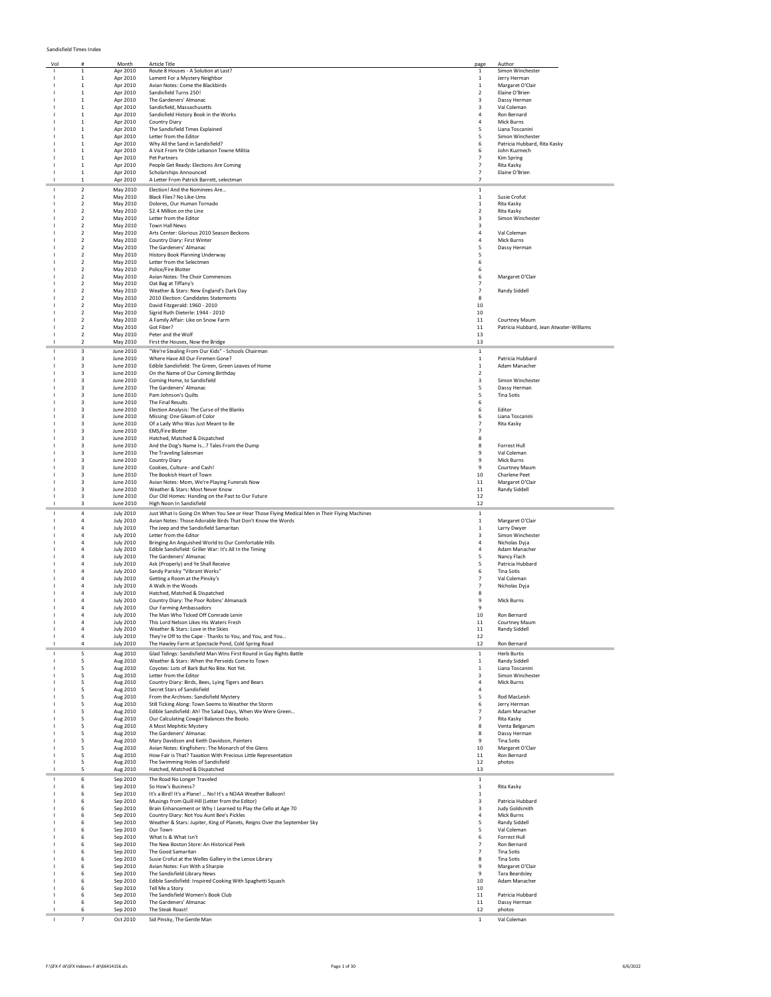## Sandisfield Times Index

| Vol |                                  | Month                                | <b>Article Title</b>                                                                         | page                    | Author                                  |
|-----|----------------------------------|--------------------------------------|----------------------------------------------------------------------------------------------|-------------------------|-----------------------------------------|
|     | 1                                | Apr 2010                             | Route 8 Houses - A Solution at Last?                                                         | -1                      | Simon Winchester                        |
|     | $\mathbf{1}$                     | Apr 2010                             | Lament For a Mystery Neighbor                                                                | $\mathbf{1}$            | Jerry Herman                            |
|     | $\mathbf{1}$                     | Apr 2010                             | Avian Notes: Come the Blackbirds                                                             | $\mathbf{1}$            | Margaret O'Clair                        |
|     | $\mathbf{1}$                     | Apr 2010                             | Sandisfield Turns 250!                                                                       | 2                       | Elaine O'Brien                          |
|     | $\mathbf{1}$                     | Apr 2010                             | The Gardeners' Almanac                                                                       | 3                       | Dassy Herman                            |
|     | $\mathbf{1}$                     | Apr 2010                             | Sandisfield, Massachusetts                                                                   | 3                       | Val Coleman                             |
|     | $\mathbf{1}$                     | Apr 2010                             | Sandisfield History Book in the Works                                                        | $\overline{a}$          | Ron Bernard                             |
|     | $\mathbf{1}$                     | Apr 2010                             | Country Diary                                                                                | $\overline{a}$          | <b>Mick Burns</b>                       |
|     | $\mathbf{1}$                     | Apr 2010                             | The Sandisfield Times Explained                                                              | 5                       | Liana Toscanini                         |
|     | $\mathbf{1}$                     | Apr 2010                             | Letter from the Editor                                                                       | 5                       | Simon Winchester                        |
|     | $\mathbf 1$                      | Apr 2010                             | Why All the Sand in Sandisfield?                                                             | 6                       | Patricia Hubbard, Rita Kasky            |
|     | $\mathbf{1}$<br>$\mathbf{1}$     | Apr 2010<br>Apr 2010                 | A Visit From Ye Olde Lebanon Towne Militia<br>Pet Partners                                   | 6<br>$\overline{7}$     | John Kuzmech                            |
|     | $\mathbf{1}$                     | Apr 2010                             | People Get Ready: Elections Are Coming                                                       | $\overline{7}$          | Kim Spring<br>Rita Kasky                |
|     | $\mathbf{1}$                     | Apr 2010                             | <b>Scholarships Announced</b>                                                                | $\overline{7}$          | Elaine O'Brien                          |
|     | $\mathbf{1}$                     | Apr 2010                             | A Letter From Patrick Barrett, selectman                                                     | $\overline{7}$          |                                         |
|     | $\overline{2}$                   | May 2010                             | Election! And the Nominees Are                                                               | $\,$ 1 $\,$             |                                         |
|     | $\overline{2}$                   | May 2010                             | Black Flies? No Like-Ums                                                                     | $\,$ 1                  | Susie Crofut                            |
|     | $\overline{2}$                   | May 2010                             | Dolores, Our Human Tornado                                                                   | $\,$ 1                  | <b>Rita Kasky</b>                       |
|     | $\overline{2}$                   | May 2010                             | \$2.4 Million on the Line                                                                    | $\overline{2}$          | Rita Kasky                              |
|     | $\overline{2}$                   | May 2010                             | Letter from the Editor                                                                       | 3                       | Simon Winchester                        |
|     | $\overline{2}$                   | May 2010                             | <b>Town Hall News</b>                                                                        | 3                       |                                         |
|     | $\overline{2}$                   | May 2010                             | Arts Center: Glorious 2010 Season Beckons                                                    | $\overline{4}$          | Val Coleman                             |
|     | $\overline{2}$                   | May 2010                             | Country Diary: First Winter                                                                  | 4                       | Mick Burns                              |
|     | $\overline{2}$                   | May 2010                             | The Gardeners' Almanac                                                                       | 5                       | Dassy Herman                            |
|     | $\overline{2}$                   | May 2010                             | History Book Planning Underway                                                               | 5                       |                                         |
|     | $\mathcal{P}$                    | May 2010                             | Letter from the Selectmen                                                                    | 6                       |                                         |
|     | $\overline{2}$<br>$\overline{2}$ | May 2010                             | Police/Fire Blotter                                                                          | 6<br>6                  |                                         |
|     | $\overline{2}$                   | May 2010<br>May 2010                 | Avian Notes: The Choir Commences                                                             | $\overline{7}$          | Margaret O'Clair                        |
|     | $\overline{2}$                   | May 2010                             | Oat Bag at Tiffany's<br>Weather & Stars: New England's Dark Day                              | $\overline{7}$          | <b>Randy Siddell</b>                    |
|     | $\overline{2}$                   | May 2010                             | 2010 Election: Candidates Statements                                                         | 8                       |                                         |
|     | $\overline{2}$                   | May 2010                             | David Fitzgerald: 1960 - 2010                                                                | 10                      |                                         |
|     | $\overline{\phantom{a}}$         | May 2010                             | Sigrid Ruth Dieterle: 1944 - 2010                                                            | 10                      |                                         |
|     | $\overline{2}$                   | May 2010                             | A Family Affair: Like on Snow Farm                                                           | 11                      | <b>Courtney Maum</b>                    |
|     | $\overline{2}$                   | May 2010                             | Got Fiber?                                                                                   | 11                      | Patricia Hubbard, Jean Atwater-Williams |
|     | $\overline{2}$                   | May 2010                             | Peter and the Wolf                                                                           | 13                      |                                         |
|     | $\mathcal{P}$                    | May 2010                             | First the Houses, Now the Bridge                                                             | 13                      |                                         |
|     | 3                                | June 2010                            | "We're Stealing From Our Kids" - Schools Chairman                                            | $\,$ 1                  |                                         |
|     | 3                                | June 2010                            | Where Have All Our Firemen Gone?                                                             | $\mathbf{1}$            | Patricia Hubbard                        |
|     | 3                                | June 2010                            | Edible Sandisfield: The Green, Green Leaves of Home                                          | $\,$ 1                  | Adam Manacher                           |
|     | 3                                | June 2010                            | On the Name of Our Coming Birthday                                                           | $\overline{2}$          |                                         |
|     | 3                                | June 2010                            | Coming Home, to Sandisfield                                                                  | $\overline{\mathbf{3}}$ | Simon Winchester                        |
|     | 3                                | June 2010                            | The Gardeners' Almanac                                                                       | 5                       | Dassy Herman                            |
|     | 3                                | June 2010                            | Pam Johnson's Quilts                                                                         | 5                       | <b>Tina Sotis</b>                       |
|     | 3                                | June 2010                            | The Final Results                                                                            | 6                       |                                         |
|     | $\overline{\mathbf{3}}$<br>з     | June 2010                            | Election Analysis: The Curse of the Blanks                                                   | 6<br>6                  | Editor<br>Liana Toscanini               |
|     | 3                                | June 2010<br>June 2010               | Missing: One Gleam of Color<br>Of a Lady Who Was Just Meant to Be                            | $\overline{7}$          | Rita Kasky                              |
|     | $\overline{\mathbf{3}}$          | June 2010                            | <b>EMS/Fire Blotter</b>                                                                      | $\overline{7}$          |                                         |
|     | 3                                | June 2010                            | Hatched, Matched & Dispatched                                                                | 8                       |                                         |
|     | 3                                | June 2010                            | And the Dog's Name Is? Tales From the Dump                                                   | 8                       | Forrest Hull                            |
|     | 3                                | June 2010                            | The Traveling Salesman                                                                       | 9                       | Val Coleman                             |
|     | 3                                | June 2010                            | Country Diary                                                                                | 9                       | Mick Burns                              |
|     | з                                | June 2010                            | Cookies, Culture - and Cash!                                                                 | 9                       | Courtney Maum                           |
|     | 3                                | June 2010                            | The Bookish Heart of Town                                                                    | 10                      | <b>Charlene Peet</b>                    |
|     | 3                                | June 2010                            | Avian Notes: Mom, We're Playing Funerals Now                                                 | 11                      | Margaret O'Clair                        |
|     | 3                                | June 2010                            | Weather & Stars: Most Never Know                                                             | 11                      | Randy Siddell                           |
|     | 3                                | June 2010                            | Our Old Homes: Handing on the Past to Our Future                                             | 12                      |                                         |
|     | $\overline{\mathbf{3}}$          | June 2010                            | High Noon In Sandisfield                                                                     | 12                      |                                         |
|     | 4                                | <b>July 2010</b>                     | Just What Is Going On When You See or Hear Those Flying Medical Men in Their Flying Machines | $\,$ 1                  |                                         |
|     | 4                                | <b>July 2010</b>                     | Avian Notes: Those Adorable Birds That Don't Know the Words                                  | 1                       | Margaret O'Clair                        |
|     | $\overline{a}$                   | <b>July 2010</b>                     | The Jeep and the Sandisfield Samaritan                                                       | $\mathbf{1}$            | Larry Dwyer                             |
|     | $\overline{a}$                   | <b>July 2010</b>                     | Letter from the Editor                                                                       | $\overline{\mathbf{3}}$ | Simon Winchester                        |
|     | $\overline{4}$                   | <b>July 2010</b>                     | Bringing An Anguished World to Our Comfortable Hills                                         | 4                       | Nicholas Dyja                           |
|     | $\overline{4}$<br>$\overline{a}$ | <b>July 2010</b>                     | Edible Sandisfield: Griller War: It's All In the Timing                                      | 4                       | Adam Manacher                           |
|     | 4                                | <b>July 2010</b><br><b>July 2010</b> | The Gardeners' Almanac<br>Ask (Properly) and Ye Shall Receive                                | 5<br>5                  | Nancy Flach<br>Patricia Hubbard         |
|     | 4                                | <b>July 2010</b>                     | Sandy Parisky "Vibrant Works"                                                                | 6                       | Tina Sotis                              |
|     | 4                                | <b>July 2010</b>                     | Getting a Room at the Pinsky's                                                               | $\overline{7}$          | Val Coleman                             |
|     |                                  | <b>July 2010</b>                     | A Walk in the Woods                                                                          | $\overline{7}$          | Nicholas Dyja                           |
|     |                                  | <b>July 2010</b>                     | Hatched, Matched & Dispatched                                                                | 8                       |                                         |
|     | 4                                | <b>July 2010</b>                     | Country Diary: The Poor Robins' Almanack                                                     | 9                       | Mick Burns                              |
|     | 4                                | <b>July 2010</b>                     | Our Farming Ambassadors                                                                      | 9                       |                                         |
|     |                                  | <b>July 2010</b>                     | The Man Who Ticked Off Comra                                                                 | 10                      | <b>Pop Recognd</b>                      |
|     | 4                                | <b>July 2010</b>                     | This Lord Nelson Likes His Waters Fresh                                                      | 11                      | Courtney Maum                           |
|     | $\overline{a}$                   | <b>July 2010</b>                     | Weather & Stars: Love in the Skies                                                           | 11                      | Randy Siddell                           |
|     | $\overline{4}$<br>4              | <b>July 2010</b>                     | They're Off to the Cape - Thanks to You, and You, and You                                    | 12<br>12                |                                         |
|     |                                  | <b>July 2010</b>                     | The Hawley Farm at Spectacle Pond, Cold Spring Road                                          |                         | Ron Bernard                             |
|     | 5                                | Aug 2010                             | Glad Tidings: Sandisfield Man Wins First Round in Gay Rights Battle                          | $1\,$                   | <b>Herb Burtis</b>                      |
|     | 5                                | Aug 2010                             | Weather & Stars: When the Perseids Come to Town                                              | $\,$ 1                  | Randy Siddell                           |
|     | 5<br>5                           | Aug 2010<br>Aug 2010                 | Coyotes: Lots of Bark But No Bite. Not Yet.<br>Letter from the Editor                        | $\,$ 1<br>3             | Liana Toscanini<br>Simon Winchester     |
|     | 5                                | Aug 2010                             | Country Diary: Birds, Bees, Lying Tigers and Bears                                           | $\sqrt{4}$              | Mick Burns                              |
|     | 5                                | Aug 2010                             | Secret Stars of Sandisfield                                                                  | $\sqrt{4}$              |                                         |
|     | 5                                | Aug 2010                             | From the Archives: Sandisfield Mystery                                                       | 5                       | Rod MacLeish                            |
|     | 5                                | Aug 2010                             | Still Ticking Along: Town Seems to Weather the Storm                                         | 6                       | Jerry Herman                            |
|     | 5                                | Aug 2010                             | Edible Sandisfield: Ah! The Salad Days, When We Were Green                                   | $\overline{7}$          | Adam Manacher                           |
|     | 5                                | Aug 2010                             | Our Calculating Cowgirl Balances the Books                                                   | $\overline{7}$          | Rita Kasky                              |
|     | 5                                | Aug 2010                             | A Most Mephitic Mystery                                                                      | 8                       | Venta Belgarum                          |
|     | 5                                | Aug 2010                             | The Gardeners' Almanac                                                                       | 8                       | Dassy Herman                            |
|     | 5                                | Aug 2010                             | Mary Davidson and Keith Davidson, Painters                                                   | 9                       | <b>Tina Sotis</b>                       |
|     | 5                                | Aug 2010                             | Avian Notes: Kingfishers: The Monarch of the Glens                                           | 10                      | Margaret O'Clair                        |
|     | 5<br>5                           | Aug 2010                             | How Fair is That? Taxation With Precious Little Representation                               | 11<br>12                | Ron Bernard<br>photos                   |
|     | 5                                | Aug 2010<br>Aug 2010                 | The Swimming Holes of Sandisfield<br>Hatched, Matched & Dispatched                           | 13                      |                                         |
|     |                                  |                                      |                                                                                              |                         |                                         |
|     | 6<br>6                           | Sep 2010<br>Sep 2010                 | The Road No Longer Traveled<br>So How's Business?                                            | $\,$ 1<br>$\mathbf{1}$  | Rita Kasky                              |
|     | 6                                | Sep 2010                             | It's a Bird! It's a Plane!  No! It's a NOAA Weather Balloon!                                 | $\mathbf{1}$            |                                         |
|     | 6                                | Sep 2010                             | Musings from Quill Hill (Letter from the Editor)                                             | 3                       | Patricia Hubbard                        |
|     | 6                                | Sep 2010                             | Brain Enhancement or Why I Learned to Play the Cello at Age 70                               | 3                       | Judy Goldsmith                          |
|     | 6                                | Sep 2010                             | Country Diary: Not You Aunt Bee's Pickles                                                    | 4                       | Mick Burns                              |
|     | 6                                | Sep 2010                             | Weather & Stars: Jupiter, King of Planets, Reigns Over the September Sky                     | 5                       | Randy Siddell                           |
|     | 6                                | Sep 2010                             | Our Town                                                                                     | 5                       | Val Coleman                             |
|     | 6                                | Sep 2010                             | What Is & What Isn't                                                                         | 6                       | Forrest Hull                            |
|     | 6                                | Sep 2010                             | The New Boston Store: An Historical Peek                                                     | $\overline{7}$          | Ron Bernard                             |
|     | 6                                | Sep 2010                             | The Good Samaritan                                                                           | $\overline{7}$          | <b>Tina Sotis</b>                       |
|     | 6                                | Sep 2010                             | Susie Crofut at the Welles Gallery in the Lenox Library                                      | 8                       | <b>Tina Sotis</b>                       |
|     | 6                                | Sep 2010                             | Avian Notes: Fun With a Sharpie                                                              | 9                       | Margaret O'Clair                        |
|     | 6                                | Sep 2010                             | The Sandisfield Library News                                                                 | $\mathbf{q}$            | <b>Tara Beardsley</b>                   |
|     | 6                                | Sep 2010                             | Edible Sandisfield: Inspired Cooking With Spaghetti Squash                                   | 10                      | Adam Manacher                           |
|     | 6                                | Sep 2010                             | Tell Me a Story                                                                              | 10                      |                                         |
|     | 6                                | Sep 2010                             | The Sandisfield Women's Book Club                                                            | 11                      | Patricia Hubbard                        |
|     | 6                                | Sep 2010                             | The Gardeners' Almanac                                                                       | 11                      | Dassy Herman                            |
|     | 6                                | Sep 2010                             | The Steak Roast!                                                                             | 12                      | photos                                  |
|     | 7                                | Oct 2010                             | Sid Pinsky, The Gentle Man                                                                   | $1\,$                   | Val Coleman                             |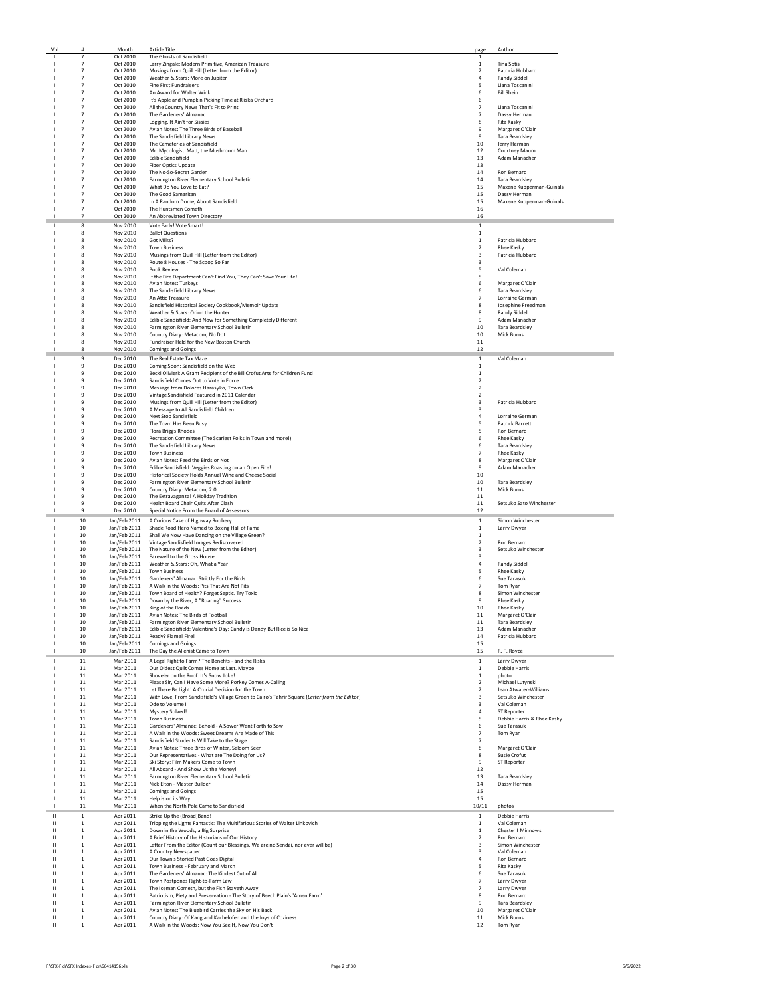| Vol               |                  |                              | <b>Article Title</b>                                                                                                 | page           | Author                     |
|-------------------|------------------|------------------------------|----------------------------------------------------------------------------------------------------------------------|----------------|----------------------------|
|                   |                  | Oct 2010                     | The Ghosts of Sandisfield                                                                                            | $\mathbf{1}$   |                            |
|                   | $\overline{7}$   | Oct 2010                     | Larry Zingale: Modern Primitive, American Treasure                                                                   | $\,$ 1         | <b>Tina Sotis</b>          |
|                   | $\overline{7}$   | Oct 2010                     | Musings from Quill Hill (Letter from the Editor)                                                                     | $\overline{2}$ | Patricia Hubbard           |
|                   | $\overline{7}$   | Oct 2010                     | Weather & Stars: More on Jupiter                                                                                     | 4              | Randy Siddell              |
|                   | $\overline{7}$   | Oct 2010                     | <b>Fine First Fundraisers</b>                                                                                        | 5              | Liana Toscanini            |
|                   | $\overline{7}$   | Oct 2010                     | An Award for Walter Wink                                                                                             | 6              | <b>Bill Shein</b>          |
|                   | $\overline{7}$   | Oct 2010                     | It's Apple and Pumpkin Picking Time at Riiska Orchard                                                                | 6              |                            |
|                   | $\overline{7}$   | Oct 2010                     | All the Country News That's Fit to Print                                                                             | $\overline{7}$ | Liana Toscanini            |
|                   | $\overline{7}$   | Oct 2010                     | The Gardeners' Almanac                                                                                               | $\overline{7}$ | Dassy Herman               |
|                   | $\overline{7}$   | Oct 2010                     | Logging. It Ain't for Sissies                                                                                        | 8              | Rita Kasky                 |
|                   | $\overline{7}$   | Oct 2010                     | Avian Notes: The Three Birds of Baseball                                                                             | 9              | Margaret O'Clair           |
|                   | $\overline{7}$   | Oct 2010                     | The Sandisfield Library News                                                                                         | 9              | <b>Tara Beardsley</b>      |
|                   | $\overline{7}$   | Oct 2010                     | The Cemeteries of Sandisfield                                                                                        | 10             | Jerry Herman               |
|                   | $\overline{7}$   | Oct 2010                     | Mr. Mycologist Matt, the Mushroom Man                                                                                | 12             | Courtney Maum              |
|                   | $\overline{7}$   |                              |                                                                                                                      |                |                            |
|                   | $\overline{7}$   | Oct 2010                     | <b>Edible Sandisfield</b>                                                                                            | 13<br>13       | Adam Manacher              |
|                   |                  | Oct 2010                     | Fiber Optics Update                                                                                                  |                | <b>Ron Bernard</b>         |
|                   | $\overline{7}$   | Oct 2010                     | The No-So-Secret Garden                                                                                              | 14             |                            |
|                   | $\overline{7}$   | Oct 2010                     | Farmington River Elementary School Bulletin                                                                          | 14             | <b>Tara Beardsley</b>      |
|                   | $\overline{7}$   | Oct 2010                     | What Do You Love to Eat?                                                                                             | 15             | Maxene Kupperman-Guinals   |
|                   | $\overline{7}$   | Oct 2010                     | The Good Samaritan                                                                                                   | 15             | Dassy Herman               |
|                   | $\overline{7}$   | Oct 2010                     | In A Random Dome, About Sandisfield                                                                                  | 15             | Maxene Kupperman-Guinals   |
|                   | $\overline{7}$   | Oct 2010                     | The Huntsmen Cometh                                                                                                  | 16             |                            |
|                   | $\overline{7}$   | Oct 2010                     | An Abbreviated Town Directory                                                                                        | 16             |                            |
|                   | 8                | Nov 2010                     | Vote Early! Vote Smart!                                                                                              | $\mathbf{1}$   |                            |
|                   | 8                | Nov 2010                     | <b>Ballot Questions</b>                                                                                              | 1              |                            |
|                   | 8                | Nov 2010                     | Got Milks?                                                                                                           | $\,$ 1         | Patricia Hubbard           |
|                   | 8                | Nov 2010                     | <b>Town Business</b>                                                                                                 | $\mathbf 2$    | Rhee Kasky                 |
|                   | 8                | Nov 2010                     | Musings from Quill Hill (Letter from the Editor)                                                                     | 3              | Patricia Hubbard           |
|                   | я                | Nov 2010                     | Route 8 Houses - The Scoop So Far                                                                                    | 3              |                            |
|                   | R                | Nov 2010                     | <b>Book Review</b>                                                                                                   | 5              | Val Coleman                |
|                   | 8                | Nov 2010                     | If the Fire Department Can't Find You, They Can't Save Your Life!                                                    | 5              |                            |
|                   | 8                | Nov 2010                     | Avian Notes: Turkeys                                                                                                 | 6              | Margaret O'Clair           |
|                   | 8                | Nov 2010                     | The Sandisfield Library News                                                                                         | 6              | <b>Tara Beardsley</b>      |
|                   | 8                | Nov 2010                     | An Attic Treasure                                                                                                    | $\overline{7}$ | Lorraine German            |
|                   | 8                |                              |                                                                                                                      |                |                            |
|                   | R                | Nov 2010<br>Nov 2010         | Sandisfield Historical Society Cookbook/Memoir Update                                                                | 8<br>8         | Josephine Freedman         |
|                   |                  | Nov 2010                     | Weather & Stars: Orion the Hunter                                                                                    |                | Randy Siddell              |
|                   | 8                |                              | Edible Sandisfield: And Now for Something Completely Different                                                       | 9              | Adam Manacher              |
|                   | 8                | Nov 2010                     | Farmington River Elementary School Bulletin                                                                          | 10             | <b>Tara Beardsley</b>      |
|                   | 8                | Nov 2010                     | Country Diary: Metacom, No Dot                                                                                       | 10             | Mick Burns                 |
|                   | 8                | Nov 2010                     | Fundraiser Held for the New Boston Church                                                                            | 11             |                            |
|                   | 8                | Nov 2010                     | <b>Comings and Goings</b>                                                                                            | 12             |                            |
|                   | 9                | Dec 2010                     | The Real Estate Tax Maze                                                                                             | $\,$ 1 $\,$    | Val Coleman                |
|                   | 9                | Dec 2010                     | Coming Soon: Sandisfield on the Web                                                                                  | $\,$ 1         |                            |
|                   | $\mathbf{q}$     | Dec 2010                     | Becki Olivieri: A Grant Recipient of the Bill Crofut Arts for Children Fund                                          | $\mathbf{1}$   |                            |
|                   | 9                | Dec 2010                     | Sandisfield Comes Out to Vote in Force                                                                               | $\overline{2}$ |                            |
|                   | $\ddot{q}$       | Dec 2010                     | Message from Dolores Harasyko, Town Clerk                                                                            | $\overline{2}$ |                            |
|                   | 9                | Dec 2010                     | Vintage Sandisfield Featured in 2011 Calendar                                                                        | $\overline{2}$ |                            |
|                   | 9                | Dec 2010                     | Musings from Quill Hill (Letter from the Editor)                                                                     | 3              | Patricia Hubbard           |
|                   | $\mathbf{q}$     |                              |                                                                                                                      |                |                            |
|                   | $\mathbf{q}$     | Dec 2010<br>Dec 2010         | A Message to All Sandisfield Children                                                                                | 3<br>4         | Lorraine German            |
|                   | 9                | Dec 2010                     | Next Stop Sandisfield<br>The Town Has Been Busy                                                                      | 5              | <b>Patrick Barrett</b>     |
|                   | $\ddot{q}$       | Dec 2010                     | Flora Briggs Rhodes                                                                                                  | 5              | Ron Bernard                |
|                   |                  |                              |                                                                                                                      |                |                            |
|                   | 9                | Dec 2010                     | Recreation Committee (The Scariest Folks in Town and more!)                                                          | 6              | Rhee Kasky                 |
|                   | 9                | Dec 2010                     | The Sandisfield Library News                                                                                         | 6              | <b>Tara Beardsley</b>      |
|                   | 9                | Dec 2010                     | <b>Town Business</b>                                                                                                 | $\overline{7}$ | Rhee Kasky                 |
|                   | $\mathbf{q}$     | Dec 2010                     | Avian Notes: Feed the Birds or Not                                                                                   | 8              | Margaret O'Clair           |
|                   | $\mathbf{q}$     | Dec 2010                     | Edible Sandisfield: Veggies Roasting on an Open Fire!                                                                | 9              | Adam Manacher              |
|                   | 9                | Dec 2010                     | Historical Society Holds Annual Wine and Cheese Social                                                               | 10             |                            |
|                   | 9                | Dec 2010                     | Farmington River Elementary School Bulletin                                                                          | 10             | <b>Tara Beardsley</b>      |
|                   | 9                | Dec 2010                     | Country Diary: Metacom, 2.0                                                                                          | 11             | Mick Burns                 |
|                   | 9                | Dec 2010                     | The Extravaganza! A Holiday Tradition                                                                                | 11             |                            |
|                   | ۹                | Dec 2010                     | Health Board Chair Quits After Clash                                                                                 | 11             | Setsuko Sato Winchester    |
|                   |                  |                              |                                                                                                                      |                |                            |
|                   | 9                |                              |                                                                                                                      | 12             |                            |
|                   |                  | Dec 2010                     | Special Notice From the Board of Assessors                                                                           |                |                            |
|                   | 10               | Jan/Feb 2011                 | A Curious Case of Highway Robbery                                                                                    | $\,$ 1 $\,$    | Simon Winchester           |
|                   | 10               | Jan/Feb 2011                 | Shade Road Hero Named to Boxing Hall of Fame                                                                         | $\mathbf{1}$   | Larry Dwyer                |
|                   | 10               | Jan/Feb 2011                 | Shall We Now Have Dancing on the Village Green?                                                                      | $\mathbf{1}$   |                            |
|                   | 10               | Jan/Feb 2011                 | Vintage Sandisfield Images Rediscovered                                                                              | $\overline{2}$ | <b>Ron Bernard</b>         |
|                   | 10               |                              | Jan/Feb 2011 The Nature of the New (Letter from the Editor)                                                          | 3              | Setsuko Winchester         |
|                   | 10               | Jan/Feb 2011                 | Farewell to the Gross House                                                                                          | 3              |                            |
|                   | 10               |                              | Jan/Feb 2011 Weather & Stars: Oh, What a Year                                                                        | 4              | Randy Siddell              |
|                   | 10               | Jan/Feb 2011                 | <b>Town Business</b>                                                                                                 | 5              | <b>Rhee Kasky</b>          |
|                   | 10               | Jan/Feb 2011                 | Gardeners' Almanac: Strictly For the Birds                                                                           | 6              | Sue Tarasuk                |
|                   | 10               | Jan/Feb 2011                 | A Walk in the Woods: Pits That Are Not Pits                                                                          | $\overline{7}$ | Tom Ryan                   |
|                   | 10               | Jan/Feb 2011                 | Town Board of Health? Forget Septic. Try Toxic                                                                       | 8              | Simon Winchester           |
|                   | 10               | Jan/Feb 2011                 | Down by the River, A "Roaring" Success                                                                               | 9              | Rhee Kasky                 |
|                   | 10               | Jan/Feb 2011                 | King of the Roads                                                                                                    | 10             | Rhee Kasky                 |
|                   | 10               | Jan/Feb 2011                 | Avian Notes: The Birds of Football                                                                                   | 11             | Margaret O'Clair           |
|                   | 10               |                              |                                                                                                                      | 11             | <b>Tara Beardsley</b>      |
|                   | 10               | Jan/Feb 2011<br>Jan/Feb 2011 | Farmington River Elementary School Bulletin                                                                          | 13             | Adam Manacher              |
|                   | 10               |                              | Edible Sandisfield: Valentine's Day: Candy is Dandy But Rice is So Nice<br>Ready? Flame! Fire!                       | 14             |                            |
|                   |                  | Jan/Feb 2011                 |                                                                                                                      |                | Patricia Hubbard           |
|                   | 10               | Jan/Feb 2011                 | <b>Comings and Goings</b>                                                                                            | 15             |                            |
|                   | 10               | Jan/Feb 2011                 | The Day the Alienist Came to Town                                                                                    | 15             | R. F. Royce                |
|                   | 11               | Mar 2011                     | A Legal Right to Farm? The Benefits - and the Risks                                                                  | $\mathbf{1}$   | Larry Dwyer                |
|                   | 11               | Mar 2011                     | Our Oldest Quilt Comes Home at Last. Maybe                                                                           | $\,$ 1         | Debbie Harris              |
|                   | 11               | Mar 2011                     | Shoveler on the Roof. It's Snow Joke!                                                                                | $\mathbf{1}$   | photo                      |
|                   | 11               | Mar 2011                     | Please Sir, Can I Have Some More? Porkey Comes A-Calling.                                                            | $\overline{2}$ | Michael Lutynski           |
|                   | $11\,$           | Mar 2011                     | Let There Be Light! A Crucial Decision for the Town                                                                  | $\mathbf 2$    | Jean Atwater-Williams      |
|                   | 11               | Mar 2011                     | With Love, From Sandisfield's Village Green to Cairo's Tahrir Square (Letter from the Editor)                        | 3              | Setsuko Winchester         |
|                   | 11               | Mar 2011                     | Ode to Volume I                                                                                                      | 3              | Val Coleman                |
|                   | 11               | Mar 2011                     | Mystery Solved!                                                                                                      | $\overline{4}$ | ST Reporter                |
|                   | 11               | Mar 2011                     | <b>Town Business</b>                                                                                                 | 5              | Debbie Harris & Rhee Kasky |
|                   | $11\,$           | Mar 2011                     | Gardeners' Almanac: Behold - A Sower Went Forth to Sow                                                               | 6              | Sue Tarasuk                |
|                   | $11\,$           | Mar 2011                     | A Walk in the Woods: Sweet Dreams Are Made of This                                                                   | $\overline{7}$ | Tom Ryan                   |
|                   | 11               | Mar 2011                     | Sandisfield Students Will Take to the Stage                                                                          | $\overline{7}$ |                            |
|                   | 11               | Mar 2011                     | Avian Notes: Three Birds of Winter, Seldom Seen                                                                      | 8              | Margaret O'Clair           |
|                   |                  |                              |                                                                                                                      |                |                            |
|                   | 11               | Mar 2011                     | Our Representatives - What are The Doing for Us?                                                                     | 8              | Susie Crofut               |
|                   | 11               | Mar 2011                     | Ski Story: Film Makers Come to Town                                                                                  | 9              | ST Reporter                |
|                   | 11               | Mar 2011                     | All Aboard - And Show Us the Money!                                                                                  | 12             |                            |
|                   | 11               | Mar 2011                     | Farmington River Elementary School Bulletin                                                                          | 13             | <b>Tara Beardsley</b>      |
|                   | 11               | Mar 2011                     | Nick Elton - Master Builder                                                                                          | 14             | Dassy Herman               |
|                   | 11               | Mar 2011                     | Comings and Goings                                                                                                   | 15             |                            |
|                   | 11               | Mar 2011                     | Help is on its Way                                                                                                   | 15             |                            |
|                   | 11               | Mar 2011                     | When the North Pole Came to Sandisfield                                                                              | 10/11          | photos                     |
| Ш                 | 1                | Apr 2011                     | Strike Up the (Broad)Band!                                                                                           | $\,$ 1 $\,$    | <b>Debbie Harris</b>       |
| Ш                 | $\,$ 1           | Apr 2011                     | Tripping the Lights Fantastic: The Multifarious Stories of Walter Linkovich                                          | $\,$ 1         | Val Coleman                |
| ш                 | $\mathbf{1}$     |                              |                                                                                                                      | 1              | Chester I Minnows          |
|                   | $\mathbf{1}$     | Apr 2011                     | Down in the Woods, a Big Surprise                                                                                    | $\overline{2}$ | Ron Bernard                |
|                   |                  | Apr 2011                     | A Brief History of the Historians of Our History                                                                     |                |                            |
|                   | $\mathbf{1}$     | Apr 2011                     | Letter From the Editor (Count our Blessings. We are no Sendai, nor ever will be)                                     | 3              | Simon Winchester           |
|                   | $\mathbf{1}$     | Apr 2011                     | A Country Newspaper                                                                                                  | 3              | Val Coleman                |
|                   | $\mathbf{1}$     | Apr 2011                     | Our Town's Storied Past Goes Digital                                                                                 | $\overline{4}$ | Ron Bernard                |
|                   | $\mathbf{1}$     | Apr 2011                     | Town Business - February and March                                                                                   | 5              | Rita Kasky                 |
| $\mathbf{H}$      | $\mathbf{1}$     | Apr 2011                     | The Gardeners' Almanac: The Kindest Cut of All                                                                       | 6              | Sue Tarasuk                |
| $\mathbf{H}$      | $\mathbf{1}$     | Apr 2011                     | Town Postpones Right-to-Farm Law                                                                                     | $\overline{7}$ | Larry Dwyer                |
| $\mathbf{H}$      | $\mathbf{1}$     | Apr 2011                     | The Iceman Cometh, but the Fish Stayeth Away                                                                         | $\overline{7}$ | Larry Dwyer                |
|                   | $\mathbf{1}$     | Apr 2011                     | Patriotism, Piety and Preservation - The Story of Beech Plain's 'Amen Farm'                                          | 8              | Ron Bernard                |
|                   | $\mathbf{1}$     | Apr 2011                     | Farmington River Elementary School Bulletin                                                                          | 9              | <b>Tara Beardsley</b>      |
| $\mathbf{H}$      | $\mathbf 1$      | Apr 2011                     | Avian Notes: The Bluebird Carries the Sky on His Back                                                                | 10             | Margaret O'Clair           |
| Ш<br>$\mathbf{H}$ | $\mathbf 1$<br>1 | Apr 2011<br>Apr 2011         | Country Diary: Of Kang and Kachelofen and the Joys of Coziness<br>A Walk in the Woods: Now You See It, Now You Don't | 11<br>12       | Mick Burns<br>Tom Ryan     |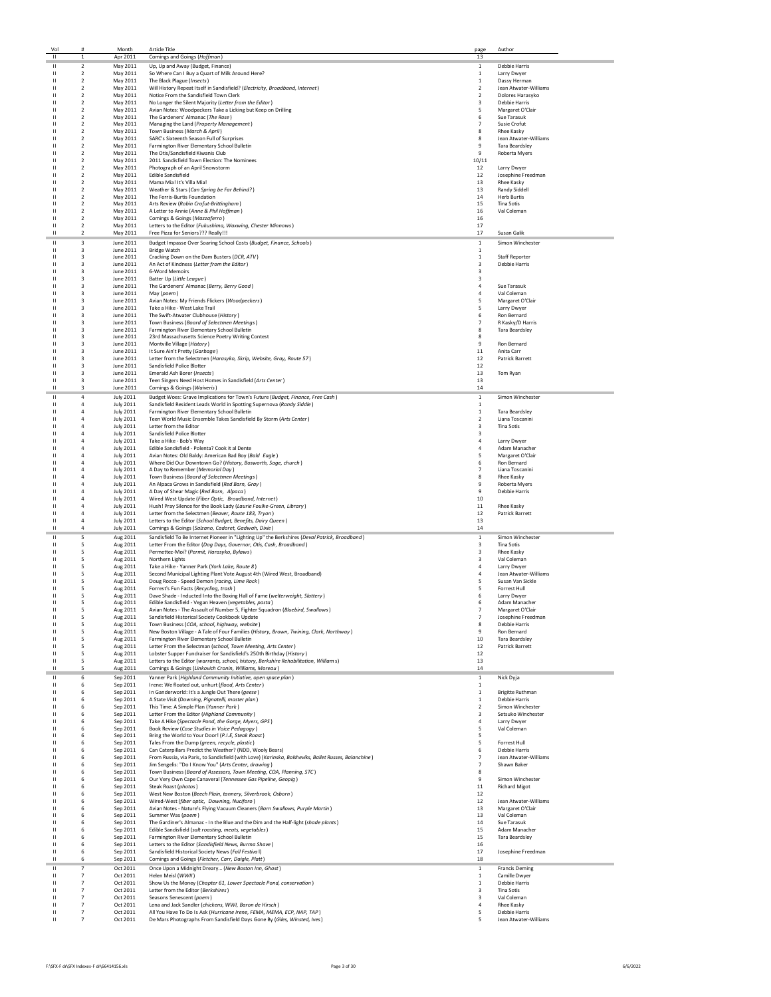|              | Vol                          |                                           | Month                                | Article Title                                                                                                                                                    | page                         | Author                                  |
|--------------|------------------------------|-------------------------------------------|--------------------------------------|------------------------------------------------------------------------------------------------------------------------------------------------------------------|------------------------------|-----------------------------------------|
|              | $\mathbf{H}$                 | $\mathbf{1}$                              | Apr 2011                             | Comings and Goings (Hoffman)                                                                                                                                     | 13                           |                                         |
|              | Ш                            | $\overline{\mathbf{2}}$                   | May 2011                             | Up, Up and Away (Budget, Finance)                                                                                                                                | $\mathbf{1}$                 | <b>Debbie Harris</b>                    |
|              | $\mathbf{H}$<br>$\mathbf{H}$ | $\overline{2}$<br>$\overline{2}$          | May 2011<br>May 2011                 | So Where Can I Buy a Quart of Milk Around Here?<br>The Black Plague (Insects)                                                                                    | 1<br>$\mathbf{1}$            | Larry Dwyer<br>Dassy Herman             |
|              | $\mathbf{H}$                 | $\overline{2}$                            | May 2011                             | Will History Repeat Itself in Sandisfield? (Electricity, Broadband, Internet)                                                                                    | $\overline{2}$               | Jean Atwater-Williams                   |
|              | $\mathbf{H}$                 | $\overline{2}$                            | May 2011                             | Notice From the Sandisfield Town Clerk                                                                                                                           | 2                            | Dolores Harasyko                        |
|              | $\mathbf{H}$                 | $\overline{2}$                            | May 2011                             | No Longer the Silent Majority (Letter from the Editor)                                                                                                           | 3                            | <b>Debbie Harris</b>                    |
|              | $\mathbf{H}$<br>$\mathbf{H}$ | $\overline{2}$<br>$\mathcal{P}$           | May 2011                             | Avian Notes: Woodpeckers Take a Licking but Keep on Drilling                                                                                                     | 5<br>6                       | Margaret O'Clair<br>Sue Tarasuk         |
|              | $\mathbf{H}$                 | $\overline{2}$                            | May 2011<br>May 2011                 | The Gardeners' Almanac (The Rose)<br>Managing the Land (Property Management)                                                                                     | $\overline{7}$               | Susie Crofut                            |
|              | $\mathbf{H}$                 | $\overline{2}$                            | May 2011                             | Town Business (March & April)                                                                                                                                    | 8                            | <b>Rhee Kasky</b>                       |
|              | $\mathbf{H}$                 | $\overline{2}$                            | May 2011                             | SARC's Sixteenth Season Full of Surprises                                                                                                                        | 8                            | Jean Atwater-Williams                   |
|              | $\mathbf{H}$                 | $\overline{2}$                            | May 2011                             | Farmington River Elementary School Bulletin                                                                                                                      | 9                            | <b>Tara Beardsley</b>                   |
|              | $\mathbf{H}$<br>$\mathbf{H}$ | $\overline{\mathbf{2}}$<br>$\overline{2}$ | May 2011                             | The Otis/Sandisfield Kiwanis Club                                                                                                                                | 9<br>10/11                   | Roberta Myers                           |
|              | $\mathbf{H}$                 | $\overline{2}$                            | May 2011<br>May 2011                 | 2011 Sandisfield Town Election: The Nominees<br>Photograph of an April Snowstorm                                                                                 | 12                           | Larry Dwyer                             |
|              | $\mathbf{H}$                 | $\overline{2}$                            | May 2011                             | <b>Edible Sandisfield</b>                                                                                                                                        | 12                           | Josephine Freedman                      |
|              |                              | $\overline{2}$                            | May 2011                             | Mama Mia! It's Villa Mia!                                                                                                                                        | 13                           | Rhee Kasky                              |
|              |                              | $\overline{2}$                            | May 2011                             | Weather & Stars (Can Spring be Far Behind?)                                                                                                                      | 13                           | <b>Randy Siddell</b>                    |
|              | $\mathbf{H}$<br>$\mathbf{H}$ | $\overline{2}$<br>$\overline{2}$          | May 2011<br>May 2011                 | The Ferris-Burtis Foundation                                                                                                                                     | 14<br>15                     | <b>Herb Burtis</b><br><b>Tina Sotis</b> |
|              | $\mathbf{H}$                 | $\mathcal{P}$                             | May 2011                             | Arts Review (Robin Crofut-Brittingham)<br>A Letter to Annie (Anne & Phil Hoffman)                                                                                | 16                           | Val Coleman                             |
|              | $\mathbf{H}$                 | $\overline{2}$                            | May 2011                             | Comings & Goings (Mazzaferro)                                                                                                                                    | 16                           |                                         |
|              | $\mathbf{H}$                 | $\overline{2}$                            | May 2011                             | Letters to the Editor (Fukushima, Waxwing, Chester Minnows)                                                                                                      | 17                           |                                         |
|              | $\mathbf{H}$                 | $\overline{2}$                            | May 2011                             | Free Pizza for Seniors??? Really!!!                                                                                                                              | $17\,$                       | Susan Galik                             |
|              | $\mathbf{H}$                 | 3                                         | June 2011                            | Budget Impasse Over Soaring School Costs (Budget, Finance, Schools)                                                                                              | $\,1\,$                      | Simon Winchester                        |
|              | $\mathbf{H}$<br>$\mathbf{H}$ | 3<br>3                                    | June 2011<br>June 2011               | <b>Bridge Watch</b><br>Cracking Down on the Dam Busters (DCR, ATV)                                                                                               | $\mathbf{1}$<br>$\,$ 1       | <b>Staff Reporter</b>                   |
| $\mathbf{H}$ |                              | 3                                         | June 2011                            | An Act of Kindness (Letter from the Editor)                                                                                                                      | 3                            | <b>Debbie Harris</b>                    |
| $\mathbf{H}$ |                              | $\overline{a}$                            | June 2011                            | 6-Word Memoirs                                                                                                                                                   | 3                            |                                         |
|              | $\mathbf{H}$                 | 3                                         | June 2011                            | Batter Up (Little League)                                                                                                                                        | 3                            |                                         |
|              | $\mathbf{H}$                 | 3<br>3                                    | June 2011<br>June 2011               | The Gardeners' Almanac (Berry, Berry Good)                                                                                                                       | $\sqrt{4}$<br>$\overline{4}$ | Sue Tarasuk                             |
|              | $\mathbf{H}$<br>$\mathbf{H}$ | 3                                         | June 2011                            | May (poem)<br>Avian Notes: My Friends Flickers (Woodpeckers)                                                                                                     | 5                            | Val Coleman<br>Margaret O'Clair         |
|              | $\mathbf{H}$                 | 3                                         | June 2011                            | Take a Hike - West Lake Trail                                                                                                                                    | 5                            | Larry Dwyer                             |
|              | $\mathbf{H}$                 | 3                                         | June 2011                            | The Swift-Atwater Clubhouse (History)                                                                                                                            | 6                            | Ron Bernard                             |
|              | $\mathbf{H}$                 | 3                                         | June 2011                            | Town Business (Board of Selectmen Meetings)                                                                                                                      | $\overline{7}$               | R Kasky/D Harris                        |
|              | $\mathbf{H}$                 | 3                                         | June 2011                            | Farmington River Elementary School Bulletin                                                                                                                      | 8                            | <b>Tara Beardsley</b>                   |
|              | $\mathbf{H}$<br>$\mathbf{H}$ | 3<br>$\overline{a}$                       | June 2011<br>June 2011               | 23rd Massachusetts Science Poetry Writing Contest                                                                                                                | 8<br>9                       | Ron Bernard                             |
|              | $\mathbf{H}$                 | $\overline{a}$                            | June 2011                            | Montville Village (History)<br>It Sure Ain't Pretty (Garbage)                                                                                                    | $11\,$                       | Anita Carr                              |
|              | $\mathbf{H}$                 | 3                                         | June 2011                            | Letter from the Selectmen (Harasyko, Skrip, Website, Gray, Route 57)                                                                                             | 12                           | Patrick Barrett                         |
|              | $\mathbf{H}$                 | $\overline{a}$                            | June 2011                            | Sandisfield Police Blotter                                                                                                                                       | 12                           |                                         |
|              | $\mathbf{H}$                 | 3                                         | June 2011                            | Emerald Ash Borer (Insects)                                                                                                                                      | 13                           | Tom Ryan                                |
|              | $\mathbf{H}$<br>$\mathbf{H}$ | 3<br>3                                    | June 2011                            | Teen Singers Need Host Homes in Sandisfield (Arts Center)                                                                                                        | 13                           |                                         |
|              |                              |                                           | June 2011                            | Comings & Goings (Waiveris)                                                                                                                                      | 14                           |                                         |
|              | $\mathbf{H}$<br>$\mathbf{H}$ | $\overline{4}$<br>$\overline{a}$          | <b>July 2011</b><br><b>July 2011</b> | Budget Woes: Grave Implications for Town's Future (Budget, Finance, Free Cash)<br>Sandisfield Resident Leads World in Spotting Supernova (Randy Siddle)          | $\,1\,$<br>$\,$ 1 $\,$       | Simon Winchester                        |
|              | $\mathbf{H}$                 | $\overline{a}$                            | <b>July 2011</b>                     | Farmington River Elementary School Bulletin                                                                                                                      | $\,$ 1 $\,$                  | <b>Tara Beardsley</b>                   |
|              | $\mathbf{H}$                 | $\overline{a}$                            | <b>July 2011</b>                     | Teen World Music Ensemble Takes Sandisfield By Storm (Arts Center)                                                                                               | $\mathbf 2$                  | Liana Toscanini                         |
|              | $\mathbf{H}$                 | $\overline{a}$                            | <b>July 2011</b>                     | Letter from the Editor                                                                                                                                           | 3                            | <b>Tina Sotis</b>                       |
|              | $\mathbf{H}$                 | $\overline{a}$                            | <b>July 2011</b>                     | Sandisfield Police Blotter                                                                                                                                       | 3                            |                                         |
|              | $\mathbf{H}$                 | $\overline{4}$                            | <b>July 2011</b>                     | Take a Hike - Bob's Way                                                                                                                                          | $\overline{4}$               | Larry Dwyer                             |
|              | $\mathbf{H}$<br>$\mathbf{H}$ | $\overline{4}$<br>4                       | <b>July 2011</b><br><b>July 2011</b> | Edible Sandisfield - Polenta? Cook it al Dente<br>Avian Notes: Old Baldy: American Bad Boy (Bald Eagle)                                                          | $\overline{4}$<br>5          | Adam Manacher<br>Margaret O'Clair       |
|              | $\mathbf{H}$                 | 4                                         | <b>July 2011</b>                     | Where Did Our Downtown Go? (History, Bosworth, Sage, church)                                                                                                     | 6                            | Ron Bernard                             |
|              | $\mathbf{H}$                 | 4                                         | <b>July 2011</b>                     | A Day to Remember (Memorial Day)                                                                                                                                 | $\overline{7}$               | Liana Toscanini                         |
|              | $\mathbf{H}$                 | $\overline{a}$                            | <b>July 2011</b>                     | Town Business (Board of Selectmen Meetings)                                                                                                                      | 8                            | <b>Rhee Kasky</b>                       |
|              |                              |                                           | <b>July 2011</b>                     | An Alpaca Grows in Sandisfield (Red Barn, Gray)                                                                                                                  | 9                            | Roberta Myers                           |
|              | $\mathbf{H}$                 | $\overline{a}$                            | <b>July 2011</b><br><b>July 2011</b> | A Day of Shear Magic (Red Barn, Alpaca)                                                                                                                          | 9<br>10                      | <b>Debbie Harris</b>                    |
| $\mathbf{H}$ |                              | $\overline{a}$                            | <b>July 2011</b>                     | Wired West Update (Fiber Optic, Broadband, Internet)<br>Hush! Pray Silence for the Book Lady (Laurie Foulke-Green, Library)                                      | 11                           | Rhee Kasky                              |
|              | $\mathbf{H}$                 | $\overline{a}$                            | <b>July 2011</b>                     | Letter from the Selectmen (Beaver, Route 183, Tryon)                                                                                                             | 12                           | Patrick Barrett                         |
|              | $\mathbf{H}$                 | $\overline{4}$                            | <b>July 2011</b>                     | Letters to the Editor (School Budget, Benefits, Dairy Queen)                                                                                                     | 13                           |                                         |
|              | $\mathbf{H}$                 | $\overline{4}$                            | <b>July 2011</b>                     | Comings & Goings (Salzano, Cadoret, Gadwah, Dixie)                                                                                                               | 14                           |                                         |
|              | $\mathbf{H}$                 | 5                                         | Aug 2011                             | Sandisfield To Be Internet Pioneer in "Lighting Up" the Berkshires (Deval Patrick, Broadband)                                                                    | $\mathbf{1}$                 | Simon Winchester                        |
|              | $\mathbf{H}$                 | 5                                         | Aug 2011                             | Letter From the Editor (Dog Days, Governor, Otis, Cash, Broadband)                                                                                               | 3                            | <b>Tina Sotis</b>                       |
|              | $\mathbf{H}$<br>$\mathbf{H}$ | 5<br>5                                    | Aug 2011                             | Permettez-Moi? (Permit, Harasyko, Bylaws)<br>Northern Lights                                                                                                     | 3<br>3                       | Rhee Kasky<br>Val Coleman               |
|              | $\mathbf{H}$                 | 5                                         | Aug 2011<br>Aug 2011                 | Take a Hike - Yanner Park (York Lake, Route 8)                                                                                                                   | $\overline{a}$               | Larry Dwyer                             |
|              | $\mathbf{H}$                 | 5                                         | Aug 2011                             | Second Municipal Lighting Plant Vote August 4th (Wired West, Broadband)                                                                                          | $\overline{a}$               | Jean Atwater-Williams                   |
|              | $\mathbf{H}$                 | 5                                         | Aug 2011                             | Doug Rocco - Speed Demon (racing, Lime Rock)                                                                                                                     | 5                            | Susan Van Sickle                        |
|              | $\mathbf{H}$                 | 5                                         | Aug 2011                             | Forrest's Fun Facts (Recycling, trash)                                                                                                                           | 5                            | Forrest Hull                            |
|              | $\mathbf{H}$                 | 5                                         | Aug 2011                             | Dave Shade - Inducted Into the Boxing Hall of Fame (welterweight, Slattery)                                                                                      | 6                            | Larry Dwyer                             |
|              | Ш                            | 5                                         | Aug 2011<br>Aug 2011                 | Edible Sandisfield - Vegan Heaven (vegetables, pasta)<br>Avian Notes - The Assault of Number 5, Fighter Squadron (Bluebird, Swallows)                            | 6                            | Adam Manacher<br>Margaret O'Claii       |
|              |                              | 5                                         | Aug 2011                             | Sandisfield Historical Society Cookbook Update                                                                                                                   | $\overline{\phantom{a}}$     | Josephine Freedman                      |
| ш            |                              | 5                                         | Aug 2011                             | Town Business (COA, school, highway, website)                                                                                                                    | 8                            | <b>Debbie Harris</b>                    |
|              | $\mathbf{H}$                 | 5                                         | Aug 2011                             | New Boston Village - A Tale of Four Families (History, Brown, Twining, Clark, Northway)                                                                          | 9                            | Ron Bernard                             |
|              | $\mathbf{H}$                 | 5                                         | Aug 2011                             | Farmington River Elementary School Bulletin                                                                                                                      | 10                           | <b>Tara Beardsley</b>                   |
|              | $\mathbf{H}$<br>$\mathbf{H}$ | 5<br>5                                    | Aug 2011<br>Aug 2011                 | Letter From the Selectman (school, Town Meeting, Arts Center)<br>Lobster Supper Fundraiser for Sandisfield's 250th Birthday (History)                            | 12<br>12                     | Patrick Barrett                         |
|              | $\mathbf{H}$                 | 5                                         | Aug 2011                             | Letters to the Editor (warrants, school, history, Berkshire Rehabilitation, William s)                                                                           | 13                           |                                         |
|              | $\mathbf{H}$                 | 5                                         | Aug 2011                             | Comings & Goings (Linkovich Cronin, Williams, Moreau)                                                                                                            | 14                           |                                         |
|              | $\mathbf{H}$                 | 6                                         | Sep 2011                             | Yanner Park (Highland Community Initiative, open space plan)                                                                                                     | $\mathbf{1}$                 | Nick Dyja                               |
|              | $\mathbf{H}$                 | 6                                         | Sep 2011                             | Irene: We floated out, unhurt (flood, Arts Center)                                                                                                               | 1                            |                                         |
|              | $\mathbf{H}$                 | 6                                         | Sep 2011                             | In Ganderworld: It's a Jungle Out There (geese)                                                                                                                  | $\mathbf{1}$                 | <b>Brigitte Ruthman</b>                 |
|              | $\mathbf{H}$<br>$\mathbf{H}$ | 6<br>6                                    | Sep 2011<br>Sep 2011                 | A State Visit (Downing, Pignatelli, master plan)<br>This Time: A Simple Plan (Yanner Park)                                                                       | $\mathbf{1}$<br>2            | Debbie Harris<br>Simon Winchester       |
|              | $\mathbf{H}$                 | 6                                         | Sep 2011                             | Letter From the Editor (Highland Community)                                                                                                                      | 3                            | Setsuko Winchester                      |
|              | $\mathbf{H}$                 | 6                                         | Sep 2011                             | Take A Hike (Spectacle Pond, the Gorge, Myers, GPS)                                                                                                              | $\sqrt{4}$                   | Larry Dwyer                             |
|              | $\mathbf{H}$                 | 6                                         | Sep 2011                             | Book Review (Case Studies in Voice Pedagogy)                                                                                                                     | 5                            | Val Coleman                             |
|              | $\mathbf{H}$                 | 6                                         | Sep 2011                             | Bring the World to Your Door! (P.I.E, Steak Roast)                                                                                                               | 5                            |                                         |
|              | $\mathbf{H}$<br>$\mathbf{H}$ | 6<br>6                                    | Sep 2011<br>Sep 2011                 | Tales From the Dump (green, recycle, plastic)                                                                                                                    | 5<br>6                       | Forrest Hull<br><b>Debbie Harris</b>    |
|              | $\mathbf{H}$                 | 6                                         | Sep 2011                             | Can Caterpillars Predict the Weather? (NDD, Wooly Bears)<br>From Russia, via Paris, to Sandisfield (with Love) (Karinska, Bolsheviks, Ballet Russes, Balanchine) | 7                            | Jean Atwater-Williams                   |
| $\mathbf{H}$ |                              | 6                                         | Sep 2011                             | Jim Sengelis: "Do I Know You" (Arts Center, drawing)                                                                                                             | $\overline{7}$               | Shawn Baker                             |
|              | $\mathbf{H}$                 | 6                                         | Sep 2011                             | Town Business (Board of Assessors, Town Meeting, COA, Planning, STC)                                                                                             | 8                            |                                         |
|              | $\mathbf{H}$                 | 6                                         | Sep 2011                             | Our Very Own Cape Canaveral (Tennessee Gas Pipeline, Geopig)                                                                                                     | 9                            | Simon Winchester                        |
|              |                              | 6<br>6                                    | Sep 2011                             | Steak Roast (photos)                                                                                                                                             | $11\,$                       | <b>Richard Migot</b>                    |
| ш            |                              | 6                                         | Sep 2011<br>Sep 2011                 | West New Boston (Beech Plain, tannery, Silverbrook, Osborn)<br>Wired-West (fiber optic, Downing, Nuciforo)                                                       | 12<br>12                     | Jean Atwater-Williams                   |
|              | $\mathbf{H}$                 | 6                                         | Sep 2011                             | Avian Notes - Nature's Flying Vacuum Cleaners (Barn Swallows, Purple Martin)                                                                                     | 13                           | Margaret O'Clair                        |
|              | $\mathbf{H}$                 | 6                                         | Sep 2011                             | Summer Was (poem)                                                                                                                                                | 13                           | Val Coleman                             |
|              | ш                            | 6                                         | Sep 2011                             | The Gardiner's Almanac - In the Blue and the Dim and the Half-light (shade plants)                                                                               | 14                           | Sue Tarasuk                             |
|              | $\mathbf{H}$                 | 6                                         | Sep 2011                             | Edible Sandisfield (salt roasting, meats, vegetables)                                                                                                            | 15                           | Adam Manacher                           |
|              | $\mathbf{H}$                 | 6                                         | Sep 2011                             | Farmington River Elementary School Bulletin                                                                                                                      | 15                           | Tara Beardsley                          |
|              | Ш<br>$\mathbf{H}$            | 6<br>6                                    | Sep 2011<br>Sep 2011                 | Letters to the Editor (Sandisfield News, Burma Shave)<br>Sandisfield Historical Society News (Fall Festival)                                                     | 16<br>17                     | Josephine Freedman                      |
|              | $\mathbf{H}$                 | 6                                         | Sep 2011                             | Comings and Goings (Fletcher, Carr, Daigle, Platt)                                                                                                               | 18                           |                                         |
| $\mathbf{H}$ |                              | $\overline{7}$                            | Oct 2011                             | Once Upon a Midnight Dreary (New Boston Inn, Ghost)                                                                                                              | $\mathbf{1}$                 | <b>Francis Deming</b>                   |
| $\mathbf{H}$ |                              | $\overline{7}$                            | Oct 2011                             | Helen Meisl (WWII)                                                                                                                                               | $\mathbf{1}$                 | Camille Dwyer                           |
| $^{\prime}$  |                              | $\overline{7}$                            | Oct 2011                             | Show Us the Money (Chapter 61, Lower Spectacle Pond, conservation)                                                                                               | $\mathbf{1}$                 | <b>Debbie Harris</b>                    |
|              | $\mathbf{H}$                 | $\overline{7}$                            | Oct 2011                             | Letter from the Editor (Berkshires)                                                                                                                              | 3                            | <b>Tina Sotis</b>                       |
|              | $\mathbf{H}$                 | $\overline{7}$<br>$\overline{7}$          | Oct 2011                             | Seasons Senescent (poem)                                                                                                                                         | 3                            | Val Coleman                             |
|              | Ш<br>Ш                       | $\overline{7}$                            | Oct 2011<br>Oct 2011                 | Lena and Jack Sandler (chickens, WWI, Baron de Hirsch)<br>All You Have To Do Is Ask (Hurricane Irene, FEMA, MEMA, ECP, NAP, TAP)                                 | 4<br>5                       | Rhee Kasky<br>Debbie Harris             |
|              | $\mathbf{H}$                 | 7                                         | Oct 2011                             | De Mars Photographs From Sandisfield Days Gone By (Giles, Winsted, Ives)                                                                                         | 5                            | Jean Atwater-Williams                   |
|              |                              |                                           |                                      |                                                                                                                                                                  |                              |                                         |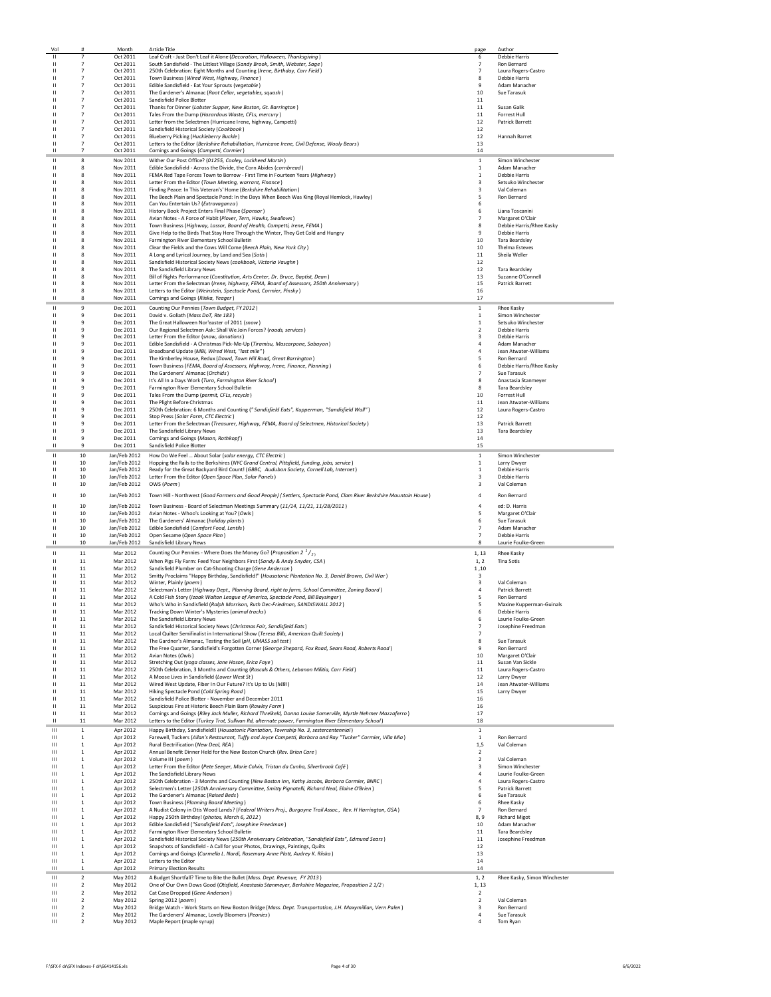| Vol               | #                                         | Month                        | <b>Article Title</b>                                                                                                                              | page                             | Author                                       |
|-------------------|-------------------------------------------|------------------------------|---------------------------------------------------------------------------------------------------------------------------------------------------|----------------------------------|----------------------------------------------|
| П                 | $\overline{7}$                            | Oct 2011                     | Leaf Craft - Just Don't Leaf it Alone (Decoration, Halloween, Thanksgiving)                                                                       | 6                                | <b>Debbie Harris</b>                         |
| $\mathbf{H}$      | $\overline{7}$                            | Oct 2011                     | South Sandisfield - The Littlest Village (Sandy Brook, Smith, Webster, Sage)                                                                      | $\overline{7}$                   | Ron Bernard                                  |
| Ш                 | $\overline{7}$                            | Oct 2011                     | 250th Celebration: Eight Months and Counting (Irene, Birthday, Carr Field)                                                                        | $\overline{7}$                   | Laura Rogers-Castro                          |
| ш                 | $\overline{7}$<br>$\overline{7}$          | Oct 2011                     | Town Business (Wired West, Highway, Finance)                                                                                                      | 8                                | <b>Debbie Harris</b>                         |
| ш<br>п            | $\overline{7}$                            | Oct 2011<br>Oct 2011         | Edible Sandisfield - Eat Your Sprouts (vegetable)<br>The Gardener's Almanac (Root Cellar, vegetables, squash)                                     | -9<br>10                         | Adam Manacher<br>Sue Tarasuk                 |
|                   | $\overline{7}$                            | Oct 2011                     | Sandisfield Police Blotter                                                                                                                        | 11                               |                                              |
|                   | $\overline{7}$                            | Oct 2011                     | Thanks for Dinner (Lobster Supper, New Boston, Gt. Barrington)                                                                                    | 11                               | Susan Galik                                  |
|                   | $\overline{7}$                            | Oct 2011                     | Tales From the Dump (Hazardous Waste, CFLs, mercury)                                                                                              | 11                               | Forrest Hull                                 |
| ш                 | $\overline{7}$                            | Oct 2011                     | Letter from the Selectmen (Hurricane Irene, highway, Campetti)                                                                                    | 12                               | <b>Patrick Barrett</b>                       |
| п                 | $\overline{7}$                            | Oct 2011                     | Sandisfield Historical Society (Cookbook)                                                                                                         | 12                               |                                              |
| ш                 | $\overline{7}$                            | Oct 2011                     | Blueberry Picking (Huckleberry Buckle)                                                                                                            | 12                               | <b>Hannah Barret</b>                         |
| П                 | $\overline{7}$                            | Oct 2011                     | Letters to the Editor (Berkshire Rehabilitation, Hurricane Irene, Civil Defense, Wooly Bears)                                                     | 13                               |                                              |
| П                 | $\overline{7}$                            | Oct 2011                     | Comings and Goings (Campetti, Cormier)                                                                                                            | 14                               |                                              |
| П                 | 8                                         | Nov 2011                     | Wither Our Post Office? (01255, Cooley, Lockheed Martin)                                                                                          | $\,$ 1                           | Simon Winchester                             |
| П                 | 8                                         | Nov 2011                     | Edible Sandisfield - Across the Divide, the Corn Abides (cornbread)                                                                               | $\mathbf{1}$                     | Adam Manacher                                |
| н                 | 8                                         | Nov 2011                     | FEMA Red Tape Forces Town to Borrow - First Time in Fourteen Years (Highway)                                                                      | 1                                | Debbie Harris                                |
| п                 | 8                                         | Nov 2011                     | Letter From the Editor (Town Meeting, warrant, Finance)                                                                                           | 3                                | Setsuko Winchester                           |
| н                 | R                                         | Nov 2011                     | Finding Peace: In This Veteran's' Home (Berkshire Rehabilitation)                                                                                 | $\mathbf{a}$                     | Val Coleman                                  |
| н                 | $\bf{8}$                                  | Nov 2011                     | The Beech Plain and Spectacle Pond: In the Days When Beech Was King (Royal Hemlock, Hawley)                                                       | 5                                | Ron Bernard                                  |
|                   | 8                                         | Nov 2011                     | Can You Entertain Us? (Extravaganza)                                                                                                              | 6                                |                                              |
|                   | 8                                         | Nov 2011                     | History Book Project Enters Final Phase (Sponsor)                                                                                                 | 6                                | Liana Toscanini                              |
|                   | 8<br>8                                    | Nov 2011<br>Nov 2011         | Avian Notes - A Force of Habit (Plover, Tern, Hawks, Swallows)<br>Town Business (Highway, Lassor, Board of Health, Campetti, Irene, FEMA)         | $\overline{7}$<br>8              | Margaret O'Clair<br>Debbie Harris/Rhee Kasky |
| н                 | 8                                         | Nov 2011                     | Give Help to the Birds That Stay Here Through the Winter, They Get Cold and Hungry                                                                | 9                                | Debbie Harris                                |
| н                 | 8                                         | Nov 2011                     | Farmington River Elementary School Bulletin                                                                                                       | 10                               | <b>Tara Beardsley</b>                        |
| н                 | 8                                         | Nov 2011                     | Clear the Fields and the Cows Will Come (Beech Plain, New York City)                                                                              | 10                               | <b>Thelma Esteves</b>                        |
| н                 | 8                                         | Nov 2011                     | A Long and Lyrical Journey, by Land and Sea (Sotis)                                                                                               | 11                               | Sheila Weller                                |
| п                 | 8                                         | Nov 2011                     | Sandisfield Historical Society News (cookbook, Victoria Vaughn)                                                                                   | 12                               |                                              |
| п                 | 8                                         | Nov 2011                     | The Sandisfield Library News                                                                                                                      | 12                               | <b>Tara Beardsley</b>                        |
| п                 | R                                         | Nov 2011                     | Bill of Rights Performance (Constitution, Arts Center, Dr. Bruce, Baptist, Dean)                                                                  | 13                               | Suzanne O'Connell                            |
| п                 | 8                                         | Nov 2011                     | Letter From the Selectman (Irene, highway, FEMA, Board of Assessors, 250th Anniversary)                                                           | 15                               | <b>Patrick Barrett</b>                       |
| п                 | 8                                         | Nov 2011                     | Letters to the Editor (Weinstein, Spectacle Pond, Cormier, Pinsky)                                                                                | 16                               |                                              |
| П                 | 8                                         | Nov 2011                     | Comings and Goings (Riiska, Yeager)                                                                                                               | 17                               |                                              |
| п                 | 9                                         | Dec 2011                     | Counting Our Pennies (Town Budget, FY 2012)                                                                                                       | $\mathbf{1}$                     | <b>Rhee Kasky</b>                            |
| п                 | 9                                         | Dec 2011                     | David v. Goliath (Mass DoT, Rte 183)                                                                                                              | $\mathbf{1}$                     | Simon Winchester                             |
| п                 | 9                                         | Dec 2011                     | The Great Halloween Nor'easter of 2011 (snow)                                                                                                     | $\mathbf{1}$                     | Setsuko Winchester                           |
| п                 | $\ddot{q}$                                | Dec 2011                     | Our Regional Selectmen Ask: Shall We Join Forces? (roads, services)                                                                               | $\overline{2}$                   | <b>Debbie Harris</b>                         |
| п                 | $\ddot{q}$                                | Dec 2011                     | Letter From the Editor (snow, donations)                                                                                                          | $\mathbf{3}$                     | Debbie Harris                                |
| п                 | 9                                         | Dec 2011                     | Edible Sandisfield - A Christmas Pick-Me-Up (Tiramisu, Mascarpone, Sabayon)<br>Broadband Undate (MBI, Wired West, "lost mile")                    | $\overline{a}$                   | Adam Manacher                                |
| п<br>п            | 9<br>9                                    | Dec 2011<br>Dec 2011         | The Kimberley House, Redux (Dowd, Town Hill Road, Great Barrington)                                                                               | $\overline{a}$<br>5              | Jean Atwater-Williams<br>Ron Bernard         |
| н                 | 9                                         | Dec 2011                     | Town Business (FEMA, Board of Assessors, Highway, Irene, Finance, Planning)                                                                       | 6                                | Debbie Harris/Rhee Kasky                     |
|                   | 9                                         | Dec 2011                     | The Gardeners' Almanac (Orchids)                                                                                                                  | $\overline{7}$                   | Sue Tarasuk                                  |
| н                 | 9                                         | Dec 2011                     | It's All In a Days Work (Turo, Farmington River School)                                                                                           | 8                                | Anastasia Stanmeyer                          |
| п                 | 9                                         | Dec 2011                     | Farmington River Elementary School Bulletin                                                                                                       | 8                                | <b>Tara Beardsley</b>                        |
| н                 | 9                                         | Dec 2011                     | Tales From the Dump (permit, CFLs, recycle)                                                                                                       | 10                               | Forrest Hull                                 |
|                   | 9                                         | Dec 2011                     | The Plight Before Christmas                                                                                                                       | 11                               | Jean Atwater-Williams                        |
|                   | 9                                         | Dec 2011                     | 250th Celebration: 6 Months and Counting ("Sandisfield Eats", Kupperman, "Sandisfield Wall")                                                      | 12                               | Laura Rogers-Castro                          |
|                   | 9                                         | Dec 2011                     | Stop Press (Solar Farm, CTC Electric)                                                                                                             | 12                               |                                              |
| п                 | $\ddot{q}$                                | Dec 2011                     | Letter From the Selectman (Treasurer, Highway, FEMA, Board of Selectmen, Historical Society)                                                      | 13                               | <b>Patrick Barrett</b>                       |
| п                 | 9                                         | Dec 2011                     | The Sandisfield Library News                                                                                                                      | 13                               | Tara Beardsley                               |
| ш                 | $\,9$                                     | Dec 2011                     | Comings and Goings (Mason, Rothkopf)                                                                                                              | 14                               |                                              |
| П                 | 9                                         | Dec 2011                     | Sandisfield Police Blotter                                                                                                                        | 15                               |                                              |
| п                 | 10                                        | Jan/Feb 2012                 | How Do We Feel  About Solar (solar energy, CTC Electric)                                                                                          | 1                                | Simon Winchester                             |
| п                 | 10                                        | Jan/Feb 2012                 | Hopping the Rails to the Berkshires (NYC Grand Central, Pittsfield, funding, jobs, service)                                                       | 1                                | Larry Dwyer                                  |
| П                 | 10                                        | Jan/Feb 2012                 | Ready for the Great Backyard Bird Count! (GBBC, Audubon Society, Cornell Lab, Internet)                                                           | $\mathbf{1}$                     | <b>Debbie Harris</b>                         |
| н                 | 10                                        | Jan/Feb 2012                 | Letter From the Editor (Open Space Plan, Solar Panels)                                                                                            | 3                                | <b>Debbie Harris</b>                         |
|                   |                                           |                              |                                                                                                                                                   |                                  |                                              |
| н                 | 10                                        | Jan/Feb 2012                 | OWS (Poem)                                                                                                                                        | 3                                | Val Coleman                                  |
| п                 | 10                                        | Jan/Feb 2012                 | Town Hill - Northwest (Good Farmers and Good People) (Settlers, Spectacle Pond, Clam River Berkshire Mountain House)                              | $\overline{a}$                   | Ron Bernard                                  |
|                   |                                           |                              |                                                                                                                                                   |                                  |                                              |
| П                 | 10                                        | Jan/Feb 2012                 | Town Business - Board of Selectman Meetings Summary (11/14, 11/21, 11/28/2011)                                                                    | $\overline{4}$                   | ed: D. Harris                                |
| н<br>н            | 10                                        | Jan/Feb 2012                 | Avian Notes - Whoo's Looking at You? (Owls)                                                                                                       | 5                                | Margaret O'Clair                             |
| н                 | 10                                        | Jan/Feb 2012                 | The Gardeners' Almanac (holiday plants)                                                                                                           | 6<br>$\overline{7}$              | Sue Tarasuk                                  |
| п                 | 10<br>10                                  | Jan/Feb 2012                 | Edible Sandisfield (Comfort Food, Lentils)                                                                                                        | $\overline{7}$                   | Adam Manacher<br>Debbie Harris               |
| ш                 | 10                                        | Jan/Feb 2012<br>Jan/Feb 2012 | Open Sesame (Open Space Plan)<br>Sandisfield Library News                                                                                         | 8                                | Laurie Foulke-Green                          |
|                   |                                           |                              |                                                                                                                                                   |                                  |                                              |
| П<br>$\mathbf{H}$ | 11                                        | Mar 2012                     | Counting Our Pennies - Where Does the Money Go? (Proposition 2 $\frac{1}{2}$ )                                                                    | 1, 13                            | Rhee Kasky                                   |
| н                 | 11<br>11                                  | Mar 2012                     | When Pigs Fly Farm: Feed Your Neighbors First (Sandy & Andy Snyder, CSA)                                                                          | 1.2                              | <b>Tina Sotis</b>                            |
|                   | 11                                        | Mar 2012                     | Sandisfield Plumber on Cat-Shooting Charge (Gene Anderson)                                                                                        | 1,10<br>$\overline{\mathbf{3}}$  |                                              |
|                   | 11                                        | Mar 2012<br>Mar 2012         | Smitty Proclaims "Happy Birthday, Sandisfield!" (Housatonic Plantation No. 3, Daniel Brown, Civil War)<br>Winter, Plainly (poem)                  | 3                                | Val Coleman                                  |
| н                 | 11                                        | Mar 2012                     | Selectman's Letter (Highway Dept., Planning Board, right to farm, School Committee, Zoning Board)                                                 | 4                                | Patrick Barrett                              |
| п                 | 11                                        | Mar 2012                     | A Cold Fish Story (Izaak Walton League of America, Spectacle Pond, Bill Baysinger)                                                                | 5                                | Ron Bernard                                  |
| ш                 | 11                                        | Mar 2012                     | Who's Who in Sandisfield (Ralph Morrison, Ruth Dec-Friedman, SANDISWALL 2012)                                                                     | 5                                | Maxine Kupperman-Guinals                     |
|                   | 11                                        | Mar 2012                     | Tracking Down Winter's Mysteries (animal tracks)                                                                                                  | ь                                | Depple Harris                                |
|                   | $11\,$                                    | Mar 2012                     | The Sandisfield Library News                                                                                                                      | 6                                | Laurie Foulke-Green                          |
|                   | $11\,$                                    | Mar 2012                     | Sandisfield Historical Society News (Christmas Fair, Sandisfield Eats)                                                                            | $\overline{7}$                   | Josephine Freedman                           |
| н                 | $11\,$                                    | Mar 2012                     | Local Quilter Semifinalist in International Show (Teresa Bills, American Quilt Society)                                                           | $\overline{7}$                   |                                              |
| п<br>п            | 11<br>11                                  | Mar 2012                     | The Gardner's Almanac, Testing the Soil (pH, UMASS soil test)                                                                                     | 8<br>9                           | Sue Tarasuk<br><b>Ron Bernard</b>            |
| п                 | 11                                        | Mar 2012                     | The Free Quarter, Sandisfield's Forgotten Corner (George Shepard, Fox Road, Sears Road, Roberts Road)<br>Avian Notes (Owls)                       |                                  |                                              |
| п                 | 11                                        | Mar 2012                     |                                                                                                                                                   | 10                               | Margaret O'Clair                             |
| п                 | $11\,$                                    | Mar 2012<br>Mar 2012         | Stretching Out (yoga classes, Jane Hason, Erica Faye)<br>250th Celebration, 3 Months and Counting (Rascals & Others, Lebanon Militia, Carr Field) | 11<br>11                         | Susan Van Sickle<br>Laura Rogers-Castro      |
| п                 | $11\,$                                    | Mar 2012                     | A Moose Lives in Sandisfield (Lower West St)                                                                                                      | 12                               | Larry Dwyer                                  |
| п                 | 11                                        | Mar 2012                     | Wired West Update, Fiber In Our Future? It's Up to Us (MBI)                                                                                       | 14                               | Jean Atwater-Williams                        |
| ш                 | $11\,$                                    | Mar 2012                     | Hiking Spectacle Pond (Cold Spring Road)                                                                                                          | 15                               | Larry Dwyer                                  |
| ш                 | 11                                        | Mar 2012                     | Sandisfield Police Blotter - November and December 2011                                                                                           | 16                               |                                              |
| П                 | 11                                        | Mar 2012                     | Suspicious Fire at Historic Beech Plain Barn (Rowley Farm)                                                                                        | 16                               |                                              |
| $\mathbf{H}$      | 11                                        | Mar 2012                     | Comings and Goings (Riley Jack Muller, Richard Threlkeld, Donna Louise Somerville, Myrtle Nehmer Mazzaferro)                                      | 17                               |                                              |
| ш                 | 11                                        | Mar 2012                     | Letters to the Editor (Turkey Trot, Sullivan Rd, alternate power, Farmington River Elementary School)                                             | 18                               |                                              |
| Ш                 | $\mathbf{1}$                              | Apr 2012                     | Happy Birthday, Sandisfield!! (Housatonic Plantation, Township No. 3, sestercentennial)                                                           | $\,$ 1                           |                                              |
| Ш                 | $\,$ 1                                    | Apr 2012                     | Farewell, Tuckers (Allan's Restaurant, Tuffy and Joyce Campetti, Barbara and Ray "Tucker" Cormier, Villa Mia)                                     | $\,$ 1                           | Ron Bernard                                  |
| ш                 | $\mathbf{1}$                              | Apr 2012                     | Rural Electrification (New Deal, REA)                                                                                                             | 1,5                              | Val Coleman                                  |
| $\mathbf{H}$      | $\mathbf{1}$                              | Apr 2012                     | Annual Benefit Dinner Held for the New Boston Church (Rev. Brian Care)                                                                            | $\overline{2}$                   |                                              |
| $\mathbf{H}$      | $\mathbf{1}$                              | Apr 2012                     | Volume III (noem)                                                                                                                                 | $\overline{2}$                   | Val Coleman                                  |
| Ш                 | $\mathbf{1}$                              | Apr 2012                     | Letter From the Editor (Pete Seeger, Marie Colvin, Tristan da Cunha, Silverbrook Café)                                                            | $\overline{\mathbf{3}}$          | Simon Winchester                             |
| Ш                 | $\mathbf{1}$                              | Apr 2012                     | The Sandisfield Library News                                                                                                                      | $\overline{4}$                   | Laurie Foulke-Green                          |
| Ш<br>$\mathbf{H}$ | $\mathbf{1}$                              | Apr 2012                     | 250th Celebration - 3 Months and Counting (New Boston Inn, Kathy Jacobs, Barbara Cormier, BNRC)                                                   | $\overline{4}$                   | Laura Rogers-Castro                          |
| $\mathbf{H}$      | 1                                         | Apr 2012                     | Selectmen's Letter (250th Anniversary Committee, Smitty Pignatelli, Richard Neal, Elaine O'Brien)                                                 | 5                                | <b>Patrick Barrett</b><br>Sue Tarasuk        |
| $\mathbf{H}$      | 1<br>1                                    | Apr 2012<br>Apr 2012         | The Gardener's Almanac (Raised Beds)<br>Town Business (Planning Board Meeting)                                                                    | 6<br>6                           | <b>Rhee Kasky</b>                            |
| Ш                 | $\,$ 1                                    | Apr 2012                     | A Nudist Colony in Otis Wood Lands? (Federal Writers Proj., Burgoyne Trail Assoc., Rev. H Harrington, GSA)                                        | $\overline{7}$                   | Ron Bernard                                  |
| Ш                 | $\mathbf{1}$                              | Apr 2012                     | Happy 250th Birthday! (photos, March 6, 2012)                                                                                                     | 8,9                              | <b>Richard Migot</b>                         |
| ш                 | $\overline{1}$                            | Apr 2012                     | Edible Sandisfield ("Sandisfield Eats", Josephine Freedman)                                                                                       | 10                               | Adam Manacher                                |
| Ш                 | $\mathbf{1}$                              | Apr 2012                     | Farmington River Elementary School Bulletin                                                                                                       | 11                               | <b>Tara Beardsley</b>                        |
| ш                 | 1                                         | Apr 2012                     | Sandisfield Historical Society News (250th Anniversary Celebration, "Sandisfield Eats", Edmund Sears)                                             | 11                               | Josephine Freedman                           |
| $\mathbf{H}$      | 1                                         | Apr 2012                     | Snapshots of Sandisfield - A Call for your Photos, Drawings, Paintings, Quilts                                                                    | 12                               |                                              |
| $\mathbf{H}$      | $\,$ 1 $\,$                               | Apr 2012                     | Comings and Goings (Carmella L. Nardi, Rosemary Anne Platt, Audrey K. Riiska)                                                                     | 13                               |                                              |
| $\mathbf{H}$      | $\mathbf 1$                               | Apr 2012                     | Letters to the Editor                                                                                                                             | 14                               |                                              |
| Ш                 | $\mathbf{1}$                              | Apr 2012                     | <b>Primary Election Results</b>                                                                                                                   | 14                               |                                              |
| Ш                 | $\overline{2}$                            | May 2012                     | A Budget Shortfall? Time to Bite the Bullet (Mass. Dept. Revenue, FY 2013)                                                                        | 1, 2                             | Rhee Kasky, Simon Winchester                 |
| Ш                 | $\overline{2}$                            | May 2012                     | One of Our Own Dows Good (Otisfield, Anastasia Stanmeyer, Berkshire Magazine, Proposition 2 1/2)                                                  | 1, 13                            |                                              |
| Ш                 | $\overline{2}$                            | May 2012                     | Cat Case Dropped (Gene Anderson)                                                                                                                  | $\overline{2}$                   |                                              |
| Ш                 | $\overline{2}$                            | May 2012                     | Spring 2012 (poem)                                                                                                                                | $\overline{2}$                   | Val Coleman                                  |
| ш                 | $\overline{2}$                            | May 2012                     | Bridge Watch - Work Starts on New Boston Bridge (Mass. Dept. Transportation, J.H. Maxymillian, Vern Palen)                                        | $\overline{\mathbf{3}}$          | Ron Bernard                                  |
| ш<br>$\mathbf{H}$ | $\overline{\mathbf{2}}$<br>$\overline{2}$ | May 2012<br>May 2012         | The Gardeners' Almanac, Lovely Bloomers (Peonies)<br>Maple Report (maple syrup)                                                                   | $\overline{a}$<br>$\overline{4}$ | Sue Tarasuk<br>Tom Ryan                      |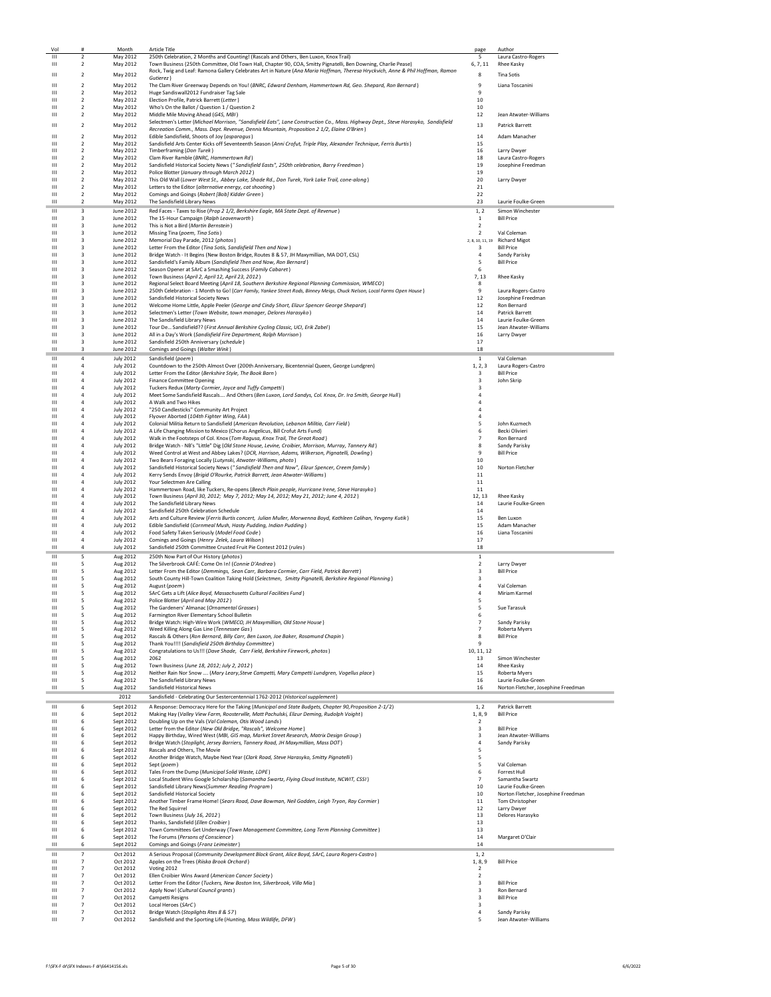| Vol                          | #                                         | Month                                | <b>Article Title</b>                                                                                                                                                                                    | page                                               | Author                                                     |
|------------------------------|-------------------------------------------|--------------------------------------|---------------------------------------------------------------------------------------------------------------------------------------------------------------------------------------------------------|----------------------------------------------------|------------------------------------------------------------|
| Ш<br>Ш                       | $\overline{\mathbf{2}}$<br>$\overline{2}$ | May 2012<br>May 2012                 | 250th Celebration, 2 Months and Counting! (Rascals and Others, Ben Luxon, Knox Trail)<br>Town Business (250th Committee, Old Town Hall, Chapter 90, COA, Smitty Pignatelli, Ben Downing, Charlie Pease) | -5<br>6, 7, 11                                     | Laura Castro-Rogers<br>Rhee Kasky                          |
|                              |                                           |                                      | Rock, Twig and Leaf: Ramona Gallery Celebrates Art in Nature (Ana Maria Hoffman, Theresa Hryckvich, Anne & Phil Hoffman, Ramon                                                                          |                                                    |                                                            |
| $\mathbf{H}$                 | $\overline{2}$                            | May 2012                             | Gutierez )                                                                                                                                                                                              | 8                                                  | <b>Tina Sotis</b>                                          |
| $\mathbf{H}$<br>Ш            | $\overline{2}$<br>$\overline{2}$          | May 2012<br>May 2012                 | The Clam River Greenway Depends on You! (BNRC, Edward Denham, Hammertown Rd, Geo. Shepard, Ron Bernard)<br>Huge Sandiswall2012 Fundraiser Tag Sale                                                      | 9<br>9                                             | Liana Toscanini                                            |
| Ш                            | $\overline{2}$                            | May 2012                             | Election Profile, Patrick Barrett (Letter)                                                                                                                                                              | 10                                                 |                                                            |
| Ш                            | $\overline{2}$                            | May 2012                             | Who's On the Ballot / Question 1 / Question 2                                                                                                                                                           | 10                                                 | Jean Atwater-Williams                                      |
| Ш                            | 2                                         | May 2012                             | Middle Mile Moving Ahead (G4S, MBI)<br>Selectmen's Letter (Michael Morrison, "Sandisfield Eats", Lane Construction Co., Mass. Highway Dept., Steve Harasyko, Sandisfield                                | 12                                                 |                                                            |
| $\mathbf{H}$                 | $\overline{2}$                            | May 2012                             | Recreation Comm., Mass. Dept. Revenue, Dennis Mountain, Proposition 2 1/2, Elaine O'Brien)                                                                                                              | 13                                                 | <b>Patrick Barrett</b>                                     |
| Ш<br>Ш                       | $\overline{2}$<br>$\overline{2}$          | May 2012<br>May 2012                 | Edible Sandisfield, Shoots of Joy (asparagus)<br>Sandisfield Arts Center Kicks off Seventeenth Season (Anni Crofut, Triple Play, Alexander Technique, Ferris Burtis)                                    | 14<br>15                                           | Adam Manacher                                              |
| ш                            | $\overline{2}$                            | May 2012                             | Timberframing (Don Turek)                                                                                                                                                                               | 16                                                 | Larry Dwyer                                                |
| Ш                            | 2                                         | May 2012                             | Clam River Ramble (BNRC, Hammertown Rd)                                                                                                                                                                 | 18                                                 | Laura Castro-Rogers                                        |
| Ш<br>$\mathbf{H}$            | $\overline{2}$<br>$\overline{2}$          | May 2012<br>May 2012                 | Sandisfield Historical Society News ("Sandisfield Easts", 250th celebration, Barry Freedman)<br>Police Blotter (January through March 2012)                                                             | 19<br>19                                           | Josephine Freedman                                         |
| $\mathbf{H}$                 | $\overline{2}$                            | May 2012                             | This Old Wall (Lower West St., Abbey Lake, Shade Rd., Don Turek, York Lake Trail, cone-along)                                                                                                           | 20                                                 | Larry Dwyer                                                |
| $\mathbf{H}$<br>Ш            | $\overline{2}$<br>$\overline{2}$          | May 2012<br>May 2012                 | Letters to the Editor (alternative energy, cat shooting)<br>Comings and Goings (Robert [Bob] Kidder Green)                                                                                              | 21<br>22                                           |                                                            |
| $\mathbf{H}$                 | $\overline{2}$                            | May 2012                             | The Sandisfield Library News                                                                                                                                                                            | 23                                                 | Laurie Foulke-Green                                        |
| Ш                            | 3                                         | June 2012                            | Red Faces - Taxes to Rise (Prop 2 1/2, Berkshire Eagle, MA State Dept. of Revenue)                                                                                                                      | 1, 2                                               | Simon Winchester                                           |
| $\mathbf{H}$<br>Ш            | 3                                         | June 2012                            | The 15-Hour Campaign (Ralph Leavenworth)                                                                                                                                                                | 1<br>$\overline{2}$                                | <b>Bill Price</b>                                          |
| $\mathbf{H}$                 | 3<br>$\overline{\mathbf{3}}$              | June 2012<br>June 2012               | This is Not a Bird (Martin Bernstein)<br>Missing Tina (poem, Tina Sotis)                                                                                                                                | $\overline{2}$                                     | Val Coleman                                                |
| $\mathbf{H}$                 | 3                                         | June 2012                            | Memorial Day Parade, 2012 (photos)                                                                                                                                                                      | 2, 8, 10, 11, 19                                   | <b>Richard Migot</b>                                       |
| Ш<br>Ш                       | 3<br>3                                    | June 2012<br>June 2012               | Letter From the Editor (Tina Sotis, Sandisfield Then and Now)<br>Bridge Watch - It Begins (New Boston Bridge, Routes 8 & 57, JH Maxymillian, MA DOT, CSL)                                               | 3<br>4                                             | <b>Bill Price</b><br>Sandy Parisky                         |
| Ш                            | 3                                         | June 2012                            | Sandisfield's Family Album (Sandisfield Then and Now, Ron Bernard)                                                                                                                                      | 5                                                  | <b>Bill Price</b>                                          |
| Ш                            | 3                                         | June 2012                            | Season Opener at SArC a Smashing Success (Family Cabaret)                                                                                                                                               | -6                                                 |                                                            |
| Ш<br>Ш                       | 3<br>$\overline{3}$                       | June 2012<br>June 2012               | Town Business (April 2, April 12, April 23, 2012)<br>Regional Select Board Meeting (April 18, Southern Berkshire Regional Planning Commission, WMECO)                                                   | 7,13<br>8                                          | Rhee Kasky                                                 |
| Ш                            | $\overline{\mathbf{3}}$                   | June 2012                            | 250th Celebration - 1 Month to Go! (Carr Family, Yankee Street Rods, Binney Meigs, Chuck Nelson, Local Farms Open House)                                                                                | 9                                                  | Laura Rogers-Castro                                        |
| Ш<br>Ш                       | $\overline{\mathbf{3}}$<br>3              | June 2012<br>June 2012               | Sandisfield Historical Society News<br>Welcome Home Little, Apple Peeler (George and Cindy Short, Elizur Spencer George Shepard)                                                                        | 12<br>12                                           | Josephine Freedman<br>Ron Bernard                          |
| $\mathbf{H}$                 | 3                                         | June 2012                            | Selectmen's Letter (Town Website, town manager, Delores Harasyko)                                                                                                                                       | 14                                                 | Patrick Barrett                                            |
| Ш                            | $\overline{\mathbf{3}}$                   | June 2012                            | The Sandisfield Library News                                                                                                                                                                            | 14                                                 | Laurie Foulke-Green                                        |
| $\mathbf{H}$<br>Ш            | $\overline{\mathbf{3}}$<br>3              | June 2012<br>June 2012               | Tour De Sandisfield?? (First Annual Berkshire Cycling Classic, UCI, Erik Zabel)<br>All in a Day's Work (Sandisfield Fire Department, Ralph Morrison)                                                    | 15<br>16                                           | Jean Atwater-Williams<br>Larry Dwyer                       |
| Ш                            | 3                                         | June 2012                            | Sandisfield 250th Anniversary (schedule)                                                                                                                                                                | 17                                                 |                                                            |
| Ш                            | 3                                         | June 2012                            | Comings and Goings (Walter Wink)                                                                                                                                                                        | 18                                                 |                                                            |
| Ш<br>Ш                       | 4<br>$\overline{a}$                       | <b>July 2012</b><br><b>July 2012</b> | Sandisfield (poem)<br>Countdown to the 250th Almost Over (200th Anniversary, Bicentennial Queen, George Lundgren)                                                                                       | $1\,$<br>1, 2, 3                                   | Val Coleman<br>Laura Rogers-Castro                         |
| Ш                            | $\overline{a}$                            | <b>July 2012</b>                     | Letter From the Editor (Berkshire Style, The Book Barn)                                                                                                                                                 | 3                                                  | <b>Bill Price</b>                                          |
| Ш                            | $\sqrt{4}$                                | <b>July 2012</b>                     | <b>Finance Committee Opening</b>                                                                                                                                                                        | $\overline{\mathbf{3}}$                            | John Skrip                                                 |
| Ш<br>Ш                       | $\sqrt{4}$<br>$\overline{4}$              | <b>July 2012</b><br><b>July 2012</b> | Tuckers Redux (Marty Cormier, Joyce and Tuffy Campetti)<br>Meet Some Sandisfield Rascals And Others (Ben Luxon, Lord Sandys, Col. Knox, Dr. Ira Smith, George Hull)                                     | 3<br>4                                             |                                                            |
| Ш                            | $\overline{a}$                            | <b>July 2012</b>                     | A Walk and Two Hikes                                                                                                                                                                                    | $\overline{a}$                                     |                                                            |
| Ш                            | $\overline{4}$                            | <b>July 2012</b>                     | "250 Candlesticks" Community Art Project                                                                                                                                                                | 4                                                  |                                                            |
| Ш<br>$\mathbf{H}$            | 4<br>$\overline{4}$                       | <b>July 2012</b><br><b>July 2012</b> | Flyover Aborted (104th Fighter Wing, FAA)<br>Colonial Militia Return to Sandisfield (American Revolution, Lebanon Militia, Carr Field)                                                                  | 4<br>5                                             | John Kuzmech                                               |
| $\mathbf{H}$                 | $\overline{4}$                            | <b>July 2012</b>                     | A Life Changing Mission to Mexico (Chorus Angelicus, Bill Crofut Arts Fund)                                                                                                                             | 6                                                  | Becki Olivieri                                             |
| Ш<br>Ш                       | 4<br>$\overline{4}$                       | <b>July 2012</b><br><b>July 2012</b> | Walk in the Footsteps of Col. Knox (Tom Ragusa, Knox Trail, The Great Road)<br>Bridge Watch - NB's "Little" Dig (Old Stone House, Levine, Croibier, Morrison, Murray, Tannery Rd)                       | $\overline{7}$<br>8                                | Ron Bernard<br>Sandy Parisky                               |
| Ш                            | $\overline{a}$                            | <b>July 2012</b>                     | Weed Control at West and Abbey Lakes? (DCR, Harrison, Adams, Wilkerson, Pignatelli, Dowling)                                                                                                            | 9                                                  | <b>Bill Price</b>                                          |
| $\mathbf{H}$                 | $\overline{4}$                            | <b>July 2012</b>                     | Two Bears Foraging Locally (Lutynski, Atwater-Williams, photo)                                                                                                                                          | 10                                                 |                                                            |
| $\mathbf{H}$<br>$\mathbf{H}$ | $\overline{a}$<br>$\overline{4}$          | <b>July 2012</b><br><b>July 2012</b> | Sandisfield Historical Society News ("Sandisfield Then and Now", Elizur Spencer, Creem family)<br>Kerry Sends Envoy (Brigid O'Rourke, Patrick Barrett, Jean Atwater-Williams)                           | 10<br>11                                           | Norton Fletcher                                            |
| $\mathbf{H}$                 | $\overline{4}$                            | <b>July 2012</b>                     | Your Selectmen Are Calling                                                                                                                                                                              | 11                                                 |                                                            |
| $\mathbf{H}$<br>Ш            | $\overline{4}$<br>$\overline{4}$          | <b>July 2012</b><br><b>July 2012</b> | Hammertown Road, like Tuckers, Re-opens (Beech Plain people, Hurricane Irene, Steve Harasyko)                                                                                                           | 11<br>12, 13                                       | Rhee Kasky                                                 |
| Ш                            | $\overline{4}$                            | <b>July 2012</b>                     | Town Business (April 30, 2012; May 7, 2012; May 14, 2012; May 21, 2012; June 4, 2012)<br>The Sandisfield Library News                                                                                   | 14                                                 | Laurie Foulke-Green                                        |
| Ш                            | $\overline{4}$                            | <b>July 2012</b>                     | Sandisfield 250th Celebration Schedule                                                                                                                                                                  | 14                                                 |                                                            |
| Ш<br>Ш                       | $\overline{4}$<br>$\overline{4}$          | <b>July 2012</b><br><b>July 2012</b> | Arts and Culture Review (Ferris Burtis concert, Julian Muller, Morwenna Boyd, Kathleen Calihan, Yevgeny Kutik)<br>Edible Sandisfield (Cornmeal Mush, Hasty Pudding, Indian Pudding)                     | 15<br>15                                           | Ben Luxon<br>Adam Manacher                                 |
| Ш                            | $\overline{4}$                            | <b>July 2012</b>                     | Food Safety Taken Seriously (Model Food Code)                                                                                                                                                           | 16                                                 | Liana Toscanini                                            |
| Ш                            | $\overline{4}$<br>$\overline{a}$          | <b>July 2012</b>                     | Comings and Goings (Henry Zelek, Laura Wilson)                                                                                                                                                          | 17                                                 |                                                            |
| Ш<br>Ш                       | 5                                         | <b>July 2012</b><br>Aug 2012         | Sandisfield 250th Committee Crusted Fruit Pie Contest 2012 (rules)<br>250th Now Part of Our History (photos)                                                                                            | 18<br>$\mathbf{1}$                                 |                                                            |
| Ш                            | 5                                         | Aug 2012                             | The Silverbrook CAFE: Come On In! (Connie D'Andrea)                                                                                                                                                     | $\overline{2}$                                     | Larry Dwyer                                                |
| Ш                            | 5                                         | Aug 2012                             | Letter From the Editor (Demmings, Sean Carr, Barbara Cormier, Carr Field, Patrick Barrett)                                                                                                              | 3                                                  | <b>Bill Price</b>                                          |
| Ш<br>Ш                       | -5<br>5                                   | Aug 2012<br>Aug 2012                 | South County Hill-Town Coalition Taking Hold (Selectmen, Smitty Pignatelli, Berkshire Regional Planning)<br>August (poem)                                                                               | 3<br>4                                             | Val Coleman                                                |
| Ш                            | 5                                         | Aug 2012                             | SArC Gets a Lift (Alice Boyd, Massachusetts Cultural Facilities Fund)                                                                                                                                   | 4                                                  | Miriam Karmel                                              |
| Ш                            | 5                                         | Aug 2012                             | Police Blotter (April and May 2012)                                                                                                                                                                     | 5                                                  |                                                            |
| Ш<br>Ш                       | 5                                         | Aug 2012<br>Aug 2012                 | The Gardeners' Almanac (Ornamental Grasses)<br>Farmington River Elementary School Bulletin                                                                                                              | 5<br>6                                             | Sue Tarasuk                                                |
| Ш                            | 5                                         | Aug 2012                             | Bridge Watch: High-Wire Work (WMECO, JH Maxymillian, Old Stone House)                                                                                                                                   | $\overline{7}$                                     | Sandy Parisky                                              |
| Ш<br>Ш                       | 5<br>5                                    | Aug 2012<br>Aug 2012                 | Weed Killing Along Gas Line (Tennessee Gas)<br>Rascals & Others (Ron Bernard, Billy Carr, Ben Luxon, Joe Baker, Rosamund Chapin)                                                                        | $\overline{7}$<br>8                                | <b>Roberta Myers</b><br><b>Bill Price</b>                  |
| Ш                            | 5                                         | Aug 2012                             | Thank You!!!! (Sandisfield 250th Birthday Committee)                                                                                                                                                    | 9                                                  |                                                            |
| Ш<br>$\mathbf{H}$            | 5                                         | Aug 2012                             | Congratulations to Us!!! (Dave Shade, Carr Field, Berkshire Firework, photos)<br>2062                                                                                                                   | 10, 11, 12                                         | Simon Winchester                                           |
| $\mathbf{H}$                 | 5<br>5                                    | Aug 2012<br>Aug 2012                 | Town Business (June 18, 2012; July 2, 2012)                                                                                                                                                             | 13<br>14                                           | <b>Rhee Kasky</b>                                          |
| $\mathbf{H}$                 | 5                                         | Aug 2012                             | Neither Rain Nor Snow  (Mary Leary, Steve Campetti, Mary Campetti Lundgren, Vogellus place)                                                                                                             | 15                                                 | <b>Roberta Mvers</b>                                       |
| Ш<br>Ш                       | 5<br>5                                    | Aug 2012<br>Aug 2012                 | The Sandisfield Library News<br>Sandisfield Historical News                                                                                                                                             | 16<br>16                                           | Laurie Foulke-Green<br>Norton Fletcher, Josephine Freedman |
|                              |                                           | 2012                                 | Sandisfield - Celebrating Our Sestercentennial 1762-2012 (Historical supplement)                                                                                                                        |                                                    |                                                            |
| Ш                            | 6                                         | Sept 2012                            | A Response: Democracy Here for the Taking (Municipal and State Budgets, Chapter 90, Proposition 2-1/2)                                                                                                  | 1, 2                                               | Patrick Barrett                                            |
| Ш                            | 6                                         | Sept 2012                            | Making Hay (Valley View Farm, Roosterville, Matt Pachulski, Elizur Deming, Rudolph Voight)                                                                                                              | 1, 8, 9                                            | <b>Bill Price</b>                                          |
| Ш                            |                                           |                                      |                                                                                                                                                                                                         |                                                    |                                                            |
|                              | 6                                         | Sept 2012                            | Doubling Up on the Vals (Val Coleman, Otis Wood Lands)                                                                                                                                                  | $\overline{2}$                                     |                                                            |
| Ш<br>Ш                       | 6<br>6                                    | Sept 2012<br>Sept 2012               | Letter from the Editor (New Old Bridge, "Rascals", Welcome Home)<br>Happy Birthday, Wired West (MBI, GIS map, Market Street Research, Matrix Design Group)                                              | 3<br>$\overline{\mathbf{3}}$                       | <b>Bill Price</b><br>Jean Atwater-Williams                 |
| $\mathbf{H}$                 | 6                                         | Sept 2012                            | Bridge Watch (Stoplight, Jersey Barriers, Tannery Road, JH Maxymillian, Mass DOT)                                                                                                                       | $\sqrt{4}$                                         | Sandy Parisky                                              |
| $\mathbf{H}$<br>Ш            | 6<br>6                                    | Sept 2012<br>Sept 2012               | Rascals and Others, The Movie<br>Another Bridge Watch, Maybe Next Year (Clark Road, Steve Harasyko, Smitty Pignatelli)                                                                                  | 5<br>5                                             |                                                            |
| Ш                            | 6                                         | Sept 2012                            | Sept (poem)                                                                                                                                                                                             | 5                                                  | Val Coleman                                                |
| Ш<br>$\mathbf{H}$            | 6<br>6                                    | Sept 2012                            | Tales From the Dump (Municipal Solid Waste, LDPE)                                                                                                                                                       | 6<br>$\overline{7}$                                | Forrest Hull<br>Samantha Swartz                            |
| Ш                            | 6                                         | Sept 2012<br>Sept 2012               | Local Student Wins Google Scholarship (Samantha Swartz, Flying Cloud Institute, NCWIT, CSSI)<br>Sandisfield Library News(Summer Reading Program)                                                        | 10                                                 | Laurie Foulke-Green                                        |
| Ш                            | 6                                         | Sept 2012                            | Sandisfield Historical Society                                                                                                                                                                          | 10                                                 | Norton Fletcher, Josephine Freedman                        |
| Ш<br>ш                       | 6<br>6                                    | Sept 2012<br>Sept 2012               | Another Timber Frame Home! (Sears Road, Dave Bowman, Neil Godden, Leigh Tryon, Ray Cormier)<br>The Red Squirrel                                                                                         | 11<br>12                                           | Tom Christopher<br>Larry Dwyer                             |
| Ш                            | 6                                         | Sept 2012                            | Town Business (July 16, 2012)                                                                                                                                                                           | 13                                                 | Delores Harasyko                                           |
| Ш<br>$\mathbf{H}$            | 6                                         | Sept 2012                            | Thanks, Sandisfield (Ellen Croibier)                                                                                                                                                                    | 13                                                 |                                                            |
| $\mathbf{H}$                 | 6<br>6                                    | Sept 2012<br>Sept 2012               | Town Committees Get Underway (Town Management Committee, Long Term Planning Committee)<br>The Forums (Persons of Conscience)                                                                            | 13<br>14                                           | Margaret O'Clair                                           |
| Ш                            | 6                                         | Sept 2012                            | Comings and Goings (Franz Leimeister)                                                                                                                                                                   | 14                                                 |                                                            |
| Ш                            | $\overline{7}$                            | Oct 2012                             | A Serious Proposal (Community Development Block Grant, Alice Boyd, SArC, Laura Rogers-Castro)                                                                                                           | 1, 2                                               |                                                            |
| Ш<br>Ш                       | $\overline{7}$<br>$\overline{7}$          | Oct 2012<br>Oct 2012                 | Apples on the Trees (Riiska Brook Orchard)<br>Voting 2012                                                                                                                                               | 1, 8, 9<br>$\overline{2}$                          | <b>Bill Price</b>                                          |
| Ш                            | $\overline{7}$                            | Oct 2012                             | Ellen Croibier Wins Award (American Cancer Society)                                                                                                                                                     | $\overline{2}$                                     |                                                            |
| Ш<br>$\mathbf{H}$            | $\overline{7}$<br>$\overline{7}$          | Oct 2012                             | Letter From the Editor (Tuckers, New Boston Inn, Silverbrook, Villa Mia)                                                                                                                                | $\overline{\mathbf{3}}$                            | <b>Bill Price</b>                                          |
| Ш                            | $\overline{7}$                            | Oct 2012<br>Oct 2012                 | Apply Now! (Cultural Council grants)<br>Campetti Resigns                                                                                                                                                | $\overline{\mathbf{3}}$<br>$\overline{\mathbf{3}}$ | Ron Bernard<br><b>Bill Price</b>                           |
| Ш<br>Ш                       | 7<br>$\overline{7}$                       | Oct 2012<br>Oct 2012                 | Local Heroes (SArC)<br>Bridge Watch (Stoplights Rtes 8 & 57)                                                                                                                                            | 3<br>$\overline{4}$                                | Sandy Parisky                                              |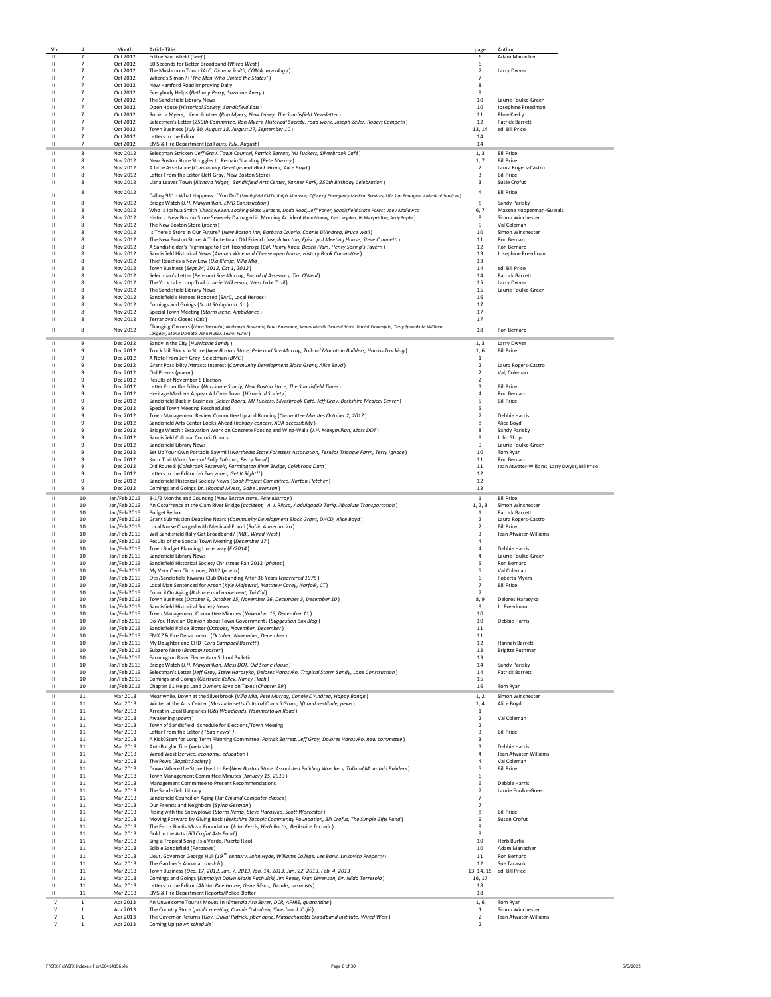| Vol                          | #                                | Month                        | <b>Article Title</b>                                                                                                                                                                                                                                | page                             | Author                                         |
|------------------------------|----------------------------------|------------------------------|-----------------------------------------------------------------------------------------------------------------------------------------------------------------------------------------------------------------------------------------------------|----------------------------------|------------------------------------------------|
| Ш<br>$\mathbf{H}$            | $\overline{7}$<br>$\overline{7}$ | Oct 2012<br>Oct 2012         | Edible Sandisfield (beef)<br>60 Seconds for Better Broadband (Wired West)                                                                                                                                                                           | 6<br>6                           | Adam Manacher                                  |
| $\mathbf{H}$                 | $\overline{7}$                   | Oct 2012                     | The Mushroom Tour (SArC, Dianna Smith, COMA, mycology)                                                                                                                                                                                              | $\overline{7}$                   | Larry Dwyer                                    |
| Ш                            | $\overline{7}$                   | Oct 2012                     | Where's Simon? ("The Men Who United the States")                                                                                                                                                                                                    |                                  |                                                |
| Ш<br>ш                       | $\overline{7}$<br>$\overline{7}$ | Oct 2012<br>Oct 2012         | New Hartford Road Improving Daily<br>Everybody Helps (Bethany Perry, Suzanne Avery)                                                                                                                                                                 | 8<br>9                           |                                                |
| $\mathbf{H}$                 | $\overline{7}$                   | Oct 2012                     | The Sandisfield Library News                                                                                                                                                                                                                        | 10                               | Laurie Foulke-Green                            |
| $\mathbf{H}$                 | $\overline{7}$                   | Oct 2012                     | Open House (Historical Society, Sandisfield Eats)                                                                                                                                                                                                   | 10                               | Josephine Freedman                             |
| $\mathbf{H}$<br>Ш            | $\overline{7}$<br>$\overline{7}$ | Oct 2012<br>Oct 2012         | Roberta Myers, Life volunteer (Ron Myers, New Jersey, The Sandisfield Newsletter)<br>Selectmen's Letter (250th Committee, Ron Myers, Historical Society, road work, Joseph Zeller, Robert Campetti)                                                 | 11<br>12                         | Rhee Kasky<br><b>Patrick Barrett</b>           |
| Ш                            | $\overline{7}$                   | Oct 2012                     | Town Business (July 30, August 18, August 27, September 10)                                                                                                                                                                                         | 13, 14                           | ed. Bill Price                                 |
| ш                            | $\overline{7}$                   | Oct 2012                     | Letters to the Editor                                                                                                                                                                                                                               | 14                               |                                                |
| $\mathbf{H}$                 | $\overline{7}$                   | Oct 2012                     | EMS & Fire Department (call outs, July, August)                                                                                                                                                                                                     | 14                               |                                                |
| Ш<br>$\mathbf{H}$            | 8<br>8                           | Nov 2012<br>Nov 2012         | Selectman Stricken (Jeff Gray, Town Counsel, Patrick Barrett, MJ Tuckers, Silverbrook Café)<br>New Boston Store Struggles to Remain Standing (Pete Murray)                                                                                          | 1, 3<br>1, 7                     | <b>Bill Price</b><br><b>Bill Price</b>         |
| $\mathbf{H}$                 | 8                                | Nov 2012                     | A Little Assistance (Community Development Block Grant, Alice Boyd)                                                                                                                                                                                 | $\overline{2}$                   | Laura Rogers-Castro                            |
| $\mathbf{H}$                 | 8                                | Nov 2012                     | Letter From the Editor (Jeff Gray, New Boston Store)                                                                                                                                                                                                | 3                                | <b>Bill Price</b>                              |
| Ш                            | 8                                | Nov 2012                     | Liana Leaves Town (Richard Migot, Sandisfield Arts Center, Yanner Park, 250th Birthday Celebration)                                                                                                                                                 | 3                                | Susie Crofut                                   |
| $\mathbf{H}$                 | 8                                | Nov 2012                     | Calling 911 - What Happens If You Do? (Sandisfield EMTs, Ralph Morrison, Office of Emergency Medical Services, Life Star Emergency Medical Services)                                                                                                | $\overline{4}$                   | <b>Bill Price</b>                              |
| Ш                            | 8                                | Nov 2012                     | Bridge Watch (J.H. Maxymillian, EMD Construction)                                                                                                                                                                                                   | 5                                | Sandy Parisky                                  |
| Ш<br>Ш                       | 8<br>8                           | Nov 2012<br>Nov 2012         | Who Is Joshua Smith (Chuck Nelson, Looking Glass Gardens, Dodd Road, Jeff Voner, Sandisfield State Forest, Joey Maliawco)<br>Historic New Boston Store Severely Damaged in Morning Accident (Pete Murray, Ken Langdon, JH Maxymillian, Andy Snyder) | 6, 7<br>8                        | Maxene Kupperman-Guinals<br>Simon Winchester   |
| Ш                            | 8                                | Nov 2012                     | The New Boston Store (poem)                                                                                                                                                                                                                         | -9                               | Val Coleman                                    |
| $\mathbf{H}$                 | 8                                | Nov 2012                     | Is There a Store in Our Future? (New Boston Inn, Barbara Colorio, Connie D'Andrea, Bruce Wall)                                                                                                                                                      | 10                               | Simon Winchester                               |
| $\mathbf{H}$<br>Ш            | 8<br>8                           | Nov 2012<br>Nov 2012         | The New Boston Store: A Tribute to an Old Friend (Joseph Norton, Episcopal Meeting House, Steve Campetti)<br>A Sandisfielder's Pilgrimage to Fort Ticonderoga (Col. Henry Knox, Beech Plain, Henry Spring's Tavern)                                 | 11<br>12                         | Ron Bernard<br>Ron Bernard                     |
| Ш                            | 8                                | Nov 2012                     | Sandisfield Historical News (Annual Wine and Cheese open house, History Book Committee)                                                                                                                                                             | 13                               | Josephine Freedman                             |
| ш                            | 8                                | Nov 2012                     | Thief Reaches a New Low (Dia Klenja, Villa Mia)                                                                                                                                                                                                     | 13                               |                                                |
| ш<br>$\mathbf{H}$            | 8<br>8                           | Nov 2012<br>Nov 2012         | Town Business (Sept 24, 2012, Oct 1, 2012)                                                                                                                                                                                                          | 14<br>14                         | ed: Bill Price<br><b>Patrick Barrett</b>       |
| $\mathbf{H}$                 | 8                                | Nov 2012                     | Selectman's Letter (Pete and Sue Murray, Board of Assessors, Tim O'Neal)<br>The York Lake Loop Trail (Laurie Wilkerson, West Lake Trail)                                                                                                            | 15                               | Larry Dwyer                                    |
| Ш                            | 8                                | Nov 2012                     | The Sandisfield Library News                                                                                                                                                                                                                        | 15                               | Laurie Foulke-Green                            |
| Ш                            | 8                                | Nov 2012                     | Sandisfield's Heroes Honored (SArC, Local Heroes)                                                                                                                                                                                                   | 16                               |                                                |
| Ш<br>$\mathbf{H}$            | 8<br>8                           | Nov 2012<br>Nov 2012         | Comings and Goings (Scott Stringham, Sr.)<br>Special Town Meeting (Storm Irene, Ambulance)                                                                                                                                                          | 17<br>17                         |                                                |
| $\mathbf{H}$                 | 8                                | Nov 2012                     | Terranova's Closes (Otis)                                                                                                                                                                                                                           | 17                               |                                                |
| $\mathbf{H}$                 | 8                                | Nov 2012                     | Changing Owners (Liana Toscanini, Nathanial Bosworth, Peter Baimonte, James Merrill General Store, Danial Kronenfeld, Terry Spohnholz, William                                                                                                      | 18                               | Ron Bernard                                    |
|                              |                                  |                              | Langdon, Maria Domato, John Huber, Laurel Fuller)                                                                                                                                                                                                   |                                  |                                                |
| Ш<br>$\mathbf{H}$            | 9<br>9                           | Dec 2012<br>Dec 2012         | Sandy in the City (Hurricane Sandy)<br>Truck Still Stuck in Store (New Boston Store, Pete and Sue Murray, Tolland Mountain Builders, Haulas Trucking)                                                                                               | 1.3<br>1,6                       | <b>Larry Dwyer</b><br><b>Bill Price</b>        |
| Ш                            | 9                                | Dec 2012                     | A Note From Jeff Gray, Selectman (BMC)                                                                                                                                                                                                              | 1                                |                                                |
| Ш                            | 9                                | Dec 2012                     | Grant Possibility Attracts Interest (Community Development Block Grant, Alice Boyd)                                                                                                                                                                 | 2                                | Laura Rogers-Castro                            |
| $\mathbf{H}$<br>$\mathbf{H}$ | 9<br>9                           | Dec 2012<br>Dec 2012         | Old Poems (poem)<br>Results of November 6 Election                                                                                                                                                                                                  | $\overline{2}$<br>$\mathcal{P}$  | Val; Coleman                                   |
| $\mathbf{H}$                 | 9                                | Dec 2012                     | Letter From the Editor (Hurricane Sandy, New Boston Store, The Sandisfield Times)                                                                                                                                                                   | 3                                | <b>Bill Price</b>                              |
| Ш                            | 9                                | Dec 2012                     | Heritage Markers Appear All Over Town (Historical Society)                                                                                                                                                                                          |                                  | Ron Bernard                                    |
| Ш<br>Ш                       | 9<br>9                           | Dec 2012<br>Dec 2012         | Sandisfield Back in Business (Select Board, MJ Tuckers, Silverbrook Café, Jeff Gray, Berkshire Medical Center)<br>Special Town Meeting Rescheduled                                                                                                  | 5<br>5                           | <b>Bill Price</b>                              |
| $\mathbf{H}$                 | 9                                | Dec 2012                     | Town Management Review Committee Up and Running (Committee Minutes October 2, 2012)                                                                                                                                                                 | $\overline{7}$                   | <b>Debbie Harris</b>                           |
| $\mathbf{H}$                 | $\,9$                            | Dec 2012                     | Sandisfield Arts Center Looks Ahead (holiday concert, ADA accessibility)                                                                                                                                                                            | 8                                | Alice Boyd                                     |
| $\mathbf{H}$<br>$\mathbf{H}$ | $\,9$<br>9                       | Dec 2012                     | Bridge Watch : Excavation Work on Concrete Footing and Wing-Walls (J.H. Maxymillian, Mass DOT)                                                                                                                                                      | 8<br>9                           | Sandy Parisky                                  |
| $\mathbf{H}$                 | 9                                | Dec 2012<br>Dec 2012         | Sandisfield Cultural Council Grants<br>Sandisfield Library News                                                                                                                                                                                     | 9                                | John Skrip<br>Laurie Foulke-Green              |
| Ш                            | 9                                | Dec 2012                     | Set Up Your Own Portable Sawmill (Northeast State Foresters Association, TerMar Triangle Farm, Terry Ignace)                                                                                                                                        | 10                               | Tom Ryan                                       |
| Ш                            | 9                                | Dec 2012                     | Knox Trail Wine (Joe and Sally Salzano, Perry Road)                                                                                                                                                                                                 | 11                               | Ron Bernard                                    |
| Ш<br>$\mathbf{H}$            | 9<br>9                           | Dec 2012<br>Dec 2012         | Old Route 8 (Colebrook Reservoir, Farmington River Bridge, Colebrook Dam)<br>Letters to the Editor (Hi Everyone!, Get It Right!!)                                                                                                                   | 11<br>12                         | Jean Atwater-Williams, Larry Dwyer, Bill Price |
| $\mathbf{H}$                 | 9                                | Dec 2012                     | Sandisfield Historical Society News (Book Project Committee, Norton Fletcher)                                                                                                                                                                       | 12                               |                                                |
| Ш                            | 9                                | Dec 2012                     | Comings and Goings Dr. (Ronald Myers, Gabe Levenson)                                                                                                                                                                                                | 13                               |                                                |
| Ш                            | 10                               | Jan/Feb 2013                 | 3-1/2 Months and Counting (New Boston store, Pete Murray)                                                                                                                                                                                           | $\mathbf{1}$                     | <b>Bill Price</b>                              |
| $\mathbf{H}$<br>Ш            | 10<br>10                         | Jan/Feb 2013<br>Jan/Feb 2013 | An Occurrence at the Clam River Bridge (accident, A. J. Riiska, Abdulqaddir Tariq, Absolute Transportation)<br><b>Budget Redux</b>                                                                                                                  | 1, 2, 3<br>$\mathbf{1}$          | Simon Winchester<br>Patrick Barrett            |
| Ш                            | 10                               | Jan/Feb 2013                 | Grant Submission Deadline Nears (Community Development Block Grant, DHCD, Alice Boyd)                                                                                                                                                               | $\overline{2}$                   | Laura Rogers-Castro                            |
| ш                            | 10                               | Jan/Feb 2013                 | Local Nurse Charged with Medicaid Fraud (Robin Annecharico)                                                                                                                                                                                         | $\overline{2}$                   | <b>Bill Price</b>                              |
| $\mathbf{H}$<br>Ш            | 10<br>10                         | Jan/Feb 2013<br>Jan/Feb 2013 | Will Sandisfield Rally Get Broadband? (MBI, Wired West)<br>Results of the Special Town Meeting (December 17)                                                                                                                                        | 3                                | Jean Atwater-Williams                          |
| Ш                            | 10                               | Jan/Feb 2013                 | Town Budget Planning Underway (FY2014)                                                                                                                                                                                                              |                                  | Debbie Harris                                  |
| Ш                            | 10                               | Jan/Feb 2013                 | Sandisfield Library News                                                                                                                                                                                                                            | $\overline{a}$                   | Laurie Foulke-Green                            |
| ш<br>ш                       | 10<br>10                         | Jan/Feb 2013<br>Jan/Feb 2013 | Sandisfield Historical Society Christmas Fair 2012 (photos)<br>My Very Own Christmas, 2012 (poem)                                                                                                                                                   | 5<br>5                           | Ron Bernard<br>Val Coleman                     |
| Ш                            | 10                               | Jan/Feb 2013                 | Otis/Sandisfield Kiwanis Club Disbanding After 38 Years (chartered 1975)                                                                                                                                                                            | 6                                | <b>Roberta Mvers</b>                           |
| Ш                            | 10                               | Jan/Feb 2013                 | Local Man Sentenced for Arson (Kyle Majewski, Matthew Carey, Norfolk, CT)                                                                                                                                                                           | $\overline{7}$                   | <b>Bill Price</b>                              |
| Ш<br>Ш                       | 10<br>10                         | Jan/Feb 2013<br>Jan/Feb 2013 | Council On Aging (Balance and movement, Tai Chi)<br>Town Business (October 9, October 15, November 26, December 3, December 10)                                                                                                                     | 8, 9                             | Delores Harasyko                               |
| Ш                            | 10                               | Jan/Feb 2013                 | Sandisfield Historical Society News                                                                                                                                                                                                                 |                                  | Jo Freedman                                    |
| ш                            | 10                               | Jan/Feb 2013                 | Town Management Committee Minutes (November 13, December 11)                                                                                                                                                                                        | 10                               |                                                |
| $\mathbf{H}$<br>Ш            | 10<br>10                         | Jan/Feb 2013<br>Jan/Feb 2013 | Do You Have an Opinion about Town Government? (Suggestion Box Blog)<br>Sandisfield Police Blotter (October, November, December)                                                                                                                     | 10<br>11                         | <b>Debbie Harris</b>                           |
| Ш                            | 10                               | Jan/Feb 2013                 | EMX Z & Fire Department (October, November, December)                                                                                                                                                                                               | 11                               |                                                |
| Ш                            | 10                               | Jan/Feb 2013                 | My Daughter and CHD (Cora Campbell Barrett)                                                                                                                                                                                                         | 12                               | Hannah Barrett                                 |
| Ш<br>$\mathbf{H}$            | 10                               | Jan/Feb 2013                 | Subzero Nero (Bantam rooster)                                                                                                                                                                                                                       | 13<br>13                         | <b>Brigitte Ruthman</b>                        |
| ш                            | 10<br>10                         | Jan/Feb 2013<br>Jan/Feb 2013 | Farmington River Elementary School Bulletin<br>Bridge Watch (J.H. Maxymillian, Mass DOT, Old Stone House)                                                                                                                                           | 14                               | Sandy Parisky                                  |
| $\mathbf{H}$                 | 10                               | Jan/Feb 2013                 | Selectman's Letter (Jeff Gray, Steve Harasyko, Delores Harasyko, Tropical Storm Sandy, Lane Construction)                                                                                                                                           | 14                               | Patrick Barrett                                |
| Ш                            | 10                               | Jan/Feb 2013                 | Comings and Goings (Gertrude Kelley, Nancy Flach)                                                                                                                                                                                                   | 15                               |                                                |
| Ш<br>Ш                       | 10                               | Jan/Feb 2013                 | Chapter 61 Helps Land Owners Save on Taxes (Chapter 59)                                                                                                                                                                                             | 16                               | Tom Ryan                                       |
| Ш                            | 11<br>11                         | Mar 2013<br>Mar 2013         | Meanwhile, Down at the Silverbrook (Villa Mia, Pete Murray, Connie D'Andrea, Happy Banga)<br>Winter at the Arts Center (Massachusetts Cultural Council Grant, lift and vestibule, pews)                                                             | 1, 2<br>1,4                      | Simon Winchester<br>Alice Boyd                 |
| Ш                            | 11                               | Mar 2013                     | Arrest in Local Burglaries (Otis Woodlands, Hammertown Road)                                                                                                                                                                                        | $\mathbf{1}$                     |                                                |
| $\mathbf{H}$                 | 11                               | Mar 2013                     | Awakening (poem)                                                                                                                                                                                                                                    | $\overline{2}$                   | Val Coleman                                    |
| $\mathbf{H}$<br>Ш            | 11<br>$11\,$                     | Mar 2013<br>Mar 2013         | Town of Sandisfield, Schedule for Elections/Town Meeting<br>Letter From the Editor ("had news")                                                                                                                                                     | $\overline{2}$<br>3              | <b>Bill Price</b>                              |
| Ш                            | 11                               | Mar 2013                     | A KickOStart for Long Term Planning Committee (Patrick Barrett, Jeff Gray, Dolores Harasyko, new committee)                                                                                                                                         | 3                                |                                                |
| Ш                            | 11                               | Mar 2013                     | Anti-Burglar Tips (web site)                                                                                                                                                                                                                        | 3                                | <b>Debbie Harris</b>                           |
| Ш<br>Ш                       | 11<br>11                         | Mar 2013<br>Mar 2013         | Wired West (service, economy, education)<br>The Pews (Baptist Society)                                                                                                                                                                              | 4<br>4                           | Jean Atwater-Williams<br>Val Coleman           |
| ш                            | 11                               | Mar 2013                     | Down Where the Store Used to Be (New Boston Store, Associated Building Wreckers, Tolland Mountain Builders)                                                                                                                                         | 5                                | <b>Bill Price</b>                              |
| $\mathbf{H}$                 | 11                               | Mar 2013                     | Town Management Committee Minutes (January 15, 2013)                                                                                                                                                                                                | 6                                |                                                |
| Ш<br>Ш                       | 11<br>11                         | Mar 2013<br>Mar 2013         | Management Committee to Present Recommendations<br>The Sandisfield Library                                                                                                                                                                          | 6<br>$\overline{7}$              | <b>Debbie Harris</b><br>Laurie Foulke-Green    |
| Ш                            | 11                               | Mar 2013                     | Sandisfield Council on Aging (Tai Chi and Computer classes)                                                                                                                                                                                         | 7                                |                                                |
| Ш                            | 11                               | Mar 2013                     | Our Friends and Neighbors (Sylvia German)                                                                                                                                                                                                           | $\overline{7}$                   |                                                |
| ш<br>$\mathbf{H}$            | 11<br>$11\,$                     | Mar 2013<br>Mar 2013         | Riding with the Snowplows (Storm Nemo, Steve Harasyko, Scott Worcester)<br>Moving Forward by Giving Back (Berkshire Taconic Community Foundation, Bill Crofut, The Simple Gifts Fund)                                                               | 8<br>9                           | <b>Bill Price</b><br>Susan Crofut              |
| Ш                            | $11\,$                           | Mar 2013                     | The Ferris Burtis Music Foundation (John Ferris, Herb Burtis, Berkshire Taconic)                                                                                                                                                                    | 9                                |                                                |
| Ш                            | 11                               | Mar 2013                     | Gold in the Arts (Bill Crofut Arts Fund)                                                                                                                                                                                                            | 9                                |                                                |
| Ш                            | 11                               | Mar 2013                     | Sing a Tropical Song (Isla Verde, Puerto Rico)                                                                                                                                                                                                      | 10                               | <b>Herb Burtis</b>                             |
| Ш<br>Ш                       | 11                               | Mar 2013<br>Mar 2013         | Edible Sandisfield (Potatoes)<br>Lieut. Governor George Hull (19 <sup>th</sup> century, John Hyde, Williams College, Lee Bank, Linkovich Property)                                                                                                  | 10<br>11                         | Adam Manacher                                  |
| Ш                            | 11<br>11                         | Mar 2013                     | The Gardner's Almanac (mulch)                                                                                                                                                                                                                       | 12                               | Ron Bernard<br>Sue Tarasuk                     |
| ш                            | 11                               | Mar 2013                     | Town Business (Dec. 17, 2012, Jan. 7, 2013, Jan. 14, 2013, Jan. 22, 2013, Feb. 4, 2013)                                                                                                                                                             | 13, 14, 15                       | ed. Bill Price                                 |
| $\mathbf{H}$                 | 11                               | Mar 2013                     | Comings and Goings (Emmalyn Dawn Marie Pachulski, Jim Reese, Fran Levenson, Dr. Nilda Torresola)                                                                                                                                                    | 16, 17                           |                                                |
| $\mathbf{H}$<br>$\mathbf{H}$ | 11<br>11                         | Mar 2013<br>Mar 2013         | Letters to the Editor (Abisha Rice House, Gene Riiska, Thanks, arsonists)<br>EMS & Fire Department Reports/Police Blotter                                                                                                                           | 18<br>18                         |                                                |
| IV                           |                                  | Apr 2013                     | An Unwelcome Tourist Moves In (Emerald Ash Borer, DCR, APHIS, quarantine)                                                                                                                                                                           | 1.6                              | Tom Ryan                                       |
|                              | 1                                |                              |                                                                                                                                                                                                                                                     |                                  |                                                |
| IV                           | 1                                | Apr 2013                     | The Country Store (public meeting, Connie D'Andrea, Silverbrook Café)                                                                                                                                                                               | $\mathbf{1}$                     | Simon Winchester                               |
| IV<br>IV                     | $\,$ 1 $\,$<br>$\,1\,$           | Apr 2013<br>Apr 2013         | The Governor Returns (Gov. Duval Patrick, fiber optic, Massachusetts Broadband Institute, Wired West)<br>Coming Up (town schedule)                                                                                                                  | $\overline{2}$<br>$\overline{2}$ | Jean Atwater-Williams                          |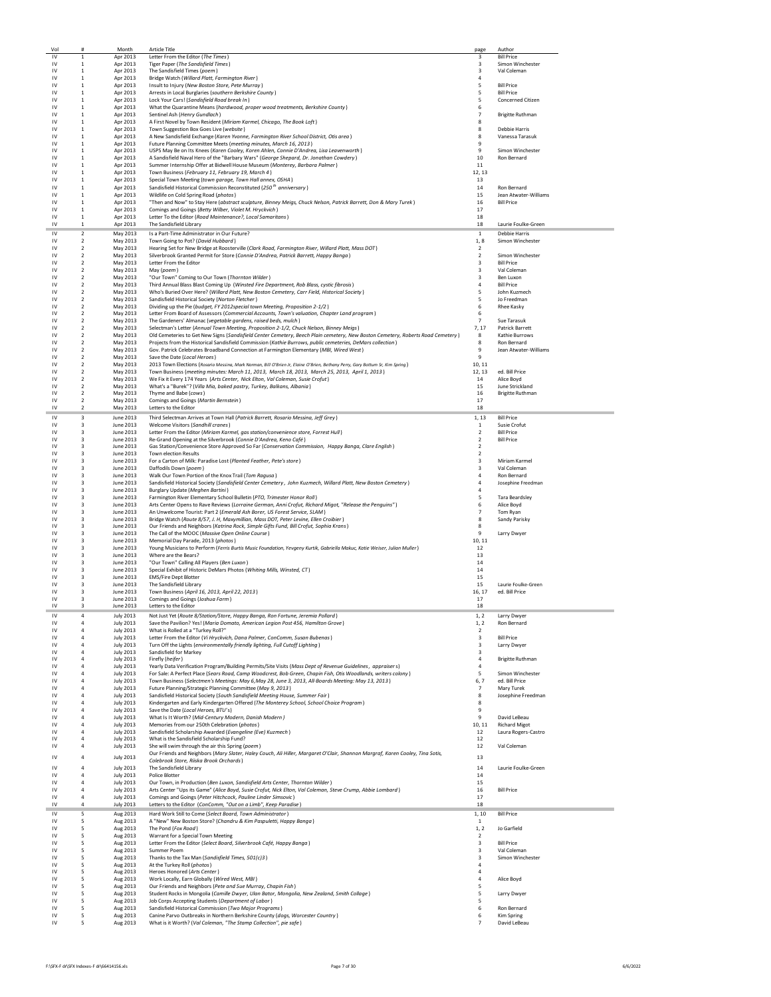| Vol                          | #                                         | Month                                | <b>Article Title</b>                                                                                                                                                                                  | page                                               | Author                                      |
|------------------------------|-------------------------------------------|--------------------------------------|-------------------------------------------------------------------------------------------------------------------------------------------------------------------------------------------------------|----------------------------------------------------|---------------------------------------------|
| ${\sf IV}$<br>IV             | 1<br>1                                    | Apr 2013                             | Letter From the Editor (The Times)                                                                                                                                                                    | 3<br>3                                             | <b>Bill Price</b>                           |
| $\mathsf{I}\mathsf{V}$       | $\overline{1}$                            | Apr 2013<br>Apr 2013                 | Tiger Paper (The Sandisfield Times)<br>The Sandisfield Times (poem)                                                                                                                                   | $\mathbf{R}$                                       | Simon Winchester<br>Val Coleman             |
| IV                           | <sup>1</sup>                              | Apr 2013                             | Bridge Watch (Willard Platt, Farmington River)                                                                                                                                                        | $\overline{a}$                                     |                                             |
| IV<br>IV                     | <sup>1</sup><br>1                         | Apr 2013                             | Insult to Injury (New Boston Store, Pete Murray)                                                                                                                                                      | 5<br>5                                             | <b>Bill Price</b><br><b>Bill Price</b>      |
| IV                           | $\,$ 1                                    | Apr 2013<br>Apr 2013                 | Arrests in Local Burglaries (southern Berkshire County)<br>Lock Your Cars! (Sandisfield Road break In)                                                                                                | 5                                                  | Concerned Citizen                           |
| IV                           | $\,$ 1                                    | Apr 2013                             | What the Quarantine Means (hardwood, proper wood treatments, Berkshire County)                                                                                                                        | 6                                                  |                                             |
| IV                           | 1                                         | Apr 2013                             | Sentinel Ash (Henry Gundlach)<br>A First Novel by Town Resident (Miriam Karmel, Chicago, The Book Loft)                                                                                               | $\overline{7}$                                     | <b>Brigitte Ruthman</b>                     |
| IV<br>IV                     | 1<br><sup>1</sup>                         | Apr 2013<br>Apr 2013                 | Town Suggestion Box Goes Live (website)                                                                                                                                                               | 8<br>8                                             | <b>Debbie Harris</b>                        |
| $\mathsf{IV}$                | 1                                         | Apr 2013                             | A New Sandisfield Exchange (Karen Yvonne, Farmington River School District, Otis area)                                                                                                                | 8                                                  | Vanessa Tarasuk                             |
| IV                           | $\,$ 1                                    | Apr 2013                             | Future Planning Committee Meets (meeting minutes, March 16, 2013)                                                                                                                                     | 9                                                  |                                             |
| IV<br>IV                     | 1<br>$\overline{1}$                       | Apr 2013<br>Apr 2013                 | USPS May Be on Its Knees (Karen Cooley, Koren Ahlen, Connie D'Andrea, Lisa Leavenworth)<br>A Sandisfield Naval Hero of the "Barbary Wars" (George Shepard, Dr. Jonathan Cowdery)                      | 9<br>10                                            | Simon Winchester<br>Ron Bernard             |
| IV                           | $\overline{1}$                            | Apr 2013                             | Summer Internship Offer at Bidwell House Museum (Monterey, Barbara Palmer)                                                                                                                            | 11                                                 |                                             |
| IV                           | <sup>1</sup>                              | Apr 2013                             | Town Business (February 11, February 19, March 4)                                                                                                                                                     | 12, 13                                             |                                             |
| IV                           | 1<br>$\overline{1}$                       | Apr 2013                             | Special Town Meeting (town garage, Town Hall annex, OSHA)                                                                                                                                             | 13                                                 |                                             |
| IV<br>IV                     | <sup>1</sup>                              | Apr 2013<br>Apr 2013                 | Sandisfield Historical Commission Reconstituted (250 <sup>th</sup> anniversary)<br>Wildlife on Cold Spring Road (photos)                                                                              | 14<br>15                                           | Ron Bernard<br>Jean Atwater-Williams        |
| IV                           | 1                                         | Apr 2013                             | "Then and Now" to Stay Here (abstract sculpture, Binney Meigs, Chuck Nelson, Patrick Barrett, Don & Mary Turek)                                                                                       | 16                                                 | <b>Bill Price</b>                           |
| IV                           | 1                                         | Apr 2013                             | Comings and Goings (Betty Wilber, Violet M. Hryckvich)                                                                                                                                                | 17                                                 |                                             |
| IV<br>IV                     | 1<br>1                                    | Apr 2013<br>Apr 2013                 | Letter To the Editor (Road Maintenance?, Local Samaritans)<br>The Sandisfield Library                                                                                                                 | 18<br>18                                           | Laurie Foulke-Green                         |
| IV                           | $\overline{2}$                            | May 2013                             | Is a Part-Time Administrator in Our Future?                                                                                                                                                           | $\mathbf{1}$                                       | <b>Debbie Harris</b>                        |
| IV                           | $\overline{2}$                            | May 2013                             | Town Going to Pot? (David Hubbard)                                                                                                                                                                    | 1, 8                                               | Simon Winchester                            |
| IV                           | $\overline{2}$                            | May 2013                             | Hearing Set for New Bridge at Roosterville (Clark Road, Farmington River, Willard Platt, Mass DOT)                                                                                                    | $\overline{2}$                                     |                                             |
| IV<br>IV                     | $\overline{2}$<br>$\overline{2}$          | May 2013<br>May 2013                 | Silverbrook Granted Permit for Store (Connie D'Andrea, Patrick Barrett, Happy Banga)<br>Letter From the Editor                                                                                        | $\overline{2}$<br>$\overline{\mathbf{3}}$          | Simon Winchester<br><b>Bill Price</b>       |
| IV                           | $\overline{2}$                            | May 2013                             | May (poem)                                                                                                                                                                                            | $\overline{\mathbf{3}}$                            | Val Coleman                                 |
| IV                           | $\overline{2}$                            | May 2013                             | "Our Town" Coming to Our Town (Thornton Wilder)                                                                                                                                                       | $\overline{\mathbf{3}}$                            | Ben Luxon                                   |
| IV<br>IV                     | 2<br>$\overline{2}$                       | May 2013<br>May 2013                 | Third Annual Blass Blast Coming Up (Winsted Fire Department, Rob Blass, cystic fibrosis)<br>Who's Buried Over Here? (Willard Platt, New Boston Cemetery, Carr Field, Historical Society)              | $\overline{4}$<br>5                                | <b>Bill Price</b><br>John Kuzmech           |
| IV                           | $\overline{2}$                            | May 2013                             | Sandisfield Historical Society (Norton Fletcher)                                                                                                                                                      | -5                                                 | Jo Freedman                                 |
| IV                           | $\overline{2}$                            | May 2013                             | Dividing up the Pie (budget, FY 2012special town Meeting, Proposition 2-1/2)                                                                                                                          | 6                                                  | Rhee Kasky                                  |
| IV<br>IV                     | $\overline{2}$<br>$\overline{2}$          | May 2013<br>May 2013                 | Letter From Board of Assessors (Commercial Accounts, Town's valuation, Chapter Land program)<br>The Gardeners' Almanac (vegetable gardens, raised beds, mulch)                                        | 6<br>$\overline{7}$                                | Sue Tarasuk                                 |
| IV                           | $\overline{\phantom{a}}$                  | May 2013                             | Selectman's Letter (Annual Town Meeting, Proposition 2-1/2, Chuck Nelson, Binney Meigs)                                                                                                               | 7, 17                                              | Patrick Barrett                             |
| IV                           | $\overline{2}$                            | May 2013                             | Old Cemeteries to Get New Signs (Sandisfield Center Cemetery, Beech Plain cemetery, New Boston Cemetery, Roberts Road Cemetery)                                                                       | 8                                                  | Kathie Burrows                              |
| IV<br>IV                     | $\overline{2}$<br>$\overline{2}$          | May 2013<br>May 2013                 | Projects from the Historical Sandisfield Commission (Kathie Burrows, public cemeteries, DeMars collection)<br>Gov. Patrick Celebrates Broadband Connection at Farmington Elementary (MBI, Wired West) | 8<br>9                                             | Ron Bernard<br>Jean Atwater-Williams        |
| IV                           | $\overline{2}$                            | May 2013                             | Save the Date (Local Heroes)                                                                                                                                                                          | 9                                                  |                                             |
| IV                           | $\overline{2}$                            | May 2013                             | 2013 Town Elections (Rosario Messina, Mark Norman, Bill O'Brien Jr, Elaine O'Brien, Bethany Perry, Gary Bottum Sr, Kim Spring)                                                                        | 10, 11                                             |                                             |
| IV<br>IV                     | $\overline{2}$<br>$\overline{2}$          | May 2013                             | Town Business (meeting minutes: March 11, 2013, March 18, 2013, March 25, 2013, April 1, 2013)                                                                                                        | 12, 13                                             | ed. Bill Price                              |
| IV                           | $\overline{2}$                            | May 2013<br>May 2013                 | We Fix it Every 174 Years (Arts Center, Nick Elton, Val Coleman, Susie Crofut)<br>What's a "Burek"? (Villa Mia, baked pastry, Turkey, Balkans, Albania)                                               | 14<br>15                                           | Alice Boyd<br>June Strickland               |
| IV                           | $\overline{2}$                            | May 2013                             | Thyme and Babe (cows)                                                                                                                                                                                 | 16                                                 | <b>Brigitte Ruthman</b>                     |
| $\mathsf{IV}$<br>IV          | $\overline{2}$<br>$\overline{2}$          | May 2013                             | Comings and Goings (Martin Bernstein)                                                                                                                                                                 | 17                                                 |                                             |
| IV                           |                                           | May 2013                             | Letters to the Editor                                                                                                                                                                                 | 18                                                 | <b>Bill Price</b>                           |
| IV                           | 3<br>3                                    | June 2013<br>June 2013               | Third Selectman Arrives at Town Hall (Patrick Barrett, Rosario Messina, Jeff Grey)<br>Welcome Visitors (Sandhill cranes)                                                                              | 1, 13<br>$1\,$                                     | Susie Crofut                                |
| IV                           | 3                                         | June 2013                            | Letter From the Editor (Miriam Karmel, gas station/convenience store, Forrest Hull)                                                                                                                   | $\overline{2}$                                     | <b>Bill Price</b>                           |
| IV                           | 3                                         | June 2013                            | Re-Grand Opening at the Silverbrook (Connie D'Andrea, Keno Café)                                                                                                                                      | $\overline{2}$                                     | <b>Bill Price</b>                           |
| IV<br>IV                     | 3<br>$\overline{3}$                       | June 2013<br>June 2013               | Gas Station/Convenience Store Approved So Far (Conservation Commission, Happy Banga, Clare English)<br><b>Town election Results</b>                                                                   | $\overline{2}$<br>$\overline{2}$                   |                                             |
| $\mathsf{IV}$                | $\overline{3}$                            | June 2013                            | For a Carton of Milk: Paradise Lost (Planted Feather, Pete's store)                                                                                                                                   | $\overline{\mathbf{3}}$                            | Miriam Karmel                               |
| IV                           | $\overline{3}$                            | June 2013                            | Daffodils Down (poem)                                                                                                                                                                                 | $\overline{\mathbf{3}}$                            | Val Coleman                                 |
| IV<br>IV                     | $\overline{\mathbf{3}}$<br>$\mathbf{a}$   | June 2013<br>June 2013               | Walk Our Town Portion of the Knox Trail (Tom Ragusa)<br>Sandisfield Historical Society (Sandisfield Center Cemetery, John Kuzmech, Willard Platt, New Boston Cemetery)                                | $\overline{a}$<br>$\overline{a}$                   | Ron Bernard<br>Josephine Freedman           |
| IV                           | $\mathbf{a}$                              | June 2013                            | Burglary Update (Meghen Bartini)                                                                                                                                                                      | $\overline{a}$                                     |                                             |
| IV                           | $\overline{\mathbf{3}}$                   | June 2013                            | Farmington River Elementary School Bulletin (PTO, Trimester Honor Roll)                                                                                                                               | 5                                                  | <b>Tara Beardsley</b>                       |
| IV<br>IV                     | $\overline{\mathbf{3}}$<br>$\overline{3}$ | June 2013<br>June 2013               | Arts Center Opens to Rave Reviews (Lorraine German, Anni Crofut, Richard Migot, "Release the Penguins")<br>An Unwelcome Tourist: Part 2 (Emerald Ash Borer, US Forest Service, SLAM)                  | 6<br>$\overline{7}$                                | Alice Boyd<br>Tom Ryan                      |
| IV                           | $\overline{\mathbf{3}}$                   | June 2013                            | Bridge Watch (Route 8/57, J. H, Maxymillian, Mass DOT, Peter Levine, Ellen Croibier)                                                                                                                  | 8                                                  | Sandy Parisky                               |
| $\mathsf{I}\mathsf{V}$       | 3                                         | June 2013                            | Our Friends and Neighbors (Katrina Rock, Simple Gifts Fund, Bill Crofut, Sophia Krans)                                                                                                                | 8                                                  |                                             |
| IV<br>IV                     | 3<br>3                                    | June 2013                            | The Call of the MOOC (Massive Open Online Course)<br>Memorial Day Parade, 2013 (photos)                                                                                                               | $\mathbf{q}$<br>10.11                              | Larry Dwyer                                 |
| IV                           | $\overline{3}$                            | June 2013<br>June 2013               | Young Musicians to Perform (Ferris Burtis Music Foundation, Yevgeny Kurtik, Gabriella Makuc, Katie Weiser, Julian Muller)                                                                             | 12                                                 |                                             |
| IV                           | $\overline{3}$                            | June 2013                            | Where are the Bears?                                                                                                                                                                                  | 13                                                 |                                             |
| IV                           | $\overline{\mathbf{3}}$                   | June 2013                            | "Our Town" Calling All Players (Ben Luxon)                                                                                                                                                            | 14                                                 |                                             |
| IV<br>$\mathsf{I}\mathsf{V}$ | $\overline{\mathbf{3}}$<br>$\mathbf{a}$   | June 2013<br>June 2013               | Special Exhibit of Historic DeMars Photos (Whiting Mills, Winsted, CT)<br><b>EMS/Fire Dept Blotter</b>                                                                                                | 14<br>15                                           |                                             |
| IV                           | $\overline{\mathbf{3}}$                   | June 2013                            | The Sandisfield Library                                                                                                                                                                               | 15                                                 | Laurie Foulke-Green                         |
| IV<br>IV                     | $\overline{\mathbf{3}}$<br>3              | June 2013                            | Town Business (April 16, 2013, April 22, 2013)                                                                                                                                                        | 16.17<br>17                                        | ed. Bill Price                              |
| IV                           | $\overline{\mathbf{3}}$                   | June 2013<br>June 2013               | Comings and Goings (Joshua Farm)<br>Letters to the Editor                                                                                                                                             | 18                                                 |                                             |
| IV                           | $\overline{4}$                            | <b>July 2013</b>                     | Not Just Yet (Route 8/Station/Store, Happy Banga, Ron Fortune, Jeremia Pollard)                                                                                                                       | 1, 2                                               | Larry Dwyer                                 |
| IV                           | $\overline{4}$                            | <b>July 2013</b>                     | Save the Pavilion? Yes! (Maria Domato, American Legion Post 456, Hamilton Grove)                                                                                                                      | 1, 2                                               | Ron Bernard                                 |
| IV<br>IV                     | $\overline{a}$<br>$\overline{a}$          | <b>July 2013</b><br><b>July 2013</b> | What is Rolled at a "Turkey Roll?"<br>Letter From the Editor (Vi Hryckvich, Dana Palmer, ConComm, Susan Bubenas)                                                                                      | $\overline{2}$<br>$\overline{\mathbf{3}}$          | <b>Bill Price</b>                           |
| IV                           | $\sqrt{4}$                                | <b>July 2013</b>                     | Turn Off the Lights (environmentally friendly lighting, Full Cutoff Lighting)                                                                                                                         | 3                                                  | Larry Dwyer                                 |
| IV                           | $\sqrt{4}$                                | <b>July 2013</b>                     | Sandisfield for Markey                                                                                                                                                                                | $\overline{\mathbf{3}}$                            |                                             |
| IV<br>IV                     | $\overline{4}$<br>$\overline{4}$          | <b>July 2013</b><br><b>July 2013</b> | Firefly (heifer)<br>Yearly Data Verification Program/Building Permits/Site Visits (Mass Dept of Revenue Guidelines, appraiser s)                                                                      | $\overline{4}$<br>$\overline{4}$                   | <b>Brigitte Ruthman</b>                     |
| IV                           | $\overline{4}$                            | <b>July 2013</b>                     | For Sale: A Perfect Place (Sears Road, Camp Woodcrest, Bob Green, Chapin Fish, Otis Woodlands, writers colony)                                                                                        | 5                                                  | Simon Winchester                            |
| IV                           | $\overline{4}$                            | <b>July 2013</b>                     | Town Business (Selectmen's Meetings: May 6, May 28, June 3, 2013, All-Boards Meeting: May 13, 2013)                                                                                                   | 6,7                                                | ed. Bill Price                              |
| IV<br>IV                     | $\overline{4}$<br>$\overline{4}$          | <b>July 2013</b><br><b>July 2013</b> | Future Planning/Strategic Planning Committee (May 9, 2013)<br>Sandisfield Historical Society (South Sandisfield Meeting House, Summer Fair)                                                           | $\overline{7}$<br>8                                | Mary Turek<br>Josephine Freedman            |
| IV                           | 4                                         | <b>July 2013</b>                     | Kindergarten and Early Kindergarten Offered (The Monterey School, School Choice Program)                                                                                                              | 8                                                  |                                             |
| IV                           | $\overline{a}$                            | <b>July 2013</b>                     | Save the Date (Local Heroes, BTU's)                                                                                                                                                                   | $\mathbf{q}$                                       |                                             |
| IV                           | $\overline{a}$<br>$\overline{a}$          | <b>July 2013</b>                     | What Is It Worth? (Mid-Century Modern, Danish Modern)                                                                                                                                                 | 9                                                  | David LeBeau                                |
| IV<br>IV                     | $\overline{a}$                            | <b>July 2013</b><br><b>July 2013</b> | Memories from our 250th Celebration (photos)<br>Sandisfield Scholarship Awarded (Evangeline (Eve) Kuzmech)                                                                                            | 10, 11<br>12                                       | <b>Richard Migot</b><br>Laura Rogers-Castro |
| IV                           | $\overline{4}$                            | <b>July 2013</b>                     | What is the Sandisfield Scholarship Fund?                                                                                                                                                             | 12                                                 |                                             |
| IV                           | $\overline{4}$                            | <b>July 2013</b>                     | She will swim through the air this Spring (poem)                                                                                                                                                      | 12                                                 | Val Coleman                                 |
| IV                           | $\overline{4}$                            | <b>July 2013</b>                     | Our Friends and Neighbors (Mary Slater, Haley Couch, Ali Hiller, Margaret O'Clair, Shannon Margraf, Karen Cooley, Tina Sotis,<br>Colebrook Store, Riiska Brook Orchards)                              | 13                                                 |                                             |
| $\mathsf{I}\mathsf{V}$       | $\overline{4}$                            | <b>July 2013</b>                     | The Sandisfield Library                                                                                                                                                                               | 14                                                 | Laurie Foulke-Green                         |
| IV                           | $\overline{4}$                            | <b>July 2013</b>                     | Police Blotter                                                                                                                                                                                        | 14                                                 |                                             |
| IV<br>IV                     | $\overline{4}$<br>4                       | <b>July 2013</b><br><b>July 2013</b> | Our Town, in Production (Ben Luxon, Sandisfield Arts Center, Thornton Wilder)<br>Arts Center "Ups its Game" (Alice Boyd, Susie Crofut, Nick Elton, Val Coleman, Steve Crump, Abbie Lombard)           | 15<br>16                                           | <b>Bill Price</b>                           |
| IV                           | 4                                         | <b>July 2013</b>                     | Comings and Goings (Peter Hitchcock, Pauline Linder Simsovic)                                                                                                                                         | 17                                                 |                                             |
| IV                           | $\overline{a}$                            | <b>July 2013</b>                     | Letters to the Editor (ConComm, "Out on a Limb", Keep Paradise)                                                                                                                                       | 18                                                 |                                             |
| IV                           | 5                                         | Aug 2013                             | Hard Work Still to Come (Select Board, Town Administrator)                                                                                                                                            | 1, 10                                              | <b>Bill Price</b>                           |
| IV<br>IV                     | 5<br>5                                    | Aug 2013<br>Aug 2013                 | A "New" New Boston Store? (Chandru & Kim Paspuletti, Happy Banga)<br>The Pond (Fox Road)                                                                                                              | 1<br>1, 2                                          | Jo Garfield                                 |
| IV                           | -5                                        | Aug 2013                             | Warrant for a Special Town Meeting                                                                                                                                                                    | $\overline{2}$                                     |                                             |
| IV                           | -5                                        | Aug 2013                             | Letter From the Editor (Select Board, Silverbrook Café, Happy Banga)                                                                                                                                  | $\overline{\mathbf{3}}$                            | <b>Bill Price</b>                           |
| IV<br>IV                     | 5<br>5                                    | Aug 2013<br>Aug 2013                 | Summer Poem<br>Thanks to the Tax Man (Sandisfield Times, 501(c)3)                                                                                                                                     | $\overline{\mathbf{3}}$<br>$\overline{\mathbf{3}}$ | Val Coleman<br>Simon Winchester             |
| IV                           | 5                                         | Aug 2013                             | At the Turkey Roll (photos)                                                                                                                                                                           | $\overline{a}$                                     |                                             |
| IV                           | 5                                         | Aug 2013                             | Heroes Honored (Arts Center)                                                                                                                                                                          | $\overline{a}$                                     |                                             |
| $\mathsf{I}\mathsf{V}$<br>IV | 5<br>5                                    | Aug 2013<br>Aug 2013                 | Work Locally, Earn Globally (Wired West, MBI)<br>Our Friends and Neighbors (Pete and Sue Murray, Chapin Fish)                                                                                         | $\overline{a}$<br>5                                | Alice Boyd                                  |
| IV                           | 5                                         | Aug 2013                             | Student Rocks in Mongolia (Camille Dwyer, Ulan Bator, Mongolia, New Zealand, Smith Collage)                                                                                                           | 5                                                  | Larry Dwyer                                 |
| IV                           | 5                                         | Aug 2013                             | Job Corps Accepting Students (Department of Labor)                                                                                                                                                    | 5                                                  |                                             |
| IV                           | 5                                         | Aug 2013                             | Sandisfield Historical Commission (Two Major Programs)                                                                                                                                                | 6                                                  | Ron Bernard                                 |
| IV<br>IV                     | 5<br>5                                    | Aug 2013<br>Aug 2013                 | Canine Parvo Outbreaks in Northern Berkshire County (dogs, Worcester Country)<br>What is it Worth? (Val Coleman, "The Stamp Collection", pie safe)                                                    | 6                                                  | Kim Spring<br>David LeBeau                  |
|                              |                                           |                                      |                                                                                                                                                                                                       |                                                    |                                             |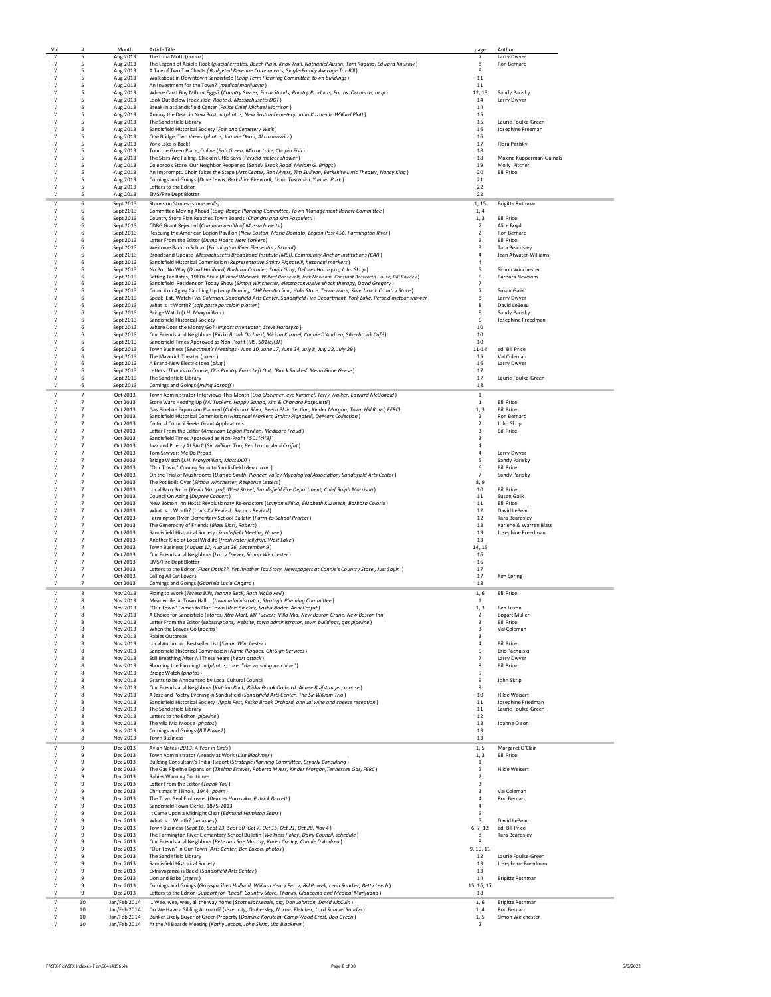| Vol                    | #                                | Month                        | Article Title                                                                                                                                                                                                       | page                             | Author                                          |
|------------------------|----------------------------------|------------------------------|---------------------------------------------------------------------------------------------------------------------------------------------------------------------------------------------------------------------|----------------------------------|-------------------------------------------------|
| IV<br>IV               | 5<br>5                           | Aug 2013                     | The Luna Moth (photo)<br>The Legend of Abiel's Rock (glacial erratics, Beech Plain, Knox Trail, Nathaniel Austin, Tom Ragusa, Edward Knurow)                                                                        | 7<br>$\mathbf{R}$                | Larry Dwyer<br>Ron Bernard                      |
| IV                     | 5                                | Aug 2013<br>Aug 2013         | A Tale of Two Tax Charts (Budgeted Revenue Components, Single-Family Average Tax Bill)                                                                                                                              | 9                                |                                                 |
| IV                     | 5                                | Aug 2013                     | Walkabout in Downtown Sandisfield (Long Term Planning Committee, town buildings)                                                                                                                                    | 11                               |                                                 |
| IV                     | 5                                | Aug 2013                     | An Investment for the Town? (medical marijuana)                                                                                                                                                                     | 11                               |                                                 |
| IV<br>IV               | 5<br>5                           | Aug 2013<br>Aug 2013         | Where Can I Buy Milk or Eggs? (Country Stores, Farm Stands, Poultry Products, Farms, Orchards, map)<br>Look Out Below (rock slide, Route 8, Massachusetts DOT)                                                      | 12, 13<br>14                     | Sandy Parisky<br>Larry Dwyer                    |
| IV                     | 5                                | Aug 2013                     | Break-in at Sandisfield Center (Police Chief Michael Morrison)                                                                                                                                                      | 14                               |                                                 |
| IV                     | -5                               | Aug 2013                     | Among the Dead in New Boston (photos, New Boston Cemetery, John Kuzmech, Willard Platt)                                                                                                                             | 15                               |                                                 |
| $\mathsf{IV}$          | 5                                | Aug 2013                     | The Sandisfield Library                                                                                                                                                                                             | 15                               | Laurie Foulke-Green                             |
| IV<br>IV               | 5<br>5                           | Aug 2013<br>Aug 2013         | Sandisfield Historical Society (Fair and Cemetery Walk)<br>One Bridge, Two Views (photos, Joanne Olson, Al Lazarowitz)                                                                                              | 16<br>16                         | Josephine Freeman                               |
| IV                     | 5                                | Aug 2013                     | York Lake is Back!                                                                                                                                                                                                  | 17                               | Flora Parisky                                   |
| IV                     | 5                                | Aug 2013                     | Tour the Green Place, Online (Bob Green, Mirror Lake, Chapin Fish)                                                                                                                                                  | 18                               |                                                 |
| IV<br>IV               | 5<br>5                           | Aug 2013                     | The Stars Are Falling, Chicken Little Says (Perseid meteor shower)                                                                                                                                                  | 18<br>19                         | Maxine Kupperman-Guinals<br>Molly Pitcher       |
| IV                     | 5                                | Aug 2013<br>Aug 2013         | Colebrook Store, Our Neighbor Reopened (Sandy Brook Road, Miriam G. Briggs)<br>An Impromptu Choir Takes the Stage (Arts Center, Ron Myers, Tim Sullivan, Berkshire Lyric Theater, Nancy King)                       | 20                               | <b>Bill Price</b>                               |
| IV                     | 5                                | Aug 2013                     | Comings and Goings (Dave Lewis, Berkshire Firework, Liana Toscanini, Yanner Park)                                                                                                                                   | 21                               |                                                 |
| IV                     | 5                                | Aug 2013                     | Letters to the Editor                                                                                                                                                                                               | 22                               |                                                 |
| IV                     | -5                               | Aug 2013                     | <b>EMS/Fire Dept Blotter</b>                                                                                                                                                                                        | 22                               |                                                 |
| IV<br>IV               | 6<br>6                           | Sept 2013<br>Sept 2013       | Stones on Stones (stone walls)<br>Committee Moving Ahead (Long-Range Planning Committee, Town Management Review Committee)                                                                                          | 1, 15<br>1,4                     | <b>Brigitte Ruthman</b>                         |
| IV                     | 6                                | Sept 2013                    | Country Store Plan Reaches Town Boards (Chandru and Kim Paspuletti)                                                                                                                                                 | 1.3                              | <b>Bill Price</b>                               |
| IV                     | 6                                | Sept 2013                    | CDBG Grant Rejected (Commonwealth of Massachusetts)                                                                                                                                                                 | $\overline{2}$                   | Alice Boyd                                      |
| IV                     | 6                                | Sept 2013                    | Rescuing the American Legion Pavilion (New Boston, Maria Domato, Legion Post 456, Farmington River)                                                                                                                 | 2                                | Ron Bernard                                     |
| IV<br>IV               | 6<br>6                           | Sept 2013<br>Sept 2013       | Letter From the Editor (Dump Hours, New Yorkers)<br>Welcome Back to School (Farmington River Elementary School)                                                                                                     | 3<br>3                           | <b>Bill Price</b><br><b>Tara Beardsley</b>      |
| IV                     | 6                                | Sept 2013                    | Broadband Update (Massachusetts Broadband Institute (MBI), Community Anchor Institutions (CAI) )                                                                                                                    | 4                                | Jean Atwater-Williams                           |
| IV                     | 6                                | Sept 2013                    | Sandisfield Historical Commission (Representative Smitty Pignatelli, historical markers)                                                                                                                            | 4                                |                                                 |
| IV<br>IV               | 6<br>6                           | Sept 2013<br>Sept 2013       | No Pot, No Way (David Hubbard, Barbara Cormier, Sonja Gray, Delores Harasyko, John Skrip)<br>Setting Tax Rates, 1960s-Style (Richard Widmark, Willard Roosevelt, Jack Newsom. Constant Bosworth House, Bill Rowley) | 5<br>6                           | Simon Winchester<br>Barbara Newsom              |
| IV                     | 6                                | Sept 2013                    | Sandisfield Resident on Today Show (Simon Winchester, electroconvulsive shock therapy, David Gregory)                                                                                                               | 7                                |                                                 |
| IV                     | 6                                | Sept 2013                    | Council on Aging Catching Up (Judy Deming, CHP health clinic, Halls Store, Terranova's, Silverbrook Country Store)                                                                                                  | $\overline{7}$                   | Susan Galik                                     |
| IV                     | 6                                | Sept 2013                    | Speak, Eat, Watch (Val Coleman, Sandisfield Arts Center, Sandisfield Fire Department, York Lake, Perseid meteor shower)                                                                                             | 8                                | Larry Dwyer                                     |
| IV<br>IV               | 6<br>6                           | Sept 2013<br>Sept 2013       | What Is It Worth? (soft paste porcelain platter)<br>Bridge Watch (J.H. Maxymillian)                                                                                                                                 | 8<br>9                           | David LeBeau<br>Sandy Parisky                   |
| IV                     | 6                                | Sept 2013                    | Sandisfield Historical Society                                                                                                                                                                                      | 9                                | Josephine Freedman                              |
| IV                     | 6                                | Sept 2013                    | Where Does the Money Go? (impact attenuator, Steve Harasyko)                                                                                                                                                        | 10                               |                                                 |
| IV<br>IV               | 6<br>6                           | Sept 2013                    | Our Friends and Neighbors (Riiska Brook Orchard, Miriam Karmel, Connie D'Andrea, Silverbrook Café)                                                                                                                  | 10<br>10                         |                                                 |
| IV                     | 6                                | Sept 2013<br>Sept 2013       | Sandisfield Times Approved as Non-Profit (IRS, 501(c)(3))<br>Town Business (Selectmen's Meetings - June 10, June 17, June 24, July 8, July 22, July 29)                                                             | $11 - 14$                        | ed. Bill Price                                  |
| IV                     | -6                               | Sept 2013                    | The Maverick Theater (poem)                                                                                                                                                                                         | 15                               | Val Coleman                                     |
| IV                     | 6                                | Sept 2013                    | A Brand-New Electric Idea (plug)                                                                                                                                                                                    | 16                               | Larry Dwyer                                     |
| $\mathsf{IV}$<br>IV    | 6<br>6                           | Sept 2013<br>Sept 2013       | Letters (Thanks to Connie, Otis Poultry Farm Left Out, "Black Snakes" Mean Gone Geese)<br>The Sandisfield Library                                                                                                   | 17<br>17                         | Laurie Foulke-Green                             |
| IV                     | 6                                | Sept 2013                    | Comings and Goings (Irving Sarnoff)                                                                                                                                                                                 | 18                               |                                                 |
| ı٧                     | $\overline{7}$                   | Oct 2013                     | Town Administrator Interviews This Month (Lisa Blackmer, eve Kummel, Terry Walker, Edward McDonald)                                                                                                                 | $\mathbf 1$                      |                                                 |
| IV                     | $\overline{7}$                   | Oct 2013                     | Store Wars Heating Up (MJ Tuckers, Happy Banga, Kim & Chandru Paspuletti)                                                                                                                                           | 1                                | <b>Bill Price</b>                               |
| IV                     | $\overline{7}$                   | Oct 2013                     | Gas Pipeline Expansion Planned (Colebrook River, Beech Plain Section, Kinder Morgan, Town Hill Road, FERC)                                                                                                          | 1, 3                             | <b>Bill Price</b>                               |
| IV<br>$\mathsf{IV}$    | $\overline{7}$<br>$\overline{7}$ | Oct 2013<br>Oct 2013         | Sandisfield Historical Commission (Historical Markers, Smitty Pignatelli, DeMars Collection)<br>Cultural Council Seeks Grant Applications                                                                           | $\overline{2}$<br>$\overline{2}$ | Ron Bernard<br>John Skrip                       |
| $\mathsf{IV}$          | $\overline{7}$                   | Oct 2013                     | Letter From the Editor (American Legion Pavilion, Medicare Fraud)                                                                                                                                                   | 3                                | <b>Bill Price</b>                               |
| IV                     | $\overline{7}$                   | Oct 2013                     | Sandisfield Times Approved as Non-Profit (501(c)(3))                                                                                                                                                                | 3                                |                                                 |
| IV                     | $\overline{7}$                   | Oct 2013                     | Jazz and Poetry At SArC (Sir William Trio, Ben Luxon, Anni Crofut)                                                                                                                                                  | $\overline{a}$                   |                                                 |
| IV<br>IV               | $\overline{7}$<br>$\overline{7}$ | Oct 2013<br>Oct 2013         | Tom Sawyer: Me Do Proud<br>Bridge Watch (J.H. Maxymillian, Mass DOT)                                                                                                                                                | $\overline{a}$<br>5              | Larry Dwyer<br>Sandy Parisky                    |
| IV                     | $\overline{7}$                   | Oct 2013                     | "Our Town," Coming Soon to Sandisfield (Ben Luxon)                                                                                                                                                                  | 6                                | <b>Bill Price</b>                               |
| IV                     | $\overline{7}$                   | Oct 2013                     | On the Trial of Mushrooms (Dianna Smith, Pioneer Valley Mycological Association, Sandisfield Arts Center)                                                                                                           | $\overline{7}$                   | Sandy Parisky                                   |
| IV                     | $\overline{7}$<br>$\overline{7}$ | Oct 2013                     | The Pot Boils Over (Simon Winchester, Response Letters)                                                                                                                                                             | 8,9                              |                                                 |
| IV<br>IV               | $\overline{7}$                   | Oct 2013<br>Oct 2013         | Local Barn Burns (Kevin Margraf, West Street, Sandisfield Fire Department, Chief Ralph Morrison)<br>Council On Aging (Dupree Concert)                                                                               | 10<br>11                         | <b>Bill Price</b><br>Susan Galik                |
| IV                     | $\overline{7}$                   | Oct 2013                     | New Boston Inn Hosts Revolutionary Re-enactors (Lanyon Militia, Elizabeth Kuzmech, Barbara Colorio)                                                                                                                 | 11                               | <b>Bill Price</b>                               |
| IV                     | $\overline{7}$                   | Oct 2013                     | What Is It Worth? (Louis XV Revival, Rococo Revival)                                                                                                                                                                | 12                               | David LeBeau                                    |
| IV<br>IV               | $\overline{7}$<br>$\overline{7}$ | Oct 2013<br>Oct 2013         | Farmington River Elementary School Bulletin (Farm-to-School Project)<br>The Generosity of Friends (Blass Blast, Robert)                                                                                             | 12<br>13                         | <b>Tara Beardsley</b><br>Karlene & Warren Blass |
| IV                     | $\overline{7}$                   | Oct 2013                     | Sandisfield Historical Society (Sandisfield Meeting House)                                                                                                                                                          | 13                               | Josephine Freedman                              |
| IV                     | $\overline{7}$                   | Oct 2013                     | Another Kind of Local Wildlife (freshwater jellyfish, West Lake)                                                                                                                                                    | 13                               |                                                 |
| IV                     | $\overline{7}$                   | Oct 2013                     | Town Business (August 12, August 26, September 9)                                                                                                                                                                   | 14, 15                           |                                                 |
| IV<br>IV               | $\overline{7}$<br>$\overline{7}$ | Oct 2013<br>Oct 2013         | Our Friends and Neighbors (Larry Dwyer, Simon Winchester)<br><b>EMS/Fire Dept Blotter</b>                                                                                                                           | 16<br>16                         |                                                 |
| IV                     | $\overline{7}$                   | Oct 2013                     | Letters to the Editor (Fiber Optic??, Yet Another Tax Story, Newspapers at Connie's Country Store, Just Sayin')                                                                                                     | 17                               |                                                 |
| IV                     | $\overline{7}$                   | Oct 2013                     | <b>Calling All Cat Lovers</b>                                                                                                                                                                                       | 17                               | Kim Spring                                      |
| IV                     | $\overline{7}$                   | Oct 2013                     | Comings and Goings (Gabriela Lucia Ongaro)                                                                                                                                                                          | 18                               |                                                 |
| IV<br>IV               | 8<br>8                           | Nov 2013<br>Nov 2013         | Riding to Work (Teresa Bills, Jeanne Buck, Ruth McDowell)<br>Meanwhile, at Town Hall  (town administrator, Strategic Planning Committee)                                                                            | 1,6<br>-1                        | <b>Bill Price</b>                               |
| IV                     | я                                | Nov 2013                     | "Our Town" Comes to Our Town (Reid Sinclair, Sasha Nader, Anni Crofut)                                                                                                                                              | 1, 3                             | Ben Luxon                                       |
| $\mathsf{I}\mathsf{V}$ | 8                                | Nov 2013                     | A Choice for Sandisfield (stores, Xtra Mart, MJ Tuckers, Villa Mia, New Boston Crane, New Boston Inn)                                                                                                               | $\mathbf 2$                      | <b>Bogart Muller</b>                            |
| $\mathsf{IV}$          | 8                                | Nov 2013                     | Letter From the Editor (subscriptions, website, town administrator, town buildings, gas pipeline)                                                                                                                   | 3                                | <b>Bill Price</b>                               |
| $\mathsf{IV}$<br>IV    | 8<br>8                           | Nov 2013<br>Nov 2013         | When the Leaves Go (poems)<br>Rabies Outbreak                                                                                                                                                                       | 3<br>3                           | Val Coleman                                     |
| IV                     | 8                                | Nov 2013                     | Local Author on Bestseller List (Simon Winchester)                                                                                                                                                                  | 4                                | <b>Bill Price</b>                               |
| IV                     | 8                                | Nov 2013                     | Sandisfield Historical Commission (Name Plaques, Ghi Sign Services)                                                                                                                                                 | 5                                | Eric Pachulski                                  |
| IV<br>$\mathsf{IV}$    | 8<br>8                           | Nov 2013<br>Nov 2013         | Still Breathing After All These Years (heart attack)<br>Shooting the Farmington (photos, race, "the washing machine")                                                                                               | $\overline{7}$<br>8              | Larry Dwyer<br><b>Bill Price</b>                |
| $\mathsf{IV}$          | 8                                | Nov 2013                     | Bridge Watch (photos)                                                                                                                                                                                               | 9                                |                                                 |
| IV                     | 8                                | Nov 2013                     | Grants to be Announced by Local Cultural Council                                                                                                                                                                    | 9                                | John Skrip                                      |
| IV<br>IV               | 8<br>8                           | Nov 2013<br>Nov 2013         | Our Friends and Neighbors (Katrina Rock, Riiska Brook Orchard, Aimee Raifstanger, moose)<br>A Jazz and Poetry Evening in Sandisfield (Sandisfield Arts Center, The Sir William Trio)                                | $\mathbf{q}$<br>10               | Hilde Weisert                                   |
| IV                     | 8                                | Nov 2013                     | Sandisfield Historical Society (Apple Fest, Riiska Brook Orchard, annual wine and cheese reception)                                                                                                                 | 11                               | Josephine Friedman                              |
| IV                     | 8                                | Nov 2013                     | The Sandisfield Library                                                                                                                                                                                             | $11\,$                           | Laurie Foulke-Green                             |
| IV                     | 8                                | Nov 2013                     | Letters to the Editor (pipeline)                                                                                                                                                                                    | 12                               |                                                 |
| IV<br>IV               | 8<br>8                           | Nov 2013<br>Nov 2013         | The villa Mia Moose (photos)<br>Comings and Goings (Bill Powell)                                                                                                                                                    | 13<br>13                         | Joanne Olson                                    |
| IV                     | 8                                | Nov 2013                     | <b>Town Business</b>                                                                                                                                                                                                | 13                               |                                                 |
| IV                     | 9                                | Dec 2013                     | Avian Notes (2013: A Year in Birds)                                                                                                                                                                                 | 1, 5                             | Margaret O'Clair                                |
| IV                     | $\ddot{q}$                       | Dec 2013                     | Town Administrator Already at Work (Lisa Blackmer)                                                                                                                                                                  | 1, 3                             | <b>Bill Price</b>                               |
| IV<br>IV               | $\,9$<br>$\,9$                   | Dec 2013<br>Dec 2013         | Building Consultant's Initial Report (Strategic Planning Committee, Bryarly Consulting)<br>The Gas Pipeline Expansion (Thelma Esteves, Roberta Myers, Kinder Morgan, Tennessee Gas, FERC)                           | 1<br>$\overline{2}$              | <b>Hilde Weisert</b>                            |
| IV                     | 9                                | Dec 2013                     | <b>Rabies Warning Continues</b>                                                                                                                                                                                     | 2                                |                                                 |
| IV                     | 9                                | Dec 2013                     | Letter From the Editor (Thank You)                                                                                                                                                                                  | 3                                |                                                 |
| IV<br>IV               | 9<br>9                           | Dec 2013                     | Christmas in Illinois, 1944 (poem)                                                                                                                                                                                  | 3<br>$\overline{4}$              | Val Coleman<br>Ron Bernard                      |
| IV                     | 9                                | Dec 2013<br>Dec 2013         | The Town Seal Embosser (Delores Harasyko, Patrick Barrett)<br>Sandisfield Town Clerks, 1875-2013                                                                                                                    | 4                                |                                                 |
| IV                     | 9                                | Dec 2013                     | It Came Upon a Midnight Clear (Edmund Hamilton Sears)                                                                                                                                                               | 5                                |                                                 |
| IV                     | 9                                | Dec 2013                     | What Is It Worth? (antiques)                                                                                                                                                                                        | 5                                | David LeBeau                                    |
| IV<br>IV               | 9<br>9                           | Dec 2013<br>Dec 2013         | Town Business (Sept 16, Sept 23, Sept 30, Oct 7, Oct 15, Oct 21, Oct 28, Nov 4)<br>The Farmington River Elementary School Bulletin (Wellness Policy, Dairy Council, schedule)                                       | 6, 7, 12<br>8                    | ed: Bill Price<br><b>Tara Beardsley</b>         |
| IV                     | $\ddot{q}$                       | Dec 2013                     | Our Friends and Neighbors (Pete and Sue Murray, Karen Cooley, Connie D'Andrea)                                                                                                                                      | 8                                |                                                 |
| IV                     | $\ddot{q}$                       | Dec 2013                     | "Our Town" in Our Town (Arts Center, Ben Luxon, photos)                                                                                                                                                             | 9.10,11                          |                                                 |
| IV                     | 9                                | Dec 2013                     | The Sandisfield Library                                                                                                                                                                                             | 12                               | Laurie Foulke-Green                             |
| IV                     |                                  | Dec 2013                     | Sandisfield Historical Society<br>Extravaganza is Back! (Sandisfield Arts Center)                                                                                                                                   | 13<br>13                         | Josephone Freedman                              |
|                        | 9                                |                              |                                                                                                                                                                                                                     |                                  |                                                 |
| IV<br>IV               | 9<br>9                           | Dec 2013<br>Dec 2013         | Lion and Babe (steers)                                                                                                                                                                                              | 14                               | <b>Brigitte Ruthman</b>                         |
| IV                     | 9                                | Dec 2013                     | Comings and Goings (Graysyn Shea Holland, William Henry Perry, Bill Powell, Lena Sandler, Betty Leech)                                                                                                              | 15, 16, 17                       |                                                 |
| IV                     | $\mathbf{q}$                     | Dec 2013                     | Letters to the Editor (Support for "Local" Country Store, Thanks, Glaucoma and Medical Marijuana)                                                                                                                   | 18                               |                                                 |
| IV                     | 10                               | Jan/Feb 2014                 | Wee, wee, wee, all the way home (Scott MacKenzie, pig, Don Johnson, David McCuin)                                                                                                                                   | 1,6                              | <b>Brigitte Ruthman</b>                         |
| IV<br>IV               | 10<br>10                         | Jan/Feb 2014<br>Jan/Feb 2014 | Do We Have a Sibling Abroard? (sister city, Ombersley, Norton Fletcher, Lord Samuel Sandys)<br>Banker Likely Buyer of Green Property (Dominic Konstam, Camp Wood Crest, Bob Green)                                  | 1,4<br>1.5                       | Ron Bernard<br>Simon Winchester                 |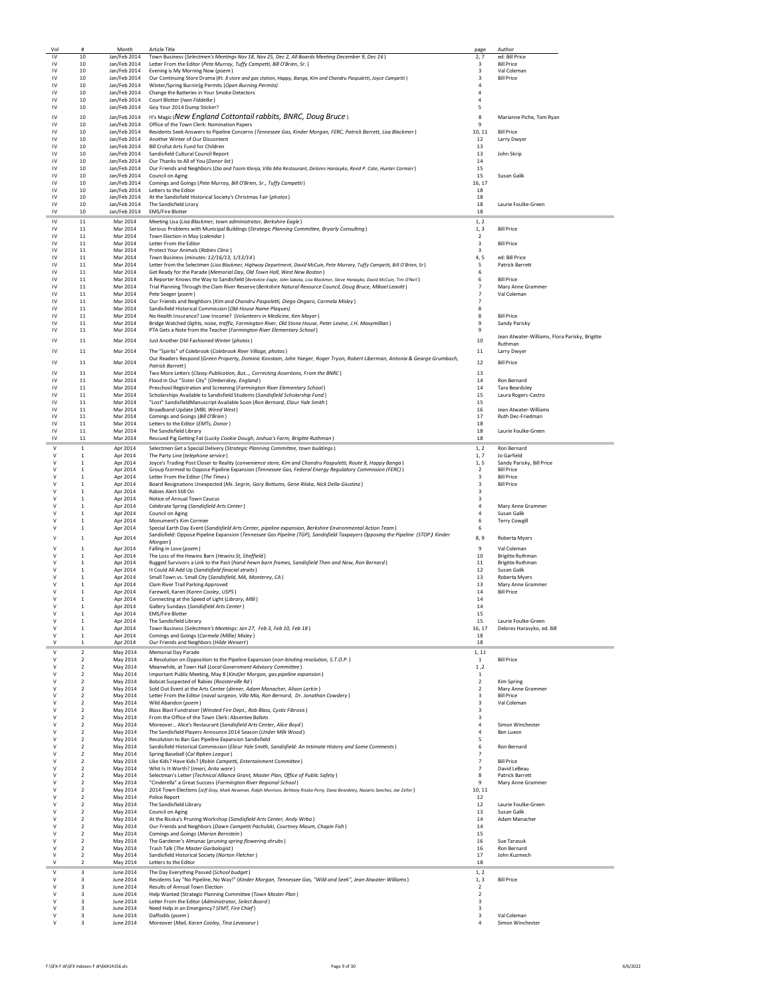| Vol                                     | #                                          | Month                        | <b>Article Title</b>                                                                                                                                                        | page                                               | Author                                         |
|-----------------------------------------|--------------------------------------------|------------------------------|-----------------------------------------------------------------------------------------------------------------------------------------------------------------------------|----------------------------------------------------|------------------------------------------------|
| IV                                      | 10                                         | Jan/Feb 2014                 | Town Business (Selectmen's Meetings Nov 18, Nov 25, Dec 2, All Boards Meeting December 9, Dec 16)                                                                           | 2,7                                                | ed: Bill Price                                 |
| IV                                      | 10                                         | Jan/Feb 2014                 | Letter From the Editor (Pete Murray, Tuffy Campetti, Bill O'Brien, Sr.)                                                                                                     | $\mathbf{R}$                                       | <b>Bill Price</b>                              |
| IV<br>IV                                | 10                                         | Jan/Feb 2014                 | Evening is My Morning Now (poem)                                                                                                                                            | $\overline{\mathbf{3}}$<br>$\overline{\mathbf{3}}$ | Val Coleman                                    |
| IV                                      | 10<br>10                                   | Jan/Feb 2014<br>Jan/Feb 2014 | Our Continuing Store Drama (Rt. 8 store and gas station, Happy, Banga, Kim and Chandru Paspuletti, Joyce Campetti)<br>Winter/Spring Burnin)g Permits (Open Burning Permits) | $\overline{4}$                                     | <b>Bill Price</b>                              |
| IV                                      | 10                                         | Jan/Feb 2014                 | Change the Batteries in Your Smoke Detectors                                                                                                                                | 4                                                  |                                                |
| IV                                      | 10                                         | Jan/Feb 2014                 | Court Blotter (Ivan Fiddelke)                                                                                                                                               | $\overline{4}$                                     |                                                |
| IV                                      | 10                                         | Jan/Feb 2014                 | Goy Your 2014 Dump Sticker?                                                                                                                                                 | 5                                                  |                                                |
| IV                                      | 10                                         | Jan/Feb 2014                 | It's Magic (New England Cottontail rabbits, BNRC, Doug Bruce)                                                                                                               | 8                                                  | Marianne Piche, Tom Ryan                       |
| IV                                      | 10                                         | Jan/Feb 2014                 | Office of the Town Clerk: Nomination Papers                                                                                                                                 | 9                                                  |                                                |
| IV                                      | 10                                         | Jan/Feb 2014                 | Residents Seek Answers to Pipeline Concerns (Tennessee Gas, Kinder Morgan, FERC, Patrick Barrett, Lisa Blackmer)                                                            | 10, 11                                             | <b>Bill Price</b>                              |
| IV                                      | 10                                         | Jan/Feb 2014                 | Another Winter of Our Discontent                                                                                                                                            | 12                                                 | Larry Dwyer                                    |
| IV                                      | 10                                         | Jan/Feb 2014                 | Bill Crofut Arts Fund for Children                                                                                                                                          | 13                                                 |                                                |
| IV                                      | 10                                         | Jan/Feb 2014                 | Sandisfield Cultural Council Report                                                                                                                                         | 13                                                 | John Skrip                                     |
| IV                                      | 10                                         | Jan/Feb 2014                 | Our Thanks to All of You (Donor list)                                                                                                                                       | 14                                                 |                                                |
| IV                                      | 10                                         | Jan/Feb 2014                 | Our Friends and Neighbors (Dia and Tasim Klenja, Villa Mia Restaurant, Delores Harasyko, Reed P. Cote, Hunter Cormier)                                                      | 15                                                 |                                                |
| IV                                      | 10                                         | Jan/Feb 2014                 | Council on Aging                                                                                                                                                            | 15                                                 | Susan Galik                                    |
| IV                                      | 10                                         | Jan/Feb 2014                 | Comings and Goings (Pete Murray, Bill O'Brien, Sr., Tuffy Campetti)                                                                                                         | 16, 17                                             |                                                |
| IV                                      | 10                                         | Jan/Feb 2014                 | Letters to the Editor                                                                                                                                                       | 18                                                 |                                                |
| $\mathsf{IV}$                           | 10                                         | Jan/Feb 2014                 | At the Sandisfield Historical Society's Christmas Fair (photos)                                                                                                             | 18                                                 |                                                |
| $\mathsf{IV}$                           | 10                                         | Jan/Feb 2014                 | The Sandisfield Lirary                                                                                                                                                      | 18                                                 | Laurie Foulke-Green                            |
| IV                                      | 10                                         | Jan/Feb 2014                 | <b>EMS/Fire Blotter</b>                                                                                                                                                     | 18                                                 |                                                |
| IV                                      | $11\,$                                     | Mar 2014                     | Meeting Lisa (Lisa Blackmer, town administrator, Berkshire Eagle)                                                                                                           | 1, 2                                               |                                                |
| IV                                      | 11                                         | Mar 2014                     | Serious Problems with Municipal Buildings (Strategic Planning Committee, Bryarly Consulting)                                                                                | 1, 3                                               | <b>Bill Price</b>                              |
| IV                                      | 11                                         | Mar 2014                     | Town Election in May (calendar)                                                                                                                                             | $\overline{2}$                                     |                                                |
| IV                                      | 11                                         | Mar 2014                     | Letter From the Editor<br>Protect Your Animals (Rabies Clinic)                                                                                                              | 3<br>$\overline{\mathbf{3}}$                       | <b>Bill Price</b>                              |
| $\mathsf{I}\mathsf{V}$<br>$\mathsf{IV}$ | 11<br>11                                   | Mar 2014<br>Mar 2014         | Town Business (minutes: 12/16/13, 1/13/14)                                                                                                                                  | 4,5                                                | ed: Bill Price                                 |
| $\mathsf{IV}$                           | $11\,$                                     | Mar 2014                     | Letter from the Selectmen (Lisa Blackmer, Highway Department, David McCuin, Pete Murrary, Tuffy Campetti, Bill O'Brien, Sr)                                                 | 5                                                  | Patrick Barrett                                |
| $\mathsf{I}\mathsf{V}$                  | $11\,$                                     | Mar 2014                     | Get Ready for the Parade (Memorial Day, Old Town Hall, West New Boston)                                                                                                     | 6                                                  |                                                |
| IV                                      | 11                                         | Mar 2014                     | A Reporter Knows the Way to Sandisfield (Berkshire Eagle, John Sakata, Lisa Blackmer, Steve Harasyko, David McCuin, Tim O'Neil)                                             | 6                                                  | <b>Bill Price</b>                              |
| IV                                      | 11                                         | Mar 2014                     | Trial Planning Through the Clam River Reserve (Berkshire Natural Resource Council, Doug Bruce, Mikael Leavitt)                                                              | $\overline{7}$                                     | Mary Anne Grammer                              |
| IV                                      | 11                                         | Mar 2014                     | Pete Seeger (poem)                                                                                                                                                          | $\overline{7}$                                     | Val Coleman                                    |
| $\mathsf{IV}$                           | 11                                         | Mar 2014                     | Our Friends and Neighbors (Kim and Chandru Paspoletti, Diego Ongaro, Carmela Misley)                                                                                        | $\overline{7}$                                     |                                                |
| $\mathsf{IV}$                           | $11\,$                                     | Mar 2014                     | Sandisfield Historical Commission (Old-House Name Plaques)                                                                                                                  | 8                                                  |                                                |
| IV                                      | 11                                         | Mar 2014                     | No Health Insurance? Low Income? (Volunteers in Medicine, Ken Mayer)                                                                                                        | 8                                                  | <b>Bill Price</b>                              |
| IV                                      | $11\,$                                     | Mar 2014                     | Bridge Watched (lights, noise, traffic, Farmington River, Old Stone House, Peter Levine, J.H. Maxymillian)                                                                  | 9                                                  | Sandy Parisky                                  |
| IV                                      | 11                                         | Mar 2014                     | PTA Gets a Note from the Teacher (Farmington River Elementary School)                                                                                                       | 9                                                  |                                                |
| $\mathsf{IV}$                           | 11                                         | Mar 2014                     | Just Another Old-Fashioned Winter (photos)                                                                                                                                  | $10\,$                                             | Jean Atwater-Williams, Flora Parisky, Brigitte |
|                                         |                                            |                              |                                                                                                                                                                             |                                                    | Ruthman                                        |
| IV                                      | 11                                         | Mar 2014                     | The "Spirits" of Colebrook (Colebrook River Village, photos)                                                                                                                | 11                                                 | Larry Dwyer                                    |
| IV                                      | 11                                         | Mar 2014                     | Our Readers Respond (Green Property, Dominic Konstam, John Yaeger, Roger Tryon, Robert Liberman, Antonia & Gearge Grumbach,                                                 | 12                                                 | <b>Bill Price</b>                              |
|                                         |                                            |                              | <b>Patrick Barrett</b>                                                                                                                                                      |                                                    |                                                |
| IV                                      | 11                                         | Mar 2014                     | Two More Letters (Classy Publication, But, Correcting Assertions, From the BNRC)                                                                                            | 13                                                 |                                                |
| IV                                      | 11                                         | Mar 2014                     | Flood in Our "Sister City" (Omberskey, England)                                                                                                                             | 14                                                 | Ron Bernard                                    |
| IV                                      | $11\,$                                     | Mar 2014                     | Preschool Registration and Screening (Farmington River Elementary School)                                                                                                   | 14                                                 | <b>Tara Beardsley</b>                          |
| IV                                      | $11\,$                                     | Mar 2014                     | Scholarships Available to Sandisfield Students (Sandisfield Scholarship Fund)                                                                                               | 15                                                 | Laura Rogers-Castro                            |
| IV                                      | 11                                         | Mar 2014                     | "Lost" SandisfieldManuscript Available Soon (Ron Bernard, Elizur Yale Smith)                                                                                                | 15                                                 |                                                |
| IV                                      | 11                                         | Mar 2014                     | Broadband Update (MBI, Wired West)                                                                                                                                          | 16                                                 | Jean Atwater-Williams                          |
| IV<br>$\mathsf{IV}$                     | 11                                         | Mar 2014                     | Comings and Goings (Bill O'Brien)                                                                                                                                           | 17                                                 | Ruth Dec-Friedman                              |
| $\mathsf{IV}$                           | 11                                         | Mar 2014                     | Letters to the Editor (EMTs, Donor)                                                                                                                                         | 18                                                 |                                                |
| IV                                      | $11\,$<br>11                               | Mar 2014<br>Mar 2014         | The Sandisfield Library<br>Rescued Pig Getting Fat (Lucky Cookie Dough, Joshua's Farm, Brigitte Ruthman)                                                                    | 18<br>18                                           | Laurie Foulke-Green                            |
|                                         |                                            |                              |                                                                                                                                                                             |                                                    |                                                |
| ٧                                       | $\mathbf 1$                                | Apr 2014                     | Selectmen Get a Special Delivery (Strategic Planning Committee, town buildings)                                                                                             | 1, 2                                               | Ron Bernard                                    |
| v                                       | $\mathbf{1}$                               | Apr 2014                     | The Party Line (telephone service)                                                                                                                                          | 1, 7                                               | Jo Garfield                                    |
| v                                       | 1                                          | Apr 2014                     | Joyce's Trading Post Closer to Reality (convenience store, Kim and Chandru Paspuletti, Route 8, Happy Banga)                                                                | 1, 5                                               | Sandy Parisky, Bill Price                      |
| v<br>V                                  | 1                                          | Apr 2014                     | Group fzormed to Oppose Pipeline Expansion (Tennessee Gas, Federal Energy Regulatory Commission (FERC))<br>Letter From the Editor (The Times)                               | $\overline{2}$<br>$\overline{\mathbf{3}}$          | <b>Bill Price</b><br><b>Bill Price</b>         |
| ٧                                       | 1<br>$\mathbf{1}$                          | Apr 2014<br>Apr 2014         | Board Resignations Unexpected (Ms. Segrin, Gary Bottums, Gene Riiska, Nick Della-Giustina)                                                                                  | $\overline{\mathbf{3}}$                            | <b>Bill Price</b>                              |
| ٧                                       | $\mathbf{1}$                               | Apr 2014                     | Rabies Alert Still On                                                                                                                                                       | $\overline{\mathbf{3}}$                            |                                                |
| v                                       | $\mathbf{1}$                               | Apr 2014                     | Notice of Annual Town Caucus                                                                                                                                                | 3                                                  |                                                |
| v                                       | 1                                          | Apr 2014                     | Celebrate Spring (Sandisfield Arts Center)                                                                                                                                  | $\overline{a}$                                     | Mary Anne Grammer                              |
| v                                       | 1                                          | Apr 2014                     | Council on Aging                                                                                                                                                            | $\overline{a}$                                     | Susan Galik                                    |
| v                                       | 1                                          | Apr 2014                     | Monument's Kim Cormier                                                                                                                                                      | 6                                                  | <b>Terry Cowgill</b>                           |
| V                                       | $\mathbf{1}$                               | Apr 2014                     | Special Earth Day Event (Sandisfield Arts Center, pipeline expansion, Berkshire Environmental Action Team)                                                                  | 6                                                  |                                                |
|                                         |                                            |                              | Sandisfield: Oppose Pipeline Expansion (Tennessee Gas Pipeline (TGP), Sandisfield Taxpayers Opposing the Pipeline (STOP) Kinder                                             |                                                    |                                                |
| $\mathsf{V}$                            | $\overline{1}$                             | Apr 2014                     | Morgan )                                                                                                                                                                    | 8,9                                                | Roberta Myers                                  |
| ٧                                       | $\overline{1}$                             | Apr 2014                     | Falling in Love (poem)                                                                                                                                                      | 9                                                  | Val Coleman                                    |
| ٧                                       | $\mathbf{1}$                               | Apr 2014                     | The Loss of the Hewins Barn (Hewins St, Sheffield)                                                                                                                          | 10                                                 | <b>Brigitte Ruthman</b>                        |
| V                                       | $\overline{1}$                             | Apr 2014                     | Rugged Survivors a Link to the Past (hand-hewn barn frames, Sandisfield Then and Now, Ron Bernard)                                                                          | 11                                                 | <b>Brigitte Ruthman</b>                        |
| v                                       | 1                                          | Apr 2014                     | It Could All Add Up (Sandisfield finacial straits)                                                                                                                          | 12                                                 | Susan Galik                                    |
| $\vee$                                  | $\mathbf{1}$                               | Apr 2014                     | Small Town vs. Small City (Sandisfield, MA, Monterey, CA)                                                                                                                   | 13                                                 | Roberta Myers                                  |
| V                                       | 1                                          | Apr 2014                     | Clam River Trail Parking Approved                                                                                                                                           | 13                                                 | Mary Anne Grammer                              |
| V                                       | $\,$ 1                                     | Apr 2014                     | Farewell, Karen (Karen Cooley, USPS)                                                                                                                                        | 14                                                 | <b>Bill Price</b>                              |
| V<br>$\vee$                             | $\,1\,$                                    | Apr 2014                     | Connecting at the Speed of Light (Library, MBI)                                                                                                                             | 14                                                 |                                                |
|                                         | $\mathbf{1}$<br>$\mathbf{1}$               | Apr 2014                     | Gallery Sundays (Sandisfield Arts Center)                                                                                                                                   | 14<br>15                                           |                                                |
| v                                       | $\mathbf{1}$                               | Apr 2014                     | <b>EMS/Fire Blotter</b><br>The Sandisfield Library                                                                                                                          | 15                                                 | Laurie Foulke-Green                            |
| $\vee$                                  | 1                                          | Apr 2014<br>Apr 2014         | Town Business (Selectmen's Meetings: Jan 27, Feb 3, Feb 10, Feb 18)                                                                                                         | 16, 17                                             | Delores Harasyko, ed. Bill                     |
| V                                       | $\mathbf{1}$                               | Apr 2014                     | Comings and Goings (Carmela (Millie) Misley)                                                                                                                                | 18                                                 |                                                |
| ٧                                       | $\mathbf{1}$                               | Apr 2014                     | Our Friends and Neighbors (Hilde Weisert)                                                                                                                                   | 18                                                 |                                                |
|                                         |                                            |                              |                                                                                                                                                                             |                                                    |                                                |
| ٧<br>٧                                  | $\overline{2}$<br>$\overline{2}$           | May 2014<br>May 2014         | Memorial Day Parade<br>A Resolution on Opposition to the Pipeline Expansion (non-binding resolution, S.T.O.P.)                                                              | 1, 11<br>$\mathbf{1}$                              | <b>Bill Price</b>                              |
| V                                       | $\overline{2}$                             | May 2014                     | Meanwhile, at Town Hall (Local Government Advisory Committee)                                                                                                               | 1,2                                                |                                                |
| v                                       | $\overline{2}$                             | May 2014                     | Important Public Meeting, May 8 (Kind)er Morgan, gas pipeline expansion)                                                                                                    | 1                                                  |                                                |
| v                                       | $\overline{2}$                             | May 2014                     | Bobcat Suspected of Rabies (Roosterville Rd)                                                                                                                                | $\overline{2}$                                     | <b>Kim Spring</b>                              |
| V                                       | $\overline{2}$                             | May 2014                     | Sold Out Event at the Arts Center (dinner, Adam Manacher, Alison Larkin)                                                                                                    | $\overline{2}$                                     | Mary Anne Grammer                              |
| ٧                                       | $\overline{2}$                             | May 2014                     | Letter From the Editor (naval surgeon, Villa Mia, Ron Bernard, Dr. Jonathan Cowdery)                                                                                        | $\overline{\mathbf{3}}$                            | <b>Bill Price</b>                              |
| ٧                                       | $\overline{2}$                             | May 2014                     | Wild Abandon (noem)                                                                                                                                                         | $\overline{\mathbf{3}}$                            | Val Coleman                                    |
| v                                       | $\overline{2}$                             | May 2014                     | Blass Blast Fundraiser (Winsted Fire Dept., Rob Blass, Cystic Fibrosis)                                                                                                     | $\overline{\mathbf{3}}$                            |                                                |
| v                                       | $\overline{2}$                             | May 2014                     | From the Office of the Town Clerk: Absentee Ballots                                                                                                                         | 3                                                  |                                                |
| $\vee$                                  | $\overline{\phantom{a}}$                   | May 2014                     | Moreover Alice's Restaurant (Sandisfield Arts Center, Alice Boyd)                                                                                                           | $\overline{a}$                                     | Simon Winchester                               |
| v                                       | $\overline{2}$                             | May 2014                     | The Sandisfield Players Announce 2014 Season (Under Milk Wood)                                                                                                              | $\sqrt{4}$                                         | Ben Luxon                                      |
| V                                       | $\overline{2}$                             | May 2014                     | Resolution to Ban Gas Pipeline Expansion Sandisfield                                                                                                                        | 5                                                  |                                                |
| ٧                                       | $\overline{2}$                             | May 2014                     | Sandisfield Historical Commission (Elizur Yale Smith, Sandisfield: An Intimate History and Some Comments)                                                                   | 6                                                  | Ron Bernard                                    |
| v                                       | $\overline{2}$                             | May 2014                     | Spring Baseball (Cal Ripken League)                                                                                                                                         | $\overline{7}$                                     |                                                |
| ٧                                       | $\overline{2}$                             | May 2014                     | Like Kids? Have Kids? (Robin Campetti, Entertainment Committee)                                                                                                             | $\overline{7}$                                     | <b>Bill Price</b>                              |
| v<br>v                                  | $\overline{\phantom{a}}$<br>$\overline{2}$ | May 2014                     | Whit Is It Worth? (Imari, Arita ware)                                                                                                                                       | $\overline{7}$<br>8                                | David LeBeau<br><b>Patrick Barrett</b>         |
| v                                       | $\overline{2}$                             | May 2014                     | Selectman's Letter (Technical Alliance Grant, Master Plan, Office of Public Safety)                                                                                         | $\mathbf{q}$                                       |                                                |
|                                         | $\overline{2}$                             | May 2014<br>May 2014         | "Cinderella" a Great Success (Farmington River Regional School)                                                                                                             |                                                    | Mary Anne Grammer                              |
| v                                       | $\overline{2}$                             |                              | 2014 Town Elections (Jeff Gray, Mark Newman, Ralph Morrison, Behtany Risska Perry, Dana Beardsley, Nazario Sanchez, Joe Zeller)<br>Police Report                            | 10, 11<br>12                                       |                                                |
| ٧                                       | $\overline{2}$                             | May 2014<br>May 2014         | The Sandisfield Library                                                                                                                                                     | 12                                                 | Laurie Foulke-Green                            |
| v                                       | $\overline{2}$                             | May 2014                     | Council on Aging                                                                                                                                                            | 13                                                 | Susan Galik                                    |
| $\vee$                                  | $\overline{\phantom{a}}$                   | May 2014                     |                                                                                                                                                                             | 14                                                 | Adam Manacher                                  |
| $\vee$                                  | $\overline{2}$                             | May 2014                     | At the Risska's Pruning Workshop (Sandisfield Arts Center, Andy Wrba)<br>Our Friends and Neighbors (Dawn Campetti Pachulski, Courtney Maum, Chapin Fish)                    | 14                                                 |                                                |
| ٧                                       | $\overline{2}$                             | May 2014                     | Comings and Goings (Marion Bernstein)                                                                                                                                       | 15                                                 |                                                |
| ٧                                       | $\overline{2}$                             | May 2014                     | The Gardener's Almanac (pruning spring flowering shrubs)                                                                                                                    | 16                                                 | Sue Tarasuk                                    |
| V                                       | $\overline{2}$                             | May 2014                     | Trash Talk (The Master Garbologist)                                                                                                                                         | 16                                                 | Ron Bernard                                    |
| v                                       | $\overline{2}$                             | May 2014                     | Sandisfield Historical Society (Norton Fletcher)                                                                                                                            | 17                                                 | John Kuzmech                                   |
| $\vee$                                  | $\overline{\phantom{a}}$                   | May 2014                     | Letters to the Editor                                                                                                                                                       | 18                                                 |                                                |
|                                         |                                            |                              |                                                                                                                                                                             |                                                    |                                                |
| v                                       | 3                                          | June 2014                    | The Day Everything Passed (School budget)                                                                                                                                   | 1, 2                                               |                                                |
| v<br>$\vee$                             | $\overline{\mathbf{3}}$<br>$\overline{3}$  | June 2014<br>June 2014       | Residents Say "No Pipeline, No Way!" (Kinder Morgan, Tennessee Gas, "Wild and Seek", Jean Atwater-Williams)<br>Results of Annual Town Election                              | 1, 3<br>$\overline{2}$                             | <b>Bill Price</b>                              |
| ٧                                       | $\overline{\mathbf{3}}$                    | June 2014                    | Help Wanted (Strategic Planning Committee (Town Master Plan)                                                                                                                | $\overline{2}$                                     |                                                |
| ٧                                       | $\overline{\mathbf{3}}$                    | June 2014                    | Letter From the Editor (Administrator, Select Board)                                                                                                                        | $\overline{\mathbf{3}}$                            |                                                |
| ٧                                       | 3                                          | June 2014                    | Need Help in an Emergency? (EMT, Fire Chief)                                                                                                                                | 3                                                  |                                                |
| v                                       | 3                                          | June 2014                    | Daffodils (poem)                                                                                                                                                            | 3                                                  | Val Coleman                                    |
|                                         |                                            |                              |                                                                                                                                                                             | $\overline{a}$                                     | Simon Winchester                               |
| V                                       | 3                                          | June 2014                    | Moreover (Mail, Karen Cooley, Tina Levasseur)                                                                                                                               |                                                    |                                                |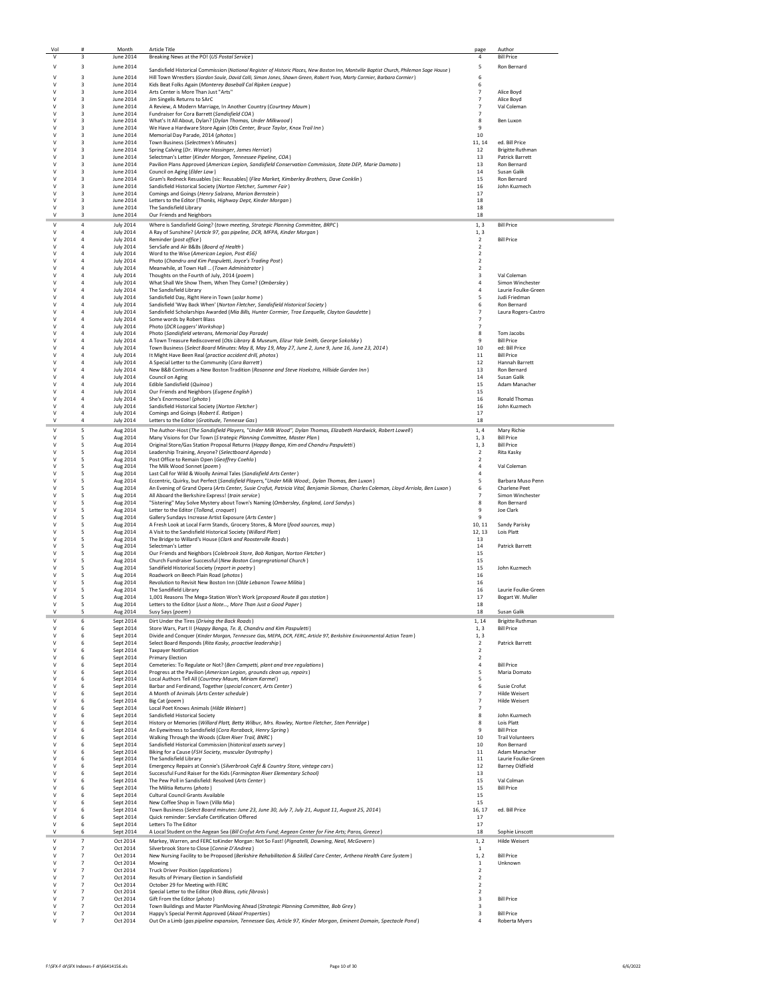| Vol<br>٧         | $\overline{\mathbf{3}}$                            | Month<br>June 2014                   | <b>Article Title</b>                                                                                                                                                                  | page<br>$\overline{4}$                     | Author                                            |
|------------------|----------------------------------------------------|--------------------------------------|---------------------------------------------------------------------------------------------------------------------------------------------------------------------------------------|--------------------------------------------|---------------------------------------------------|
| v                | 3                                                  |                                      | Breaking News at the PO! (US Postal Service)                                                                                                                                          |                                            | <b>Bill Price</b><br>Ron Bernard                  |
|                  |                                                    | June 2014                            | Sandisfield Historical Commission (National Register of Historic Places, New Boston Inn, Montville Baptist Church, Philemon Sage House)                                               | 5                                          |                                                   |
| ٧<br>٧           | $\overline{\mathbf{3}}$<br>$\overline{\mathbf{3}}$ | June 2014<br>June 2014               | Hill Town Wrestlers (Gordon Soule, David Colli, Simon Jones, Shawn Green, Robert Yvon, Marty Cormier, Barbara Cormier)<br>Kids Beat Folks Again (Monterey Baseball Cal Ripken League) | 6<br>6                                     |                                                   |
| v                | 3                                                  | June 2014                            | Arts Center is More Than Just "Arts"                                                                                                                                                  | 7                                          | Alice Boyd                                        |
| v<br>v           | 3<br>3                                             | June 2014<br>June 2014               | Jim Singelis Returns to SArC<br>A Review, A Modern Marriage, In Another Country (Courtney Maum)                                                                                       | $\overline{7}$<br>$\overline{7}$           | Alice Boyd<br>Val Coleman                         |
| v                | 3                                                  | June 2014                            | Fundraiser for Cora Barrett (Sandisfield COA)                                                                                                                                         | $\overline{7}$                             |                                                   |
| ٧                | $\overline{\mathbf{3}}$<br>$\overline{\mathbf{3}}$ | June 2014<br>June 2014               | What's It All About, Dylan? (Dylan Thomas, Under Milkwood)<br>We Have a Hardware Store Again (Otis Center, Bruce Taylor, Knox Trail Inn)                                              | 8<br>9                                     | Ben Luxon                                         |
| v                | $\overline{\mathbf{3}}$                            | June 2014                            | Memorial Day Parade, 2014 (photos)                                                                                                                                                    | 10                                         |                                                   |
| v                | 3                                                  | June 2014                            | Town Business (Selectmen's Minutes)                                                                                                                                                   | 11, 14                                     | ed. Bill Price                                    |
| v<br>v           | 3<br>3                                             | June 2014<br>June 2014               | Spring Calving (Dr. Wayne Hassinger, James Herriot)<br>Selectman's Letter (Kinder Morgan, Tennessee Pipeline, COA)                                                                    | 12<br>13                                   | <b>Brigitte Ruthman</b><br><b>Patrick Barrett</b> |
| v                | 3                                                  | June 2014                            | Pavilion Plans Approved (American Legion, Sandisfield Conservation Commission, State DEP, Marie Damato)                                                                               | 13                                         | Ron Bernard                                       |
| ٧<br>v           | 3<br>3                                             | June 2014<br>June 2014               | Council on Aging (Elder Law)<br>Gram's Redneck Resuables [sic: Reusables] (Flea Market, Kimberley Brothers, Dave Conklin)                                                             | 14<br>15                                   | Susan Galik<br>Ron Bernard                        |
| v                | 3                                                  | June 2014                            | Sandisfield Historical Society (Norton Fletcher, Summer Fair)                                                                                                                         | 16                                         | John Kuzmech                                      |
| v<br>v           | 3<br>3                                             | June 2014<br>June 2014               | Comings and Goings (Henry Salzano, Marion Bernstein)<br>Letters to the Editor (Thanks, Highway Dept, Kinder Morgan)                                                                   | 17<br>18                                   |                                                   |
| ٧                | 3                                                  | June 2014                            | The Sandisfield Library                                                                                                                                                               | 18                                         |                                                   |
| ٧                | $\overline{\mathbf{3}}$                            | June 2014                            | Our Friends and Neighbors                                                                                                                                                             | 18                                         |                                                   |
| ٧<br>٧           | $\overline{4}$<br>$\overline{4}$                   | <b>July 2014</b><br><b>July 2014</b> | Where is Sandisfield Going? (town meeting, Strategic Planning Committee, BRPC)                                                                                                        | 1.3                                        | <b>Bill Price</b>                                 |
| v                | 4                                                  | <b>July 2014</b>                     | A Ray of Sunshine? (Article 97, gas pipeline, DCR, MFPA, Kinder Morgan)<br>Reminder (post office)                                                                                     | 1, 3<br>$\overline{2}$                     | <b>Bill Price</b>                                 |
| v                | 4                                                  | <b>July 2014</b>                     | ServSafe and Air B&Bs (Board of Health)                                                                                                                                               | $\overline{2}$                             |                                                   |
| v<br>V           | $\overline{a}$<br>$\overline{4}$                   | <b>July 2014</b><br><b>July 2014</b> | Word to the Wise (American Legion, Post 456)<br>Photo (Chandru and Kim Paspuletti, Joyce's Trading Post)                                                                              | $\overline{2}$<br>$\overline{2}$           |                                                   |
| V                | $\overline{4}$                                     | <b>July 2014</b>                     | Meanwhile, at Town Hall  (Town Administrator)                                                                                                                                         | $\overline{2}$                             |                                                   |
| ٧                | 4                                                  | <b>July 2014</b><br><b>July 2014</b> | Thoughts on the Fourth of July, 2014 (poem)<br>What Shall We Show Them, When They Come? (Ombersley)                                                                                   | 3                                          | Val Coleman<br>Simon Winchester                   |
| v                | $\overline{4}$                                     | <b>July 2014</b>                     | The Sandisfield Library                                                                                                                                                               | 4                                          | Laurie Foulke-Green                               |
| v<br>$\vee$      | $\overline{a}$                                     | <b>July 2014</b>                     | Sandisfield Day, Right Here in Town (solar home)                                                                                                                                      | 5<br>6                                     | Judi Friedman                                     |
| v                | $\overline{a}$<br>$\overline{4}$                   | <b>July 2014</b><br><b>July 2014</b> | Sandisfield 'Way Back When' (Norton Fletcher, Sandisfield Historical Society)<br>Sandisfield Scholarships Awarded (Mia Bills, Hunter Cormier, Trae Ezequelle, Clayton Gaudette)       | $\overline{7}$                             | Ron Bernard<br>Laura Rogers-Castro                |
| ٧                | $\overline{4}$                                     | <b>July 2014</b>                     | Some words by Robert Blass                                                                                                                                                            |                                            |                                                   |
| V<br>v           | $\overline{4}$<br>$\overline{4}$                   | <b>July 2014</b><br><b>July 2014</b> | Photo (DCR Loggers' Workshop)<br>Photo (Sandisfield veterans, Memorial Day Parade)                                                                                                    | 8                                          | Tom Jacobs                                        |
| v                | 4                                                  | <b>July 2014</b>                     | A Town Treasure Rediscovered (Otis Library & Museum, Elizur Yale Smith, George Sokolsky)                                                                                              | 9                                          | <b>Bill Price</b>                                 |
| v<br>v           | $\overline{4}$                                     | <b>July 2014</b>                     | Town Business (Select Board Minutes: May 8, May 19, May 27, June 2, June 9, June 16, June 23, 2014)                                                                                   | 10                                         | ed: Bill Price                                    |
|                  | $\overline{4}$                                     | <b>July 2014</b><br><b>July 2014</b> | It Might Have Been Real (practice accident drill, photos)<br>A Special Letter to the Community (Cora Barrett)                                                                         | 11<br>12                                   | <b>Bill Price</b><br>Hannah Barrett               |
| ٧                | 4                                                  | <b>July 2014</b>                     | New B&B Continues a New Boston Tradition (Rosanne and Steve Hoekstra, Hillside Garden Inn)                                                                                            | 13                                         | Ron Bernard                                       |
| v<br>$\vee$      | $\overline{4}$<br>$\overline{4}$                   | <b>July 2014</b><br><b>July 2014</b> | Council on Aging<br>Edible Sandisfield (Quinoa)                                                                                                                                       | 14<br>15                                   | Susan Galik<br>Adam Manacher                      |
| v                | $\overline{a}$                                     | <b>July 2014</b>                     | Our Friends and Neighbors (Eugene English)                                                                                                                                            | 15                                         |                                                   |
| ٧                | $\overline{4}$                                     | <b>July 2014</b>                     | She's Enormoose! (photo)                                                                                                                                                              | 16                                         | <b>Ronald Thomas</b>                              |
| v<br>V           | $\overline{4}$<br>$\overline{4}$                   | <b>July 2014</b><br><b>July 2014</b> | Sandisfield Historical Society (Norton Fletcher)<br>Comings and Goings (Robert E. Ratigan)                                                                                            | 16<br>17                                   | John Kuzmech                                      |
| V                | $\overline{4}$                                     | <b>July 2014</b>                     | Letters to the Editor (Gratitude, Tennesse Gas)                                                                                                                                       | 18                                         |                                                   |
| ٧                | 5                                                  | Aug 2014                             | The Author-Host (The Sandisfield Players, "Under Milk Wood", Dylan Thomas, Elizabeth Hardwick, Robert Lowell)                                                                         | 1, 4                                       | Mary Richie                                       |
| v<br>V           | 5<br>5                                             | Aug 2014                             | Many Visions for Our Town (S trategic Planning Committee, Master Plan)                                                                                                                | 1, 3<br>1, 3                               | <b>Bill Price</b><br><b>Bill Price</b>            |
| $\vee$           | 5                                                  | Aug 2014<br>Aug 2014                 | Original Store/Gas Station Proposal Returns (Happy Banga, Kim and Chandru Paspuletti)<br>Leadership Training, Anyone? (Selectboard Agenda)                                            | $\overline{2}$                             | Rita Kasky                                        |
| V                | 5                                                  | Aug 2014                             | Post Office to Remain Open (Geoffrey Coehlo)                                                                                                                                          | $\overline{2}$                             |                                                   |
| v<br>٧           | 5<br>5                                             | Aug 2014<br>Aug 2014                 | The Milk Wood Sonnet (poem)<br>Last Call for Wild & Woolly Animal Tales (Sandisfield Arts Center)                                                                                     | $\overline{4}$<br>4                        | Val Coleman                                       |
| v                | 5                                                  | Aug 2014                             | Eccentric, Quirky, but Perfect (Sandisfield Players,"Under Milk Wood:, Dylan Thomas, Ben Luxon)                                                                                       | 5                                          | Barbara Muso Penn                                 |
| v<br>v           | 5                                                  | Aug 2014                             | An Evening of Grand Opera (Arts Center, Susie Crofut, Patricia Vital, Benjamin Sloman, Charles Coleman, Lloyd Arriola, Ben Luxon)                                                     | 6<br>$\overline{7}$                        | Charlene Peet                                     |
| v                | 5<br>5                                             | Aug 2014<br>Aug 2014                 | All Aboard the Berkshire Express! (train service)<br>"Sistering" May Solve Mystery about Town's Naming (Ombersley, England, Lord Sandys)                                              | 8                                          | Simon Winchester<br>Ron Bernard                   |
| v                | 5                                                  | Aug 2014                             | Letter to the Editor (Tolland, croquet)                                                                                                                                               | 9                                          | Joe Clark                                         |
| ٧                | 5<br>5                                             | Aug 2014<br>Aug 2014                 | Gallery Sundays Increase Artist Exposure (Arts Center)<br>A Fresh Look at Local Farm Stands, Grocery Stores, & More (food sources, map)                                               | 9<br>10, 11                                | Sandy Parisky                                     |
| v                | 5                                                  | Aug 2014                             | A Visit to the Sandisfield Historical Society (Willard Platt)                                                                                                                         | 12, 13                                     | Lois Platt                                        |
| v                | 5                                                  | Aug 2014                             | The Bridge to Willard's House (Clark and Roosterville Roads)                                                                                                                          | 13                                         |                                                   |
| $\vee$<br>v      | 5<br>5                                             | Aug 2014<br>Aug 2014                 | Selectman's Letter<br>Our Friends and Neighbors (Colebrook Store, Bob Ratigan, Norton Fletcher)                                                                                       | 14<br>15                                   | <b>Patrick Barrett</b>                            |
| ٧                | 5                                                  | Aug 2014                             | Church Fundraiser Successful (New Boston Congregrational Church)                                                                                                                      | 15                                         |                                                   |
| V<br>v           | 5<br>5                                             | Aug 2014<br>Aug 2014                 | Sandifield Historical Society (report in poetry)<br>Roadwork on Beech Plain Road (photos)                                                                                             | 15<br>16                                   | John Kuzmech                                      |
| $\vee$           | 5                                                  | Aug 2014                             | Revolution to Revisit New Boston Inn (Olde Lebanon Towne Militia)                                                                                                                     | 16                                         |                                                   |
| V<br>v           | 5<br>5                                             | Aug 2014<br>Aug 2014                 | The Sandifield Library<br>1,001 Reasons The Mega-Station Won't Work (proposed Route 8 gas station)                                                                                    | 16<br>17                                   | Laurie Foulke-Green<br>Bogart W. Muller           |
| V                | 5                                                  | Aug 2014                             | Letters to the Editor (Just a Note, More Than Just a Good Paper)                                                                                                                      | 18                                         |                                                   |
|                  |                                                    | Aug 2014                             | Susy Says (poem)                                                                                                                                                                      | 18                                         | Susan Galik                                       |
| V<br>٧           | 6<br>6                                             | Sept 2014<br>Sept 2014               | Dirt Under the Tires (Driving the Back Roads)<br>Store Wars, Part II (Happy Banga, Te. 8, Chandru and Kim Paspuletti)                                                                 | 1, 14                                      | <b>Brigitte Ruthman</b><br><b>Bill Price</b>      |
| v                | 6                                                  | Sept 2014                            | Divide and Conquer (Kinder Morgan, Tennessee Gas, MEPA, DCR, FERC, Article 97, Berkshire Environmental Action Team)                                                                   | 1, 3<br>1, 3                               |                                                   |
| v                | 6                                                  | Sept 2014                            | Select Board Responds (Rita Kasky, proactive leadership)                                                                                                                              | $\overline{2}$                             | Patrick Barrett                                   |
| $\vee$<br>V      | 6<br>6                                             | Sept 2014<br>Sept 2014               | <b>Taxpaver Notification</b><br><b>Primary Election</b>                                                                                                                               | $\overline{\phantom{a}}$<br>$\overline{2}$ |                                                   |
| ٧                | 6                                                  | Sept 2014                            | Cemeteries: To Regulate or Not? (Ben Campetti, plant and tree regulations)                                                                                                            | $\overline{4}$                             | <b>Bill Price</b>                                 |
| ٧<br>$\vee$      | 6<br>6                                             | Sept 2014<br>Sept 2014               | Progress at the Pavilion (American Legion, grounds clean up, repairs)<br>Local Authors Tell All (Courtney Maum, Miriam Karmel)                                                        | 5<br>5                                     | Maria Domato                                      |
| $\vee$           | 6                                                  | Sept 2014                            | Barbar and Ferdinand, Together (special concert, Arts Center)                                                                                                                         | 6                                          | Susie Crofut                                      |
| v<br>v           | 6<br>6                                             | Sept 2014<br>Sept 2014               | A Month of Animals (Arts Center schedule)<br>Big Cat (poem)                                                                                                                           | $\overline{7}$<br>$\overline{7}$           | <b>Hilde Weisert</b><br>Hilde Weisert             |
| v                | 6                                                  | Sept 2014                            | Local Poet Knows Animals (Hilde Weisert)                                                                                                                                              | $\overline{7}$                             |                                                   |
| ٧                | 6                                                  | Sept 2014                            | Sandisfield Historical Society                                                                                                                                                        | 8                                          | John Kuzmech                                      |
| v<br>$\vee$      | 6<br>6                                             | Sept 2014<br>Sept 2014               | History or Memories (Willard Platt, Betty Wilbur, Mrs. Rowley, Norton Fletcher, Sten Penridge)<br>An Eyewitness to Sandisfield (Cora Roraback, Henry Spring)                          | 8<br>9                                     | Lois Platt<br><b>Bill Price</b>                   |
| v                | 6                                                  | Sept 2014                            | Walking Through the Woods (Clam River Trail, BNRC)                                                                                                                                    | 10                                         | <b>Trail Volunteers</b>                           |
| v<br>V           | 6                                                  | Sept 2014                            | Sandisfield Historical Commission (historical assets survey)                                                                                                                          | 10                                         | Ron Bernard                                       |
|                  | 6<br>6                                             | Sept 2014<br>Sept 2014               | Biking for a Cause (FSH Society, muscular Dystrophy)<br>The Sandisfield Library                                                                                                       | 11<br>11                                   | Adam Manacher<br>Laurie Foulke-Green              |
| ٧                | 6                                                  | Sept 2014                            | Emergency Repairs at Connie's (Silverbrook Café & Country Store, vintage cars)                                                                                                        | 12                                         | <b>Barney Oldfield</b>                            |
| v<br>v           | 6<br>6                                             | Sept 2014<br>Sept 2014               | Successful Fund Raiser for the Kids (Farmington River Elementary School)<br>The Pew Poll in Sandisfield: Resolved (Arts Center)                                                       | 13<br>15                                   | Val Colman                                        |
| v                | 6                                                  | Sept 2014                            | The Militia Returns (photo)                                                                                                                                                           | 15                                         | <b>Bill Price</b>                                 |
| v<br>٧           | 6<br>6                                             | Sept 2014<br>Sept 2014               | Cultural Council Grants Available<br>New Coffee Shop in Town (Villa Mia)                                                                                                              | 15<br>15                                   |                                                   |
| V                | 6                                                  | Sept 2014                            | Town Business (Select Board minutes: June 23, June 30, July 7, July 21, August 11, August 25, 2014)                                                                                   | 16, 17                                     | ed. Bill Price                                    |
| v                | 6                                                  | Sept 2014                            | Quick reminder: ServSafe Certification Offered                                                                                                                                        | 17                                         |                                                   |
| $\vee$<br>v      | 6<br>6                                             | Sept 2014<br>Sept 2014               | Letters To The Editor<br>A Local Student on the Aegean Sea (Bill Crofut Arts Fund; Aegean Center for Fine Arts; Paros, Greece)                                                        | 17<br>18                                   | Sophie Linscott                                   |
| v                | $\overline{7}$                                     | Oct 2014                             | Markey, Warren, and FERC toKinder Morgan: Not So Fast! (Pignatelli, Downing, Neal, McGovern)                                                                                          | 1, 2                                       | Hilde Weisert                                     |
| v                | $\overline{7}$                                     | Oct 2014                             | Silverbrook Store to Close (Connie D'Andrea)                                                                                                                                          | 1                                          |                                                   |
| V<br>٧           | $\overline{7}$<br>$\overline{7}$                   | Oct 2014<br>Oct 2014                 | New Nursing Facility to be Proposed (Berkshire Rehabilitation & Skilled Care Center, Arthena Health Care System)<br>Mowing                                                            | 1, 2<br>$1\,$                              | <b>Bill Price</b><br>Unknown                      |
| V                | $\overline{7}$                                     | Oct 2014                             | Truck Driver Position (applications)                                                                                                                                                  | $\overline{2}$                             |                                                   |
| v                | $\overline{7}$                                     | Oct 2014                             | Results of Primary Election in Sandisfield                                                                                                                                            | $\overline{2}$                             |                                                   |
| $\vee$<br>$\vee$ | $\overline{7}$<br>$\overline{7}$                   | Oct 2014<br>Oct 2014                 | October 29 for Meeting with FERC<br>Special Letter to the Editor (Rob Blass, cytic fibrosis)                                                                                          | $\overline{2}$<br>$\overline{2}$           |                                                   |
| V                | $\overline{7}$                                     | Oct 2014                             | Gift From the Editor (photo)                                                                                                                                                          | $\overline{\mathbf{3}}$                    | <b>Bill Price</b>                                 |
| ٧<br>٧           | $\overline{7}$<br>$\overline{7}$                   | Oct 2014<br>Oct 2014                 | Town Buildings and Master PlanMoving Ahead (Strategic Planning Committee, Bob Grey)<br>Happy's Special Permit Approved (Akaal Properties)                                             | $\overline{\mathbf{3}}$<br>3               | <b>Bill Price</b>                                 |
| V                | 7                                                  | Oct 2014                             | Out On a Limb (gas pipeline expansion, Tennessee Gas, Article 97, Kinder Morgan, Eminent Domain, Spectacle Pond)                                                                      | 4                                          | Roberta Myers                                     |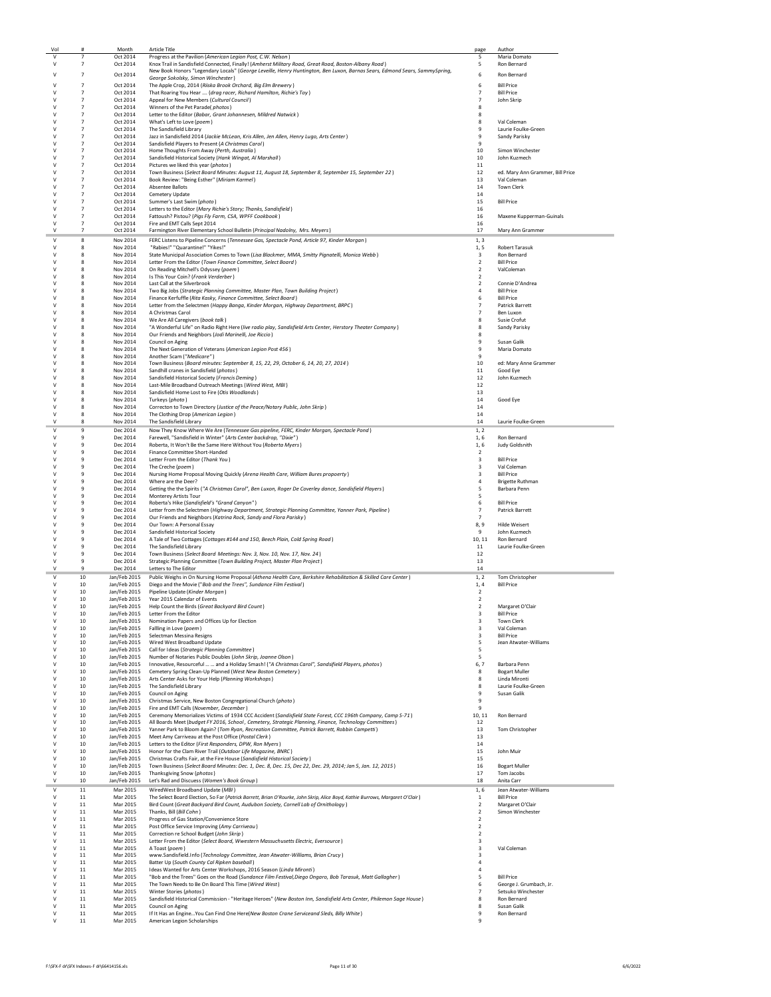| Vol         | #                                | Month                        | <b>Article Title</b>                                                                                                                                                                    | page                             | Author                                     |
|-------------|----------------------------------|------------------------------|-----------------------------------------------------------------------------------------------------------------------------------------------------------------------------------------|----------------------------------|--------------------------------------------|
| v           | $\overline{7}$                   | Oct 2014                     | Progress at the Pavilion (American Legion Post, C.W. Nelson)                                                                                                                            | 5                                | Maria Domato                               |
| v           | $\overline{7}$                   | Oct 2014                     | Knox Trail in Sandisfield Connected, Finally! (Amherst Military Road, Great Road, Boston-Albany Road)                                                                                   | 5                                | Ron Bernard                                |
| ٧           | $\overline{7}$                   | Oct 2014                     | New Book Honors "Legendary Locals" (George Leveille, Henry Huntington, Ben Luxon, Barnas Sears, Edmond Sears, SammySpring,                                                              | 6                                | Ron Bernard                                |
|             |                                  |                              | George Sokolsky, Simon Winchester)                                                                                                                                                      |                                  |                                            |
| ٧           | 7                                | Oct 2014                     | The Apple Crop, 2014 (Riiska Brook Orchard, Big Elm Brewery)                                                                                                                            | $\boldsymbol{6}$                 | <b>Bill Price</b>                          |
| ٧<br>v      | $\overline{7}$<br>$\overline{7}$ | Oct 2014                     | That Roaring You Hear  (drag racer, Richard Hamilton, Richie's Toy)                                                                                                                     | $\overline{7}$<br>$\overline{7}$ | <b>Bill Price</b>                          |
| v           | $\overline{7}$                   | Oct 2014<br>Oct 2014         | Appeal for New Members (Cultural Council)<br>Winners of the Pet Paradel photos)                                                                                                         | 8                                | John Skrip                                 |
| v           | $\overline{7}$                   | Oct 2014                     | Letter to the Editor (Babar, Grant Johannesen, Mildred Natwick)                                                                                                                         | 8                                |                                            |
|             | $\overline{7}$                   | Oct 2014                     | What's Left to Love (poem)                                                                                                                                                              | 8                                | Val Coleman                                |
| ٧           | $\overline{7}$                   | Oct 2014                     | The Sandisfield Library                                                                                                                                                                 | 9                                | Laurie Foulke-Green                        |
| v           | $\overline{7}$                   | Oct 2014                     | Jazz in Sandisfield 2014 (Jackie McLean, Kris Allen, Jen Allen, Henry Lugo, Arts Center)                                                                                                | 9                                | Sandy Parisky                              |
| v           | $\overline{7}$                   | Oct 2014                     | Sandisfield Players to Present (A Christmas Carol)                                                                                                                                      | $\mathbf{q}$                     |                                            |
| v           | $\overline{7}$                   | Oct 2014                     | Home Thoughts From Away (Perth, Australia)                                                                                                                                              | 10                               | Simon Winchester                           |
| V           | $\overline{7}$                   | Oct 2014                     | Sandisfield Historical Society (Hank Wingat, Al Marshall)                                                                                                                               | 10                               | John Kuzmech                               |
| V           | $\overline{7}$                   | Oct 2014                     | Pictures we liked this year (photos)                                                                                                                                                    | 11                               |                                            |
| ٧           | $\overline{7}$                   | Oct 2014                     | Town Business (Select Board Minutes: August 11, August 18, September 8, September 15, September 22)                                                                                     | 12                               | ed. Mary Ann Grammer, Bill Price           |
| ٧           | $\overline{7}$                   | Oct 2014                     | Book Review: "Being Esther" (Miriam Karmel)                                                                                                                                             | 13                               | Val Coleman                                |
| ٧<br>v      | $\overline{7}$<br>$\overline{7}$ | Oct 2014                     | Absentee Ballots<br>Cemetery Update                                                                                                                                                     | 14<br>14                         | Town Clerk                                 |
| v           | $\overline{7}$                   | Oct 2014<br>Oct 2014         | Summer's Last Swim (photo)                                                                                                                                                              | 15                               | <b>Bill Price</b>                          |
| v           | $\overline{7}$                   | Oct 2014                     | Letters to the Editor (Mary Richie's Story; Thanks, Sandisfield)                                                                                                                        | 16                               |                                            |
|             | $\overline{7}$                   | Oct 2014                     | Fattoush? Pistou? (Pigs Fly Farm, CSA, WPFF Cookbook)                                                                                                                                   | 16                               | Maxene Kupperman-Guinals                   |
| ٧           | $\overline{7}$                   | Oct 2014                     | Fire and EMT Calls Sept 2014                                                                                                                                                            | 16                               |                                            |
| $\vee$      | $\overline{7}$                   | Oct 2014                     | Farmington River Elementary School Bulletin (Principal Nadolny, Mrs. Meyers)                                                                                                            | 17                               | Mary Ann Grammer                           |
| ٧           | 8                                | Nov 2014                     | FERC Listens to Pipeline Concerns (Tennessee Gas, Spectacle Pond, Article 97, Kinder Morgan)                                                                                            | 1, 3                             |                                            |
| ٧           | 8                                | Nov 2014                     | "Rabies!" "Quarantine!" "Yikes!"                                                                                                                                                        | 1, 5                             | <b>Robert Tarasuk</b>                      |
| v           | 8                                | Nov 2014                     | State Municipal Association Comes to Town (Lisa Blackmer, MMA, Smitty Pignatelli, Monica Webb)                                                                                          | 3                                | Ron Bernard                                |
| v           | -8                               | Nov 2014                     | Letter From the Editor (Town Finance Committee, Select Board)                                                                                                                           | $\overline{2}$                   | <b>Bill Price</b>                          |
| v           | 8                                | Nov 2014                     | On Reading Mitchell's Odyssey (poem)                                                                                                                                                    | $\overline{2}$                   | ValColeman                                 |
|             | 8                                | Nov 2014                     | Is This Your Coin? (Frank Verderber)                                                                                                                                                    | $\overline{2}$                   |                                            |
| ٧           | 8                                | Nov 2014                     | Last Call at the Silverbrook                                                                                                                                                            | $\overline{2}$                   | Connie D'Andrea                            |
| v           | 8                                | Nov 2014                     | Two Big Jobs (Strategic Planning Committee, Master Plan, Town Building Project)                                                                                                         | $\overline{4}$                   | <b>Bill Price</b>                          |
| v           | 8                                | Nov 2014                     | Finance Kerfuffle (Rita Kasky, Finance Committee, Select Board)                                                                                                                         | 6                                | <b>Bill Price</b>                          |
| v<br>v      | 8<br>8                           | Nov 2014<br>Nov 2014         | Letter from the Selectmen (Happy Banga, Kinder Morgan, Highway Department, BRPC)<br>A Christmas Carol                                                                                   | $\overline{7}$<br>$\overline{7}$ | <b>Patrick Barrett</b><br>Ben Luxon        |
| ٧           | 8                                | Nov 2014                     | We Are All Caregivers (book talk)                                                                                                                                                       | 8                                | Susie Crofut                               |
| ٧           | 8                                | Nov 2014                     | "A Wonderful Life" on Radio Right Here (live radio play, Sandisfield Arts Center, Herstory Theater Company)                                                                             | 8                                | Sandy Parisky                              |
| ٧           | 8                                | Nov 2014                     | Our Friends and Neighbors (Jodi Marinelli, Joe Riccio)                                                                                                                                  | 8                                |                                            |
| v           | 8                                | Nov 2014                     | Council on Aging                                                                                                                                                                        | 9                                | Susan Galik                                |
| v           | 8                                | Nov 2014                     | The Next Generation of Veterans (American Legion Post 456)                                                                                                                              | 9                                | Maria Domato                               |
| v           | -8                               | Nov 2014                     | Another Scam ("Medicare")                                                                                                                                                               | 9                                |                                            |
|             | 8                                | Nov 2014                     | Town Business (Board minutes: September 8, 15, 22, 29, October 6, 14, 20, 27, 2014)                                                                                                     | 10                               | ed: Mary Anne Grammer                      |
| ٧           | 8                                | Nov 2014                     | Sandhill cranes in Sandisfield (photos)                                                                                                                                                 | 11                               | Good Eye                                   |
| ٧           | 8                                | Nov 2014                     | Sandisfield Historical Society (Francis Deming)                                                                                                                                         | 12                               | John Kuzmech                               |
| v           | 8                                | Nov 2014                     | Last-Mile Broadband Outreach Meetings (Wired West, MBI)                                                                                                                                 | 12                               |                                            |
| v           | 8                                | Nov 2014                     | Sandisfield Home Lost to Fire (Otis Woodlands)                                                                                                                                          | 13                               |                                            |
| v           | 8                                | Nov 2014                     | Turkeys (photo)                                                                                                                                                                         | 14                               | Good Eve                                   |
| V           | 8                                | Nov 2014                     | Correcton to Town Directory (Justice of the Peace/Notary Public, John Skrip)                                                                                                            | 14                               |                                            |
| ٧<br>$\vee$ | 8<br>8                           | Nov 2014                     | The Clothing Drop (American Legion)                                                                                                                                                     | 14                               |                                            |
|             |                                  | Nov 2014                     | The Sandisfield Library                                                                                                                                                                 | 14                               | Laurie Foulke-Green                        |
| v           | 9                                | Dec 2014                     | Now They Know Where We Are (Tennessee Gas pipeline, FERC, Kinder Morgan, Spectacle Pond)                                                                                                | 1, 2                             |                                            |
| v<br>v      | ٩                                | Dec 2014                     | Farewell, "Sandisfield in Winter" (Arts Center backdrop, "Dixie")                                                                                                                       | 1,6                              | Ron Bernard                                |
| V           | 9<br>9                           | Dec 2014<br>Dec 2014         | Roberta, It Won't Be the Same Here Without You (Roberta Myers)<br>Finance Committee Short-Handed                                                                                        | 1.6<br>$\overline{2}$            | Judy Goldsnith                             |
| ٧           | 9                                | Dec 2014                     | Letter From the Editor (Thank You)                                                                                                                                                      | $\overline{\mathbf{3}}$          | <b>Bill Price</b>                          |
| v           | 9                                | Dec 2014                     | The Creche (poem)                                                                                                                                                                       | 3                                | Val Coleman                                |
| ٧           | 9                                | Dec 2014                     | Nursing Home Proposal Moving Quickly (Arena Health Care, William Bures propoerty)                                                                                                       | 3                                | <b>Bill Price</b>                          |
| v           | 9                                | Dec 2014                     | Where are the Deer?                                                                                                                                                                     | $\overline{4}$                   | <b>Brigette Ruthman</b>                    |
| v           | 9                                | Dec 2014                     | Getting the the Spirits ("A Christmas Carol", Ben Luxon, Roger De Coverley dance, Sandisfield Players)                                                                                  | 5                                | Barbara Penn                               |
| v           | 9                                | Dec 2014                     | <b>Monterey Artists Tour</b>                                                                                                                                                            | 5                                |                                            |
|             | 9                                | Dec 2014                     | Roberta's Hike (Sandisfield's "Grand Canyon")                                                                                                                                           | 6                                | <b>Bill Price</b>                          |
| ٧           | 9                                | Dec 2014                     | Letter from the Selectmen (Highway Department, Strategic Planning Committee, Yanner Park, Pipeline)                                                                                     | $\overline{7}$                   | Patrick Barrett                            |
| ٧           | 9                                | Dec 2014                     | Our Friends and Neighbors (Katrina Rock, Sandy and Flora Parisky)                                                                                                                       | $\overline{7}$                   |                                            |
| v           | ٩                                | Dec 2014                     | Our Town: A Personal Essay                                                                                                                                                              | 8,9                              | <b>Hilde Weisert</b>                       |
| v           | $\mathbf{q}$                     | Dec 2014                     | Sandisfield Historical Society                                                                                                                                                          | $\mathbf{q}$                     | John Kuzmech                               |
| $\vee$      | 9                                | Dec 2014                     | A Tale of Two Cottages (Cottages #144 and 150, Beech Plain, Cold Spring Road)                                                                                                           | 10, 11                           | Ron Bernard                                |
| ٧<br>٧      | 9<br>9                           | Dec 2014                     | The Sandisfield Library                                                                                                                                                                 | 11                               | Laurie Foulke-Green                        |
| V           | 9                                | Dec 2014<br>Dec 2014         | Town Business (Select Board Meetings: Nov. 3, Nov. 10, Nov. 17, Nov. 24)<br>Strategic Planning Committee (Town Building Project, Master Plan Project)                                   | 12<br>13                         |                                            |
| v           | ٩                                | Dec 2014                     | Letters to The Editor                                                                                                                                                                   | 14                               |                                            |
|             |                                  |                              |                                                                                                                                                                                         |                                  |                                            |
| v<br>V      | 10<br>10                         | Jan/Feb 2015<br>Jan/Feb 2015 | Public Weighs in On Nursing Home Proposal (Athena Health Care, Berkshire Rehabilitation & Skilled Care Center)<br>Diego and the Movie ("Bob and the Trees", Sundance Film Festival)     | 1, 2<br>1.4                      | Tom Christopher<br><b>Bill Price</b>       |
| ٧           | 10                               | Jan/Feb 2015                 | Pipeline Update (Kinder Morgan)                                                                                                                                                         | $\overline{2}$                   |                                            |
| V           | 10                               | Jan/Feb 2015                 | Year 2015 Calendar of Events                                                                                                                                                            | $\overline{2}$                   |                                            |
| $\vee$      | 10                               | Jan/Feb 2015                 | Help Count the Birds (Great Backyard Bird Count)                                                                                                                                        | $\overline{2}$                   | Margaret O'Clair                           |
| v           | 10                               | Jan/Feb 2015                 | Letter From the Editor                                                                                                                                                                  | 3                                | <b>Bill Price</b>                          |
| v           | 10                               | Jan/Feb 2015                 | Nomination Papers and Offices Up for Election                                                                                                                                           | 3                                | <b>Town Clerk</b>                          |
| v           | 10                               | Jan/Feb 2015                 | Fallling in Love (noem)                                                                                                                                                                 | $\overline{\mathbf{3}}$          | Val Coleman                                |
| V           | 10                               |                              | Jan/Feb 2015 Selectman Messina Resigns                                                                                                                                                  | $\overline{3}$                   | <b>Bill Price</b>                          |
| V           | 10                               |                              | Jan/Feb 2015 Wired West Broadband Update                                                                                                                                                | 5                                | Jean Atwater-Williams                      |
| v           | 10                               |                              | Jan/Feb 2015 Call for Ideas (Strategic Planning Committee)                                                                                                                              | 5                                |                                            |
| v<br>v      | 10<br>10                         | Jan/Feb 2015                 | Jan/Feb 2015 Number of Notaries Public Doubles (John Skrip, Joanne Olson)                                                                                                               | 5                                |                                            |
| v           | 10                               | Jan/Feb 2015                 | Innovative, Resourceful   and a Holiday Smash! ("A Christmas Carol", Sandsifield Players, photos)<br>Cemetery Spring Clean-Up Planned (West New Boston Cemetery)                        | 6, 7<br>8                        | Barbara Penn<br><b>Bogart Muller</b>       |
| v           | 10                               | Jan/Feb 2015                 | Arts Center Asks for Your Help (Planning Workshops)                                                                                                                                     | 8                                | Linda Mironti                              |
| V           | 10                               | Jan/Feb 2015                 | The Sandisfield Library                                                                                                                                                                 | 8                                | Laurie Foulke-Green                        |
| V           | 10                               | Jan/Feb 2015                 | Council on Aging                                                                                                                                                                        | 9                                | Susan Galik                                |
| V           | 10                               | Jan/Feb 2015                 | Christmas Service, New Boston Congregational Church (photo)                                                                                                                             | 9                                |                                            |
| v           | 10                               | Jan/Feb 2015                 | Fire and EMT Calls (November, December)                                                                                                                                                 | $\mathbf{q}$                     |                                            |
| v           | 10                               | Jan/Feb 2015                 | Ceremony Memorializes Victims of 1934 CCC Accident (Sandisfield State Forest, CCC 196th Company, Camp S-71)                                                                             | 10, 11                           | Ron Bernard                                |
| v           | 10                               | Jan/Feb 2015                 | All Boards Meet (budget FY 2016, School, Cemetery, Strategic Planning, Finance, Technology Committees)                                                                                  | 12                               |                                            |
| v           | 10                               | Jan/Feb 2015                 | Yanner Park to Bloom Again? (Tom Ryan, Recreation Committee, Patrick Barrett, Robbin Campetti)                                                                                          | 13                               | Tom Christopher                            |
| V           | 10                               | Jan/Feb 2015                 | Meet Amy Carriveau at the Post Office (Postal Clerk)                                                                                                                                    | 13                               |                                            |
| V<br>v      | 10<br>10                         | Jan/Feb 2015                 | Letters to the Editor (First Responders, DPW, Ron Myers)                                                                                                                                | 14                               |                                            |
| v           | 10                               | Jan/Feb 2015                 | Honor for the Clam River Trail (Outdoor Life Magazine, BNRC)                                                                                                                            | 15<br>15                         | John Muir                                  |
| v           | 10                               | Jan/Feb 2015<br>Jan/Feb 2015 | Christmas Crafts Fair, at the Fire House (Sandisfield Historical Society)<br>Town Business (Select Board Minutes: Dec. 1, Dec. 8, Dec. 15, Dec 22, Dec. 29, 2014; Jan 5, Jan. 12, 2015) | 16                               | <b>Bogart Muller</b>                       |
| V           | 10                               | Jan/Feb 2015                 | Thanksgiving Snow (photos)                                                                                                                                                              | 17                               | Tom Jacobs                                 |
| V           | 10                               | Jan/Feb 2015                 | Let's Rad and Discuess (Women's Book Group)                                                                                                                                             | 18                               | Anita Carr                                 |
| V           | 11                               |                              |                                                                                                                                                                                         |                                  |                                            |
| V           | 11                               | Mar 2015<br>Mar 2015         | WiredWest Broadband Update (MBI)<br>The Select Board Election, So Far (Patrick Barrett, Brian O'Rourke, John Skrip, Alice Boyd, Kathie Burrows, Margaret O'Clair)                       | 1,6<br>$1\,$                     | Jean Atwater-Williams<br><b>Bill Price</b> |
| ٧           | 11                               | Mar 2015                     | Bird Count (Great Backyard Bird Count, Audubon Society, Cornell Lab of Ornithology)                                                                                                     | $\overline{2}$                   | Margaret O'Clair                           |
| $\vee$      | 11                               | Mar 2015                     | Thanks, Bill (Bill Cohn)                                                                                                                                                                | $\overline{2}$                   | Simon Winchester                           |
| $\vee$      | 11                               | Mar 2015                     | Progress of Gas Station/Convenience Store                                                                                                                                               | $\overline{2}$                   |                                            |
| v           | $11\,$                           | Mar 2015                     | Post Office Service Improving (Amy Carriveau)                                                                                                                                           | $\overline{2}$                   |                                            |
| ٧           | 11                               | Mar 2015                     | Correction re School Budget (John Skrip)                                                                                                                                                | $\overline{2}$                   |                                            |
| ٧           | 11                               | Mar 2015                     | Letter From the Editor (Select Board, Wwestern Massuchusetts Electric, Eversource)                                                                                                      | $\overline{3}$                   |                                            |
| ٧           | $11\,$                           | Mar 2015                     | A Toast (poem)                                                                                                                                                                          | 3                                | Val Coleman                                |
| v           | 11                               | Mar 2015                     | www.Sandisfield.Info (Technology Committee, Jean Atwater-Williams, Brian Crucy)                                                                                                         | 3                                |                                            |
| $\vee$      | 11                               | Mar 2015                     | Batter Up (South County Cal Ripken baseball)                                                                                                                                            | $\overline{4}$                   |                                            |
| V           | 11                               | Mar 2015                     | Ideas Wanted for Arts Center Workshops, 2016 Season (Linda Mironti)                                                                                                                     | $\overline{4}$                   |                                            |
|             |                                  | Mar 2015                     | "Bob and the Trees" Goes on the Road (Sundance Film Festival, Diego Ongaro, Bob Tarasuk, Matt Gallagher)                                                                                | 5                                | <b>Bill Price</b>                          |
| ٧           | 11                               |                              |                                                                                                                                                                                         |                                  |                                            |
| ٧           | 11                               | Mar 2015                     | The Town Needs to Be On Board This Time (Wired West)                                                                                                                                    | 6                                | George J. Grumbach, Jr.                    |
| v<br>v      | 11                               | Mar 2015                     | Winter Stories (photos)                                                                                                                                                                 | $\overline{7}$                   | Setsuko Winchester                         |
| v           | 11<br>11                         | Mar 2015                     | Sandisfield Historical Commission - "Heritage Heroes" (New Boston Inn, Sandisfield Arts Center, Philemon Sage House)                                                                    | 8<br>$\mathbf{R}$                | Ron Bernard<br>Susan Galik                 |
| v           | 11                               | Mar 2015<br>Mar 2015         | Council on Aging<br>If It Has an Engine You Can Find One Here(New Boston Crane Serviceand Sleds, Billy White)                                                                           | 9                                | Ron Bernard                                |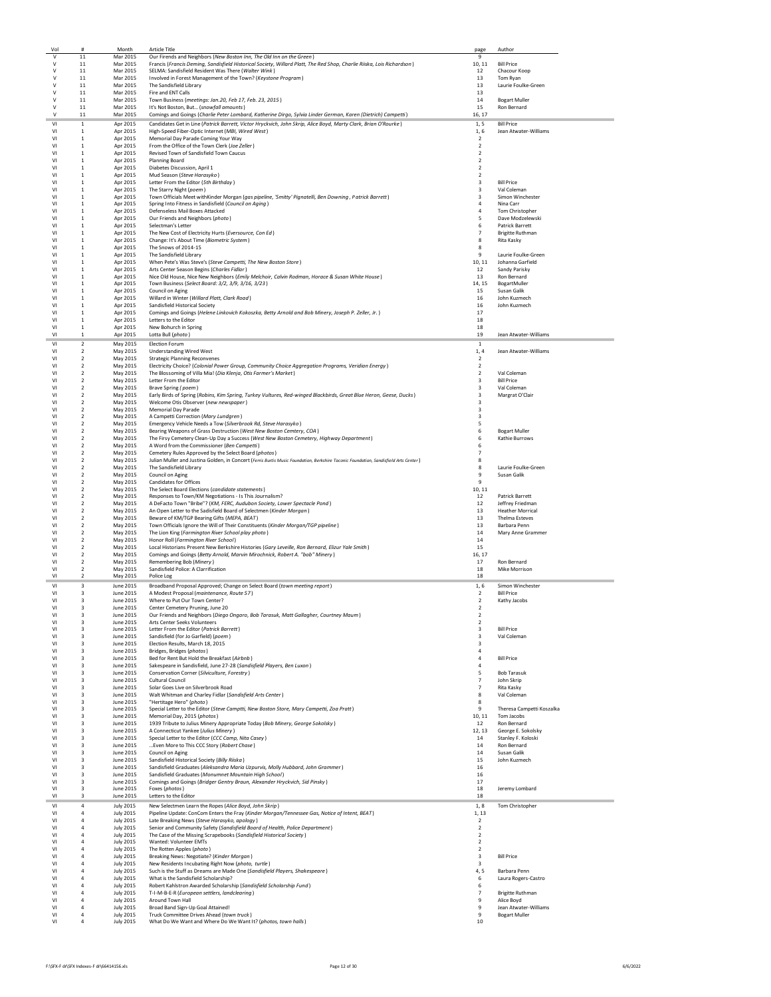|                      | #                                          | Month                                | <b>Article Title</b>                                                                                                                                                                           | page                             | Author                                 |
|----------------------|--------------------------------------------|--------------------------------------|------------------------------------------------------------------------------------------------------------------------------------------------------------------------------------------------|----------------------------------|----------------------------------------|
| $\mathsf{V}$<br>v    | 11<br>11                                   | Mar 2015<br>Mar 2015                 | Our Firends and Neighbors (New Boston Inn, The Old Inn on the Green)<br>Francis (Francis Deming, Sandisfield Historical Society, Willard Platt, The Red Shop, Charlie Riiska, Lois Richardson) | 9<br>10, 11                      | <b>Bill Price</b>                      |
| ٧                    | 11                                         | Mar 2015                             | SELMA: Sandisfield Resident Was There (Walter Wink)                                                                                                                                            | 12                               | Chacour Koop                           |
| v                    | 11                                         | Mar 2015                             | Involved in Forest Management of the Town? (Keystone Program)                                                                                                                                  | 13                               | Tom Ryan                               |
| v                    | 11                                         | Mar 2015                             | The Sandisfield Library                                                                                                                                                                        | 13                               | Laurie Foulke-Green                    |
| v                    | 11                                         | Mar 2015                             | Fire and ENT Calls                                                                                                                                                                             | 13                               |                                        |
| v<br>v               | 11<br>11                                   | Mar 2015<br>Mar 2015                 | Town Business (meetings: Jan.20, Feb 17, Feb. 23, 2015)<br>It's Not Boston, But (snowfall amounts)                                                                                             | 14<br>15                         | <b>Bogart Muller</b><br>Ron Bernard    |
|                      | $11\,$                                     | Mar 2015                             | Comings and Goings (Charlie Peter Lombard, Katherine Dirgo, Sylvia Linder German, Karen (Dietrich) Campetti)                                                                                   | 16, 17                           |                                        |
| VI                   | 1                                          | Apr 2015                             | Candidates Get in Line (Patrick Barrett, Victor Hryckvich, John Skrip, Alice Boyd, Marty Clark, Brian O'Rourke)                                                                                | 1, 5                             | <b>Bill Price</b>                      |
| VI                   | $\mathbf{1}$                               | Apr 2015                             | High-Speed Fiber-Optic Internet (MBI, Wired West)                                                                                                                                              | 1,6                              | Jean Atwater-Williams                  |
| VI                   | $\mathbf{1}$                               | Apr 2015                             | Memorial Day Parade Coming Your Way                                                                                                                                                            | $\overline{2}$                   |                                        |
| VI                   | $\mathbf{1}$                               | Apr 2015                             | From the Office of the Town Clerk (Joe Zeller)                                                                                                                                                 | $\overline{2}$                   |                                        |
| VI<br>VI             | $\mathbf{1}$<br>1                          | Apr 2015<br>Apr 2015                 | Revised Town of Sandisfield Town Caucus<br><b>Planning Board</b>                                                                                                                               | $\overline{2}$<br>$\overline{2}$ |                                        |
| VI                   | $\mathbf{1}$                               | Apr 2015                             | Diabetes Discussion, April 1                                                                                                                                                                   | $\overline{2}$                   |                                        |
| V <sub>1</sub>       | $\mathbf{1}$                               | Apr 2015                             | Mud Season (Steve Harasyko)                                                                                                                                                                    | $\overline{2}$                   |                                        |
| V <sub>1</sub>       | $\,1\,$                                    | Apr 2015                             | Letter From the Editor (5th Birthday)                                                                                                                                                          | 3                                | <b>Bill Price</b>                      |
| VI                   | $\mathbf{1}$                               | Apr 2015                             | The Starry Night (poem)                                                                                                                                                                        | $\overline{\mathbf{3}}$          | Val Coleman                            |
| VI<br>V <sub>1</sub> | 1<br>$\mathbf{1}$                          | Apr 2015<br>Apr 2015                 | Town Officials Meet withKinder Morgan (gas pipeline, 'Smitty' Pignatelli, Ben Downing, Patrick Barrett)<br>Spring Into Fitness in Sandisfield (Council on Aging)                               | 3<br>$\overline{a}$              | Simon Winchester<br>Nina Carr          |
| VI                   | $\mathbf{1}$                               | Apr 2015                             | Defenseless Mail Boxes Attacked                                                                                                                                                                | $\overline{4}$                   | Tom Christopher                        |
| VI                   | $\mathbf{1}$                               | Apr 2015                             | Our Friends and Neighbors (photo)                                                                                                                                                              | 5                                | Dave Modzelewski                       |
| VI                   | $\mathbf{1}$                               | Apr 2015                             | Selectman's Letter                                                                                                                                                                             | 6                                | Patrick Barrett                        |
| VI<br>VI             | $\mathbf{1}$<br>1                          | Apr 2015                             | The New Cost of Electricity Hurts (Eversource, Con Ed)                                                                                                                                         | 7                                | <b>Brigitte Ruthman</b>                |
| VI                   | 1                                          | Apr 2015<br>Apr 2015                 | Change: It's About Time (Biometric System)<br>The Snows of 2014-15                                                                                                                             | 8<br>8                           | Rita Kasky                             |
| V <sub>1</sub>       | 1                                          | Apr 2015                             | The Sandisfield Library                                                                                                                                                                        | 9                                | Laurie Foulke-Green                    |
| VI                   | $\mathbf{1}$                               | Apr 2015                             | When Pete's Was Steve's (Steve Campetti, The New Boston Store)                                                                                                                                 | 10, 11                           | Johanna Garfield                       |
| VI                   | $\mathbf{1}$                               | Apr 2015                             | Arts Center Season Begins (Charles Fidlar)                                                                                                                                                     | 12                               | Sandy Parisky                          |
| VI<br>VI             | $\mathbf{1}$<br>$\mathbf{1}$               | Apr 2015                             | Nice Old House, Nice New Neighbors (Emily Melchoir, Calvin Rodman, Horace & Susan White House)                                                                                                 | 13                               | Ron Bernard                            |
| VI                   | $\mathbf{1}$                               | Apr 2015<br>Apr 2015                 | Town Business (Select Board: 3/2, 3/9, 3/16, 3/23)<br>Council on Aging                                                                                                                         | 14, 15<br>15                     | BogartMuller<br>Susan Galik            |
| V <sub>1</sub>       | 1                                          | Apr 2015                             | Willard in Winter (Willard Platt, Clark Road)                                                                                                                                                  | 16                               | John Kuzmech                           |
| V <sub>1</sub>       | $\mathbf{1}$                               | Apr 2015                             | Sandisfield Historical Society                                                                                                                                                                 | 16                               | John Kuzmech                           |
| V <sub>1</sub>       | $\mathbf{1}$                               | Apr 2015                             | Comings and Goings (Helene Linkovich Kokoszka, Betty Arnold and Bob Minery, Joseph P. Zeller, Jr.)                                                                                             | 17                               |                                        |
| VI                   | $\mathbf{1}$                               | Apr 2015                             | Letters to the Editor                                                                                                                                                                          | 18                               |                                        |
| VI<br>VI             | $\,1\,$<br>$\mathbf{1}$                    | Apr 2015<br>Apr 2015                 | New Bohurch in Spring<br>Lotta Bull (photo)                                                                                                                                                    | 18<br>19                         | Jean Atwater-Williams                  |
| V <sub>1</sub>       |                                            |                                      | Election Forum                                                                                                                                                                                 |                                  |                                        |
| VI                   | $\overline{2}$<br>$\overline{\phantom{a}}$ | May 2015<br>May 2015                 | <b>Understanding Wired West</b>                                                                                                                                                                | -1<br>1, 4                       | Jean Atwater-Williams                  |
| VI                   | $\overline{2}$                             | May 2015                             | <b>Strategic Planning Reconvenes</b>                                                                                                                                                           | $\overline{2}$                   |                                        |
| V <sub>1</sub>       | $\overline{2}$                             | May 2015                             | Electricity Choice? (Colonial Power Group, Community Choice Aggregation Programs, Veridian Energy)                                                                                             | $\overline{2}$                   |                                        |
| VI                   | $\overline{2}$                             | May 2015                             | The Blossoming of Villa Mia! (Dia Klenja, Otis Farmer's Market)                                                                                                                                | $\overline{2}$                   | Val Coleman                            |
| VI                   | $\overline{2}$                             | May 2015                             | Letter From the Editor                                                                                                                                                                         | 3                                | <b>Bill Price</b>                      |
| VI<br>VI             | $\boldsymbol{2}$<br>$\overline{2}$         | May 2015<br>May 2015                 | Brave Spring (poem)<br>Early Birds of Spring (Robins, Kim Spring, Turkey Vultures, Red-winged Blackbirds, Great Blue Heron, Geese, Ducks)                                                      | 3<br>$\overline{\mathbf{3}}$     | Val Coleman<br>Margrat O'Clair         |
| VI                   | $\overline{2}$                             | May 2015                             | Welcome Otis Observer (new newspaper)                                                                                                                                                          | $\overline{3}$                   |                                        |
| VI                   | $\overline{2}$                             | May 2015                             | <b>Memorial Day Parade</b>                                                                                                                                                                     | $\overline{3}$                   |                                        |
| V <sub>1</sub>       | $\overline{2}$                             | May 2015                             | A Campetti Correction (Mary Lundgren)                                                                                                                                                          | $\overline{\mathbf{3}}$          |                                        |
| V <sub>1</sub>       | $\boldsymbol{2}$                           | May 2015                             | Emergency Vehicle Needs a Tow (Silverbrook Rd, Steve Harasyko)                                                                                                                                 | 5                                |                                        |
| V <sub>1</sub><br>VI | $\overline{2}$<br>$\overline{2}$           | May 2015<br>May 2015                 | Bearing Weapons of Grass Destruction (West New Boston Cemtery, COA)<br>The Firsy Cemetery Clean-Up Day a Success (West New Boston Cemetery, Highway Department)                                | 6<br>6                           | <b>Bogart Muller</b><br>Kathie Burrows |
| V <sub>1</sub>       | $\overline{2}$                             | May 2015                             | A Word from the Commissioner (Ben Campetti)                                                                                                                                                    | 6                                |                                        |
| VI                   | $\overline{2}$                             | May 2015                             | Cemetery Rules Approved by the Select Board (photos)                                                                                                                                           | $\overline{7}$                   |                                        |
| VI                   | $\overline{2}$                             | May 2015                             | Julian Muller and Justina Golden, in Concert (Ferris Burtis Music Foundation, Berkshire Taconic Foundation, Sandisfield Arts Center)                                                           | 8                                |                                        |
| VI                   | $\overline{2}$                             | May 2015                             | The Sandisfield Library                                                                                                                                                                        | 8                                | Laurie Foulke-Green                    |
| VI<br>VI             | $\boldsymbol{2}$<br>$\overline{2}$         | May 2015                             | Council on Aging<br><b>Candidates for Offices</b>                                                                                                                                              | 9<br>$\mathbf{q}$                | Susan Galik                            |
| VI                   | $\overline{2}$                             | May 2015<br>May 2015                 | The Select Board Elections (candidate statements)                                                                                                                                              | 10, 11                           |                                        |
| VI                   | $\overline{2}$                             | May 2015                             | Responses to Town/KM Negotiations - Is This Journalism?                                                                                                                                        | 12                               | <b>Patrick Barrett</b>                 |
| VI                   | $\overline{2}$                             | May 2015                             | A DeFacto Town "Bribe"? (KM, FERC, Audubon Society, Lower Spectacle Pond)                                                                                                                      | 12                               | Jeffrey Friedman                       |
| VI                   | $\overline{2}$                             | May 2015                             | An Open Letter to the Sadisfield Board of Selectmen (Kinder Morgan)                                                                                                                            | 13                               | <b>Heather Morrical</b>                |
| VI<br>VI             | $\boldsymbol{2}$<br>$\overline{2}$         | May 2015                             | Beware of KM/TGP Bearing Gifts (MEPA, BEAT)                                                                                                                                                    | 13<br>13                         | Thelma Esteves                         |
| VI                   | $\overline{2}$                             | May 2015<br>May 2015                 | Town Officials Ignore the Will of Their Constituents (Kinder Morgan/TGP pipeline)<br>The Lion King (Farmington River School play photo)                                                        | 14                               | Barbara Penn<br>Mary Anne Grammer      |
| V <sub>1</sub>       | $\overline{2}$                             | May 2015                             | Honor Roll (Farmington River School)                                                                                                                                                           | 14                               |                                        |
| V <sub>1</sub>       | $\overline{2}$                             | May 2015                             | Local Historians Present New Berkshire Histories (Gary Leveille, Ron Bernard, Elizur Yale Smith)                                                                                               | 15                               |                                        |
| V <sub>1</sub>       | $\overline{2}$                             | May 2015                             | Comings and Goings (Betty Arnold, Marvin Mirochnick, Robert A. "bob" Minery)                                                                                                                   | 16, 17                           |                                        |
| VI                   | $\boldsymbol{2}$                           | May 2015                             | Remembering Bob (Minery)                                                                                                                                                                       | 17                               | Ron Bernard                            |
| VI<br>VI             | $\overline{\mathbf{2}}$<br>$\mathcal{P}$   | May 2015<br>May 2015                 | Sandisfield Police: A Clarrification<br>Police Log                                                                                                                                             | 18                               | Mike Morrison                          |
| V <sub>1</sub>       |                                            |                                      |                                                                                                                                                                                                |                                  |                                        |
|                      |                                            |                                      |                                                                                                                                                                                                | 18                               | Simon Winchester                       |
|                      | 3                                          | June 2015                            | Broadband Proposal Approved; Change on Select Board (town meeting report)                                                                                                                      | 1,6                              |                                        |
| VI<br>V <sub>1</sub> | 3<br>3                                     | June 2015<br>June 2015               | A Modest Proposal (maintenance, Route 57)<br>Where to Put Our Town Center?                                                                                                                     | $\overline{2}$<br>$\overline{2}$ | <b>Bill Price</b><br>Kathy Jacobs      |
| V <sub>1</sub>       | $\overline{3}$                             | June 2015                            | Center Cemetery Pruning, June 20                                                                                                                                                               | $\overline{2}$                   |                                        |
| V <sub>1</sub>       | 3                                          | June 2015                            | Our Friends and Neighbors (Diego Ongaro, Bob Tarasuk, Matt Gallagher, Courtney Maum)                                                                                                           | $\mathbf 2$                      |                                        |
| VI                   | 3                                          | June 2015                            | Arts Center Seeks Volunteers                                                                                                                                                                   | $\mathbf 2$                      |                                        |
| VI<br>VI             | 3<br>3                                     | June 2015                            | Letter From the Editor (Patrick Barrett)                                                                                                                                                       | 3<br>$\overline{\mathbf{3}}$     | <b>Bill Price</b>                      |
| VI                   | 3                                          | June 2015<br>June 2015               | Sandisfield (for Jo Garfield) (poem)<br>Election Results, March 18, 2015                                                                                                                       | $\overline{\mathbf{3}}$          | Val Coleman                            |
| VI                   | 3                                          | June 2015                            | Bridges, Bridges (photos)                                                                                                                                                                      | $\overline{4}$                   |                                        |
| VI                   | 3                                          | June 2015                            | Bed for Rent But Hold the Breakfast (Airbnb)                                                                                                                                                   | $\overline{4}$                   | <b>Bill Price</b>                      |
| VI                   | 3                                          | June 2015                            | Sakespeare in Sandisfield, June 27-28 (Sandisfield Players, Ben Luxon)                                                                                                                         | $\overline{a}$                   |                                        |
| VI<br>VI             | 3<br>3                                     | June 2015<br>June 2015               | Conservation Corner (Silviculture, Forestry)<br>Cultural Council                                                                                                                               | 5<br>$\overline{7}$              | <b>Bob Tarasuk</b><br>John Skrip       |
| VI                   | 3                                          | June 2015                            | Solar Goes Live on Silverbrook Road                                                                                                                                                            | $\overline{7}$                   | <b>Rita Kasky</b>                      |
| VI                   | 3                                          | June 2015                            | Walt Whitman and Charley Fidlar (Sandisfield Arts Center)                                                                                                                                      | 8                                | Val Coleman                            |
| VI                   | 3                                          | June 2015                            | "Hertitage Hero" (photo)                                                                                                                                                                       | 8                                |                                        |
| VI                   | 3                                          | June 2015                            | Special Letter to the Editor (Steve Camptti, New Boston Store, Mary Campetti, Zoa Pratt)                                                                                                       | 9                                | Theresa Campetti Koszalka              |
| V <sub>1</sub><br>VI | 3<br>3                                     | June 2015<br>June 2015               | Memorial Day, 2015 (photos)<br>1939 Tribute to Julius Minery Appropriate Today (Bob Minery, George Sokolsky)                                                                                   | 10, 11<br>12                     | Tom Jacobs<br><b>Ron Bernard</b>       |
| VI                   | 3                                          | June 2015                            | A Connecticut Yankee (Julius Minery)                                                                                                                                                           | 12, 13                           | George E. Sokolsky                     |
| VI                   | 3                                          | June 2015                            | Special Letter to the Editor (CCC Camp. Nita Casev)                                                                                                                                            | 14                               | Stanley F. Koloski                     |
| VI                   | 3                                          | June 2015                            | Even More to This CCC Story (Robert Chase)                                                                                                                                                     | 14                               | Ron Bernard                            |
| VI                   | 3                                          | June 2015                            | Council on Aging                                                                                                                                                                               | 14                               | Susan Galik                            |
| V <sub>1</sub><br>VI | 3<br>3                                     | June 2015<br>June 2015               | Sandisfield Historical Society (Billy Riiska)                                                                                                                                                  | 15<br>16                         | John Kuzmech                           |
| V <sub>1</sub>       | $\overline{a}$                             | June 2015                            | Sandisfield Graduates (Aleksandra Maria Uzpurvis, Molly Hubbard, John Grammer)<br>Sandisfield Graduates (Monumnet Mountain High School)                                                        | 16                               |                                        |
| V <sub>1</sub>       | 3                                          | June 2015                            | Comings and Goings (Bridger Gentry Braun, Alexander Hryckvich, Sid Pinsky)                                                                                                                     | 17                               |                                        |
| V <sub>1</sub>       | 3                                          | June 2015                            | Foxes (photos)                                                                                                                                                                                 | 18                               | Jeremy Lombard                         |
| VI                   | 3                                          | June 2015                            | Letters to the Editor                                                                                                                                                                          | 18                               |                                        |
| V <sub>1</sub>       | $\overline{4}$                             | <b>July 2015</b>                     | New Selectmen Learn the Ropes (Alice Boyd, John Skrip)                                                                                                                                         | 1,8                              | Tom Christopher                        |
| VI                   | $\overline{4}$                             | <b>July 2015</b>                     | Pipeline Update: ConCom Enters the Fray (Kinder Morgan/Tennessee Gas, Notice of Intent, BEAT)                                                                                                  | 1, 13                            |                                        |
| V <sub>1</sub><br>VI | $\overline{a}$<br>$\overline{a}$           | <b>July 2015</b>                     | Late Breaking News (Steve Harasyko, apology)                                                                                                                                                   | 2                                |                                        |
| V <sub>1</sub>       | $\overline{a}$                             | <b>July 2015</b><br><b>July 2015</b> | Senior and Community Safety (Sandisfield Board of Health, Police Department)                                                                                                                   | $\overline{2}$<br>$\overline{2}$ |                                        |
| VI                   | $\overline{a}$                             | <b>July 2015</b>                     | The Case of the Missing Scrapebooks (Sandisfield Historical Society)<br>Wanted: Volunteer EMTs                                                                                                 | $\overline{2}$                   |                                        |
| VI                   | $\overline{a}$                             | <b>July 2015</b>                     | The Rotten Apples (photo)                                                                                                                                                                      | $\overline{2}$                   |                                        |
| VI                   | $\overline{4}$                             | <b>July 2015</b>                     | Breaking News: Negotiate? (Kinder Morgan)                                                                                                                                                      | 3                                | <b>Bill Price</b>                      |
| V <sub>1</sub>       | $\overline{4}$                             | <b>July 2015</b>                     | New Residents Incubating Right Now (photo, turtle)                                                                                                                                             | 3                                |                                        |
| V <sub>1</sub><br>VI | $\overline{4}$<br>$\overline{a}$           | <b>July 2015</b>                     | Such is the Stuff as Dreams are Made One (Sandisfield Players, Shakespeare)<br>What is the Sandisfield Scholarship?                                                                            | 4,5                              | Barbara Penn                           |
| VI                   | $\overline{a}$                             | <b>July 2015</b><br><b>July 2015</b> | Robert Kahlstron Awarded Scholarship (Sandisfield Scholarship Fund)                                                                                                                            | 6<br>6                           | Laura Rogers-Castro                    |
| VI                   | $\overline{a}$                             | <b>July 2015</b>                     | T-I-M-B-E-R (European settlers, landclearing)                                                                                                                                                  | $\overline{7}$                   | <b>Brigitte Ruthman</b>                |
| V <sub>1</sub>       | $\overline{4}$                             | <b>July 2015</b>                     | Around Town Hall                                                                                                                                                                               | 9                                | Alice Boyd                             |
| VI                   | $\overline{4}$                             | <b>July 2015</b>                     | Broad Band Sign-Up Goal Attained!                                                                                                                                                              | 9                                | Jean Atwater-Williams                  |
| VI<br>VI             | $\overline{4}$<br>$\overline{a}$           | <b>July 2015</b><br><b>July 2015</b> | Truck Committee Drives Ahead (town truck)<br>What Do We Want and Where Do We Want It? (photos, town halls)                                                                                     | $\mathbf{q}$<br>10               | <b>Bogart Muller</b>                   |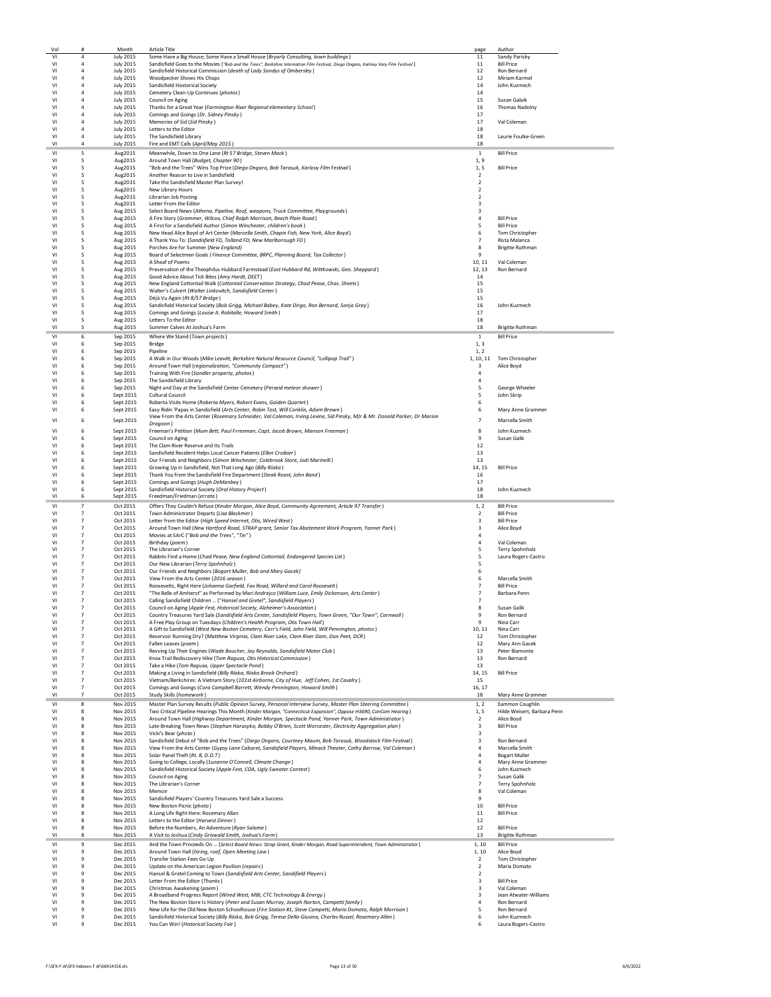| VI                               | #                                | Month                                | <b>Article Title</b>                                                                                                                                                                                              | page                                      | Author                                       |
|----------------------------------|----------------------------------|--------------------------------------|-------------------------------------------------------------------------------------------------------------------------------------------------------------------------------------------------------------------|-------------------------------------------|----------------------------------------------|
|                                  | $\overline{4}$                   | <b>July 2015</b>                     | Some Have a Big House; Some Have a Small House (Bryarly Consulting, town buildings)                                                                                                                               | 11                                        | Sandy Parisky                                |
| VI                               | $\overline{a}$                   | <b>July 2015</b>                     | Sandisfield Goes to the Movies ("Bob and the Trees", Berkshire Internation Film Festival, Diego Ongaro, Karlovy Vary Film Festival)                                                                               | 11                                        | <b>Bill Price</b>                            |
| VI                               | $\overline{4}$                   | <b>July 2015</b>                     | Sandisfield Historical Commission (death of Lady Sandys of Ombersley)                                                                                                                                             | 12                                        | Ron Bernard                                  |
| VI                               | $\overline{4}$<br>$\overline{4}$ | <b>July 2015</b>                     | Woodpecker Shows His Chops                                                                                                                                                                                        | 12                                        | Miriam Karmel<br>John Kuzmech                |
| VI<br>VI                         | 4                                | <b>July 2015</b><br><b>July 2015</b> | Sandisfield Hostorical Society<br>Cemetery Clean-Up Continues (photos)                                                                                                                                            | 14<br>14                                  |                                              |
| VI                               | 4                                | <b>July 2015</b>                     | Council on Aging                                                                                                                                                                                                  | 15                                        | Susan Galaik                                 |
| VI                               | $\overline{a}$                   | <b>July 2015</b>                     | Thanks for a Great Year (Farmington River Regional elementary School)                                                                                                                                             | 16                                        | <b>Thomas Nadolny</b>                        |
| V <sub>1</sub>                   |                                  | <b>July 2015</b>                     | Comings and Goings (Dr. Sidney Pinsky)                                                                                                                                                                            | 17                                        |                                              |
| VI                               | $\overline{4}$                   | <b>July 2015</b>                     | Memories of Sid (Sid Pinsky)                                                                                                                                                                                      | 17                                        | Val Coleman                                  |
| VI                               | $\overline{4}$                   | <b>July 2015</b>                     | Letters to the Editor                                                                                                                                                                                             | 18                                        |                                              |
| VI<br>V <sub>1</sub>             | $\overline{a}$<br>$\overline{4}$ | <b>July 2015</b><br><b>July 2015</b> | The Sandisfield Library<br>Fire and EMT Calls (April/May 2015)                                                                                                                                                    | 18<br>18                                  | Laurie Foulke-Green                          |
|                                  |                                  |                                      |                                                                                                                                                                                                                   |                                           |                                              |
| VI<br>V <sub>1</sub>             | 5<br>5                           | Aug2015<br>Aug2015                   | Meanwhile, Down to One Lane (Rt 57 Bridge, Steven Mack)<br>Around Town Hall (Budget, Chapter 90)                                                                                                                  | 1<br>1, 9                                 | <b>Bill Price</b>                            |
| VI                               | 5                                | Aug2015                              | "Bob and the Trees" Wins Top Prize (Diego Ongaro, Bob Tarasuk, Karlovy Film Festival)                                                                                                                             | 1, 5                                      | <b>Bill Price</b>                            |
| V <sub>1</sub>                   | 5                                | Aug2015                              | Another Reason to Live in Sandisfield                                                                                                                                                                             | $\overline{2}$                            |                                              |
| VI                               | 5                                | Aug2015                              | Take the Sandisfield Master Plan Survey!                                                                                                                                                                          | $\overline{2}$                            |                                              |
| VI                               | 5                                | Aug2015                              | New Library Hours                                                                                                                                                                                                 | $\overline{2}$                            |                                              |
| VI                               | 5                                | Aug2015                              | Librarian Job Posting                                                                                                                                                                                             | $\overline{2}$                            |                                              |
| VI                               | 5                                | Aug2015                              | Letter From the Editor                                                                                                                                                                                            | $\overline{3}$                            |                                              |
| VI<br>VI                         | 5<br>5                           | Aug 2015<br>Aug 2015                 | Select Board News (Athena, Pipeline, Roof, weapons, Truck Committee, Playgrounds)<br>A Fire Story (Grammer, Wilcox, Chief Ralph Morrison, Beech Plain Road)                                                       | $\overline{\mathbf{3}}$<br>$\overline{4}$ | <b>Bill Price</b>                            |
| VI                               | 5                                | Aug 2015                             | A First for a Sandisfield Author (Simon Winchester, children's book)                                                                                                                                              | 5                                         | <b>Bill Price</b>                            |
| VI                               | 5                                | Aug 2015                             | New Head Alice Boyd of Art Center (Marcella Smith, Chapin Fish, New York, Alice Boyd)                                                                                                                             | 6                                         | Tom Christopher                              |
| VI                               | 5                                | Aug 2015                             | A Thank You To: (Sandisfield FD, Tolland FD, New Marlborough FD)                                                                                                                                                  | $\overline{7}$                            | Rista Malanca                                |
| VI                               | 5                                | Aug 2015                             | Porches Are for Summer (New England)                                                                                                                                                                              | 8                                         | <b>Brigitte Ruthman</b>                      |
| VI                               | 5                                | Aug 2015                             | Board of Selectmen Goals (Finance Committee, BRPC, Planning Board, Tax Collector)                                                                                                                                 | 9                                         |                                              |
| VI                               | 5                                | Aug 2015                             | A Sheaf of Poems                                                                                                                                                                                                  | 10, 11                                    | Val Coleman                                  |
| VI<br>VI                         | 5<br>5                           | Aug 2015<br>Aug 2015                 | Preservation of the Theophilus Hubbard Farmstead (East Hubbard Rd, Wittkowski, Geo. Sheppard)<br>Good Advice About Tick Bites (Amy Hardt, DEET)                                                                   | 12, 13<br>14                              | Ron Bernard                                  |
| VI                               | 5                                | Aug 2015                             | New England Cottontail Walk (Cottontail Conservation Strategy, Chad Pease, Chas. Sheets)                                                                                                                          | 15                                        |                                              |
| V <sub>1</sub>                   | 5                                | Aug 2015                             | Walter's Culvert (Walter Linkovitch, Sandisfield Center)                                                                                                                                                          | 15                                        |                                              |
| VI                               | 5                                | Aug 2015                             | Déjà Vu Again (Rt 8/57 Bridge)                                                                                                                                                                                    | 15                                        |                                              |
| VI                               | 5                                | Aug 2015                             | Sandisfield Historical Society (Bob Grigg, Michael Babey, Kate Dirgo, Ron Bernard, Sonja Gray)                                                                                                                    | 16                                        | John Kuzmech                                 |
| VI                               | 5                                | Aug 2015                             | Comings and Goings (Louise A. Robitalle, Howard Smith)                                                                                                                                                            | 17                                        |                                              |
| VI                               | 5                                | Aug 2015                             | Letters To the Editor                                                                                                                                                                                             | 18                                        |                                              |
| VI                               | 5                                | Aug 2015                             | Summer Calves At Joshua's Farm                                                                                                                                                                                    | 18                                        | <b>Brigitte Ruthman</b>                      |
| VI                               | 6                                | Sep 2015                             | Where We Stand (Town projects)                                                                                                                                                                                    | $1\,$                                     | <b>Bill Price</b>                            |
| VI<br>VI                         | 6<br>6                           | Sep 2015<br>Sep 2015                 | Bridge<br>Pipeline                                                                                                                                                                                                | 1, 3<br>1, 2                              |                                              |
| VI                               | 6                                | Sep 2015                             | A Walk in Our Woods (Mike Leavitt, Berkshire Natural Resource Council, "Lollipop Trail")                                                                                                                          | 1, 10, 11                                 | Tom Christopher                              |
| VI                               | 6                                | Sep 2015                             | Around Town Hall (regionalization, "Community Compact")                                                                                                                                                           | 3                                         | Alice Boyd                                   |
| VI                               | 6                                | Sep 2015                             | Training With Fire (Sandler property, photos)                                                                                                                                                                     |                                           |                                              |
| VI                               | 6                                | Sep 2015                             | The Sandisfield Library                                                                                                                                                                                           | $\overline{a}$                            |                                              |
| V <sub>1</sub>                   | 6                                | Sep 2015                             | Night and Day at the Sandisfield Center Cemetery (Perseid meteor shower)                                                                                                                                          | 5                                         | George Wheeler                               |
| VI                               | 6                                | Sept 2015                            | <b>Cultural Council</b>                                                                                                                                                                                           | 5                                         | John Skrip                                   |
| VI                               | 6                                | Sept 2015                            | Roberta Visits Home (Roberta Myers, Robert Evans, Gaiden Quartet)<br>Easy Ridin 'Papas in Sandisfield (Arts Center, Robin Tost, Will Conklin, Adam Brown)                                                         | 6<br>6                                    |                                              |
| V <sub>1</sub>                   | 6                                | Sept 2015                            | View From the Arts Center (Rosemary Schneider, Val Coleman, Irving Levine, Sid Pinsky, M)r & Mr. Donald Parker, Dr Marion                                                                                         |                                           | Mary Anne Grammer                            |
| VI                               | 6                                | Sept 2015                            | Dragoon)                                                                                                                                                                                                          | $\overline{7}$                            | Marcella Smith                               |
| V <sub>1</sub>                   | 6                                | Sept 2015                            | Freeman's Petition (Mum Bett, Paul Frreeman, Capt. Jacob Brown, Manson Freeman)                                                                                                                                   | 8                                         | John Kuzmech                                 |
| VI                               | 6                                | Sept 2015                            | Council on Aging                                                                                                                                                                                                  | 9                                         | Susan Galik                                  |
| VI                               | 6                                | Sept 2015                            | The Clam River Reserve and Its Trails                                                                                                                                                                             | 12                                        |                                              |
| VI                               | 6                                | Sept 2015                            | Sandisfield Resident Helps Local Cancer Patients (Ellen Croibier)                                                                                                                                                 | 13                                        |                                              |
| VI                               | 6                                | Sept 2015                            | Our Friends and Neighbors (Simon Winchester, Colebrook Store, Jodi Marinelli)                                                                                                                                     | 13                                        |                                              |
| VI<br>VI                         | 6<br>6                           | Sept 2015<br>Sept 2015               | Growing Up in Sandisfield, Not That Long Ago (Billy Riiska)<br>Thank You from the Sandisfield Fire Department (Steak Roast, John Band)                                                                            | 14, 15<br>16                              | <b>Bill Price</b>                            |
| VI                               | 6                                | Sept 2015                            | Comings and Goings (Hugh DeManbey)                                                                                                                                                                                | 17                                        |                                              |
| VI                               | 6                                | Sept 2015                            | Sandisfield Historical Society (Oral History Project)                                                                                                                                                             | 18                                        | John Kuzmech                                 |
| VI                               | 6                                | Sept 2015                            | Freedman/Friedman (errata)                                                                                                                                                                                        | 18                                        |                                              |
| VI                               | $\overline{7}$                   | Oct 2015                             | Offers They Couldn't Refuse (Kinder Morgan, Alice Boyd, Community Agreement, Article 97 Transfer)                                                                                                                 | 1, 2                                      | <b>Bill Price</b>                            |
| V <sub>1</sub>                   | $\overline{7}$                   | Oct 2015                             | Town Administrator Departs (Lisa Blackmer)                                                                                                                                                                        | 2                                         | <b>Bill Price</b>                            |
| VI                               | $\overline{7}$                   | Oct 2015                             | Letter from the Editor (High Speed Internet, Otis, Wired West)                                                                                                                                                    | 3                                         | <b>Bill Price</b>                            |
| VI                               | $\overline{7}$                   | Oct 2015                             | Around Town Hall (New Hartford Road, STRAP grant, Senior Tax Abatement Work Program, Yanner Park)                                                                                                                 | $\overline{3}$                            | Alice Boyd                                   |
| VI                               | $\overline{7}$                   | Oct 2015                             | Movies at SArC ("Bob and the Trees", "Tin")                                                                                                                                                                       | $\overline{4}$                            |                                              |
| VI<br>V <sub>1</sub>             | $\overline{7}$<br>$\overline{7}$ | Oct 2015<br>Oct 2015                 | Birthday (poem)                                                                                                                                                                                                   | $\overline{4}$                            | Val Coleman                                  |
| VI                               | $\overline{7}$                   |                                      | The Librarian's Corner                                                                                                                                                                                            |                                           | Terry Spohnholz<br>Laura Rogers-Castro       |
|                                  |                                  |                                      |                                                                                                                                                                                                                   | 5                                         |                                              |
| VI                               | $\overline{7}$                   | Oct 2015<br>Oct 2015                 | Rabbits Find a Home (Chad Pease, New England Cottontail, Endangered Species List)<br>Our New Librarian (Terry Spohnholz)                                                                                          | 5<br>5                                    |                                              |
| VI                               |                                  | Oct 2015                             | Our Friends and Neighbors (Bogart Muller, Bob and Mary Gacek)                                                                                                                                                     | 6                                         |                                              |
| VI                               | $\overline{7}$                   | Oct 2015                             | View From the Arts Center (2016 season)                                                                                                                                                                           |                                           | Marcella Smith                               |
| VI                               | $\overline{7}$                   | Oct 2015                             | Roosevelts, Right Here (Johanna Garfield, Fox Road, Willard and Carol Roosevelt)                                                                                                                                  | $\overline{7}$                            | <b>Bill Price</b>                            |
| V <sub>1</sub>                   | $\overline{7}$                   | Oct 2015                             | "The Belle of Amherst" as Performed by Mari Andrejco (William Luce, Emily Dickenson, Arts Center)                                                                                                                 | $\overline{7}$                            | Barbara Penn                                 |
| VI<br>VI                         | $\overline{7}$                   | Oct 2015                             | Calling Sandisfield Children  ("Hansel and Gretel", Sandisfield Players)                                                                                                                                          | $\overline{7}$<br>8                       | Susan Galik                                  |
| VI                               | $\overline{7}$                   | Oct 2015<br>Oct 2015                 | Council on Aging (Apple Fest, Historical Society, Alzheimer's Association)<br>Country Treasures Yard Sale (Sandisfield Arts Center, Sandisfield Players, Town Green, "Our Town", Cornwall)                        | $\boldsymbol{9}$                          | Ron Bernard                                  |
| VI                               | $\overline{7}$                   | Oct 2015                             | A Free Play Group on Tuesdays (Children's Health Program, Otis Town Hall)                                                                                                                                         | 9                                         | Nina Carr                                    |
| VI                               | $\overline{7}$                   | Oct 2015                             | A Gift to Sandisfield (West New Boston Cemetery, Carr's Field, John Field, Will Pennington, photos)                                                                                                               | 10, 11                                    | Nina Carr                                    |
| V <sub>1</sub>                   | $\overline{7}$                   | Oct 2015                             | Reservoir Running Dry? (Matthew Virginia, Clam River Lake, Clam River Dam, Don Peet, DCR)                                                                                                                         | 12                                        | Tom Christopher                              |
| V <sub>1</sub>                   | $\overline{7}$                   | Oct 2015                             | Fallen Leaves (noem)                                                                                                                                                                                              | 12                                        | Mary Ann Gacek                               |
| V <sub>1</sub><br>VI             | $\overline{7}$<br>$\overline{7}$ | Oct 2015                             | Revving Up Their Engines (Wade Boucher, Jay Revnolds, Sandisfield Motor Club)                                                                                                                                     | 13                                        | Peter Biamonte                               |
| V <sub>1</sub>                   | $\overline{7}$                   | Oct 2015<br>Oct 2015                 | Knox Trail Rediscovery Hike (Tom Ragusa, Otis Historical Commission)<br>Take a Hike (Tom Ragusa, Upper Spectacle Pond)                                                                                            | 13<br>13                                  | Ron Bernard                                  |
| VI                               | $\overline{7}$                   | Oct 2015                             | Making a Living in Sandisfield (Billy Riiska, Riiska Brook Orchard)                                                                                                                                               | 14, 15                                    | <b>Bill Price</b>                            |
| V <sub>1</sub>                   | $\overline{7}$                   | Oct 2015                             | Vietnam/Berkshires: A Vietnam Story (101st Airborne, City of Hue, Jeff Cohen, 1st Cavalry)                                                                                                                        | 15                                        |                                              |
| VI                               | $\overline{7}$                   | Oct 2015                             | Comings and Goings (Cora Campbell Barrett, Wendy Pennington, Howard Smith)                                                                                                                                        | 16, 17                                    |                                              |
| VI                               | $\overline{7}$                   | Oct 2015                             | Study Skills (homework)                                                                                                                                                                                           | 18                                        | Mary Anne Grammer                            |
| VI                               | 8                                | Nov 2015                             | Master Plan Survey Results (Public Opinion Survey, Personal Interview Survey, Master Plan Steering Committee)                                                                                                     | 1, 2                                      | Eammon Coughlin                              |
| VI<br>V <sub>1</sub>             | 8<br>8                           | Nov 2015                             | Two Critical Pipeline Hearings This Month (Kinder Morgan, "Connecticut Expansion", Oppose H3690, ConCom Hearing)                                                                                                  | 1, 5                                      | Hilde Weisert, Barbara Penn<br>Alice Boyd    |
| VI                               | 8                                | Nov 2015<br>Nov 2015                 | Around Town Hall (Highway Department, Kinder Morgan, Spectacle Pond, Yanner Park, Town Administrator)<br>Late-Breaking Town News (Stephan Harasyko, Bobby O'Brien, Scott Worcester, Electricity Aggregation plan) | $\overline{2}$<br>3                       | <b>Bill Price</b>                            |
| V <sub>1</sub>                   | 8                                | Nov 2015                             | Vicki's Bear (photo)                                                                                                                                                                                              | 3                                         |                                              |
| V <sub>1</sub>                   | R                                | Nov 2015                             | Sandisfield Debut of "Bob and the Trees" (Diego Ongaro, Courtney Maum, Bob Tarasuk, Woodstock Film Festival)                                                                                                      | $\overline{\mathbf{3}}$                   | Ron Bernard                                  |
| V <sub>1</sub>                   | 8                                | Nov 2015                             | View From the Arts Center (Gypsy Lane Cabaret, Sandisfield Players, Minack Theater, Cathy Barrow, Val Coleman)                                                                                                    | $\sqrt{4}$                                | Marcella Smith                               |
| V <sub>1</sub>                   | 8                                | Nov 2015                             | Solar Panel Theft (Rt. 8, D.O.T)                                                                                                                                                                                  | $\sqrt{4}$                                | <b>Bogart Muller</b>                         |
| VI<br>VI                         | 8<br>8                           | Nov 2015                             | Going to College, Locally (Suzanne O'Connell, Climate Change)                                                                                                                                                     | $\overline{4}$<br>6                       | Mary Anne Grammer<br>John Kuzmech            |
| VI                               | 8                                | Nov 2015<br>Nov 2015                 | Sandisfield Historical Society (Apple Fest, COA, Ugly Sweater Contest)<br>Council on Aging                                                                                                                        | $\overline{7}$                            | Susan Galik                                  |
| V <sub>1</sub>                   | 8                                | Nov 2015                             | The Librarian's Corner                                                                                                                                                                                            | $\overline{7}$                            | Terry Spohnholz                              |
| V <sub>1</sub>                   | 8                                | Nov 2015                             | Memoir                                                                                                                                                                                                            | 8                                         | Val Coleman                                  |
| VI                               | 8                                | Nov 2015                             | Sandisfield Players' Country Treasures Yard Sale a Success                                                                                                                                                        | 9                                         |                                              |
| VI                               | 8                                | Nov 2015                             | New Boston Picnic (photo)                                                                                                                                                                                         | 10                                        | <b>Bill Price</b>                            |
| VI                               | 8                                | Nov 2015                             | A Long Life Right Here: Rosemary Allan                                                                                                                                                                            | 11                                        | <b>Bill Price</b>                            |
| V <sub>1</sub><br>V <sub>1</sub> | 8                                | Nov 2015                             | Letters to the Editor (Harvest Dinner)                                                                                                                                                                            | 12                                        |                                              |
| VI                               | 8<br>$\mathbf{R}$                | Nov 2015<br>Nov 2015                 | Before the Numbers, An Adventure (Ryan Salame)                                                                                                                                                                    | 12<br>13                                  | <b>Bill Price</b><br><b>Brigitte Ruthman</b> |
| VI                               | 9                                |                                      | A Visit to Joshua (Cindy Griswald Smith, Joshua's Farm)                                                                                                                                                           |                                           |                                              |
| VI                               | 9                                | Dec 2015<br>Dec 2015                 | And the Town Proceeds On  (Select Board News: Strap Grant, Kinder Morgan, Road Superintendent, Town Administrator)                                                                                                | 1, 10                                     | <b>Bill Price</b><br>Alice Boyd              |
| VI                               | 9                                | Dec 2015                             | Around Town Hall (hiring, roof, Open Meeting Law)<br>Transfer Station Fees Go Up                                                                                                                                  | $1,\,10$<br>2                             | Tom Christopher                              |
| VI                               | 9                                | Dec 2015                             | Update on the American Legion Pavilion (repairs)                                                                                                                                                                  | $\overline{2}$                            | Maria Domato                                 |
| VI                               | 9                                | Dec 2015                             | Hansel & Gretel Coming to Town (Sandisfield Arts Center, Sandifield Players)                                                                                                                                      | $\overline{2}$                            |                                              |
| VI                               | 9                                | Dec 2015                             | Letter From the Editor (Thanks)                                                                                                                                                                                   | $\overline{3}$                            | <b>Bill Price</b>                            |
| V <sub>1</sub>                   | $\mathbf{q}$                     | Dec 2015                             | Christmas Awakening (poem)                                                                                                                                                                                        | $\overline{\mathbf{3}}$                   | Val Coleman                                  |
| V <sub>1</sub><br>VI             | $\mathbf{q}$<br>9                | Dec 2015<br>Dec 2015                 | A Broadband Progress Report (Wired West, MBI, CTC Technology & Energy)                                                                                                                                            | $\overline{3}$<br>$\overline{4}$          | Jean Atwater-Williams<br>Ron Bernard         |
| VI                               | 9                                | Dec 2015                             | The New Boston Store Is History (Peter and Susan Murray, Joseph Norton, Campetti family)<br>New Life for the Old New Boston Schoolhouse (Fire Station #1, Steve Campetti, Maria Domato, Ralph Morrison)           | 5                                         | Ron Bernard                                  |
| VI<br>VI                         | 9<br>9                           | Dec 2015<br>Dec 2015                 | Sandisfield Historical Society (Billy Riiska, Bob Grigg, Teresa Della-Giusina, Charles Russel, Rosemary Allen)<br>You Can Win! (Historical Society Fair)                                                          | 6<br>6                                    | John Kuzmech<br>Laura Rogers-Castro          |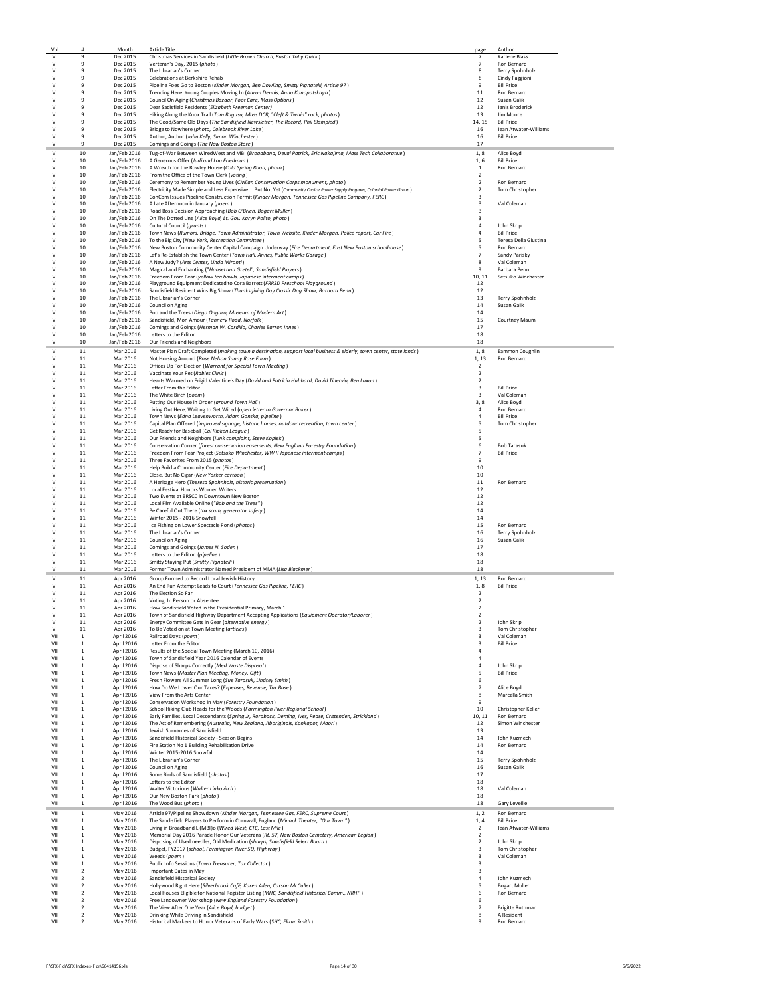| Vol                              | #                                           | Month                        | <b>Article Title</b>                                                                                                                                     | page                                      | Author                               |
|----------------------------------|---------------------------------------------|------------------------------|----------------------------------------------------------------------------------------------------------------------------------------------------------|-------------------------------------------|--------------------------------------|
| VI                               | 9                                           | Dec 2015                     | Christmas Services in Sandisfield (Little Brown Church, Pastor Toby Quirk)                                                                               | $\overline{7}$                            | Karlene Blass                        |
| V <sub>1</sub><br>VI             | $\ddot{q}$<br>$\,9$                         | Dec 2015<br>Dec 2015         | Verteran's Day, 2015 (photo)<br>The Librarian's Corner                                                                                                   | $\overline{7}$<br>8                       | Ron Bernard<br>Terry Spohnholz       |
| VI                               | 9                                           | Dec 2015                     | Celebrations at Berkshire Rehab                                                                                                                          | 8                                         | Cindy Faggioni                       |
| VI                               | 9                                           | Dec 2015                     | Pipeline Foes Go to Boston (Kinder Morgan, Ben Dowling, Smitty Pignatelli, Article 97)                                                                   | 9                                         | <b>Bill Price</b>                    |
| VI                               | 9                                           | Dec 2015                     | Trending Here: Young Couples Moving In (Aaron Dennis, Anna Konopatskaya)                                                                                 | 11                                        | Ron Bernard                          |
| V <sub>1</sub>                   | 9                                           | Dec 2015                     | Council On Aging (Christmas Bazaar, Foot Care, Mass Options)                                                                                             | 12                                        | Susan Galik                          |
| V <sub>1</sub><br>VI             | 9<br>9                                      | Dec 2015<br>Dec 2015         | Dear Sadisfield Residents (Elizabeth Freeman Center)<br>Hiking Along the Knox Trail (Tom Ragusa, Mass DCR, "Cleft & Twain" rock, photos)                 | 12<br>13                                  | Janis Broderick<br>Jim Moore         |
| VI                               | 9                                           | Dec 2015                     | The Good/Same Old Days (The Sandisfield Newsletter, The Record, Phil Blampied)                                                                           | 14, 15                                    | <b>Bill Price</b>                    |
| VI                               | 9                                           | Dec 2015                     | Bridge to Nowhere (photo, Colebrook River Lake)                                                                                                          | 16                                        | Jean Atwater-Williams                |
| VI                               | 9                                           | Dec 2015                     | Author, Author (John Kelly, Simon Winchester)                                                                                                            | 16                                        | <b>Bill Price</b>                    |
| V <sub>1</sub>                   | $\ddot{q}$                                  | Dec 2015                     | Comings and Goings (The New Boston Store)                                                                                                                | 17                                        |                                      |
| ٧I                               | 10                                          | Jan/Feb 2016                 | Tug-of-War Between WiredWest and MBI (Broadband, Deval Patrick, Eric Nakajima, Mass Tech Collaborative)                                                  | 1, 8                                      | Alice Boyd                           |
| V <sub>1</sub><br>V <sub>1</sub> | 10<br>10                                    | Jan/Feb 2016<br>Jan/Feb 2016 | A Generous Offer (Judi and Lou Friedman)<br>A Wreath for the Rowley House (Cold Spring Road, photo)                                                      | 1,6<br>1                                  | <b>Bill Price</b><br>Ron Bernard     |
| VI                               | 10                                          | Jan/Feb 2016                 | From the Office of the Town Clerk (voting)                                                                                                               | $\overline{2}$                            |                                      |
| VI                               | 10                                          | Jan/Feb 2016                 | Ceremony to Remember Young Lives (Civilian Conservation Corps monument, photo)                                                                           | $\overline{2}$                            | Ron Bernard                          |
| VI                               | 10                                          | Jan/Feb 2016                 | Electricity Made Simple and Less Expensive  But Not Yet (Community Choice Power Supply Program, Colonial Power Group)                                    | $\overline{2}$                            | Tom Christopher                      |
| VI<br>V <sub>1</sub>             | 10<br>10                                    | Jan/Feb 2016                 | ConCom Issues Pipeline Construction Permit (Kinder Morgan, Tennessee Gas Pipeline Company, FERC)                                                         | 3<br>3                                    | Val Coleman                          |
| V <sub>1</sub>                   | 10                                          | Jan/Feb 2016                 | Jan/Feb 2016 A Late Afternoon in January (poem)<br>Road Boss Decision Approaching (Bob O'Brien, Bogart Muller)                                           | $\overline{3}$                            |                                      |
| VI                               | 10                                          | Jan/Feb 2016                 | On The Dotted Line (Alice Boyd, Lt. Gov. Karyn Polito, photo)                                                                                            | $\mathsf 3$                               |                                      |
| VI                               | 10                                          | Jan/Feb 2016                 | Cultural Council (arants)                                                                                                                                | $\overline{4}$                            | John Skrin                           |
| VI                               | 10                                          | Jan/Feb 2016                 | Town News (Rumors, Bridge, Town Administrator, Town Website, Kinder Morgan, Police report, Car Fire)                                                     | $\overline{4}$                            | <b>Bill Price</b>                    |
| VI<br>VI                         | 10<br>10                                    | Jan/Feb 2016<br>Jan/Feb 2016 | To the Big City (New York, Recreation Committee)<br>New Boston Community Center Capital Campaign Underway (Fire Department, East New Boston schoolhouse) | 5<br>5                                    | Teresa Della Giustina<br>Ron Bernard |
| V <sub>1</sub>                   | 10                                          | Jan/Feb 2016                 | Let's Re-Establish the Town Center (Town Hall, Annes, Public Works Garage)                                                                               | $\overline{7}$                            | Sandy Parisky                        |
| V <sub>1</sub>                   | 10                                          | Jan/Feb 2016                 | A New Judy? (Arts Center, Linda Mironti)                                                                                                                 | 8                                         | Val Coleman                          |
| VI                               | 10                                          | Jan/Feb 2016                 | Magical and Enchanting ("Hansel and Gretel", Sandisfield Players)                                                                                        | 9                                         | Barbara Penn                         |
| VI<br>VI                         | 10<br>10                                    | Jan/Feb 2016<br>Jan/Feb 2016 | Freedom From Fear (yellow tea bowls, Japanese interment camps)<br>Playground Equipment Dedicated to Cora Barrett (FRRSD Preschool Playground)            | 10, 11<br>12                              | Setsuko Winchester                   |
| VI                               | 10                                          | Jan/Feb 2016                 | Sandisfield Resident Wins Big Show (Thanksgiving Day Classic Dog Show, Barbara Penn)                                                                     | 12                                        |                                      |
| V <sub>1</sub>                   | 10                                          | Jan/Feb 2016                 | The Librarian's Corner                                                                                                                                   | 13                                        | Terry Spohnholz                      |
| V <sub>1</sub>                   | 10                                          | Jan/Feb 2016                 | Council on Aging                                                                                                                                         | 14                                        | Susan Galik                          |
| VI                               | 10                                          | Jan/Feb 2016                 | Bob and the Trees (Diego Ongaro, Museum of Modern Art)                                                                                                   | 14                                        |                                      |
| VI                               | 10                                          | Jan/Feb 2016                 | Sandisfield, Mon Amour (Tannery Road, Norfolk)                                                                                                           | 15                                        | Courtney Maum                        |
| VI<br>VI                         | 10<br>10                                    | Jan/Feb 2016<br>Jan/Feb 2016 | Comings and Goings (Herman W. Cardillo, Charles Barron Innes)<br>Letters to the Editor                                                                   | 17<br>18                                  |                                      |
| VI                               | 10                                          | Jan/Feb 2016                 | Our Friends and Neighbors                                                                                                                                | 18                                        |                                      |
| VI                               | 11                                          | Mar 2016                     | Master Plan Draft Completed (making town a destination, support local business & elderly, town center, state lands)                                      | 1,8                                       | Eammon Coughlin                      |
| V <sub>1</sub>                   | 11                                          | Mar 2016                     | Not Horsing Around (Rose Nelson Sunny Rose Farm)                                                                                                         | 1, 13                                     | Ron Bernard                          |
| V <sub>1</sub>                   | 11                                          | Mar 2016                     | Offices Up For Election (Warrant for Special Town Meeting)                                                                                               | $\overline{2}$                            |                                      |
| VI                               | $11\,$                                      | Mar 2016                     | Vaccinate Your Pet (Rabies Clinic)<br>Hearts Warmed on Frigid Valentine's Day (David and Patricia Hubbard, David Tinervia, Ben Luxon)                    | $\overline{2}$                            |                                      |
| VI<br>VI                         | $11\,$<br>$11\,$                            | Mar 2016<br>Mar 2016         | Letter From the Editor                                                                                                                                   | $\overline{2}$<br>$\overline{\mathbf{3}}$ | <b>Bill Price</b>                    |
| VI                               | $11\,$                                      | Mar 2016                     | The White Birch (poem)                                                                                                                                   | 3                                         | Val Coleman                          |
| V <sub>1</sub>                   | 11                                          | Mar 2016                     | Putting Our House in Order (around Town Hall)                                                                                                            | 3,8                                       | Alice Boyd                           |
| V <sub>1</sub>                   | 11                                          | Mar 2016                     | Living Out Here, Waiting to Get Wired (open letter to Governor Baker)                                                                                    | $\overline{4}$                            | Ron Bernard                          |
| VI                               | 11                                          | Mar 2016                     | Town News (Edna Leavenworth, Adam Gonska, pipeline)                                                                                                      | $\overline{4}$                            | <b>Bill Price</b>                    |
| VI<br>VI                         | 11<br>$11\,$                                | Mar 2016<br>Mar 2016         | Capital Plan Offered (improved signage, historic homes, outdoor recreation, town center)<br>Get Ready for Baseball (Cal Ripken League)                   | 5<br>5                                    | Tom Christopher                      |
| VI                               | $11\,$                                      | Mar 2016                     | Our Friends and Neighbors (junk complaint, Steve Kopiek)                                                                                                 | 5                                         |                                      |
| V <sub>1</sub>                   | 11                                          | Mar 2016                     | Conservation Corner (forest conservation easements, New England Forestry Foundation)                                                                     | 6                                         | <b>Bob Tarasuk</b>                   |
| V <sub>1</sub>                   | 11                                          | Mar 2016                     | Freedom From Fear Project (Setsuko Winchester, WW II Japenese interment camps)                                                                           | $\overline{7}$                            | <b>Bill Price</b>                    |
| VI                               | 11                                          | Mar 2016                     | Three Favorites From 2015 (photos)                                                                                                                       | 9                                         |                                      |
| VI<br>VI                         | 11                                          | Mar 2016                     | Help Build a Community Center (Fire Department)                                                                                                          | 10                                        |                                      |
| VI                               | $11\,$<br>11                                | Mar 2016<br>Mar 2016         | Close, But No Cigar (New Yorker cartoon)<br>A Heritage Hero (Theresa Spohnholz, historic preservation)                                                   | 10<br>$11\,$                              | Ron Bernard                          |
| VI                               | 11                                          | Mar 2016                     | Local Festival Honors Women Writers                                                                                                                      | 12                                        |                                      |
| V <sub>1</sub>                   | 11                                          | Mar 2016                     | Two Events at BRSCC in Downtown New Boston                                                                                                               | 12                                        |                                      |
| V <sub>1</sub>                   | 11                                          | Mar 2016                     | Local Film Available Online ("Bob and the Trees")                                                                                                        | 12                                        |                                      |
| VI                               | 11                                          | Mar 2016                     | Be Careful Out There (tax scam, generator safety)                                                                                                        | 14                                        |                                      |
| VI<br>VI                         | 11<br>11                                    | Mar 2016<br>Mar 2016         | Winter 2015 - 2016 Snowfall<br>Ice Fishing on Lower Spectacle Pond (photos)                                                                              | 14<br>15                                  | Ron Bernard                          |
| VI                               | 11                                          | Mar 2016                     | The Librarian's Corner                                                                                                                                   | 16                                        | Terry Spohnholz                      |
| V <sub>1</sub>                   | 11                                          | Mar 2016                     | Council on Aging                                                                                                                                         | 16                                        | Susan Galik                          |
| V <sub>1</sub>                   | 11                                          | Mar 2016                     | Comings and Goings (James N. Soden)                                                                                                                      | 17                                        |                                      |
| VI                               | 11                                          | Mar 2016                     | Letters to the Editor (pipeline)                                                                                                                         | 18                                        |                                      |
| VI<br>VI                         | 11<br>11                                    | Mar 2016<br>Mar 2016         | Smitty Staying Put (Smitty Pignatelli)<br>Former Town Administrator Named President of MMA (Lisa Blackmer)                                               | 18<br>18                                  |                                      |
| VI                               | 11                                          | Apr 2016                     | Group Formed to Record Local Jewish History                                                                                                              | 1, 13                                     | Ron Bernard                          |
| VI                               | 11                                          | Apr 2016                     | An End Run Attempt Leads to Court (Tennessee Gas Pipeline, FERC)                                                                                         | 1,8                                       | <b>Bill Price</b>                    |
| VI                               | 11                                          | Apr 2016                     | The Election So Far                                                                                                                                      | $\overline{2}$                            |                                      |
| V <sub>1</sub>                   | 11                                          | Apr 2016                     | Voting, In Person or Absentee                                                                                                                            | $\overline{2}$                            |                                      |
| V <sub>1</sub>                   | 11                                          | Apr 2016                     | How Sandisfield Voted in the Presidential Primary, March 1                                                                                               | $\mathcal{P}$                             |                                      |
| VI<br>VI                         | 11<br>11                                    | Apr 2016<br>Apr 2016         | Town of Sandisfield Highway Department Accepting Applications (Equipment Operator/Laborer)<br>Energy Committee Gets in Gear (alternative energy)         | $\overline{2}$<br>$\overline{2}$          | John Skrip                           |
| VI                               | 11                                          | Apr 2016                     | To Be Voted on at Town Meeting (articles)                                                                                                                | $\overline{\mathbf{3}}$                   | Tom Christopher                      |
| VII                              | $\,$ 1                                      | April 2016                   | Railroad Days (poem)                                                                                                                                     | 3                                         | Val Coleman                          |
| VII                              | 1                                           | April 2016                   | Letter From the Editor                                                                                                                                   | 3                                         | <b>Bill Price</b>                    |
| VII<br>VII                       | 1                                           | April 2016<br>April 2016     | Results of the Special Town Meeting (March 10, 2016)<br>Town of Sandisfield Year 2016 Calendar of Events                                                 | $\overline{a}$<br>$\overline{4}$          |                                      |
| VII                              | 1<br>$\mathbf 1$                            | April 2016                   | Dispose of Sharps Correctly (Med Waste Disposal)                                                                                                         | $\overline{4}$                            | John Skrip                           |
| VII                              | $\mathbf{1}$                                | April 2016                   | Town News (Master Plan Meeting, Money, Gift)                                                                                                             | 5                                         | <b>Bill Price</b>                    |
| VII                              | $\,$ 1                                      | April 2016                   | Fresh Flowers All Summer Long (Sue Tarasuk, Lindsey Smith)                                                                                               | 6                                         |                                      |
| VII                              | $\mathbf 1$                                 | April 2016                   | How Do We Lower Our Taxes? (Expenses, Revenue, Tax Base)<br>View From the Arts Center                                                                    | $\overline{7}$                            | Alice Boyd                           |
| VII<br>VII                       | $\mathbf{1}$<br>$\mathbf{1}$                | April 2016<br>April 2016     | Conservation Workshop in May (Forestry Foundation)                                                                                                       | 8<br>9                                    | Marcella Smith                       |
| VII                              | $\mathbf{1}$                                | April 2016                   | School Hiking Club Heads for the Woods (Farmington River Regional School)                                                                                | 10                                        | Christopher Keller                   |
| VII                              | $\,$ 1                                      | April 2016                   | Early Families, Local Descendants (Spring Jr, Roraback, Deming, Ives, Pease, Crittenden, Strickland)                                                     | 10, 11                                    | Ron Bernard                          |
| VII                              | $\,$ 1                                      | April 2016                   | The Act of Remembering (Australia, New Zealand, Aboriginals, Konkapot, Maori)                                                                            | 12                                        | Simon Winchester                     |
| VII                              | $\,$ 1                                      | April 2016                   | Jewish Surnames of Sandisfield                                                                                                                           | 13                                        |                                      |
| VII<br>VII                       | 1<br>1                                      | April 2016<br>April 2016     | Sandisfield Historical Society - Season Begins<br>Fire Station No.1 Building Rehabilitation Drive                                                        | 14<br>14                                  | John Kuzmech<br>Ron Bernard          |
| VII                              | $\mathbf{1}$                                | April 2016                   | Winter 2015-2016 Snowfall                                                                                                                                | 14                                        |                                      |
| VII                              | $\,$ 1                                      | April 2016                   | The Librarian's Corner                                                                                                                                   | 15                                        | Terry Spohnholz                      |
| VII                              | $\,$ 1                                      | April 2016                   | Council on Aging                                                                                                                                         | 16                                        | Susan Galik                          |
| VII                              | $\overline{1}$                              | April 2016                   | Some Birds of Sandisfield (photos)                                                                                                                       | 17                                        |                                      |
| VII<br>VII                       | 1<br>$\mathbf{1}$                           | April 2016<br>April 2016     | Letters to the Editor<br>Walter Victorious (Walter Linkovitch)                                                                                           | 18<br>18                                  | Val Coleman                          |
| VII                              | $\mathbf{1}$                                | April 2016                   | Our New Boston Park (photo)                                                                                                                              | 18                                        |                                      |
| VII                              | $\mathbf{1}$                                | April 2016                   | The Wood Bus (photo)                                                                                                                                     | 18                                        | Gary Leveille                        |
| VII                              | $\mathbf{1}$                                | May 2016                     | Article 97/Pipeline Showdown (Kinder Morgan, Tennessee Gas, FERC, Supreme Court)                                                                         | 1, 2                                      | Ron Bernard                          |
| VII                              | $\mathbf{1}$                                | May 2016                     | The Sandisfield Players to Perform in Cornwall, England (Minack Theater, "Our Town")                                                                     | 1,4                                       | <b>Bill Price</b>                    |
| VII                              | $\,$ 1                                      | May 2016                     | Living in Broadband Li(MBI)o (Wired West, CTC, Last Mile)                                                                                                | $\overline{2}$                            | Jean Atwater-Williams                |
| VII<br>VII                       | $\,$ 1<br>1                                 | May 2016<br>May 2016         | Memorial Day 2016 Parade Honor Our Veterans (Rt. 57, New Boston Cemetery, American Legion)                                                               | $\overline{2}$<br>$\overline{2}$          | John Skrip                           |
| VII                              | $\mathbf{1}$                                | May 2016                     | Disposing of Used needles, Old Medication (sharps, Sandisfield Select Board)<br>Budget, FY2017 (school, Farmington River SD, Highway)                    | 3                                         | Tom Christopher                      |
| VII                              | $\mathbf{1}$                                | May 2016                     | Weeds (poem)                                                                                                                                             | 3                                         | Val Coleman                          |
| VII                              | $\mathbf{1}$                                | May 2016                     | Public Info Sessions (Town Treasurer, Tax Collector)                                                                                                     | 3                                         |                                      |
| VII                              | $\overline{2}$                              | May 2016                     | <b>Important Dates in May</b>                                                                                                                            | 3                                         |                                      |
| VII<br>VII                       | $\overline{2}$<br>$\overline{2}$            | May 2016<br>May 2016         | Sandisfield Historical Society<br>Hollywood Right Here (Silverbrook Café, Karen Allen, Carson McCuller)                                                  | 4<br>5                                    | John Kuzmech<br><b>Bogart Muller</b> |
| VII                              | $\overline{2}$                              | May 2016                     | Local Houses Eligible for National Register Listing (MHC, Sandisfield Historical Comm., NRHP)                                                            | 6                                         | Ron Bernard                          |
| VII                              | $\overline{2}$                              | May 2016                     | Free Landowner Workshop (New England Forestry Foundation)                                                                                                | 6                                         |                                      |
| VII                              | $\overline{2}$                              | May 2016                     | The View After One Year (Alice Boyd, budget)                                                                                                             | $\overline{7}$                            | <b>Brigitte Ruthman</b>              |
| VII<br>VII                       | $\boldsymbol{2}$<br>$\overline{\mathbf{2}}$ | May 2016<br>May 2016         | Drinking While Driving in Sandisfield<br>Historical Markers to Honor Veterans of Early Wars (SHC, Elizur Smith)                                          | 8<br>9                                    | A Resident<br>Ron Bernard            |
|                                  |                                             |                              |                                                                                                                                                          |                                           |                                      |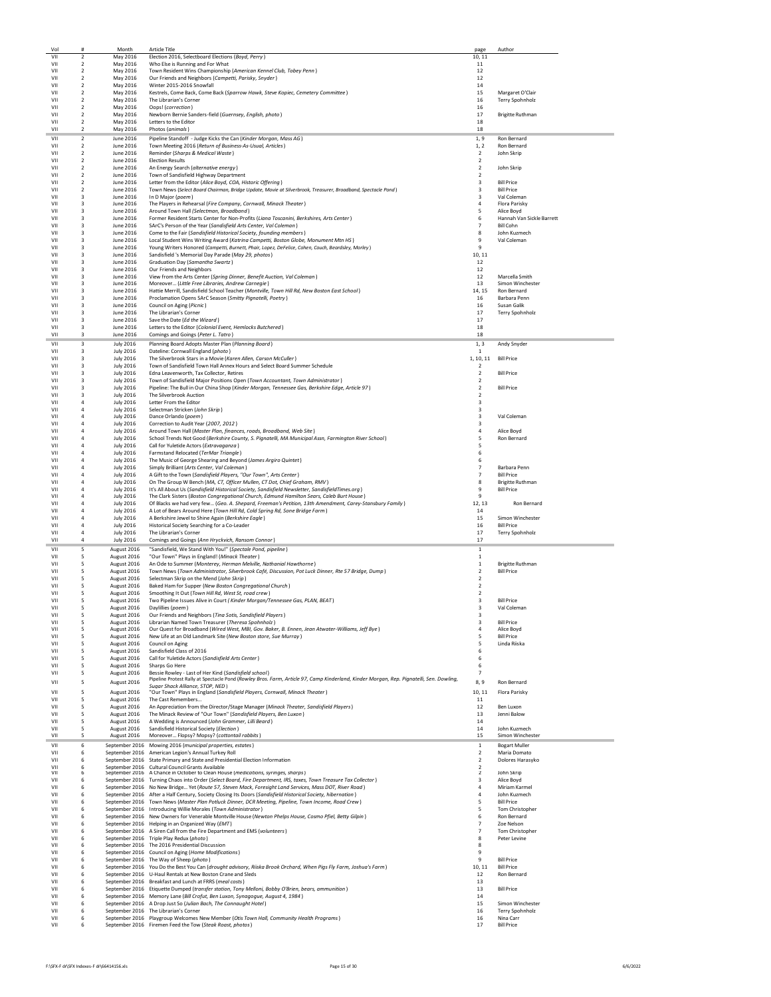| Vol<br>VII | #<br>$\overline{2}$                         | Month                                | <b>Article Title</b>                                                                                                                                                                                                        | page                                      | Author                                       |
|------------|---------------------------------------------|--------------------------------------|-----------------------------------------------------------------------------------------------------------------------------------------------------------------------------------------------------------------------------|-------------------------------------------|----------------------------------------------|
| VII        | $\boldsymbol{2}$                            | May 2016<br>May 2016                 | Election 2016, Selectboard Elections (Boyd, Perry)<br>Who Else is Running and For What                                                                                                                                      | 10, 11<br>11                              |                                              |
| VII<br>VII | $\boldsymbol{2}$<br>2                       | May 2016<br>May 2016                 | Town Resident Wins Championship (American Kennel Club, Tobey Penn)<br>Our Friends and Neighbors (Campetti, Parisky, Snyder)                                                                                                 | 12<br>12                                  |                                              |
| VII        | $\overline{2}$                              | May 2016                             | Winter 2015-2016 Snowfall                                                                                                                                                                                                   | 14                                        |                                              |
| VII<br>VII | $\overline{2}$<br>$\overline{\mathbf{2}}$   | May 2016<br>May 2016                 | Kestrels, Come Back, Come Back (Sparrow Hawk, Steve Kopiec, Cemetery Committee)<br>The Librarian's Corner                                                                                                                   | 15<br>16                                  | Margaret O'Clair<br>Terry Spohnholz          |
| VII        | $\boldsymbol{2}$                            | May 2016                             | Oops! (correction)                                                                                                                                                                                                          | 16                                        |                                              |
| VII<br>VII | $\boldsymbol{2}$<br>2                       | May 2016<br>May 2016                 | Newborn Bernie Sanders-field (Guernsey, English, photo)<br>Letters to the Editor                                                                                                                                            | 17<br>18                                  | <b>Brigitte Ruthman</b>                      |
| VII        | $\overline{2}$                              | May 2016                             | Photos (animals)                                                                                                                                                                                                            | 18                                        |                                              |
| VII<br>VII | $\overline{2}$<br>2                         | June 2016<br>June 2016               | Pipeline Standoff - Judge Kicks the Can (Kinder Morgan, Mass AG)<br>Town Meeting 2016 (Return of Business-As-Usual, Articles)                                                                                               | 1, 9<br>1, 2                              | Ron Bernard<br>Ron Bernard                   |
| VII        | $\overline{2}$                              | June 2016                            | Reminder (Sharps & Medical Waste)                                                                                                                                                                                           | $\overline{2}$                            | John Skrip                                   |
| VII<br>VII | $\overline{\mathbf{2}}$<br>$\boldsymbol{2}$ | June 2016<br>June 2016               | <b>Election Results</b><br>An Energy Search (alternative energy)                                                                                                                                                            | $\overline{2}$<br>$\overline{2}$          | John Skrip                                   |
| VII        | $\overline{\mathbf{c}}$                     | June 2016                            | Town of Sandisfield Highway Department                                                                                                                                                                                      | $\overline{2}$                            |                                              |
| VII<br>VII | 2<br>$\overline{2}$                         | June 2016<br>June 2016               | Letter from the Editor (Alice Boyd, COA, Historic Offering)<br>Town News (Select Board Chairman, Bridge Update, Movie at Silverbrook, Treasurer, Broadband, Spectacle Pond)                                                 | 3<br>$\overline{3}$                       | <b>Bill Price</b><br><b>Bill Price</b>       |
| VII        | 3                                           | June 2016                            | In D Major (poem)                                                                                                                                                                                                           | $\overline{3}$                            | Val Coleman                                  |
| VII<br>VII | 3<br>3                                      | June 2016<br>June 2016               | The Players in Rehearsal (Fire Company, Cornwall, Minack Theater)<br>Around Town Hall (Selectman, Broadband)                                                                                                                | $\overline{4}$<br>5                       | Flora Parisky<br>Alice Boyd                  |
| VII        | 3                                           | June 2016                            | Former Resident Starts Center for Non-Profits (Liana Toscanini, Berkshires, Arts Center)                                                                                                                                    | 6                                         | Hannah Van Sickle Barrett                    |
| VII<br>VII | 3<br>3                                      | June 2016<br>June 2016               | SArC's Person of the Year (Sandisfield Arts Center, Val Coleman)<br>Come to the Fair (Sandisfield Historical Society, founding members)                                                                                     | $\overline{7}$<br>8                       | <b>Bill Cohn</b><br>John Kuzmech             |
| VII        | 3                                           | June 2016                            | Local Student Wins Writing Award (Katrina Campetti, Boston Globe, Monument Mtn HS)                                                                                                                                          | 9                                         | Val Coleman                                  |
| VII<br>VII | 3<br>3                                      | June 2016<br>June 2016               | Young Writers Honored (Campetti, Burnett, Phair, Lopez, DeFelice, Cohen, Couch, Beardsley, Morley)<br>Sandisfield 's Memorial Day Parade (May 29, photos)                                                                   | 9<br>10, 11                               |                                              |
| VII        | 3                                           | June 2016                            | Graduation Day (Samantha Swartz)                                                                                                                                                                                            | 12                                        |                                              |
| VII<br>VII | 3<br>3                                      | June 2016<br>June 2016               | Our Friends and Neighbors<br>View from the Arts Center (Spring Dinner, Benefit Auction, Val Coleman)                                                                                                                        | 12<br>12                                  | Marcella Smith                               |
| VII        | 3                                           | June 2016                            | Moreover (Little Free Libraries, Andrew Carnegie)                                                                                                                                                                           | 13                                        | Simon Winchester                             |
| VII<br>VII | 3<br>3                                      | June 2016<br>June 2016               | Hattie Merrill, Sandisfield School Teacher (Montville, Town Hill Rd, New Boston East School)<br>Proclamation Opens SArC Season (Smitty Pignatelli, Poetry)                                                                  | 14.15<br>16                               | Ron Bernard<br>Barbara Penn                  |
| VII        | 3                                           | June 2016                            | Council on Aging (Picnic)                                                                                                                                                                                                   | 16                                        | Susan Galik                                  |
| VII<br>VII | 3<br>3                                      | June 2016<br>June 2016               | The Librarian's Corner<br>Save the Date (Ed the Wizard)                                                                                                                                                                     | 17<br>17                                  | Terry Spohnholz                              |
| VII        | 3                                           | June 2016                            | Letters to the Editor (Colonial Event, Hemlocks Butchered)                                                                                                                                                                  | 18                                        |                                              |
| VII        | 3                                           | June 2016                            | Comings and Goings (Peter L. Tatro)                                                                                                                                                                                         | 18                                        |                                              |
| VII<br>VII | 3<br>3                                      | <b>July 2016</b><br><b>July 2016</b> | Planning Board Adopts Master Plan (Planning Board)<br>Dateline: Cornwall England (photo)                                                                                                                                    | 1, 3<br>1                                 | Andy Snyder                                  |
| VII        | 3                                           | <b>July 2016</b>                     | The Silverbrook Stars in a Movie (Karen Allen, Carson McCuller)                                                                                                                                                             | 1, 10, 11                                 | <b>Bill Price</b>                            |
| VII<br>VII | 3<br>3                                      | <b>July 2016</b><br><b>July 2016</b> | Town of Sandisfield Town Hall Annex Hours and Select Board Summer Schedule<br>Edna Leavenworth, Tax Collector, Retires                                                                                                      | $\overline{2}$<br>$\overline{2}$          | <b>Bill Price</b>                            |
| VII        | 3                                           | <b>July 2016</b>                     | Town of Sandisfield Major Positions Open (Town Accountant, Town Administrator)                                                                                                                                              | $\overline{2}$                            |                                              |
| VII<br>VII | $\overline{a}$<br>3                         | <b>July 2016</b><br><b>July 2016</b> | Pipeline: The Bull in Our China Shop (Kinder Morgan, Tennessee Gas, Berkshire Edge, Article 97)<br>The Silverbrook Auction                                                                                                  | $\overline{2}$<br>$\overline{2}$          | <b>Bill Price</b>                            |
| VII        | $\overline{4}$                              | <b>July 2016</b>                     | Letter From the Editor                                                                                                                                                                                                      | 3                                         |                                              |
| VII<br>VII | $\overline{4}$<br>4                         | <b>July 2016</b><br><b>July 2016</b> | Selectman Stricken (John Skrip)<br>Dance Orlando (poem)                                                                                                                                                                     | 3<br>3                                    | Val Coleman                                  |
| VII        | 4                                           | <b>July 2016</b>                     | Correction to Audit Year (2007, 2012)                                                                                                                                                                                       | 3                                         |                                              |
| VII<br>VII | 4<br>4                                      | <b>July 2016</b><br><b>July 2016</b> | Around Town Hall (Master Plan, finances, roads, Broadband, Web Site)<br>School Trends Not Good (Berkshire County, S. Pignatelli, MA Municipal Assn, Farmington River School)                                                | $\overline{4}$<br>5                       | Alice Boyd<br>Ron Bernard                    |
| VII        | $\overline{4}$                              | <b>July 2016</b>                     | Call for Yuletide Actors (Extravaganza)                                                                                                                                                                                     | 5                                         |                                              |
| VII<br>VII | $\overline{4}$<br>4                         | <b>July 2016</b><br><b>July 2016</b> | Farmstand Relocated (TerMar Triangle)<br>The Music of George Shearing and Beyond (James Argiro Quintet)                                                                                                                     | 6<br>6                                    |                                              |
| VII        | 4                                           | <b>July 2016</b>                     | Simply Brilliant (Arts Center, Val Coleman)                                                                                                                                                                                 | $\overline{7}$                            | Barbara Penn                                 |
| VII<br>VII | 4<br>$\overline{4}$                         | <b>July 2016</b><br><b>July 2016</b> | A Gift to the Town (Sandisfield Players, "Our Town", Arts Center)<br>On The Group W Bench (MA, CT, Officer Mullen, CT Dot, Chief Graham, RMV)                                                                               | $\overline{7}$<br>8                       | <b>Bill Price</b><br><b>Brigitte Ruthman</b> |
| VII        | $\overline{4}$                              | <b>July 2016</b>                     | It's All About Us (Sandisfield Historical Society, Sandisfield Newsletter, SandisfieldTimes.org)                                                                                                                            | 9                                         | <b>Bill Price</b>                            |
| VII<br>VII | $\overline{4}$<br>4                         | <b>July 2016</b><br><b>July 2016</b> | The Clark Sisters (Boston Congregational Church, Edmund Hamilton Sears, Caleb Burt House)<br>Of Blacks we had very few (Geo. A. Shepard, Freeman's Petition, 13th Amendment, Carey-Stansbury Family)                        | 9<br>12, 13                               | Ron Bernard                                  |
| VII        | 4                                           | <b>July 2016</b>                     | A Lot of Bears Around Here (Town Hill Rd, Cold Spring Rd, Sone Bridge Farm)                                                                                                                                                 | 14                                        |                                              |
| VII<br>VII | 4<br>4                                      | <b>July 2016</b><br><b>July 2016</b> | A Berkshire Jewel to Shine Again (Berkshire Eagle)<br>Historical Society Searching for a Co-Leader                                                                                                                          | 15<br>16                                  | Simon Winchester<br><b>Bill Price</b>        |
| VII        | 4                                           | <b>July 2016</b>                     | The Librarian's Corner                                                                                                                                                                                                      | 17                                        | Terry Spohnholz                              |
| VII        | $\overline{4}$                              | <b>July 2016</b>                     | Comings and Goings (Ann Hryckvich, Ransom Connor)<br>"Sandisfield, We Stand With You!" (Spectale Pond, pipeline)                                                                                                            | 17<br>$\mathbf{1}$                        |                                              |
| VII<br>VII | 5<br>5                                      | August 2016<br>August 2016           | "Our Town" Plays in England! (Minack Theater)                                                                                                                                                                               | $\mathbf{1}$                              |                                              |
| VII        | 5<br>5                                      | August 2016                          | An Ode to Summer (Monterey, Herman Melville, Nathanial Hawthorne)                                                                                                                                                           | $\,$ 1                                    | <b>Brigitte Ruthman</b>                      |
| VII<br>VII | 5                                           | August 2016<br>August 2016           | Town News (Town Administrator, Silverbrook Café, Discussion, Pot Luck Dinner, Rte 57 Bridge, Dump)<br>Selectman Skrip on the Mend (John Skrip)                                                                              | $\overline{\mathbf{c}}$<br>$\overline{2}$ | <b>Bill Price</b>                            |
| VII<br>VII | 5                                           | August 2016                          | Baked Ham for Supper (New Boston Congregational Church)<br>Smoothing It Out (Town Hill Rd, West St, road crew)                                                                                                              | $\overline{2}$<br>$\overline{2}$          |                                              |
| VII        | 5<br>5                                      | August 2016<br>August 2016           | Two Pipeline Issues Alive in Court (Kinder Morgan/Tennessee Gas, PLAN, BEAT)                                                                                                                                                | $\overline{3}$                            | <b>Bill Price</b>                            |
| VII<br>VII | 5                                           | August 2016                          | Davlillies (poem)                                                                                                                                                                                                           | 3                                         | Val Coleman                                  |
| VII        | 5                                           | August 2016<br>August 2016           | Our Friends and Neighbors (Tina Sotis, Sandisfield Players)<br>Librarian Named Town Treasurer (Theresa Spohnholz)                                                                                                           | 3<br>3                                    | <b>Bill Price</b>                            |
| VII<br>VII | 5<br>5                                      | August 2016<br>August 2016           | Our Quest for Broadband (Wired West, MBI, Gov. Baker, B. Ennen, Jean Atwater-Williams, Jeff Bye)<br>New Life at an Old Landmark Site (New Boston store, Sue Murray)                                                         | $\overline{a}$<br>5                       | Alice Boyd<br><b>Bill Price</b>              |
| VII        | 5                                           | August 2016                          | Council on Aging                                                                                                                                                                                                            | 5                                         | Linda Riiska                                 |
| VII<br>VII | 5<br>5                                      | August 2016<br>August 2016           | Sandisfield Class of 2016<br>Call for Yuletide Actors (Sandisfield Arts Center)                                                                                                                                             | 6<br>6                                    |                                              |
| VII        | 5                                           | August 2016                          | Sharps Go Here                                                                                                                                                                                                              | 6                                         |                                              |
| VII        | 5                                           | August 2016                          | Bessie Rowley - Last of Her Kind (Sandisfield school)<br>Pipeline Protest Rally at Spectacle Pond (Rowley Bros. Farm, Article 97, Camp Kinderland, Kinder Morgan, Rep. Pignatelli, Sen. Dowling,                            | $\overline{7}$                            |                                              |
| VII        | 5                                           | August 2016                          | Sugar Shack Alliance, STOP, NED )                                                                                                                                                                                           | 8,9                                       | Ron Bernard                                  |
| VII<br>VII | 5<br>5                                      | August 2016<br>August 2016           | "Our Town" Plays in England (Sandisfield Players, Cornwall, Minack Theater)<br>The Cast Remembers                                                                                                                           | 10, 11<br>11                              | Flora Parisky                                |
| VII<br>VII | 5<br>5                                      | August 2016                          | An Appreciation from the Director/Stage Manager (Minack Theater, Sandisfield Players)<br>The Minack Review of "Our Town" (Sandisfield Players, Ben Luxon)                                                                   | 12<br>13                                  | Ben Luxon<br>Jenni Balow                     |
| VII        | 5                                           | August 2016<br>August 2016           | A Wedding is Announced (John Grammer, Lilli Beard)                                                                                                                                                                          | 14                                        |                                              |
| VII        | 5                                           | August 2016                          | Sandisfield Historical Society (Election)                                                                                                                                                                                   | 14<br>15                                  | John Kuzmech                                 |
| VII<br>VII | 5<br>6                                      | August 2016                          | Moreover Flopsy? Mopsy? (cottontail rabbits)<br>September 2016 Mowing 2016 (municipal properties, estates)                                                                                                                  | $\mathbf{1}$                              | Simon Winchester<br><b>Bogart Muller</b>     |
| VII        | 6                                           |                                      | September 2016 American Legion's Annual Turkey Roll                                                                                                                                                                         | $\overline{2}$                            | Maria Domato                                 |
| VII<br>VII | 6<br>6                                      |                                      | September 2016 State Primary and State and Presidential Election Information<br>September 2016 Cultural Council Grants Available                                                                                            | $\overline{2}$<br>$\overline{2}$          | Dolores Harasyko                             |
| VII        | 6<br>6                                      |                                      | September 2016 A Chance in October to Clean House (medications, syringes, sharps)                                                                                                                                           | $\overline{2}$                            | John Skrip                                   |
| VII<br>VII | 6                                           |                                      | September 2016 Turning Chaos into Order (Select Board, Fire Department, IRS, taxes, Town Treasure Tax Collector)<br>September 2016 No New Bridge Yet (Route 57, Steven Mack, Foresight Land Services, Mass DOT, River Road) | 3<br>$\overline{4}$                       | Alice Boyd<br>Miriam Karmel                  |
| VII        | 6                                           |                                      | September 2016 After a Half Century, Society Closing Its Doors (Sandisfield Historical Society, hibernation)                                                                                                                | $\overline{4}$                            | John Kuzmech<br><b>Bill Price</b>            |
| VII<br>VII | 6<br>6                                      |                                      | September 2016 Town News (Master Plan Potluck Dinner, DCR Meeting, Pipeline, Town Income, Road Crew)<br>September 2016 Introducing Willie Morales (Town Administrator)                                                      | 5<br>5                                    | Tom Christopher                              |
| VII        | 6                                           |                                      | September 2016 New Owners for Venerable Montville House (Newton Phelps House, Cosmo Pfiel, Betty Gilpin)<br>September 2016 Helping in an Organized Way (EMT)                                                                | 6<br>$\overline{7}$                       | Ron Bernard<br>Zoe Nelson                    |
| VII<br>VII | 6<br>6                                      |                                      | September 2016 A Siren Call from the Fire Department and EMS (volunteers)                                                                                                                                                   | $\overline{7}$                            | Tom Christopher                              |
| VII        | 6                                           |                                      | September 2016 Triple Play Redux (photo)                                                                                                                                                                                    | 8                                         | Peter Levine                                 |
| VII<br>VII | 6<br>6                                      |                                      | September 2016 The 2016 Presidential Discussion<br>September 2016 Council on Aging (Home Modifications)                                                                                                                     | 8<br>9                                    |                                              |
| VII        | 6                                           |                                      | September 2016 The Way of Sheep (photo)                                                                                                                                                                                     | $\mathbf{q}$                              | <b>Bill Price</b>                            |
| VII<br>VII | 6<br>6                                      |                                      | September 2016 You Do the Best You Can (drought advisory, Riiska Brook Orchard, When Pigs Fly Farm, Joshua's Farm)<br>September 2016 U-Haul Rentals at New Boston Crane and Sleds                                           | 10, 11<br>12                              | <b>Bill Price</b><br>Ron Bernard             |
| VII        | 6                                           |                                      | September 2016 Breakfast and Lunch at FRRS (meal costs)                                                                                                                                                                     | 13                                        |                                              |
| VII<br>VII | 6<br>6                                      |                                      | September 2016 Etiquette Dumped (transfer station, Tony Melloni, Bobby O'Brien, bears, ammunition)<br>September 2016 Memory Lane (Bill Crofut, Ben Luxon, Synagogue, August 4, 1984)                                        | 13<br>14                                  | <b>Bill Price</b>                            |
| VII        | 6                                           |                                      | September 2016 A Drop Just So (Julian Bach, The Connaught Hotel)                                                                                                                                                            | 15                                        | Simon Winchester                             |
| VII<br>VII | 6<br>6                                      |                                      | September 2016 The Librarian's Corner<br>September 2016 Playgroup Welcomes New Member (Otis Town Hall, Community Health Programs)                                                                                           | 16<br>16                                  | Terry Spohnholz<br>Nina Carr                 |
| VII        | 6                                           |                                      | September 2016 Firemen Feed the Tow (Steak Roast, photos)                                                                                                                                                                   | 17                                        | <b>Bill Price</b>                            |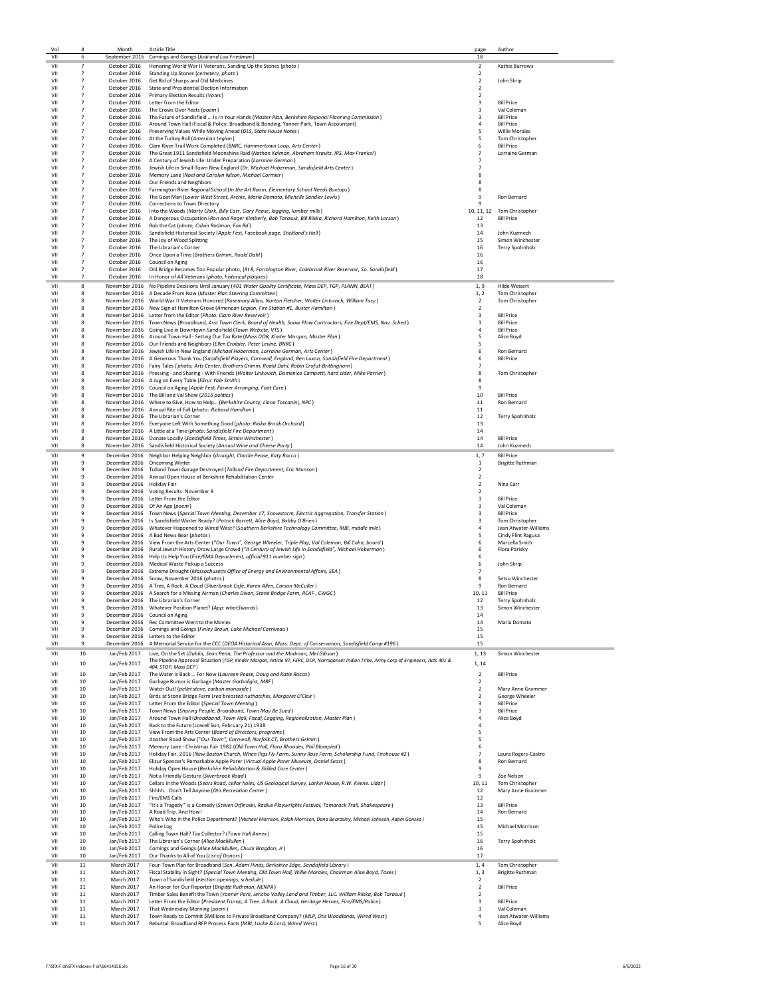| Vol        |                                  | Month                        | <b>Article Title</b><br>September 2016 Comings and Goings (Judi and Lou Friedman)                                                                                                                                           | page                                      | Author                                      |
|------------|----------------------------------|------------------------------|-----------------------------------------------------------------------------------------------------------------------------------------------------------------------------------------------------------------------------|-------------------------------------------|---------------------------------------------|
| VII        | 6                                |                              |                                                                                                                                                                                                                             | 18                                        |                                             |
| VII<br>VII | $\overline{7}$<br>7              | October 2016                 | Honoring World War II Veterans, Sanding Up the Stones (photo)<br>October 2016 Standing Up Stones (cemetery, photo)                                                                                                          | $\overline{2}$<br>$\overline{2}$          | Kathie Burrows                              |
| VII        | $\overline{7}$                   |                              | October 2016 Get Rid of Sharps and Old Medicines                                                                                                                                                                            | $\overline{2}$                            | John Skrip                                  |
| VII        | $\overline{7}$                   |                              | October 2016 State and Presidential Election Information                                                                                                                                                                    | $\overline{2}$                            |                                             |
| VII<br>VII | $\overline{7}$<br>$\overline{7}$ |                              | October 2016 Primary Election Results (Votes)                                                                                                                                                                               | $\overline{2}$                            | <b>Bill Price</b>                           |
| VII        | $\overline{7}$                   | October 2016                 | October 2016 Letter from the Editor<br>The Crows Over Yeats (poem)                                                                                                                                                          | 3<br>3                                    | Val Coleman                                 |
| VII        | $\overline{7}$                   | October 2016                 | The Future of Sandisfield  Is In Your Hands (Master Plan, Berkshire Regional Planning Commission)                                                                                                                           | 3                                         | <b>Bill Price</b>                           |
| VII        | $\overline{7}$                   | October 2016                 | Around Town Hall (Fiscal & Policy, Broadband & Bonding, Yanner Park, Town Accountant)                                                                                                                                       | $\overline{4}$                            | <b>Bill Price</b>                           |
| VII<br>VII | $\overline{7}$<br>7              | October 2016                 | Preserving Values While Moving Ahead (DLS, State House Notes)<br>October 2016 At the Turkey Roll (American Legion)                                                                                                          | 5<br>5                                    | <b>Willie Morales</b><br>Tom Christopher    |
| VII        | $\overline{7}$                   |                              | October 2016 Clam River Trail Work Completed (BNRC, Hammertown Loop, Arts Center)                                                                                                                                           | 6                                         | <b>Bill Price</b>                           |
| VII        | $\overline{7}$                   |                              | October 2016 The Great 1911 Sandisfield Moonshine Raid (Nathan Kalman, Abraham Kravitz, IRS, Max Frankel)                                                                                                                   | $\overline{7}$                            | Lorraine German                             |
| VII<br>VII | 7<br>$\overline{7}$              |                              | October 2016 A Century of Jewish Life: Under Preparation (Lorraine German)<br>October 2016 Jewish Life in Small-Town New England (Dr. Michael Hoberman, Sandisfield Arts Center)                                            | $\overline{7}$<br>$\overline{7}$          |                                             |
| VII.       | $\overline{7}$                   |                              | October 2016 Memory Lane (Noel and Carolyn Nilson, Michael Cormier)                                                                                                                                                         | 8                                         |                                             |
| VII        | $\overline{7}$                   |                              | October 2016 Our Friends and Neighbors                                                                                                                                                                                      | 8                                         |                                             |
| VII<br>VII | $\overline{7}$<br>$\overline{7}$ |                              | October 2016 Farmington River Regional School (In the Art Room, Elementary School Needs Boxtops)<br>October 2016 The Goat Man (Lower West Street, Archie, Maria Domato, Michelle Sandler Lewis)                             | 8<br>9                                    | Ron Bernard                                 |
| VII        | $\overline{7}$                   |                              | October 2016 Corrections to Town Directory                                                                                                                                                                                  | 9                                         |                                             |
| VII        | $\overline{7}$                   | October 2016                 | Into the Woods (Marty Clark, Billy Carr, Gary Pease, logging, lumber mills)                                                                                                                                                 | 10, 11, 12                                | Tom Christopher                             |
| VII        | $\overline{7}$                   | October 2016                 | A Dangerous Occupation (Ron and Roger Kimberly, Bob Tarasuk, Bill Riiska, Richard Hamilton, Keith Larson)                                                                                                                   | 12                                        | <b>Bill Price</b>                           |
| VII<br>VII | $\overline{7}$<br>$\overline{7}$ | October 2016                 | Bob the Cat (photo, Calvin Rodman, Fox Rd)<br>October 2016 Sandisfield Historical Society (Apple Fest, Facebook page, Stickland's Hall)                                                                                     | 13<br>14                                  | John Kuzmech                                |
| VII        | $\overline{7}$                   |                              | October 2016 The Joy of Wood Splitting                                                                                                                                                                                      | 15                                        | Simon Winchester                            |
| VII        | $\overline{7}$                   |                              | October 2016 The Librarian's Corner                                                                                                                                                                                         | 16                                        | Terry Spohnholz                             |
| VII<br>VII | $\overline{7}$<br>$\overline{7}$ |                              | October 2016 Once Upon a Time (Brothers Grimm, Roald Dahl)<br>October 2016 Council on Aging                                                                                                                                 | 16<br>16                                  |                                             |
| VII        | $\overline{7}$                   |                              | October 2016 Old Bridge Becomes Too Popular photo, (Rt 8, Farmington River, Colebrook River Reservoir, So. Sandisfield)                                                                                                     | 17                                        |                                             |
| VII        | $\overline{7}$                   |                              | October 2016   In Honor of All Veterans (photo, historical plaques)                                                                                                                                                         | 18                                        |                                             |
| VII        | 8                                |                              | November 2016 No Pipeline Decisions Until January (401 Water Quality Certificate, Mass DEP, TGP, PLANN, BEAT)                                                                                                               | 1, 9                                      | <b>Hilde Weisert</b>                        |
| VII<br>VII | 8<br>8                           |                              | November 2016 A Decade From Now (Master Plan Steering Committee)<br>November 2016 World War II Veterans Honored (Rosemary Allan, Norton Fletcher, Walter Linkovich, William Tacy)                                           | 1, 2<br>$\overline{2}$                    | Tom Christopher<br>Tom Christopher          |
| VII        | 8                                |                              | November 2016 New Sign at Hamilton Grove (American Legion, Fire Station #1, Buster Hamilton)                                                                                                                                | $\overline{2}$                            |                                             |
| VII        | 8                                |                              | November 2016 Letter from the Editor (Photo: Clam River Reservoir)                                                                                                                                                          | 3                                         | <b>Bill Price</b>                           |
| VII<br>VII | я<br>я                           |                              | November 2016 Town News (Broadband, Asst Town Clerk, Board of Health, Snow Plow Contractors, Fire Dept/EMS, Nov. Sched)<br>November 2016 Going Live in Downtown Sandisfield (Town Website, VTS)                             | 3<br>$\overline{a}$                       | <b>Bill Price</b><br><b>Bill Price</b>      |
| VII        | я                                |                              | November 2016 Around Town Hall - Setting Our Tax Rate (Mass DOR, Kinder Morgan, Master Plan)                                                                                                                                | 5                                         | Alice Boyd                                  |
| VII        | 8                                |                              | November 2016 Our Friends and Neighbors (Ellen Croibier, Peter Levine, BNRC)                                                                                                                                                | 5                                         |                                             |
| VII<br>VII | 8<br>8                           |                              | November 2016 Jewish Life in New England (Michael Hoberman, Lorraine German, Arts Center)                                                                                                                                   | 6<br>6                                    | Ron Bernard<br><b>Bill Price</b>            |
| VII        | 8                                |                              | November 2016 A Generous Thank You (Sandisfield Players, Cornwall, England, Ben Luxon, Sandisfield Fire Department)<br>November 2016 Fairy Tales (photo, Arts Center, Brothers Grimm, Roald Dahl, Robin Crofut-Brittingham) | 7                                         |                                             |
| VII        | 8                                |                              | November 2016 Pressing - and Sharing - With Friends (Walter Linkovich, Domenico Campetti, hard cider, Mike Parrier)                                                                                                         | 8                                         | Tom Christopher                             |
| VII<br>VII | 8<br>8                           |                              | November 2016 A Jug on Every Table (Elizur Yale Smith)<br>November 2016 Council on Aging (Apple Fest, Flower Arranging, Foot Care)                                                                                          | 8<br>9                                    |                                             |
| VII        | 8                                |                              | November 2016 The Bill and Val Show (2016 politics)                                                                                                                                                                         | 10                                        | <b>Bill Price</b>                           |
| VII        | 8                                |                              | November 2016 Where to Give, How to Help (Berkshire County, Liana Toscanini, NPC)                                                                                                                                           | $11\,$                                    | Ron Bernard                                 |
| VII<br>VII | 8<br>8                           |                              | November 2016 Annual Rite of Fall (photo: Richard Hamilton)<br>November 2016 The Librarian's Corner                                                                                                                         | 11<br>12                                  | Terry Spohnholz                             |
| VII        | 8                                |                              | November 2016 Everyone Left With Something Good (photo: Riiska Brook Orchard)                                                                                                                                               | 13                                        |                                             |
| VII        | 8                                |                              | November 2016 A Little at a Time (photo: Sandisfield Fire Department)                                                                                                                                                       | 14                                        |                                             |
| VII<br>VII | 8<br>8                           |                              | November 2016 Donate Locally (Sandisfield Times, Simon Winchester)<br>November 2016 Sandisfield Historical Society (Annual Wine and Cheese Party)                                                                           | 14<br>14                                  | <b>Bill Price</b><br>John Kuzmech           |
| VII        | 9                                |                              | December 2016 Neighbor Helping Neighbor (drought, Charlie Pease, Katy Rocco)                                                                                                                                                | 1, 7                                      | <b>Bill Price</b>                           |
| VII        | 9                                |                              | December 2016 Oncoming Winter                                                                                                                                                                                               | 1                                         | <b>Brigitte Ruthman</b>                     |
| VII<br>VII | $\mathbf{q}$<br>9                |                              | December 2016 Tolland Town Garage Destroyed (Tolland Fire Department, Eric Munson)<br>December 2016 Annual Open House at Berkshire Rehabilitation Center                                                                    | $\overline{2}$<br>$\overline{2}$          |                                             |
| VII        | 9                                | December 2016 Holiday Fair   |                                                                                                                                                                                                                             | $\overline{2}$                            | Nina Carr                                   |
| VII        | $\mathbf{q}$                     |                              | December 2016 Voting Results: November 8                                                                                                                                                                                    | $\overline{2}$                            |                                             |
| VII<br>VII | 9<br>9                           |                              | December 2016 Letter From the Editor<br>December 2016 Of An Age (poem)                                                                                                                                                      | 3<br>3                                    | <b>Bill Price</b><br>Val Coleman            |
| VII        | 9                                |                              | December 2016 Town News (Special Town Meeting, December 17, Snowstorm, Electric Aggregation, Transfer Station)                                                                                                              | 3                                         | <b>Bill Price</b>                           |
| VII        | 9                                |                              | December 2016 Is Sandisfield Winter Ready? (Patrick Barrett, Alice Boyd, Bobby O'Brien)                                                                                                                                     | 3                                         | Tom Christopher                             |
| VII<br>VII | 9<br>۹                           |                              | December 2016 Whatever Happened to Wired West? (Southern Berkshire Technology Committee, MBI, middle mile)<br>December 2016 A Bad News Bear (photos)                                                                        | 4<br>5                                    | Jean Atwater-Williams<br>Cindy Flint Ragusa |
| VII        | 9                                |                              | December 2016 View From the Arts Center ("Our Town", George Wheeler, Triple Play, Val Coleman, Bill Cohn, board)                                                                                                            | 6                                         | Marcella Smith                              |
| VII        | 9                                |                              | December 2016 Rural Jewish History Draw Large Crowd ("A Century of Jewish Life in Sandisfield", Michael Hoberman)                                                                                                           | 6                                         | Flora Parisky                               |
| VII<br>VII | 9<br>9                           |                              | December 2016 Help Us Help You (Fire/EMA Department, official 911 number sign)<br>December 2016 Medical Waste Pickup a Success                                                                                              | 6<br>6                                    | John Skrip                                  |
| VII        | ۹                                |                              | December 2016 Extreme Drought (Massachusetts Office of Energy and Environmental Affairs, EEA)                                                                                                                               | $\overline{7}$                            |                                             |
| VII        | $\mathbf{q}$                     |                              | December 2016 Snow, November 2016 (photos)                                                                                                                                                                                  | 8                                         | Setsu Winchester                            |
| VII<br>VII | 9<br>9                           |                              | December 2016 A Tree, A Rock, A Cloud (Silverbrook Café, Karen Allen, Carson McCuller)<br>December 2016 A Search for a Missing Airman (Charles Dixon, Stone Bridge Farm, RCAF, CWGC)                                        | 9<br>10, 11                               | Ron Bernard<br><b>Bill Price</b>            |
| VII        | 9                                |                              | December 2016 The Librarian's Corner                                                                                                                                                                                        | 12                                        | Terry Spohnholz                             |
| VII        | 9                                |                              | December 2016 Whatever Position Planet? (App: what3words)                                                                                                                                                                   | 13                                        | Simon Winchester                            |
| VII<br>VII | 9<br>9                           |                              | December 2016 Council on Aging<br>December 2016 Rec Committee Went to the Movies                                                                                                                                            | 14<br>14                                  | Maria Domato                                |
| VII        | 9                                |                              | December 2016 Comings and Goings (Finley Braun, Luke Michael Carriveau)                                                                                                                                                     | 15                                        |                                             |
| VII<br>VII | 9<br>9                           |                              | December 2016 Letters to the Editor<br>December 2016 A Memorial Service for the CCC (DEOA Historical Assn, Mass. Dept. of Conservation, Sandisfield Camp #196)                                                              | 15<br>15                                  |                                             |
|            |                                  |                              | Live, On the Set (Dublin, Sean Penn, The Professor and the Madman, Mel Gibson)                                                                                                                                              |                                           |                                             |
| VII<br>VII | 10<br>10                         | Jan/Feb 2017<br>Jan/Feb 2017 | The Pipeline Approval Situation (TGP, Kinder Morgan, Article 97, FERC, DCR, Narraganset Indian Tribe, Army Corp of Engineers, Acts 401 &                                                                                    | 1, 13<br>1, 14                            | Simon Winchester                            |
| VII        | 10                               |                              | 404, STOP, Mass DEP)                                                                                                                                                                                                        | $\mathbf 2$                               | <b>Bill Price</b>                           |
| VII        | 10                               | Jan/Feb 2017<br>Jan/Feb 2017 | The Water is Back  For Now (Laureen Pease, Doug and Katie Rocco)<br>Garbage Rumor is Garbage (Master Garboligist, MRF)                                                                                                      | 2                                         |                                             |
| VII        | 10                               | Jan/Feb 2017                 | Watch Out! (pellet stove, carbon monoxide)                                                                                                                                                                                  | $\overline{2}$                            | Mary Anne Grammer                           |
| VII<br>VII | 10<br>10                         | Jan/Feb 2017<br>Jan/Feb 2017 | Birds at Stone Bridge Farm (red breasted nuthatches, Margaret O'Clair)<br>Letter From the Editor (Special Town Meeting)                                                                                                     | $\overline{2}$<br>3                       | George Wheeler<br><b>Bill Price</b>         |
| VII        | 10                               | Jan/Feb 2017                 | Town News (Sharing People, Broadband, Town May Be Sued)                                                                                                                                                                     | 3                                         | <b>Bill Price</b>                           |
| VII        | 10                               | Jan/Feb 2017                 | Around Town Hall (Broadband, Town Hall, Fiscal, Logging, Regionalization, Master Plan)                                                                                                                                      | 4                                         | Alice Boyd                                  |
| VII        | 10                               | Jan/Feb 2017                 | Back to the Future (Lowell Sun, February 21) 1938                                                                                                                                                                           | 4                                         |                                             |
| VII<br>VII | 10<br>10                         | Jan/Feb 2017<br>Jan/Feb 2017 | View From the Arts Center (Board of Directors, programs)<br>Another Road Show ("Our Town", Cornwall, Norfolk CT, Brothers Grimm)                                                                                            | 5<br>5                                    |                                             |
| VII        | 10                               | Jan/Feb 2017                 | Memory Lane - Christmas Fair 1982 (Old Town Hall, Flora Rhoades, Phil Blampied)                                                                                                                                             | 6                                         |                                             |
| VII<br>VII | 10<br>10                         | Jan/Feb 2017<br>Jan/Feb 2017 | Holiday Fair, 2016 (New Boston Church, When Pigs Fly Farm, Sunny Rose Farm, Scholarship Fund, Firehouse #2)<br>Elizur Spencer's Remarkable Apple Parer (Virtual Apple Parer Museum, Daniel Sears)                           | $\overline{7}$<br>8                       | Laura Rogers-Castro<br>Ron Bernard          |
| VII        | 10                               | Jan/Feb 2017                 | Holiday Open House (Berkshire Rehabilitation & Skilled Care Center)                                                                                                                                                         | 9                                         |                                             |
| VII        | 10                               | Jan/Feb 2017                 | Not a Friendly Gesture (Silverbrook Road)                                                                                                                                                                                   | 9                                         | Zoe Nelson                                  |
| VII<br>VII | 10<br>10                         | Jan/Feb 2017<br>Jan/Feb 2017 | Cellars in the Woods (Sears Road, cellar holes, US Geological Survey, Larkin House, R.W. Keene. Lidar)<br>Shhhh Don't Tell Anyone (Otis Recreation Center)                                                                  | 10, 11<br>12                              | Tom Christopher<br>Mary Anne Grammer        |
| VII        | 10                               | Jan/Feb 2017                 | Fire/EMS Calls                                                                                                                                                                                                              | 12                                        |                                             |
| VII<br>VII | 10<br>10                         | Jan/Feb 2017<br>Jan/Feb 2017 | "It's a Tragedy" Is a Comedy (Steven Otfinoski, Radius Playwrights Festival, Tamarack Trail, Shakespeare)                                                                                                                   | 13                                        | <b>Bill Price</b>                           |
| VII        | 10                               | Jan/Feb 2017                 | A Road Trip. And How!<br>Who's Who in the Police Department? (Michael Morrison, Ralph Morrison, Dana Beardsley, Michael Johnson, Adam Gonska)                                                                               | 14<br>15                                  | Ron Bernard                                 |
| VII        | 10                               | Jan/Feb 2017                 | Police Log                                                                                                                                                                                                                  | 15                                        | Michael Morrison                            |
| VII<br>VII | 10<br>10                         | Jan/Feb 2017<br>Jan/Feb 2017 | Calling Town Hall? Tax Collector? (Town Hall Annex)<br>The Librarian's Corner (Alice MacMullen)                                                                                                                             | 15<br>16                                  | Terry Spohnholz                             |
| VII        | 10                               | Jan/Feb 2017                 | Comings and Goings (Alice MacMullen, Chuck Bragdon, Jr)                                                                                                                                                                     | 16                                        |                                             |
| VII        | 10                               | Jan/Feb 2017                 | Our Thanks to All of You (List of Donors)                                                                                                                                                                                   | 17                                        |                                             |
| VII        | 11                               | March 2017                   | Four-Town Plan for Broadband (Sen. Adam Hinds, Berkshire Edge, Sandisfield Library)                                                                                                                                         | 1, 4                                      | Tom Christopher                             |
| VII<br>VII | 11<br>$11\,$                     | March 2017<br>March 2017     | Fiscal Stability in Sight? (Special Town Meeting, Old Town Hall, Willie Morales, Chairman Alice Boyd, Taxes)<br>Town of Sandisfield (election openings, schedule)                                                           | 1, 3<br>$\overline{2}$                    | <b>Brigitte Ruthman</b>                     |
| VII        | 11                               | March 2017                   | An Honor for Our Reporter (Brigitte Ruthman, NENPA)                                                                                                                                                                         | 2                                         | <b>Bill Price</b>                           |
| VII<br>VII | 11<br>11                         | March 2017<br>March 2017     | Timber Sales Benefit the Town (Yanner Park, Jericho Valley Land and Timber, LLC. William Riiska, Bob Tarasuk)<br>Letter From the Editor (President Trump, A Tree. A Rock. A Cloud, Heritage Heroes, Fire/EMS/Police)        | $\overline{2}$<br>$\overline{\mathbf{3}}$ | <b>Bill Price</b>                           |
| VII        | 11                               | March 2017                   | That Wednesday Morning (poem)                                                                                                                                                                                               | 3                                         | Val Coleman                                 |
| VII        | 11                               | March 2017                   | Town Ready to Commit \$Millions to Private Broadband Company? (MLP, Otis Woodlands, Wired West)                                                                                                                             | 4                                         | Jean Atwater-Williams                       |
| VII        | 11                               | March 2017                   | Rebuttal: Broadband RFP Process Facts (MBI, Locke & Lord, Wired West)                                                                                                                                                       | 5                                         | Alice Boyd                                  |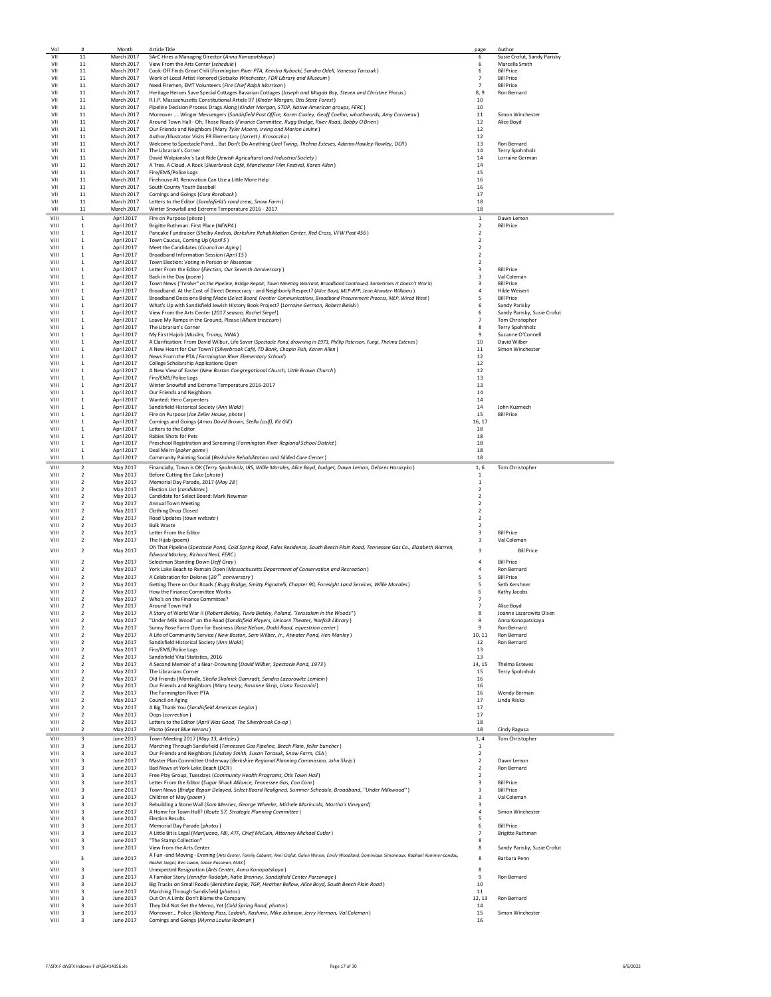| Vol          | #                                         | Month                           | Article Title                                                                                                                                                                                             | page                             | Author                                       |
|--------------|-------------------------------------------|---------------------------------|-----------------------------------------------------------------------------------------------------------------------------------------------------------------------------------------------------------|----------------------------------|----------------------------------------------|
| VII<br>VII   | 11                                        | March 2017<br><b>March 2017</b> | SArC Hires a Managing Director (Anna Konopatskaya)                                                                                                                                                        | 6<br>6                           | Susie Crofut, Sandy Parisky                  |
| VII          | 11<br>11                                  | March 2017                      | View From the Arts Center (schedule)<br>Cook-Off Finds Great Chili (Farmington River PTA, Kendra Rybacki, Sandra Odell, Vanessa Tarasuk)                                                                  | 6                                | Marcella Smith<br><b>Bill Price</b>          |
| VII          | $11\,$                                    | March 2017                      | Work of Local Artist Honored (Setsuko Winchester, FDR Library and Museum)                                                                                                                                 | $\overline{7}$                   | <b>Bill Price</b>                            |
| VII          | $11\,$                                    | March 2017                      | Need Firemen, EMT Volunteers (Fire Chief Ralph Morrison)                                                                                                                                                  | $\overline{7}$                   | <b>Bill Price</b>                            |
| VII          | $11\,$                                    | March 2017                      | Heritage Heroes Save Special Cottages Bavarian Cottages (Joseph and Magda Bay, Steven and Christine Pincus)                                                                                               | 8,9                              | Ron Bernard                                  |
| VII          | 11                                        | March 2017                      | R.I.P. Massachusetts Constitutional Article 97 (Kinder Morgan, Otis State Forest)                                                                                                                         | 10                               |                                              |
| VII<br>VII   | 11<br>11                                  | March 2017<br>March 2017        | Pipeline Decision Process Drags Along (Kinder Morgan, STOP, Native American groups, FERC)<br>Moreover  Winger Messengers (Sandisfield Post Office, Karen Cooley, Geoff Coelho, what3words, Amy Carriveau) | 10<br>11                         | Simon Winchester                             |
| VII          | 11                                        | March 2017                      | Around Town Hall - Oh, Those Roads (Finance Committee, Rugg Bridge, River Road, Bobby O'Brien)                                                                                                            | 12                               | Alice Boyd                                   |
| VII          | 11                                        | March 2017                      | Our Friends and Neighbors (Mary Tyler Moore, Irving and Marion Levine)                                                                                                                                    | $12\,$                           |                                              |
| VII          | $11\,$                                    | March 2017                      | Author/Illustrator Visits FR Elementary (Jarrett j. Krosoczka)                                                                                                                                            | 12                               |                                              |
| VII          | 11                                        | March 2017                      | Welcome to Spectacle Pond But Don't Do Anything (Joel Twing, Thelma Esteves, Adams-Hawley-Rowley, DCR)                                                                                                    | 13                               | Ron Bernard                                  |
| VII<br>VII   | 11<br>11                                  | March 2017<br>March 2017        | The Librarian's Corner<br>David Walpiansky's Last Ride (Jewish Agricultural and Industrial Society)                                                                                                       | 14<br>14                         | Terry Spohnholz<br>Lorraine German           |
| VII          | 11                                        | March 2017                      | A Tree. A Cloud. A Rock (Silverbrook Café, Manchester Film Festival, Karen Allen)                                                                                                                         | 14                               |                                              |
| VII          | $11\,$                                    | March 2017                      | Fire/EMS/Police Logs                                                                                                                                                                                      | 15                               |                                              |
| VII          | $11\,$                                    | March 2017                      | Firehouse #1 Renovation Can Use a Little More Help                                                                                                                                                        | 16                               |                                              |
| VII          | $11\,$                                    | March 2017                      | South County Youth Baseball                                                                                                                                                                               | 16                               |                                              |
| VII<br>VII   | 11<br>11                                  | March 2017<br>March 2017        | Comings and Goings (Cora Roraback)                                                                                                                                                                        | 17<br>18                         |                                              |
| VII          | 11                                        | March 2017                      | Letters to the Editor (Sandisfield's road crew, Snow Farm)<br>Winter Snowfall and Extreme Temperature 2016 - 2017                                                                                         | 18                               |                                              |
| VIII         | 1                                         | April 2017                      | Fire on Purpose (photo)                                                                                                                                                                                   | $\mathbf{1}$                     | Dawn Lemon                                   |
| VIII         | 1                                         | April 2017                      | Brigitte Ruthman: First Place (NENPA)                                                                                                                                                                     | $\overline{2}$                   | <b>Bill Price</b>                            |
| VIII         | $\mathbf 1$                               | April 2017                      | Pancake Fundraiser (Shelby Andros, Berkshire Rehabilitation Center, Red Cross, VFW Post 456)                                                                                                              | 2                                |                                              |
| VIII         | 1                                         | April 2017                      | Town Caucus, Coming Up (April 5)                                                                                                                                                                          | $\overline{\mathbf{2}}$          |                                              |
| VIII         | $\,$ 1                                    | April 2017                      | Meet the Candidates (Council on Aging)                                                                                                                                                                    | 2                                |                                              |
| VIII<br>VIII | 1<br>1                                    | April 2017<br>April 2017        | Broadband Information Session (April 15)<br>Town Election: Voting in Person or Absentee                                                                                                                   | $\overline{2}$<br>$\overline{2}$ |                                              |
| VIII         | 1                                         | April 2017                      | Letter From the Editor (Election, Our Seventh Anniversary)                                                                                                                                                | 3                                | <b>Bill Price</b>                            |
| VIII         | $\mathbf{1}$                              | April 2017                      | Back in the Day (poem)                                                                                                                                                                                    | 3                                | Val Coleman                                  |
| VIII         | $\,$ 1                                    | April 2017                      | Town News ("Timber" on the Pipeline, Bridge Repair, Town Meeting Warrant, Broadband Continued, Sometimes It Doesn't Work)                                                                                 | 3                                | <b>Bill Price</b>                            |
| VIII         | $\,$ 1                                    | April 2017                      | Broadband: At the Cost of Direct Democracy - and Neighborly Respect? (Alice Boyd, MLP-RFP, Jean Atwater-Williams)                                                                                         | 4                                | Hilde Weisert                                |
| VIII<br>VIII | 1<br>$\mathbf{1}$                         | April 2017                      | Broadband Decisions Being Made (Select Board, Frontier Communications, Broadband Procurement Process, MLP, Wired West)                                                                                    | 5<br>6                           | <b>Bill Price</b>                            |
| VIII         | $\mathbf{1}$                              | April 2017<br>April 2017        | What's Up with Sandisfield Jewish History Book Project? (Lorraine German, Robert Bielski)<br>View From the Arts Center (2017 season, Rachel Siegel)                                                       | 6                                | Sandy Parisky<br>Sandy Parisky, Susie Crofut |
| VIII         | $\mathbf 1$                               | April 2017                      | Leave My Ramps in the Ground, Please (Allium triciccum)                                                                                                                                                   | $\overline{7}$                   | Tom Christopher                              |
| VIII         | $\mathbf{1}$                              | April 2017                      | The Librarian's Corner                                                                                                                                                                                    | 8                                | Terry Spohnholz                              |
| VIII         | $\,$ 1                                    | April 2017                      | My First Hajob (Muslim, Trump, NINA)                                                                                                                                                                      | 9                                | Suzanne O'Connell                            |
| VIII         | 1                                         | April 2017<br>April 2017        | A Clarification: From David Wilbur, Life Saver (Spectacle Pond, drowning in 1973, Phillip Paterson, Fungi, Thelma Esteves)                                                                                | 10<br>11                         | David Wilber<br>Simon Winchester             |
| VIII<br>VIII | 1<br>1                                    | April 2017                      | A New Heart for Our Town? (Silverbrook Café, TD Bank, Chapin Fish, Karen Allen)<br>News From the PTA (Farmington River Elementary School)                                                                 | 12                               |                                              |
| VIII         | $\mathbf{1}$                              | April 2017                      | College Scholarship Applications Open                                                                                                                                                                     | 12                               |                                              |
| VIII         | $\mathbf{1}$                              | April 2017                      | A New View of Easter (New Boston Congregational Church, Little Brown Church)                                                                                                                              | 12                               |                                              |
| VIII         | $\,$ 1                                    | April 2017                      | Fire/EMS/Police Logs                                                                                                                                                                                      | 13                               |                                              |
| VIII         | 1                                         | April 2017                      | Winter Snowfall and Extreme Temperature 2016-2017                                                                                                                                                         | 13                               |                                              |
| VIII<br>VIII | 1<br>1                                    | April 2017<br>April 2017        | Our Friends and Neighbors<br>Wanted: Hero Carpenters                                                                                                                                                      | 14<br>14                         |                                              |
| VIII         | 1                                         | April 2017                      | Sandisfield Historical Society (Ann Wald)                                                                                                                                                                 | 14                               | John Kuzmech                                 |
| VIII         | $\mathbf 1$                               | April 2017                      | Fire on Purpose (Joe Zeller House, photo)                                                                                                                                                                 | 15                               | <b>Bill Price</b>                            |
| VIII         | $\,$ 1                                    | April 2017                      | Comings and Goings (Amos David Brown, Stella (calf), Kit Gill)                                                                                                                                            | 16, 17                           |                                              |
| VIII         | $\,$ 1                                    | April 2017                      | Letters to the Editor                                                                                                                                                                                     | 18                               |                                              |
| VIII         | 1                                         | April 2017                      | Rabies Shots for Pets                                                                                                                                                                                     | 18                               |                                              |
| VIII<br>VIII | 1<br>1                                    | April 2017<br>April 2017        | Preschool Registration and Screening (Farmington River Regional School District)<br>Deal Me In (poker game)                                                                                               | 18<br>18                         |                                              |
| VIII         | $\mathbf{1}$                              | April 2017                      | Community Painting Social (Berkshire Rehabilitation and Skilled Care Center)                                                                                                                              | 18                               |                                              |
| VIII         | $\overline{2}$                            | May 2017                        | Financially, Town is OK (Terry Spohnholz, IRS, Willie Morales, Alice Boyd, budget, Dawn Lemon, Delores Harasyko)                                                                                          | 1,6                              | Tom Christopher                              |
| VIII         | $\overline{2}$                            | May 2017                        | Before Cutting the Cake (photo)                                                                                                                                                                           | 1                                |                                              |
| VIII         | $\overline{2}$                            | May 2017                        | Memorial Day Parade, 2017 (May 28)                                                                                                                                                                        | $\,$ 1                           |                                              |
| VIII         | $\overline{2}$                            | May 2017                        | Election List (candidates)                                                                                                                                                                                | $\overline{\mathbf{2}}$          |                                              |
| VIII         | $\overline{2}$                            | May 2017                        | Candidate for Select Board: Mark Newman                                                                                                                                                                   | $\overline{2}$                   |                                              |
| VIII<br>VIII | 2<br>$\overline{2}$                       | May 2017<br>May 2017            | <b>Annual Town Meeting</b><br>Clothing Drop Closed                                                                                                                                                        | $\overline{2}$<br>$\overline{2}$ |                                              |
| VIII         | $\overline{2}$                            | May 2017                        | Road Updates (town website)                                                                                                                                                                               | $\overline{2}$                   |                                              |
| VIII         | $\overline{2}$                            | May 2017                        | <b>Bulk Waste</b>                                                                                                                                                                                         | $\overline{2}$                   |                                              |
| VIII         | $\overline{\mathbf{2}}$                   | May 2017                        | Letter From the Editor                                                                                                                                                                                    | 3                                | <b>Bill Price</b>                            |
| VIII         | 2                                         | May 2017                        | The Hijab (poem)                                                                                                                                                                                          | 3                                | Val Coleman                                  |
| VIII         | $\overline{2}$                            | May 2017                        | Oh That Pipeline (Spectacle Pond, Cold Spring Road, Fales Residence, South Beech Plain Road, Tennessee Gas Co., Elizabeth Warren,<br>Edward Markey, Richard Neal, FERC)                                   | 3                                | <b>Bill Price</b>                            |
| VIII         | $\mathbf 2$                               | May 2017                        | Selectman Standing Down (Jeff Gray)                                                                                                                                                                       | 4                                | <b>Bill Price</b>                            |
| VIII         | $\overline{2}$                            | May 2017                        | York Lake Beach to Remain Open (Massachusetts Department of Conservation and Recreation)                                                                                                                  | 4                                | Ron Bernard                                  |
| VIII         | $\overline{2}$                            | May 2017                        | A Celebration for Delores (20 <sup>th</sup> anniversary)                                                                                                                                                  | 5                                | <b>Bill Price</b>                            |
| VIII         | $\overline{2}$                            | May 2017                        | Getting There on Our Roads (Rugg Bridge, Smitty Pignatelli, Chapter 90, Foresight Land Services, Willie Morales)                                                                                          | 5                                | Seth Kershner                                |
| VIII         | $\overline{\mathbf{2}}$                   | May 2017                        | How the Finance Committee Works                                                                                                                                                                           | 6                                | Kathy Jacobs                                 |
| VIII<br>VIII | $\overline{\mathbf{2}}$<br>$\overline{2}$ | May 2017                        | Who's on the Finance Committee?                                                                                                                                                                           | $\overline{7}$<br>$\overline{7}$ |                                              |
| VIII         | 2                                         | May 2017<br>May 2017            | Around Town Hall<br>A Story of World War II (Robert Bielsky, Tuvia Bielsky, Poland, "Jerusalem in the Woods")                                                                                             | 8                                | Alice Boyd<br>Joanne Lazarowitz Olsen        |
| VIII         | $\overline{2}$                            | May 2017                        | "Under Milk Wood" on the Road (Sandisfield Players, Unicorn Theater, Norfolk Library)                                                                                                                     | 9                                | Anna Konopatskaya                            |
| VIII         | $\overline{2}$                            | May 2017                        | Sunny Rose Farm Open for Business (Rose Nelson, Dodd Road, equestrian center)                                                                                                                             | 9                                | Ron Bernard                                  |
| VIII         | $\overline{2}$                            | May 2017                        | A Life of Community Service (New Boston, Sam Wilber, Jr., Atwater Pond, Hen Manley)                                                                                                                       | 10, 11                           | Ron Bernard                                  |
| VIII<br>VIII | $\overline{2}$<br>$\overline{2}$          | May 2017<br>May 2017            | Sandisfield Historical Society (Ann Wald)<br>Fire/EMS/Police Logs                                                                                                                                         | 12<br>13                         | Ron Bernard                                  |
| VIII         | $\overline{2}$                            | May 2017                        | Sandisfield Vital Statistics, 2016                                                                                                                                                                        | 13                               |                                              |
| VIII         | $\overline{2}$                            | May 2017                        | A Second Memoir of a Near-Drowning (David Wilber, Spectacle Pond, 1973)                                                                                                                                   | 14, 15                           | Thelma Esteves                               |
| VIII         | $\overline{2}$                            | May 2017                        | The Librarians Corner                                                                                                                                                                                     | 15                               | Terry Spohnholz                              |
| VIII         | $\overline{2}$                            | May 2017                        |                                                                                                                                                                                                           |                                  |                                              |
| VIII         | $\overline{2}$                            |                                 | Old Friends (Montville, Sheila Skolnick Gamradt, Sandra Lazarowitz Lemlein)                                                                                                                               | 16                               |                                              |
|              |                                           | May 2017                        | Our Friends and Neighbors (Mary Leary, Rosanne Skrip, Liana Toscanini)                                                                                                                                    | 16                               |                                              |
| VIII         | $\overline{2}$                            | May 2017                        | The Farmington River PTA                                                                                                                                                                                  | 16                               | Wendy Berman                                 |
| VIII<br>VIII | 2<br>2                                    | May 2017                        | Council on Aging                                                                                                                                                                                          | 17                               | Linda Riiska                                 |
| VIII         | $\overline{2}$                            | May 2017<br>May 2017            | A Big Thank You (Sandisfield American Legion)<br>Oops (correction)                                                                                                                                        | 17<br>17                         |                                              |
| VIII         | $\overline{2}$                            | May 2017                        | Letters to the Editor (April Was Good, The Silverbrook Co-op)                                                                                                                                             | 18                               |                                              |
| VIII         | $\overline{2}$                            | May 2017                        | Photo (Great Blue Herons)                                                                                                                                                                                 | 18                               | Cindy Ragusa                                 |
| VIII         | 3                                         | June 2017                       | Town Meeting 2017 (May 13, Articles)                                                                                                                                                                      | 1, 4                             | Tom Christopher                              |
| VIII         | 3                                         | June 2017                       | Marching Through Sandisfield (Tennessee Gas Pipeline, Beech Plain, feller buncher)                                                                                                                        | 1                                |                                              |
| VIII         | 3                                         | June 2017                       | Our Friends and Neighbors (Lindsey Smith, Susan Tarasuk, Snow Farm, CSA)                                                                                                                                  | $\overline{2}$                   |                                              |
| VIII<br>VIII | 3<br>3                                    | June 2017                       | Master Plan Committee Underway (Berkshire Regional Planning Commission, John Skrip)                                                                                                                       | $\overline{2}$<br>$\overline{2}$ | Dawn Lemon<br>Ron Bernard                    |
| VIII         | $\overline{\mathbf{3}}$                   | June 2017<br>June 2017          | Bad News at York Lake Beach (DCR)<br>Free Play Group, Tuesdays (Community Health Programs, Otis Town Hall)                                                                                                | $\overline{2}$                   |                                              |
| VIII         | $\overline{\mathbf{3}}$                   | June 2017                       | Letter From the Editor (Sugar Shack Alliance, Tennessee Gas, Con Com)                                                                                                                                     | 3                                | <b>Bill Price</b>                            |
| VIII         | $\overline{\mathbf{3}}$                   | June 2017                       | Town News (Bridge Repair Delayed, Select Board Realigned, Summer Schedule, Broadband, "Under Milkwood")                                                                                                   | 3                                | <b>Bill Price</b>                            |
| VIII         | $\overline{\mathbf{3}}$                   | June 2017                       | Children of May (poem)                                                                                                                                                                                    | 3                                | Val Coleman                                  |
| VIII         | 3                                         | June 2017                       | Rebuilding a Stone Wall (Sam Mercier, George Wheeler, Michele Marincola, Martha's Vineyard)                                                                                                               | 3                                |                                              |
| VIII<br>VIII | $\overline{3}$<br>$\overline{\mathbf{3}}$ | June 2017                       | A Home for Town Hall? (Route 57, Strategic Planning Committee)<br><b>Election Results</b>                                                                                                                 | $\Delta$<br>5                    | Simon Winchester                             |
| VIII         | 3                                         | June 2017<br>June 2017          | Memorial Day Parade (photos)                                                                                                                                                                              | 6                                | <b>Bill Price</b>                            |
| VIII         | 3                                         | June 2017                       | A Little Bit is Legal (Marijuana, FBI, ATF, Chief McCuin, Attorney Michael Cutler)                                                                                                                        | $\overline{7}$                   | <b>Brigitte Ruthman</b>                      |
| VIII         | 3                                         | June 2017                       | "The Stamp Collection"                                                                                                                                                                                    | 8                                |                                              |
| VIII         | 3                                         | June 2017                       | View from the Arts Center                                                                                                                                                                                 | 8                                | Sandy Parisky, Susie Crofut                  |
|              | $\mathbf 3$                               | June 2017                       | A Fun -and Moving - Evening (Arts Center, Family Cabaret, Anni Crofut, Galen Winsor, Emily Woodland, Dominique Simoneaux, Raphael Kummer-Landau,                                                          | 8                                | Barbara Penn                                 |
| VIII         |                                           |                                 | Rachel Siegel, Ben Luxon, Grace Rossman, MAX)                                                                                                                                                             |                                  |                                              |
| VIII<br>VIII | 3<br>$\overline{\mathbf{3}}$              | June 2017<br>June 2017          | Unexpected Resignation (Arts Center, Anna Konopatskaya)                                                                                                                                                   | 8<br>9                           | Ron Bernard                                  |
| VIII         | 3                                         | June 2017                       | A Familiar Story (Jennifer Rudolph, Katie Brenney, Sandisfield Center Parsonage)<br>Big Trucks on Small Roads (Berkshire Eagle, TGP, Heather Bellow, Alice Boyd, South Beech Plain Road)                  | 10                               |                                              |
| VIII         | 3                                         | June 2017                       | Marching Through Sandisfield (photos)                                                                                                                                                                     | 11                               |                                              |
| VIII         | $\overline{\mathbf{3}}$                   | June 2017                       | Out On A Limb: Don't Blame the Company                                                                                                                                                                    | 12, 13                           | Ron Bernard                                  |
| VIII<br>VIII | 3<br>3                                    | June 2017<br>June 2017          | They Did Not Get the Memo, Yet (Cold Spring Road, photos)<br>Moreover Police (Rohtang Pass, Ladakh, Kashmir, Mike Johnson, Jerry Herman, Val Coleman)                                                     | 14<br>15                         | Simon Winchester                             |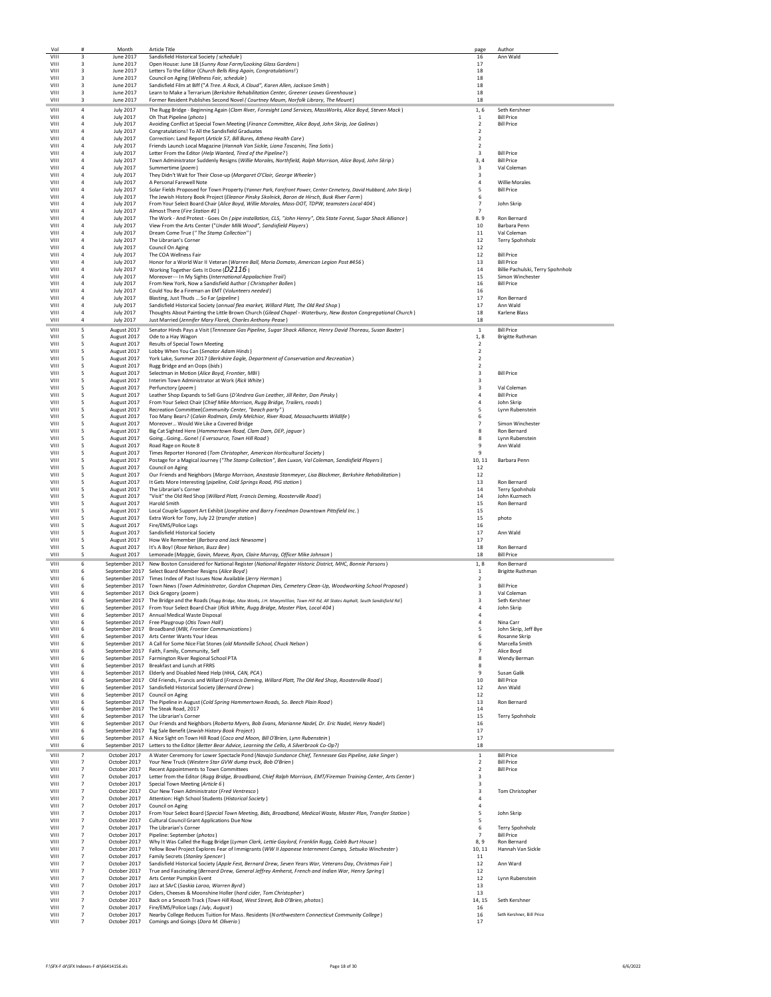| VIII<br>VIII<br>VIII |                                  | Month                                | <b>Article Title</b>                                                                                                                                                                                          | page                                      | Author                                                |
|----------------------|----------------------------------|--------------------------------------|---------------------------------------------------------------------------------------------------------------------------------------------------------------------------------------------------------------|-------------------------------------------|-------------------------------------------------------|
|                      | 3<br>$\overline{\mathbf{3}}$     | June 2017<br>June 2017               | Sandisfield Historical Society (schedule)                                                                                                                                                                     | 16<br>17                                  | Ann Wald                                              |
|                      | $\overline{\mathbf{3}}$          | June 2017                            | Open House: June 18 (Sunny Rose Farm/Looking Glass Gardens)<br>Letters To the Editor (Church Bells Ring Again, Congratulations!)                                                                              | 18                                        |                                                       |
| VIII                 | 3                                | June 2017                            | Council on Aging (Wellness Fair, schedule)                                                                                                                                                                    | 18                                        |                                                       |
| VIII                 | 3                                | June 2017                            | Sandisfield Film at Biff ("A Tree. A Rock, A Cloud", Karen Allen, Jackson Smith)                                                                                                                              | 18                                        |                                                       |
| VIII<br>VIII         | 3                                | June 2017                            | Learn to Make a Terrarium (Berkshire Rehabilitation Center, Greener Leaves Greenhouse)                                                                                                                        | 18<br>18                                  |                                                       |
|                      | 3                                | June 2017                            | Former Resident Publishes Second Novel (Courtney Maum, Norfolk Library, The Mount)                                                                                                                            |                                           |                                                       |
| VIII<br>VIII         | $\overline{a}$<br>4              | <b>July 2017</b><br><b>July 2017</b> | The Rugg Bridge - Beginning Again (Clam River, Foresight Land Services, MassWorks, Alice Boyd, Steven Mack)<br>Oh That Pipeline (photo)                                                                       | 1,6<br>1                                  | Seth Kershner<br><b>Bill Price</b>                    |
| VIII                 | $\overline{4}$                   | <b>July 2017</b>                     | Avoiding Conflict at Special Town Meeting (Finance Committee, Alice Boyd, John Skrip, Joe Galinas)                                                                                                            | $\overline{2}$                            | <b>Bill Price</b>                                     |
| VIII                 | $\overline{4}$                   | <b>July 2017</b>                     | Congratulations! To All the Sandisfield Graduates                                                                                                                                                             | $\overline{2}$                            |                                                       |
| VIII<br>VIII         | 4<br>4                           | <b>July 2017</b><br><b>July 2017</b> | Correction: Land Report (Article 57, Bill Bures, Athena Health Care)<br>Friends Launch Local Magazine (Hannah Van Sickle, Liana Toscanini, Tina Sotis)                                                        | $\overline{2}$<br>$\overline{2}$          |                                                       |
| <b>VIII</b>          | 4                                | <b>July 2017</b>                     | Letter From the Editor (Help Wanted, Tired of the Pipeline?)                                                                                                                                                  | 3                                         | <b>Bill Price</b>                                     |
| VIII                 | 4                                | <b>July 2017</b>                     | Town Administrator Suddenly Resigns (Willie Morales, Northfield, Ralph Morrison, Alice Boyd, John Skrip)                                                                                                      | 3.4                                       | <b>Bill Price</b>                                     |
| VIII                 | 4                                | <b>July 2017</b>                     | Summertime (poem)                                                                                                                                                                                             | 3<br>$\overline{\mathbf{3}}$              | Val Coleman                                           |
| VIII<br>VIII         | 4<br>4                           | <b>July 2017</b><br><b>July 2017</b> | They Didn't Wait for Their Close-up (Margaret O'Clair, George Wheeler)<br>A Personal Farewell Note                                                                                                            | $\overline{4}$                            | <b>Willie Morales</b>                                 |
| VIII                 | 4                                | <b>July 2017</b>                     | Solar Fields Proposed for Town Property (Yanner Park, Forefront Power, Center Cemetery, David Hubbard, John Skrip)                                                                                            | 5                                         | <b>Bill Price</b>                                     |
| <b>VIII</b>          | $\overline{a}$                   | <b>July 2017</b>                     | The Jewish History Book Project (Eleanor Pinsky Skolnick, Baron de Hirsch, Busk River Farm)                                                                                                                   | -6                                        |                                                       |
| VIII<br>VIII         | 4<br>4                           | <b>July 2017</b><br><b>July 2017</b> | From Your Select Board Chair (Alice Boyd, Willie Morales, Mass-DOT, TDPW, teamsters Local 404)<br>Almost There (Fire Station #1)                                                                              | $\overline{7}$<br>$\overline{7}$          | John Skrip                                            |
| VIII                 | $\overline{4}$                   | <b>July 2017</b>                     | The Work - And Protest - Goes On (pipe installation, CLS, "John Henry", Otis State Forest, Sugar Shack Alliance)                                                                                              | 8.9                                       | Ron Bernard                                           |
| VIII                 | $\overline{4}$                   | <b>July 2017</b>                     | View From the Arts Center ("Under Milk Wood", Sandisfield Players)                                                                                                                                            | 10                                        | Barbara Penn                                          |
| VIII<br><b>VIII</b>  | 4<br>4                           | <b>July 2017</b><br><b>July 2017</b> | Dream Come True ("The Stamp Collection")<br>The Librarian's Corner                                                                                                                                            | 11<br>12                                  | Val Coleman<br>Terry Spohnholz                        |
| <b>VIII</b>          | 4                                | <b>July 2017</b>                     | Council On Aging                                                                                                                                                                                              | 12                                        |                                                       |
| VIII                 | 4                                | <b>July 2017</b>                     | The COA Wellness Fair                                                                                                                                                                                         | 12                                        | <b>Bill Price</b>                                     |
| VIII<br>VIII         | 4<br>$\overline{4}$              | <b>July 2017</b><br><b>July 2017</b> | Honor for a World War II Veteran (Warren Ball, Maria Domato, American Legion Post #456)                                                                                                                       | 13<br>14                                  | <b>Bill Price</b>                                     |
| VIII                 | 4                                | <b>July 2017</b>                     | Working Together Gets It Done (D2116)<br>Moreover--- In My Sights (International Appalachian Trail)                                                                                                           | 15                                        | Billie Pachulski, Terry Spohnholz<br>Simon Winchester |
| <b>VIII</b>          | $\overline{a}$                   | <b>July 2017</b>                     | From New York, Now a Sandisfield Author (Christopher Bollen)                                                                                                                                                  | 16                                        | <b>Bill Price</b>                                     |
| VIII<br>VIII         | $\overline{a}$                   | <b>July 2017</b>                     | Could You Be a Fireman an EMT (Volunteers needed)                                                                                                                                                             | 16<br>17                                  | <b>Ron Bernard</b>                                    |
| VIII                 | 4<br>4                           | <b>July 2017</b><br><b>July 2017</b> | Blasting, Just Thuds  So Far (pipeline)<br>Sandisfield Historical Society (annual flea market, Willard Platt, The Old Red Shop)                                                                               | 17                                        | Ann Wald                                              |
| VIII                 | $\overline{4}$                   | <b>July 2017</b>                     | Thoughts About Painting the Little Brown Church (Gilead Chapel - Waterbury, New Boston Congregational Church)                                                                                                 | 18                                        | Karlene Blass                                         |
| VIII                 | 4                                | <b>July 2017</b>                     | Just Married (Jennifer Mary Florek, Charles Anthony Pease)                                                                                                                                                    | 18                                        |                                                       |
| VIII                 | 5                                | August 2017                          | Senator Hinds Pays a Visit (Tennessee Gas Pipeline, Sugar Shack Alliance, Henry David Thoreau, Susan Baxter)                                                                                                  | $\mathbf{1}$                              | <b>Bill Price</b>                                     |
| VIII<br><b>VIII</b>  | 5<br>5                           | August 2017<br>August 2017           | Ode to a Hay Wagon<br>Results of Special Town Meeting                                                                                                                                                         | 1,8<br>$\overline{2}$                     | <b>Brigitte Ruthman</b>                               |
| VIII                 | 5                                | August 2017                          | Lobby When You Can (Senator Adam Hinds)                                                                                                                                                                       | $\overline{2}$                            |                                                       |
| VIII<br>VIII         | 5<br>5                           | August 2017                          | York Lake, Summer 2017 (Berkshire Eagle, Department of Conservation and Recreation)<br>Rugg Bridge and an Oops (bids)                                                                                         | $\overline{2}$<br>$\overline{2}$          |                                                       |
| VIII                 | 5                                | August 2017<br>August 2017           | Selectman in Motion (Alice Boyd, Frontier, MBI)                                                                                                                                                               | $\overline{\mathbf{3}}$                   | <b>Bill Price</b>                                     |
| VIII                 | 5                                | August 2017                          | Interim Town Administrator at Work (Rick White)                                                                                                                                                               | 3                                         |                                                       |
| VIII                 | 5                                | August 2017                          | Perfunctory (poem)                                                                                                                                                                                            | 3<br>$\overline{a}$                       | Val Coleman                                           |
| <b>VIII</b><br>VIII  | 5<br>5                           | August 2017<br>August 2017           | Leather Shop Expands to Sell Guns (D'Andrea Gun Leather, Jill Reiter, Dan Pinsky)<br>From Your Select Chair (Chief Mike Morrison, Rugg Bridge, Trailers, roads)                                               | 4                                         | <b>Bill Price</b><br>John Skrip                       |
| VIII                 | 5                                | August 2017                          | Recreation Committee(Community Center, "beach party")                                                                                                                                                         | 5                                         | Lynn Rubenstein                                       |
| VIII                 | 5                                | August 2017                          | Too Many Bears? (Calvin Rodman, Emily Melchior, River Road, Massachusetts Wildlife)                                                                                                                           | 6<br>$\overline{7}$                       |                                                       |
| VIII<br>VIII         | 5<br>5                           | August 2017<br>August 2017           | Moreover Would We Like a Covered Bridge<br>Big Cat Sighted Here (Hammertown Road, Clam Dam, DEP, jaguar)                                                                                                      | 8                                         | Simon Winchester<br>Ron Bernard                       |
| VIII                 | 5                                | August 2017                          | GoingGoingGone! (Eversource, Town Hill Road)                                                                                                                                                                  | я                                         | Lynn Rubenstein                                       |
| VIII<br>VIII         | 5<br>5                           | August 2017<br>August 2017           | Road Rage on Route 8<br>Times Reporter Honored (Tom Christopher, American Horticultural Society)                                                                                                              | $\mathbf{q}$<br>$\mathbf{q}$              | Ann Wald                                              |
| VIII                 | 5                                | August 2017                          | Postage for a Magical Journey ("The Stamp Collection", Ben Luxon, Val Coleman, Sandisfield Players)                                                                                                           | 10, 11                                    | Barbara Penn                                          |
| VIII                 | 5                                | August 2017                          | Council on Aging                                                                                                                                                                                              | 12                                        |                                                       |
| VIII<br><b>VIII</b>  | 5<br>5                           | August 2017<br>August 2017           | Our Friends and Neighbors (Margo Morrison, Anastasia Stanmeyer, Lisa Blackmer, Berkshire Rehabilitation)<br>It Gets More Interesting (pipeline, Cold Springs Road, PIG station)                               | 12<br>13                                  | Ron Bernard                                           |
|                      | 5                                | August 2017                          | The Librarian's Corner                                                                                                                                                                                        | 14                                        | Terry Spohnholz                                       |
| <b>VIII</b>          |                                  |                                      |                                                                                                                                                                                                               |                                           |                                                       |
| VIII                 | 5                                | August 2017                          | "Visit" the Old Red Shop (Willard Platt, Francis Deming, Roosterville Road)                                                                                                                                   | 14                                        | John Kuzmech                                          |
| VIII                 | 5                                | August 2017                          | Harold Smith                                                                                                                                                                                                  | 15                                        | Ron Bernard                                           |
| VIII<br>VIII         | 5<br>5                           | August 2017<br>August 2017           | Local Couple Support Art Exhibit (Josephine and Barry Freedman Downtown Pittsfield Inc.)<br>Extra Work for Tony, July 22 (transfer station)                                                                   | 15<br>15                                  | photo                                                 |
| <b>VIII</b>          | 5                                | August 2017                          | Fire/EMS/Police Logs                                                                                                                                                                                          | 16                                        |                                                       |
| VIII                 | 5                                | August 2017                          | Sandisfield Historical Society                                                                                                                                                                                | 17                                        | Ann Wald                                              |
| VIII<br>VIII         | 5<br>5                           | August 2017<br>August 2017           | How We Remember (Barbara and Jack Newsome)<br>It's A Boy! (Rose Nelson, Buzz Bee)                                                                                                                             | 17<br>18                                  | Ron Bernard                                           |
| VIII                 | 5                                | August 2017                          | Lemonade (Maggie, Gavin, Maeve, Ryan, Claire Murray, Officer Mike Johnson)                                                                                                                                    | 18                                        | <b>Bill Price</b>                                     |
| VIII                 | 6                                |                                      | September 2017 New Boston Considered for National Register (National Register Historic District, MHC, Bonnie Parsons)                                                                                         | 1,8                                       | Ron Bernard                                           |
| VIII<br>VIII         | 6<br>6                           |                                      | September 2017 Select Board Member Resigns (Alice Boyd)<br>September 2017 Times Index of Past Issues Now Available (Jerry Herman)                                                                             | $1\,$<br>$\overline{2}$                   | <b>Brigitte Ruthman</b>                               |
| VIII                 | 6                                |                                      | September 2017 Town News (Town Administrator, Gordon Chapman Dies, Cemetery Clean-Up, Woodworking School Proposed)                                                                                            | 3                                         | <b>Bill Price</b>                                     |
| VIII                 | 6                                |                                      | September 2017 Dick Gregory (poem)                                                                                                                                                                            | 3                                         | Val Coleman                                           |
| VIII                 | 6<br>6                           |                                      | September 2017 The Bridge and the Roads (Rugg Bridge, Max Works, J.H. Maxymillian, Town Hill Rd, All States Asphalt, South Sandisfield Rd)                                                                    | $\overline{\mathbf{3}}$<br>$\overline{a}$ | Seth Kershner<br>John Skrip                           |
| VIII<br>VIII         | 6                                |                                      | September 2017 From Your Select Board Chair (Rick White, Rugg Bridge, Master Plan, Local 404)<br>September 2017 Annual Medical Waste Disposal                                                                 | $\overline{4}$                            |                                                       |
| VIII                 | 6                                |                                      | September 2017 Free Playgroup (Otis Town Hall)                                                                                                                                                                | 4                                         | Nina Carr                                             |
| VIII                 | 6                                |                                      | September 2017 Broadband (MBI, Frontier Communications)                                                                                                                                                       | 5                                         | John Skrip, Jeff Bye                                  |
| <b>VIII</b><br>VIII  | 6<br>6                           |                                      | September 2017 Arts Center Wants Your Ideas<br>September 2017 A Call for Some Nice Flat Stones (old Montville School, Chuck Nelson)                                                                           | 6<br>6                                    | Rosanne Skrip<br>Marcella Smith                       |
| VIII                 | 6                                |                                      | September 2017 Faith, Family, Community, Self                                                                                                                                                                 | 7                                         | Alice Boyd                                            |
| VIII<br>VIII         | 6<br>6                           |                                      | September 2017 Farmington River Regional School PTA<br>September 2017 Breakfast and Lunch at FRRS                                                                                                             | 8<br>8                                    | Wendy Berman                                          |
| VIII                 | 6                                |                                      | September 2017 Elderly and Disabled Need Help (HHA, CAN, PCA)                                                                                                                                                 | 9                                         | Susan Galik                                           |
| VIII                 | 6                                |                                      | September 2017 Old Friends, Francis and Willard (Francis Deming, Willard Platt, The Old Red Shop, Roosterville Road)                                                                                          | 10                                        | <b>Bill Price</b>                                     |
| VIII<br>VIII         | 6<br>6                           |                                      | September 2017 Sandisfield Historical Society (Bernard Drew)<br>September 2017 Council on Aging                                                                                                               | 12<br>12                                  | Ann Wald                                              |
| VIII                 | 6                                |                                      | September 2017 The Pipeline in August (Cold Spring Hammertown Roads, So. Beech Plain Road)                                                                                                                    | 13                                        | Ron Bernard                                           |
| VIII                 | 6                                |                                      | September 2017 The Steak Road, 2017                                                                                                                                                                           | 14                                        |                                                       |
| VIII<br><b>VIII</b>  | 6<br>6                           |                                      | September 2017 The Librarian's Corner<br>September 2017 Our Friends and Neighbors (Roberta Myers, Bob Evans, Marianne Nadel, Dr. Eric Nadel, Henry Nadel)                                                     | 15<br>16                                  | Terry Spohnholz                                       |
| <b>VIII</b>          | 6                                |                                      | September 2017 Tag Sale Benefit (Jewish History Book Project)                                                                                                                                                 | 17                                        |                                                       |
| VIII                 | 6                                |                                      | September 2017 A Nice Sight on Town Hill Road (Coco and Moon, Bill O'Brien, Lynn Rubenstein)                                                                                                                  | 17                                        |                                                       |
| VIII                 | 6                                |                                      | September 2017 Letters to the Editor (Better Bear Advice, Learning the Cello, A Silverbrook Co-Op?)                                                                                                           | 18                                        |                                                       |
| <b>VIII</b><br>VIII  | $\overline{7}$<br>$\overline{7}$ | October 2017<br>October 2017         | A Water Ceremony for Lower Spectacle Pond (Navajo Sundance Chief, Tennessee Gas Pipeline, Jake Singer)<br>Your New Truck (Western Star GVW dump truck, Bob O'Brien)                                           | 1<br>$\overline{2}$                       | <b>Bill Price</b><br><b>Bill Price</b>                |
| VIII                 | $\overline{7}$                   | October 2017                         | Recent Appointments to Town Committees                                                                                                                                                                        | $\overline{2}$                            | <b>Bill Price</b>                                     |
| VIII<br><b>VIII</b>  | $\overline{7}$<br>$\overline{7}$ |                                      | October 2017 Letter from the Editor (Rugg Bridge, Broadband, Chief Ralph Morrison, EMT/Fireman Training Center, Arts Center)<br>October 2017 Special Town Meeting (Article 6)                                 | 3<br>3                                    |                                                       |
| VIII                 | $\overline{7}$                   |                                      | October 2017 Our New Town Administrator (Fred Ventresco)                                                                                                                                                      | 3                                         | Tom Christopher                                       |
| VIII                 | $\overline{7}$                   |                                      | October 2017 Attention: High School Students (Historical Society)                                                                                                                                             | $\overline{4}$                            |                                                       |
| VIII<br>VIII         | $\overline{7}$<br>$\overline{7}$ |                                      | October 2017 Council on Aging<br>October 2017 From Your Select Board (Special Town Meeting, Bids, Broadband, Medical Waste, Master Plan, Transfer Station)                                                    | 4                                         | John Skrip                                            |
| <b>VIII</b>          | $\overline{7}$                   |                                      | October 2017 Cultural Council Grant Applications Due Now                                                                                                                                                      | 5                                         |                                                       |
| <b>VIII</b>          | $\overline{7}$                   |                                      | October 2017 The Librarian's Corner                                                                                                                                                                           | 6                                         | Terry Spohnholz                                       |
| VIII<br>VIII         | $\overline{7}$<br>$\overline{7}$ | October 2017<br>October 2017         | Pipeline: September (photos)<br>Why It Was Called the Rugg Bridge (Lyman Clark, Lettie Gaylord, Franklin Rugg, Caleb Burt House)                                                                              | $\overline{7}$<br>8,9                     | <b>Bill Price</b><br>Ron Bernard                      |
| VIII                 | $\overline{7}$                   | October 2017                         | Yellow Bowl Project Explores Fear of Immigrants (WW II Japanese Internment Camps, Setsuko Winchester)                                                                                                         | 10, 11                                    | Hannah Van Sickle                                     |
| VIII                 | $\overline{7}$                   | October 2017                         | Family Secrets (Stanley Spencer)                                                                                                                                                                              | 11                                        |                                                       |
| VIII<br>VIII         | $\overline{7}$<br>$\overline{7}$ | October 2017<br>October 2017         | Sandisfield Historical Society (Apple Fest, Bernard Drew, Seven Years War, Veterans Day, Christmas Fair)<br>True and Fascinating (Bernard Drew, General Jeffrey Amherst, French and Indian War, Henry Spring) | 12<br>12                                  | Ann Ward                                              |
| <b>VIII</b>          | 7                                | October 2017                         | Arts Center Pumpkin Event                                                                                                                                                                                     | 12                                        | Lynn Rubenstein                                       |
| VIII                 | $\overline{7}$                   |                                      | October 2017 Jazz at SArC (Saskia Laroo, Warren Byrd)                                                                                                                                                         | 13                                        |                                                       |
| VIII<br>VIII         | $\overline{7}$<br>$\overline{7}$ | October 2017                         | October 2017 Ciders, Cheeses & Moonshine Holler (hard cider, Tom Christopher)<br>Back on a Smooth Track (Town Hill Road, West Street, Bob O'Brien, photos)                                                    | 13<br>14, 15                              | Seth Kershner                                         |
| VIII<br>VIII         | 7<br>$\overline{7}$              | October 2017<br>October 2017         | Fire/EMS/Police Logs (July, August)<br>Nearby College Reduces Tuition for Mass. Residents (Northwestern Connecticut Community College)                                                                        | 16<br>16                                  | Seth Kershner, Bill Price                             |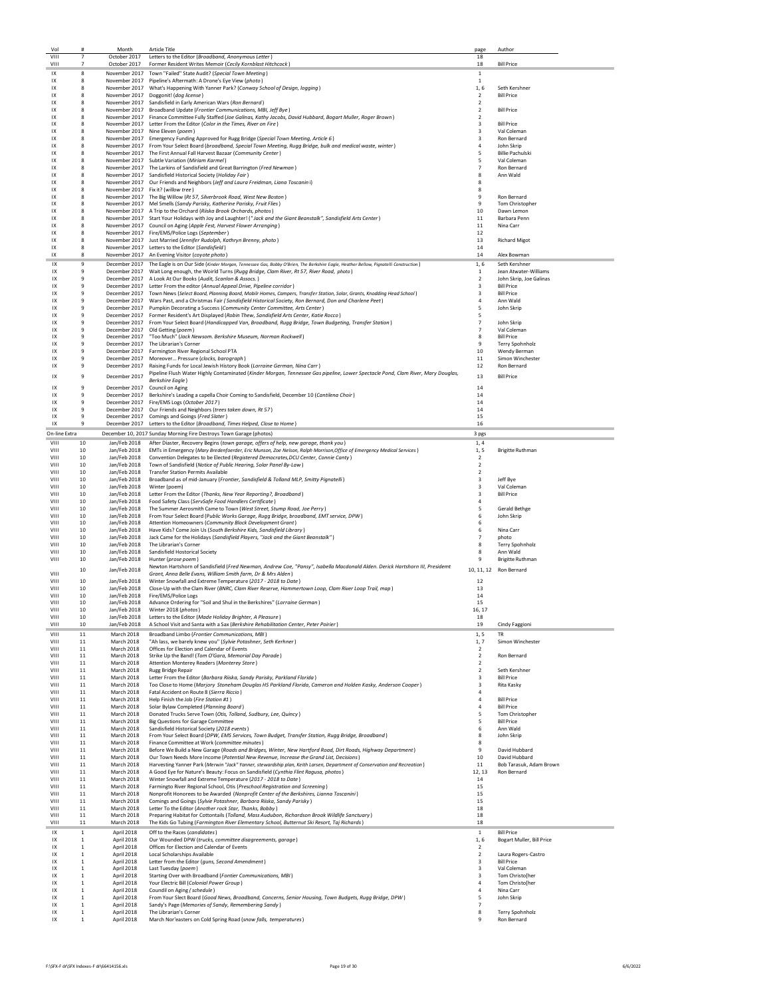| Vol           | #                 | Month                        | <b>Article Title</b>                                                                                                                                                                                       | page                                               | Author                                   |
|---------------|-------------------|------------------------------|------------------------------------------------------------------------------------------------------------------------------------------------------------------------------------------------------------|----------------------------------------------------|------------------------------------------|
| VIII          | 7                 | October 2017                 | Letters to the Editor (Broadband, Anonymous Letter)                                                                                                                                                        | 18                                                 |                                          |
| VIII          | $\overline{7}$    | October 2017                 | Former Resident Writes Memoir (Cecily Kornblast Hitchcock)                                                                                                                                                 | 18                                                 | <b>Bill Price</b>                        |
| IX            | 8                 |                              | November 2017 Town "Failed" State Audit? (Special Town Meeting)                                                                                                                                            | 1                                                  |                                          |
| IX            | 8                 |                              | November 2017 Pipeline's Aftermath: A Drone's Eye View (photo)                                                                                                                                             | $\mathbf{1}$                                       |                                          |
| IX            | 8                 |                              | November 2017 What's Happening With Yanner Park? (Conway School of Design, logging)                                                                                                                        | 1,6                                                | Seth Kershner                            |
| IX            | 8                 |                              | November 2017 Doggonit! (dog license)                                                                                                                                                                      | $\overline{2}$                                     | <b>Bill Price</b>                        |
| 1X            | 8                 |                              | November 2017 Sandisfield in Early American Wars (Ron Bernard)                                                                                                                                             | $\overline{2}$                                     |                                          |
| 1X            | $\mathbf{R}$      |                              | November 2017 Broadband Update (Frontier Communications, MBI, Jeff Bye)                                                                                                                                    | $\overline{\phantom{a}}$                           | <b>Bill Price</b>                        |
| IX            | 8                 |                              | November 2017 Finance Committee Fully Staffed (Joe Galinas, Kathy Jacobs, David Hubbard, Bogart Muller, Roger Brown)                                                                                       | $\overline{2}$                                     |                                          |
| IX            | R                 |                              | November 2017 Letter From the Editor (Color in the Times, River on Fire)                                                                                                                                   | $\overline{\mathbf{3}}$                            | <b>Bill Price</b>                        |
| IX<br>IX      | 8<br>8            |                              | November 2017 Nine Eleven (poem)                                                                                                                                                                           | $\overline{\mathbf{3}}$<br>3                       | Val Coleman<br>Ron Bernard               |
| IX            | 8                 |                              | November 2017 Emergency Funding Approved for Rugg Bridge (Special Town Meeting, Article 6)                                                                                                                 | 4                                                  | John Skrip                               |
| 1X            | 8                 |                              | November 2017 From Your Select Board (broadband, Special Town Meeting, Rugg Bridge, bulk and medical waste, winter)<br>November 2017 The First Annual Fall Harvest Bazaar (Community Center)               | 5                                                  | <b>Billie Pachulski</b>                  |
| 1X            | 8                 |                              | November 2017 Subtle Variation (Miriam Karmel)                                                                                                                                                             | 5                                                  | Val Coleman                              |
| IX            | 8                 |                              | November 2017 The Larkins of Sandisfield and Great Barrington (Fred Newman)                                                                                                                                | $\overline{7}$                                     | Ron Bernard                              |
| IX            | 8                 |                              | November 2017 Sandisfield Historical Society (Holiday Fair)                                                                                                                                                | 8                                                  | Ann Wald                                 |
| IX            | 8                 |                              | November 2017 Our Friends and Neighbors (Jeff and Laura Freidman, Liana Toscanin i)                                                                                                                        | 8                                                  |                                          |
| IX            | 8                 |                              | November 2017 Fix it? (willow tree)                                                                                                                                                                        | 8                                                  |                                          |
| 1X            | R                 |                              | November 2017 The Big Willow (Rt 57, Silverbrook Road, West New Boston)                                                                                                                                    | ٩                                                  | Ron Bernard                              |
| IX            | 8                 |                              | November 2017 Mel Smells (Sandy Parisky, Katherine Parisky, Fruit Flies)                                                                                                                                   | 9                                                  | Tom Christopher                          |
| IX            | 8                 |                              | November 2017 A Trip to the Orchard (Riiska Brook Orchards, photos)                                                                                                                                        | 10                                                 | Dawn Lemon                               |
| IX            | 8                 |                              | November 2017 Start Your Holidays with Joy and Laughter! ("Jack and the Giant Beanstalk", Sandisfield Arts Center)                                                                                         | 11                                                 | Barbara Penn                             |
| IX            | 8                 |                              | November 2017 Council on Aging (Apple Fest, Harvest Flower Arranging)                                                                                                                                      | 11                                                 | Nina Carr                                |
| IX            | 8                 |                              | November 2017 Fire/EMS/Police Logs (September)                                                                                                                                                             | 12                                                 |                                          |
| IX            | 8                 |                              | November 2017 Just Married (Jennifer Rudolph, Kathryn Brenny, photo)                                                                                                                                       | 13                                                 | <b>Richard Migot</b>                     |
| IX            | 8                 |                              | November 2017 Letters to the Editor (Sandisfield)                                                                                                                                                          | 14                                                 |                                          |
| 1X            | 8                 |                              | November 2017 An Evening Visitor (coyote photo)                                                                                                                                                            | 14                                                 | Alex Bowman                              |
| 1X            | 9                 |                              | December 2017 The Eagle is on Our Side (Kinder Morgan, Tennessee Gas, Bobby O'Brien, The Berkshire Eagle, Heather Bellow, Pignatelli Construction)                                                         | 1.6                                                | Seth Kershner                            |
| 1X            | 9                 |                              | December 2017 Wait Long enough, the Woirld Turns (Rugg Bridge, Clam River, Rt 57, River Road, photo)                                                                                                       | 1                                                  | Jean Atwater-Williams                    |
| IX            | 9                 |                              | December 2017 A Look At Our Books (Audit, Scanlon & Assocs.)                                                                                                                                               | $\overline{2}$                                     | John Skrip, Joe Galinas                  |
| IX            | 9                 |                              | December 2017 Letter From the editor (Annual Appeal Drive, Pipeline corridor)                                                                                                                              | $\overline{\mathbf{3}}$                            | <b>Bill Price</b>                        |
| IX            | 9                 |                              | December 2017 Town News (Select Board, Planning Board, Mobilr Homes, Campers, Transfer Station, Solar, Grants, Knodding Head School)                                                                       | 3                                                  | <b>Bill Price</b>                        |
| IX<br>1X      | 9<br>9            |                              | December 2017 Wars Past, and a Christmas Fair (Sandisfield Historical Society, Ron Bernard, Don and Charlene Peet)<br>December 2017 Pumpkin Decorating a Success (Community Center Committee, Arts Center) | 4<br>5                                             | Ann Wald                                 |
| IX            | 9                 |                              | December 2017 Former Resident's Art Displayed (Robin Thew, Sandisfield Arts Center, Katie Rocco)                                                                                                           | 5                                                  | John Skrip                               |
| IX            | 9                 |                              | December 2017 From Your Select Board (Handicapped Van, Broadband, Rugg Bridge, Town Budgeting, Transfer Station)                                                                                           | $\overline{7}$                                     | John Skrip                               |
| IX            | 9                 |                              | December 2017 Old Getting (poem)                                                                                                                                                                           | $\overline{7}$                                     | Val Coleman                              |
| IX            | 9                 |                              | December 2017 "Too Much" (Jack Newsom. Berkshire Museum, Norman Rockwell)                                                                                                                                  | 8                                                  | <b>Bill Price</b>                        |
| 1X            | -9                |                              | December 2017 The Librarian's Corner                                                                                                                                                                       | 9                                                  | Terry Spohnholz                          |
| 1X            | 9                 |                              | December 2017 Farmington River Regional School PTA                                                                                                                                                         | 10                                                 | Wendy Berman                             |
| IX            | 9                 |                              | December 2017 Moreover Pressure (clocks, barograph)                                                                                                                                                        | 11                                                 | Simon Winchester                         |
| 1X            | 9                 |                              | December 2017 Raising Funds for Local Jewish History Book (Lorraine German, Nina Carr)                                                                                                                     | 12                                                 | Ron Bernard                              |
| IX            | 9                 | December 2017                | Pipeline Flush Water Highly Contaminated (Kinder Morgan, Tennessee Gas pipeline, Lower Spectacle Pond, Clam River, Mary Douglas,                                                                           | 13                                                 | <b>Bill Price</b>                        |
|               |                   |                              | <b>Berkshire Eagle</b> )                                                                                                                                                                                   |                                                    |                                          |
| IX            | 9                 |                              | December 2017 Council on Aging                                                                                                                                                                             | 14                                                 |                                          |
| 1X            | 9                 |                              | December 2017 Berkshire's Leading a capella Choir Coming to Sandisfield, December 10 (Cantilena Choir)                                                                                                     | 14                                                 |                                          |
| IX            | 9                 |                              | December 2017 Fire/EMS Logs (October 2017)                                                                                                                                                                 | 14                                                 |                                          |
| IX            | 9                 |                              | December 2017 Our Friends and Neighbors (trees taken down, Rt 57)                                                                                                                                          | 14                                                 |                                          |
| IX            | 9<br>$\mathbf{q}$ |                              | December 2017 Comings and Goings (Fred Slater)                                                                                                                                                             | 15                                                 |                                          |
| IX            |                   |                              | December 2017 Letters to the Editor (Broadband, Times Helped, Close to Home)                                                                                                                               | 16                                                 |                                          |
| On-line Extra |                   |                              | December 10, 2017 Sunday Morning Fire Destroys Town Garage (photos)                                                                                                                                        | 3 pgs                                              |                                          |
| VIII          | 10                | Jan/Feb 2018                 | After Diaster, Recovery Begins (town garage, offers of help, new garage, thank you)                                                                                                                        | 1, 4                                               |                                          |
| VIII          | 10                | Jan/Feb 2018                 | EMTs in Emergency (Mary Bredenfoerder, Eric Munson, Zoe Nelson, Ralph Morrison, Office of Emergency Medical Services)                                                                                      | 1, 5                                               | <b>Brigitte Ruthman</b>                  |
| VIII          | 10                | Jan/Feb 2018                 | Convention Delegates to be Elected (Registered Democrates, DCU Center, Connie Canty)                                                                                                                       | $\overline{2}$                                     |                                          |
| VIII          | 10                | Jan/Feb 2018                 | Town of Sandisfield (Notice of Public Hearing, Solar Panel By-Law)                                                                                                                                         | $\overline{2}$                                     |                                          |
| VIII          | 10                | Jan/Feb 2018                 | <b>Transfer Station Permits Available</b>                                                                                                                                                                  | $\overline{\phantom{a}}$                           |                                          |
| VIII          | 10                | Jan/Feb 2018                 | Broadband as of mid-January (Frontier, Sandisfield & Tolland MLP, Smitty Pignatelli)                                                                                                                       | $\overline{\mathbf{3}}$                            | Jeff Bye                                 |
| VIII<br>VIII  | 10<br>10          | Jan/Feb 2018                 | Winter (poem)<br>Letter From the Editor (Thanks, New Year Reporting?, Broadband)                                                                                                                           | $\overline{\mathbf{3}}$<br>$\overline{\mathbf{3}}$ | Val Coleman<br><b>Bill Price</b>         |
| VIII          | 10                | Jan/Feb 2018<br>Jan/Feb 2018 | Food Safety Class (ServSafe Food Handlers Certificate)                                                                                                                                                     | 4                                                  |                                          |
| VIII          | 10                | Jan/Feb 2018                 | The Summer Aerosmith Came to Town (West Street, Stump Road, Joe Perry)                                                                                                                                     | 5                                                  | <b>Gerald Bethge</b>                     |
| VIII          | 10                | Jan/Feb 2018                 | From Your Select Board (Public Works Garage, Rugg Bridge, broadband, EMT service, DPW)                                                                                                                     | 6                                                  | John Skrip                               |
| VIII          | 10                | Jan/Feb 2018                 | Attention Homeowners (Community Block Development Grant)                                                                                                                                                   | 6                                                  |                                          |
| VIII          | 10                | Jan/Feb 2018                 | Have Kids? Come Join Us (South Berkshire Kids, Sandisfield Library)                                                                                                                                        | 6                                                  | Nina Carr                                |
| VIII          | 10                | Jan/Feb 2018                 | Jack Came for the Holidays (Sandisfield Players, "Jack and the Giant Beanstalk")                                                                                                                           | $\overline{7}$                                     | photo                                    |
| VIII          | 10                | Jan/Feb 2018                 | The Librarian's Corner                                                                                                                                                                                     | 8                                                  | Terry Spohnholz                          |
| VIII          | 10                | Jan/Feb 2018                 | Sandisfield Hostorical Society                                                                                                                                                                             | 8                                                  | Ann Wald                                 |
| VIII          | 10                | Jan/Feb 2018                 | Hunter (prose poem)<br>Newton Hartshorn of Sandisfield (Fred Newman, Andrew Coe, "Pansy", Isabella Macdonald Alden. Derick Hartshorn III, Presidemt                                                        | 9                                                  | <b>Brigitte Ruthman</b>                  |
| VIII          | 10                | Jan/Feb 2018                 | Grant, Anna Belle Evans, William Smith farm, Dr & Mrs Alden)                                                                                                                                               | 10, 11, 12                                         | <b>Ron Bernard</b>                       |
| VIII          | 10                | Jan/Feb 2018                 | Winter Snowfall and Extreme Temperature (2017 - 2018 to Date)                                                                                                                                              | 12                                                 |                                          |
| VIII          | 10                | Jan/Feb 2018                 | Close-Up with the Clam River (BNRC, Clam River Reserve, Hammertown Loop, Clam River Loop Trail, map)                                                                                                       | 13                                                 |                                          |
| VIII          | 10                | Jan/Feb 2018                 | Fire/EMS/Police Logs                                                                                                                                                                                       | 14                                                 |                                          |
| VIII          | 10                | Jan/Feb 2018                 | Advance Ordering for "Soil and Shul in the Berkshires" (Lorraine German)                                                                                                                                   | 15                                                 |                                          |
| VIII          | 10                | Jan/Feb 2018                 | Winter 2018 (photos)                                                                                                                                                                                       | 16, 17                                             |                                          |
| VIII          | 10                | Jan/Feb 2018                 | Letters to the Editor (Made Holiday Brighter, A Pleasure)                                                                                                                                                  | 18                                                 |                                          |
| VIII          | 10                | Jan/Feb 2018                 | A School Visit and Santa with a Sax (Berkshire Rehabilitation Center, Peter Poirier)                                                                                                                       | 19                                                 | Cindy Faggioni                           |
| VIII          | 11                | March 2018                   | Broadband Limbo (Frontier Communications, MBI)                                                                                                                                                             | 1.5                                                | <b>TR</b>                                |
| VIII          | 11                | March 2018                   | "Ah lass, we barely knew you" (Sylvie Potashner, Seth Kerhner)                                                                                                                                             | 1, 7                                               | Simon Winchester                         |
| VIII          | $11\,$            | March 2018                   | Offices for Election and Calendar of Events                                                                                                                                                                | $\overline{2}$                                     |                                          |
| VIII<br>VIII  | 11<br>11          | March 2018                   | Strike Up the Band! (Tom O'Gara, Memorial Day Parade)<br>Attention Monterey Readers (Monterey Store)                                                                                                       | $\overline{2}$<br>$\overline{2}$                   | Ron Bernard                              |
| VIII          | 11                | March 2018<br>March 2018     |                                                                                                                                                                                                            | $\overline{2}$                                     | Seth Kershner                            |
| VIII          | 11                | March 2018                   | Rugg Bridge Repair<br>Letter From the Editor (Barbara Riiska, Sandy Parisky, Parkland Florida)                                                                                                             | $\overline{\mathbf{3}}$                            | <b>Bill Price</b>                        |
| VIII          | 11                | March 2018                   | Too Close to Home (Marjory Stoneham Douglas HS Parkland Florida, Cameron and Holden Kasky, Anderson Cooper)                                                                                                | 3                                                  | Rita Kasky                               |
| VIII          | 11                | March 2018                   | Fatal Accident on Route 8 (Sierra Riccio)                                                                                                                                                                  |                                                    |                                          |
| VIII          | 11                | March 2018                   | Help Finish the Job (Fire Station #1)                                                                                                                                                                      | 4                                                  | <b>Bill Price</b>                        |
| VIII          | 11                | March 2018                   | Solar Bylaw Completed (Planning Board)                                                                                                                                                                     | $\overline{a}$                                     | <b>Bill Price</b>                        |
| VIII          | 11                | March 2018                   | Donated Trucks Serve Town (Otis, Tolland, Sudbury, Lee, Quincy)                                                                                                                                            | 5                                                  | Tom Christopher                          |
| VIII          | 11                | <b>March 2018</b>            | Big Questions for Garage Committee                                                                                                                                                                         | 5                                                  | <b>Bill Price</b>                        |
| VIII          | 11                | March 2018                   | Sandisfield Historical Society (2018 events)                                                                                                                                                               | 6                                                  | Ann Wald                                 |
| VIII          | $11\,$            | March 2018                   | From Your Select Board (DPW, EMS Services, Town Budget, Transfer Station, Rugg Bridge, Broadband)                                                                                                          | 8                                                  | John Skrip                               |
| VIII          | 11                | March 2018                   | Finance Committee at Work (committee minutes)                                                                                                                                                              | 8                                                  |                                          |
| VIII          | $11\,$            | March 2018                   | Before We Build a New Garage (Roads and Bridges, Winter, New Hartford Road, Dirt Roads, Highway Department)                                                                                                | 9                                                  | David Hubbard                            |
| VIII<br>VIII  | 11<br>11          | March 2018                   | Our Town Needs More Income (Potential New Revenue, Increase the Grand List, Decisions)                                                                                                                     | 10<br>11                                           | David Hubbard<br>Bob Tarasuk, Adam Brown |
|               |                   |                              |                                                                                                                                                                                                            |                                                    |                                          |
|               |                   | March 2018                   | Harvesting Yanner Park (Merwin "Jack" Yanner, stewardship plan, Keith Larsen, Department of Conservation and Recreation)                                                                                   |                                                    |                                          |
| VIII          | 11                | March 2018                   | A Good Eye for Nature's Beauty: Focus on Sandisfield (Cynthia Flint Ragusa, photos)                                                                                                                        | 12.13                                              | Ron Bernard                              |
| VIII<br>VIII  | 11                | March 2018                   | Winter Snowfall and Extreme Temperature (2017 - 2018 to Date)                                                                                                                                              | 14                                                 |                                          |
|               | $11\,$            | March 2018                   | Farmingto River Regional School, Otis (Preschool Registration and Screening)                                                                                                                               | 15                                                 |                                          |
| VIII<br>VIII  | $11\,$<br>11      | March 2018<br>March 2018     | Nonprofit Honorees to be Awarded (Nonprofit Center of the Berkshires, Lianna Toscanini)<br>Comings and Goings (Sylvie Potashner, Barbara Riiska, Sandy Parisky)                                            | 15<br>15                                           |                                          |
| VIII          | 11                | March 2018                   | Letter To the Editor (Another rock Star, Thanks, Bobby)                                                                                                                                                    | 18                                                 |                                          |
| VIII          | 11                | March 2018                   | Preparing Habitat for Cottontails (Tolland, Mass Audubon, Richardson Brook Wildlife Sanctuary)                                                                                                             | 18                                                 |                                          |
| VIII          | 11                | March 2018                   | The Kids Go Tubing (Farmington River Elementary School, Butternut Ski Resort, Taj Richards)                                                                                                                | 18                                                 |                                          |
| 1X            | $\mathbf{1}$      | April 2018                   | Off to the Races (candidates)                                                                                                                                                                              | $1\,$                                              | <b>Bill Price</b>                        |
| IX            | $\mathbf{1}$      | April 2018                   | Our Wounded DPW (trucks, committee disagreements, garage)                                                                                                                                                  | 1,6                                                | Bogart Muller, Bill Price                |
| IX            | $\mathbf{1}$      | April 2018                   | Offices for Election and Calendar of Events                                                                                                                                                                | $\overline{2}$                                     |                                          |
| IX            | $\mathbf{1}$      | April 2018                   | Local Scholarships Available                                                                                                                                                                               | $\overline{2}$                                     | Laura Rogers-Castro                      |
| 1X            | 1                 | April 2018                   | Letter from the Editor (guns, Second Amendment)                                                                                                                                                            | 3                                                  | <b>Bill Price</b>                        |
| 1X            | 1                 | April 2018                   | Last Tuesday (poem)                                                                                                                                                                                        | $\overline{\mathbf{3}}$                            | Val Coleman                              |
| 1X            | $\mathbf{1}$      | April 2018                   | Starting Over with Broadband (Fontier Communications, MBI)                                                                                                                                                 | $\overline{\mathbf{3}}$                            | Tom Christo[her                          |
| IX            | $\mathbf{1}$      | April 2018                   | Your Electric Bill (Colonial Power Group)                                                                                                                                                                  | $\overline{4}$                                     | Tom Christo[her                          |
| IX            | $\mathbf{1}$      | April 2018                   | Coundil on Aging (schedule)                                                                                                                                                                                | $\overline{4}$                                     | Nina Carr                                |
| IX            | $\mathbf{1}$      | April 2018                   | From Your Slect Board (Good News, Broadband, Concerns, Senior Housing, Town Budgets, Rugg Bridge, DPW)                                                                                                     | 5<br>$\overline{7}$                                | John Skrip                               |
| IX<br>IX      | 1<br>1            | April 2018                   | Sandy's Page (Memories of Sandy, Remembering Sandy)<br>The Librarian's Corner                                                                                                                              | 8                                                  |                                          |
| IX            | 1                 | April 2018<br>April 2018     | March Nor'easters on Cold Spring Road (snow falls, temperatures)                                                                                                                                           | 9                                                  | Terry Spohnholz<br>Ron Bernard           |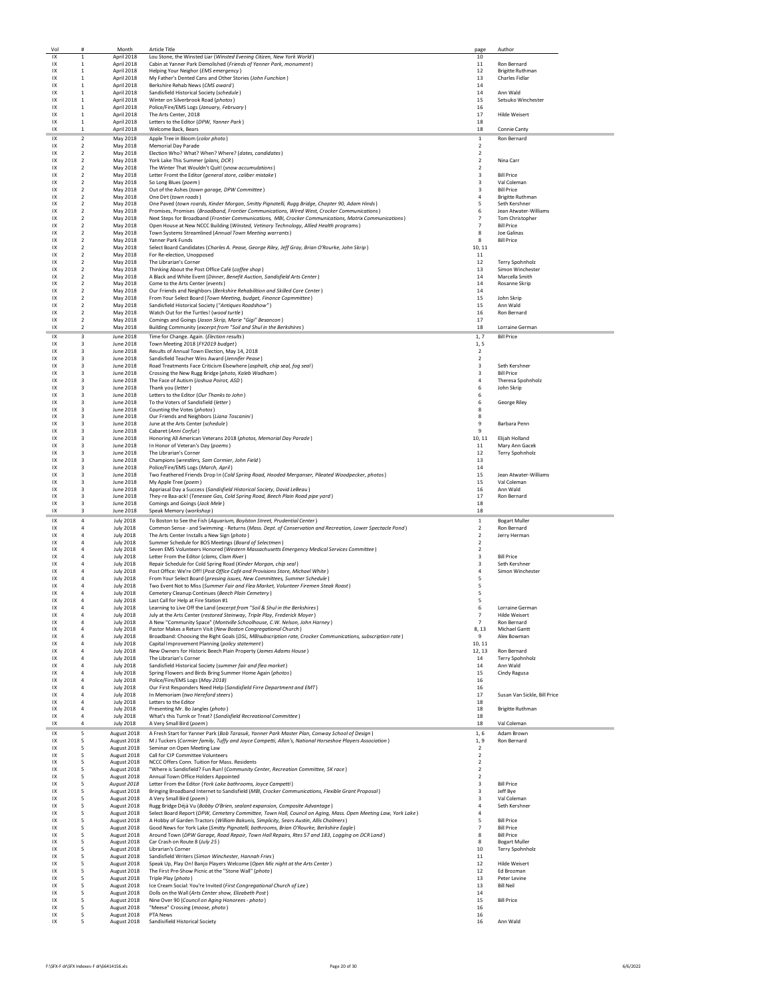| Vol      | #                                | Month                      | <b>Article Title</b>                                                                                          | page                                      | Author                       |
|----------|----------------------------------|----------------------------|---------------------------------------------------------------------------------------------------------------|-------------------------------------------|------------------------------|
| IX       | $\mathbf{1}$                     | April 2018                 | Lou Stone, the Winsted Liar (Winsted Evening Citizen, New York World)                                         | 10                                        |                              |
| IX       | $\,1\,$                          | April 2018                 | Cabin at Yanner Park Demolished (Friends of Yanner Park, monument)                                            | 11                                        | Ron Bernard                  |
| IX       | $\mathbf{1}$                     | April 2018                 | Helping Your Neighor (EMS emergency)                                                                          | 12                                        | <b>Brigitte Ruthman</b>      |
| 1X       | 1                                | April 2018                 | My Father's Dented Cans and Other Stories (John Funchion)                                                     | 13                                        | Charles Fidlar               |
| IX       | 1                                | April 2018                 | Berkshire Rehab News (CMS award)                                                                              | 14                                        |                              |
| IX       | $\mathbf{1}$                     | April 2018                 | Sandisfield Historical Society (schedule)                                                                     | 14                                        | Ann Wald                     |
| IX       | $\mathbf{1}$                     | April 2018                 | Winter on Silverbrook Road (photos)                                                                           | 15                                        | Setsuko Winchester           |
| IX       | $\mathbf{1}$                     | April 2018                 | Police/Fire/EMS Logs (January, February)                                                                      | 16                                        |                              |
| 1X       | $\mathbf{1}$                     | April 2018                 | The Arts Center, 2018                                                                                         | 17                                        | Hilde Weisert                |
| IX       | 1                                | April 2018                 | Letters to the Editor (DPW, Yanner Park)                                                                      | 18                                        |                              |
| IX       | $\mathbf{1}$                     | April 2018                 | Welcome Back, Bears                                                                                           | 18                                        |                              |
|          |                                  |                            |                                                                                                               |                                           | Connie Canty                 |
| IX       | $\overline{2}$                   | May 2018                   | Apple Tree in Bloom (color photo)                                                                             | $\mathbf{1}$                              | Ron Bernard                  |
| IX       | $\overline{2}$                   | May 2018                   | <b>Memorial Day Parade</b>                                                                                    | $\overline{2}$                            |                              |
| IX       | $\boldsymbol{2}$                 | May 2018                   | Election Who? What? When? Where? (dates, candidates)                                                          | $\overline{\mathbf{2}}$                   |                              |
| IX       | $\boldsymbol{2}$                 | May 2018                   | York Lake This Summer (plans, DCR)                                                                            | $\overline{\mathbf{2}}$                   | Nina Carr                    |
| IX       | $\boldsymbol{2}$                 | May 2018                   | The Winter That Wouldn't Quit! (snow accumulations)                                                           | $\overline{\mathbf{2}}$                   |                              |
| 1X       | $\overline{2}$                   | May 2018                   | Letter Fromt the Editor (general store, caliber mistake)                                                      | 3                                         | <b>Bill Price</b>            |
| 1X       | $\overline{2}$                   | May 2018                   | So Long Blues (poem)                                                                                          | 3                                         | Val Coleman                  |
| 1X       | $\overline{2}$                   | May 2018                   | Out of the Ashes (town garage, DPW Committee)                                                                 | 3                                         | <b>Bill Price</b>            |
| IX       | $\boldsymbol{2}$                 | May 2018                   | One Dirt (town roads)                                                                                         | 4                                         | <b>Brigitte Ruthman</b>      |
| IX       | $\boldsymbol{2}$                 |                            |                                                                                                               | 5                                         | Seth Kershner                |
|          |                                  | May 2018                   | One Paved (town roards, Kinder Morgan, Smitty Pignatelli, Rugg Bridge, Chapter 90, Adam Hinds)                |                                           |                              |
| IX       | $\overline{2}$                   | May 2018                   | Promises, Promises (Broadband, Frontier Communications, Wired West, Crocker Communications)                   | 6                                         | Jean Atwater-Williams        |
| IX       | $\overline{2}$                   | May 2018                   | Next Steps for Broadband (Frontier Communications, MBI, Crocker Communications, Matrix Communications)        | $\overline{7}$                            | Tom Christopher              |
| IX       | 2                                | May 2018                   | Open House at New NCCC Building (Winsted, Vetinary Technology, Allied Health programs)                        | $\overline{7}$                            | <b>Bill Price</b>            |
| IX       | $\overline{2}$                   | May 2018                   | Town Systems Streamlined (Annual Town Meeting warrants)                                                       | 8                                         | Joe Galinas                  |
| IX       | $\overline{2}$                   | May 2018                   | Yanner Park Funds                                                                                             | 8                                         | <b>Bill Price</b>            |
| IX       | $\boldsymbol{2}$                 | May 2018                   | Select Board Candidates (Charles A. Pease, George Riley, Jeff Gray, Brian O'Rourke, John Skrip)               | 10, 11                                    |                              |
| IX       | $\boldsymbol{2}$                 | May 2018                   | For Re-election, Unopposed                                                                                    | 11                                        |                              |
| IX       | $\overline{2}$                   | May 2018                   | The Librarian's Corner                                                                                        | 12                                        | Terry Spohnholz              |
| 1X       | $\overline{2}$                   | May 2018                   | Thinking About the Post Office Café (coffee shop)                                                             | 13                                        | Simon Winchester             |
| IX       | $\overline{2}$                   | May 2018                   | A Black and White Event (Dinner, Benefit Auction, Sandisfield Arts Center)                                    | 14                                        | Marcella Smith               |
| IX       | $\boldsymbol{2}$                 | May 2018                   | Come to the Arts Center (events)                                                                              | 14                                        | Rosanne Skrip                |
| IX       | $\boldsymbol{2}$                 | May 2018                   | Our Friends and Neighbors (Berkshire Rehabilition and Skilled Care Center)                                    | 14                                        |                              |
| IX       | $\overline{2}$                   | May 2018                   | From Your Select Board (Town Meeting, budget, Finance Copmmittee)                                             | 15                                        | John Skrip                   |
| IX       | $\overline{2}$                   | May 2018                   | Sandisfield Historical Society ("Antiques Roadshow")                                                          | 15                                        | Ann Wald                     |
| IX       | 2                                | May 2018                   | Watch Out for the Turtles! (wood turtle)                                                                      | 16                                        | Ron Bernard                  |
| IX       | $\overline{2}$                   | May 2018                   | Comings and Goings (Jason Skrip, Marie "Gigi" Besancon)                                                       | 17                                        |                              |
| 1X       | $\overline{2}$                   | May 2018                   | Building Community (excerpt from "Soil and Shul in the Berkshires)                                            | 18                                        | Lorraine German              |
|          |                                  |                            |                                                                                                               |                                           |                              |
| IX       | 3                                | June 2018                  | Time for Change. Again. (Election results)                                                                    | 1.7                                       | <b>Bill Price</b>            |
| IX       | 3                                | June 2018                  | Town Meeting 2018 (FY2019 budget)                                                                             | 1, 5                                      |                              |
| IX       | 3                                | June 2018                  | Results of Annual Town Election, May 14, 2018                                                                 | $\overline{2}$                            |                              |
| IX       | 3                                | June 2018                  | Sandisfield Teacher Wins Award (Jennifer Pease)                                                               | 2                                         |                              |
| IX       | 3                                | June 2018                  | Road Treatments Face Criticism Elsewhere (asphalt, chip seal, fog seal)                                       | 3                                         | Seth Kershner                |
| IX       | 3                                | June 2018                  | Crossing the New Rugg Bridge (photo, Kaleb Wadham)                                                            | 3                                         | <b>Bill Price</b>            |
| 1X       | 3                                | June 2018                  | The Face of Autism (Joshua Poirot, ASD)                                                                       | $\overline{4}$                            | Theresa Spohnholz            |
| IX       | $\overline{\mathbf{3}}$          | June 2018                  | Thank you (letter)                                                                                            | 6                                         | John Skrip                   |
| IX       | 3                                | June 2018                  | Letters to the Editor (Our Thanks to John)                                                                    | 6                                         |                              |
| IX       | 3                                | June 2018                  | To the Voters of Sandisfield (letter)                                                                         | 6                                         | George Riley                 |
| IX       | 3                                | June 2018                  | Counting the Votes (photos)                                                                                   | 8                                         |                              |
| 1X       | 3                                | June 2018                  | Our Friends and Neighbors (Liana Toscanini)                                                                   | 8                                         |                              |
| 1X       | 3                                | June 2018                  | June at the Arts Center (schedule)                                                                            | 9                                         | Barbara Penn                 |
| 1X       | 3                                | June 2018                  | Cabaret (Anni Corfut)                                                                                         | 9                                         |                              |
| IX       | 3                                | June 2018                  | Honoring All American Veterans 2018 (photos, Memorial Day Parade)                                             | 10, 11                                    | Elijah Holland               |
| IX       | 3                                | June 2018                  | In Honor of Veteran's Day (poems)                                                                             | 11                                        | Mary Ann Gacek               |
|          | 3                                |                            |                                                                                                               |                                           |                              |
| IX<br>IX | 3                                | June 2018<br>June 2018     | The Librarian's Corner                                                                                        | 12<br>13                                  | Terry Spohnholz              |
|          |                                  |                            | Champions (wrestlers, Sam Cormier, John Field)                                                                |                                           |                              |
| IX       | 3                                | June 2018                  | Police/Fire/EMS Logs (March, April)                                                                           | 14                                        |                              |
| IX       | 3<br>3                           | June 2018                  | Two Feathered Friends Drop In (Cold Spring Road, Hooded Merganser, Pileated Woodpecker, photos)               | 15                                        | Jean Atwater-Williams        |
|          |                                  | June 2018                  | My Apple Tree (poem)                                                                                          |                                           | Val Coleman                  |
| IX       |                                  |                            |                                                                                                               | 15                                        |                              |
| IX       | 3                                | June 2018                  | Appriasal Day a Success (Sandisfield Historical Society, David LeBeau)                                        | 16                                        | Ann Wald                     |
| IX       | 3                                | June 2018                  | They-re Baa-ack! (Tenessee Gas, Cold Spring Road, Beech Plain Road pipe yard)                                 | 17                                        | Ron Bernard                  |
| IX       | 3                                | June 2018                  | Comings and Goings (Jack Mele)                                                                                | 18                                        |                              |
| IX       | 3                                | June 2018                  | Speak Memory (workshop)                                                                                       | 18                                        |                              |
| IX       | 4                                |                            |                                                                                                               |                                           |                              |
|          | $\overline{4}$                   | <b>July 2018</b>           | To Boston to See the Fish (Aquarium, Boylston Street, Prudential Center)                                      | $\mathbf{1}$                              | <b>Bogart Muller</b>         |
| IX<br>IX | $\overline{4}$                   | <b>July 2018</b>           | Common Sense - and Swimming - Returns (Mass. Dept. of Conservation and Recreation, Lower Spectacle Pond)      | $\overline{\mathbf{2}}$<br>$\overline{2}$ | Ron Bernard                  |
|          |                                  | <b>July 2018</b>           | The Arts Center Installs a New Sign (photo)                                                                   |                                           | Jerry Herman                 |
| IX       | $\overline{4}$                   | <b>July 2018</b>           | Summer Schedule for BOS Meetings (Board of Selectmen)                                                         | 2                                         |                              |
| IX       | $\overline{4}$                   | <b>July 2018</b>           | Seven EMS Volunteers Honored (Western Massachusetts Emergency Medical Services Committee)                     | $\overline{\mathbf{2}}$                   |                              |
| IX       | $\overline{4}$<br>$\overline{a}$ | <b>July 2018</b>           | Letter From the Editor (clams, Clam River)                                                                    | 3                                         | <b>Bill Price</b>            |
| IX       |                                  | <b>July 2018</b>           | Repair Schedule for Cold Spring Road (Kinder Morgan, chip seal)                                               | 3                                         | Seth Kershner                |
| IX       | $\overline{a}$                   | <b>July 2018</b>           | Post Office: We're Off! (Post Office Café and Provisions Store, Michael White)                                | $\overline{a}$                            | Simon Winchester             |
| IX       | 4                                | <b>July 2018</b>           | From Your Select Board (pressing issues, New Committees, Summer Schedule)                                     | 5                                         |                              |
| IX       | $\overline{4}$                   | <b>July 2018</b>           | Two Event Not to Miss (Summer Fair and Flea Market, Volunteer Firemen Steak Roast)                            | 5                                         |                              |
| IX       | $\overline{4}$                   | <b>July 2018</b>           | Cemetery Cleanup Continues (Beech Plain Cemetery)                                                             | 5                                         |                              |
| IX       | 4                                | <b>July 2018</b>           | Last Call for Help at Fire Station #1                                                                         | 5                                         |                              |
| IX       | $\overline{4}$                   | <b>July 2018</b>           | Learning to Live Off the Land (excerpt from "Soil & Shul in the Berkshires)                                   | 6                                         | Lorraine German              |
| 1X       | 4                                | <b>July 2018</b>           | July at the Arts Center (restored Steinway, Triple Play, Frederick Moyer)                                     | $\overline{7}$                            | <b>Hilde Weisert</b>         |
| IX       | $\overline{4}$                   | <b>July 2018</b>           | A New "Community Space" (Montville Schoolhouse, C.W. Nelson, John Harney)                                     | $\overline{7}$                            | Ron Bernard                  |
| IX       | $\overline{a}$                   | <b>July 2018</b>           | Pastor Makes a Return Visit (New Boston Congregational Church)                                                | 8,13                                      | <b>Michael Gantt</b>         |
| IX       |                                  | <b>July 2018</b>           | Broadband: Choosing the Right Goals (DSL, MBIsubscription rate, Crocker Communications, subscription rate)    | 9                                         | Alex Bowman                  |
| IX       | $\overline{4}$                   | <b>July 2018</b>           | Capital Improvement Planning (policy statement)                                                               | 10, 11                                    |                              |
| IX       | $\overline{4}$                   | <b>July 2018</b>           | New Owners for Historic Beech Plain Property (James Adams House)                                              | 12, 13                                    | Ron Bernard                  |
| 1X       | $\overline{a}$                   | <b>July 2018</b>           | The Librarian's Corner                                                                                        | 14                                        | Terry Spohnholz              |
| IX       | $\overline{4}$                   | <b>July 2018</b>           | Sandisfield Historical Society (summer fair and flea market)                                                  | 14                                        | Ann Wald                     |
| IX       | $\overline{4}$                   | <b>July 2018</b>           | Spring Flowers and Birds Bring Summer Home Again (photos)                                                     | 15                                        | Cindy Ragusa                 |
| IX       | $\overline{4}$                   | <b>July 2018</b>           | Police/Fire/EMS Logs (May 2018)                                                                               | 16                                        |                              |
| IX       | 4                                | <b>July 2018</b>           | Our First Responders Need Help (Sandisfield Firre Department and EMT)                                         | 16                                        |                              |
| IX       | $\overline{4}$                   | <b>July 2018</b>           | In Memoriam (two Hereford steers)                                                                             | 17                                        | Susan Van Sickle, Bill Price |
| IX       | 4                                | <b>July 2018</b>           | Letters to the Editor                                                                                         | 18                                        |                              |
| IX       | $\overline{4}$                   | <b>July 2018</b>           | Presenting Mr. Bo Jangles (photo)                                                                             | 18                                        | <b>Brigitte Ruthman</b>      |
| IX       | 4                                | <b>July 2018</b>           | What's this Turnk or Treat? (Sandisfield Recreational Committee)                                              | 18                                        |                              |
| IX       | $\overline{4}$                   |                            | A Very Small Bird (poem)                                                                                      | 18                                        | Val Coleman                  |
|          |                                  | <b>July 2018</b>           |                                                                                                               |                                           |                              |
| IX       | 5                                | August 2018                | A Fresh Start for Yanner Park (Bob Tarasuk, Yanner Park Master Plan, Conway School of Design)                 | 1,6                                       | Adam Brown                   |
| IX       | 5                                | August 2018                | M J Tuckers (Cormier family, Tuffy and Joyce Campetti, Allan's, National Horseshoe Players Association)       | 1, 9                                      | Ron Bernard                  |
| IX       | 5                                | August 2018                | Seminar on Open Meeting Law                                                                                   | $\overline{\mathbf{2}}$                   |                              |
| IX       | 5                                | August 2018                | Call for CIP Committee Volunteers                                                                             | $\overline{\mathbf{2}}$                   |                              |
| IX       | 5                                | August 2018                | NCCC Offers Conn. Tuition for Mass. Residents                                                                 | $\mathbf 2$                               |                              |
| IX       | 5                                | August 2018                | "Where is Sandisfield? Fun Run! (Community Center, Recreation Committee, 5K race)                             | $\mathbf 2$                               |                              |
| IX       | 5                                | August 2018                | Annual Town Office Holders Appointed                                                                          | $\overline{2}$                            |                              |
| IX       | 5                                | August 2018                | Letter From the Editor (York Lake bathrooms, Joyce Campetti)                                                  | 3                                         | <b>Bill Price</b>            |
| IX       | 5                                | August 2018                | Bringing Broadband Internet to Sandisfield (MBI, Crocker Communications, Flexible Grant Proposal)             | 3                                         | Jeff Bye                     |
| IX       | 5                                | August 2018                | A Very Small Bird (poem)                                                                                      | 3                                         | Val Coleman                  |
| IX       | 5                                | August 2018                | Rugg Bridge Déjà Vu (Bobby O'Brien, sealant expansion, Composite Advantage)                                   | $\overline{4}$                            | Seth Kershner                |
| 1X       | 5                                | August 2018                | Select Board Report (DPW, Cemetery Committee, Town Hall, Council on Aging, Mass. Open Meeting Law, York Lake) | $\overline{a}$                            |                              |
| IX       | 5                                | August 2018                | A Hobby of Garden Tractors (William Bakunis, Simplicity, Sears Austin, Allis Chalmers)                        | 5                                         | <b>Bill Price</b>            |
| IX       | 5                                | August 2018                | Good News for York Lake (Smitty Pignatelli, bathrooms, Brian O'Rourke, Berkshire Eagle)                       | $\overline{7}$                            | <b>Bill Price</b>            |
| IX       | 5                                | August 2018                | Around Town (DPW Garage, Road Repair, Town Hall Repairs, Rtes 57 and 183, Logging on DCR Land)                | 8                                         | <b>Bill Price</b>            |
| IX       | 5                                |                            | Car Crash on Route 8 (July 25)                                                                                | 8                                         | <b>Bogart Muller</b>         |
|          | 5                                | August 2018                | <b>Librarian's Corner</b>                                                                                     |                                           |                              |
| IX       |                                  | August 2018                |                                                                                                               | 10                                        | Terry Spohnholz              |
| 1X       | 5                                | August 2018                | Sandisfield Writers (Simon Winchester, Hannah Fries)                                                          | 11                                        |                              |
| IX       | 5                                | August 2018                | Speak Up, Play On! Banjo Players Welcome (Open Mic night at the Arts Center)                                  | 12                                        | <b>Hilde Weisert</b>         |
| IX       | 5                                | August 2018                | The First Pre-Show Picnic at the "Stone Wall" (photo)                                                         | 12                                        | Ed Brozman                   |
| IX       | 5                                | August 2018                | Triple Play (photo)                                                                                           | 13                                        | Peter Levine                 |
| IX       | 5                                | August 2018                | Ice Cream Social: You're Invited (First Congregational Church of Lee)                                         | 13                                        | <b>Bill Neil</b>             |
| IX       | 5                                | August 2018                | Dolls on the Wall (Arts Center show, Elizabeth Post)                                                          | 14                                        |                              |
| 1X       | 5                                | August 2018                | Nine Over 90 (Council on Aging Honorees - photo)                                                              | 15                                        | <b>Bill Price</b>            |
| IX       | 5                                | August 2018                | "Meese" Crossing (moose, photo)                                                                               | 16                                        |                              |
| IX<br>IX | 5<br>5                           | August 2018<br>August 2018 | <b>PTA News</b><br>Sandisifield Historical Society                                                            | 16<br>16                                  | Ann Wald                     |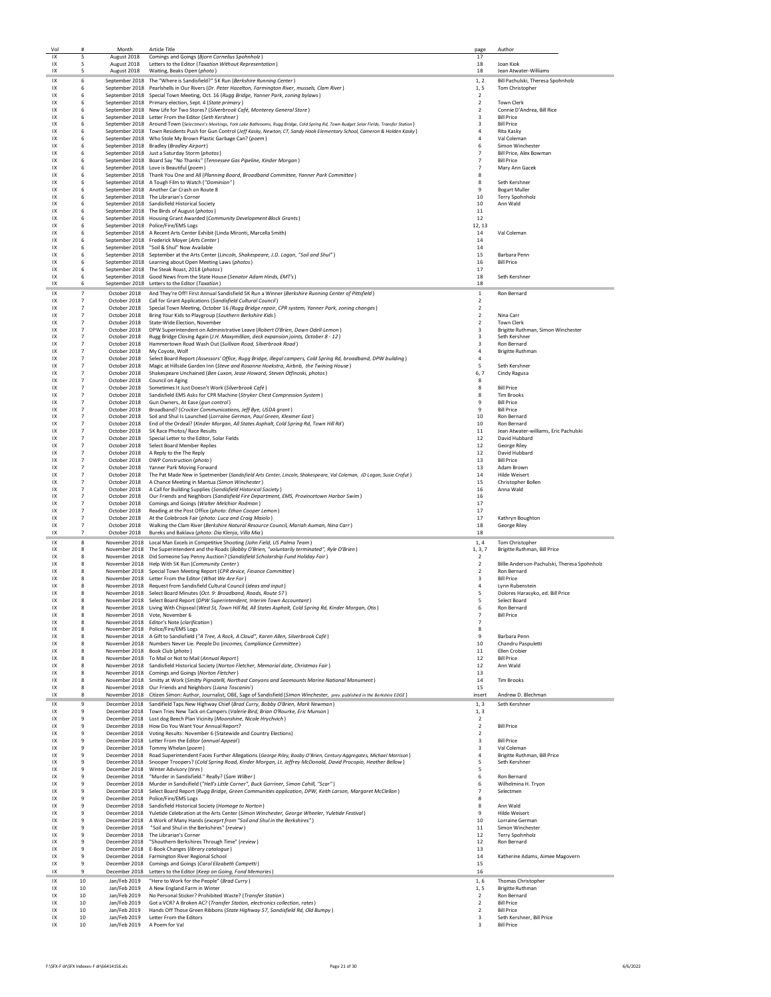| Vol      | #                                | Month                        | <b>Article Title</b>                                                                                                                                                                                     | page                             | Author                                          |
|----------|----------------------------------|------------------------------|----------------------------------------------------------------------------------------------------------------------------------------------------------------------------------------------------------|----------------------------------|-------------------------------------------------|
| IX       | 5                                | August 2018                  | Comings and Goings (Bjorn Cornelius Spohnholz)                                                                                                                                                           | 17                               |                                                 |
| IX       | 5                                | August 2018                  | Letters to the Editor (Taxation Without Representation)                                                                                                                                                  | 18                               | Joan Kiok                                       |
| IX       | 5                                | August 2018                  | Waiting, Beaks Open (photo)                                                                                                                                                                              | 18                               | Jean Atwater-Williams                           |
| IX       | 6                                |                              | September 2018 The "Where is Sandisfield?" 5K Run (Berkshire Running Center)                                                                                                                             | 1, 2                             | Bill Pachulski, Theresa Spohnholz               |
| IX       | 6                                |                              | September 2018 Pearlshells in Our Rivers (Dr. Peter Hazelton, Farmington River, mussels, Clam River)                                                                                                     | 1, 5                             | Tom Christopher                                 |
| IX       | 6                                |                              | September 2018 Special Town Meeting, Oct. 16 (Rugg Bridge, Yanner Park, zoning bylaws)                                                                                                                   | $\overline{2}$                   |                                                 |
| IX       | 6                                |                              | September 2018 Primary election, Sept. 4 (State primary)                                                                                                                                                 | $\overline{2}$                   | Town Clerk                                      |
| IX<br>IX | 6<br>6                           |                              | September 2018 New Life for Two Stores? (Silverbrook Café, Monterey General Store)                                                                                                                       | $\mathcal{P}$<br>3               | Connie D'Andrea, Bill Rice<br><b>Bill Price</b> |
| IX       | 6                                |                              | September 2018 Letter From the Editor (Seth Kershner)<br>September 2018 Around Town (Selectmen's Meetings, York Lake Bathrooms, Rugg Bridge, Cold Spring Rd, Town Budget Solar Fields, Transfer Station) | $\overline{3}$                   | <b>Bill Price</b>                               |
| IX       | 6                                |                              | September 2018 Town Residents Push for Gun Control (Jeff Kasky, Newton, CT, Sandy Hook Elementary School, Cameron & Holden Kasky)                                                                        | 4                                | <b>Rita Kasky</b>                               |
| IX       | 6                                |                              | September 2018  Who Stole My Brown Plastic Garbage Can? (poem)                                                                                                                                           | 4                                | Val Coleman                                     |
| IX       | 6                                |                              | September 2018 Bradley (Bradley Airport)                                                                                                                                                                 | 6                                | Simon Winchester                                |
| IX       | 6                                |                              | September 2018 Just a Saturday Storm (photos)                                                                                                                                                            | $\overline{7}$                   | Bill Price, Alex Bowman                         |
| IX       | 6                                |                              | September 2018 Board Say "No Thanks" (Tennessee Gas Pipeline, Kinder Morgan)                                                                                                                             | $\overline{7}$                   | <b>Bill Price</b>                               |
| IX       | 6                                |                              | September 2018 Love is Beautiful (poem)                                                                                                                                                                  | $\overline{7}$                   | Mary Ann Gacek                                  |
| IX       | 6                                |                              | September 2018 Thank You One and All (Planning Board, Broadband Committee, Yanner Park Committee)                                                                                                        | 8                                |                                                 |
| IX       | 6                                |                              | September 2018 A Tough Film to Watch ("Dominion")                                                                                                                                                        | 8                                | Seth Kershner                                   |
| IX       | 6                                |                              | September 2018 Another Car Crash on Route 8                                                                                                                                                              | 9                                | <b>Bogart Muller</b>                            |
| IX       | 6                                |                              | September 2018 The Librarian's Corner                                                                                                                                                                    | 10                               | Terry Spohnholz                                 |
| IX       | 6                                |                              | September 2018 Sandisfield Historical Society                                                                                                                                                            | 10                               | Ann Wald                                        |
| IX       | 6<br>6                           |                              | September 2018 The Birds of August (photos)<br>September 2018 Housing Grant Awarded (Community Development Block Grants)                                                                                 | 11                               |                                                 |
| IX<br>IX | 6                                |                              | September 2018 Police/Fire/EMS Logs                                                                                                                                                                      | 12                               |                                                 |
| IX       | 6                                |                              | September 2018 A Recent Arts Center Exhibit (Linda Mironti, Marcella Smith)                                                                                                                              | 12, 13<br>14                     | Val Coleman                                     |
| IX       | 6                                |                              | September 2018 Frederick Moyer (Arts Center)                                                                                                                                                             | 14                               |                                                 |
| IX       | 6                                |                              | September 2018 "Soil & Shul" Now Available                                                                                                                                                               | 14                               |                                                 |
| IX       | 6                                |                              | September 2018 September at the Arts Center (Lincoln, Shakespeare, J.D. Logan, "Soil and Shul")                                                                                                          | 15                               | Barbara Penn                                    |
| IX       | 6                                |                              | September 2018 Learning about Open Meeting Laws (photos)                                                                                                                                                 | 16                               | <b>Bill Price</b>                               |
| IX       | 6                                |                              | September 2018 The Steak Roast, 2018 (photos)                                                                                                                                                            | 17                               |                                                 |
| IX       | 6                                |                              | September 2018 Good News from the State House (Senator Adam Hinds, EMT's)                                                                                                                                | 18                               | Seth Kershner                                   |
| IX       | 6                                |                              | September 2018 Letters to the Editor (Taxation)                                                                                                                                                          | 18                               |                                                 |
| IX       | $\overline{7}$                   | October 2018                 | And They're Off! First Annual Sandisfield 5K Run a Winner (Berkshire Running Center of Pittsfield)                                                                                                       | $\mathbf 1$                      | Ron Bernard                                     |
| IX       | $\overline{7}$                   | October 2018                 | Call for Grant Applications (Sandisfield Cultural Council)                                                                                                                                               | $\overline{2}$                   |                                                 |
| IX       | $\overline{7}$                   |                              | October 2018 Special Town Meeting, October 16 (Rugg Bridge repair, CPR system, Yanner Park, zoning changes)                                                                                              | $\overline{2}$                   |                                                 |
| IX       | $\overline{7}$                   | October 2018                 | Bring Your Kids to Playgroup (Southern Berkshire Kids)                                                                                                                                                   | $\overline{2}$                   | Nina Carr                                       |
| IX       | $\overline{7}$                   |                              | October 2018 State-Wide Election, November                                                                                                                                                               | $\overline{2}$                   | <b>Town Clerk</b>                               |
| IX       | $\overline{7}$                   | October 2018                 | DPW Superintendent on Administrative Leave (Robert O'Brien, Dawn Odell-Lemon)                                                                                                                            | 3                                | Brigitte Ruthman, Simon Winchester              |
| IX       | $\overline{7}$                   | October 2018                 | Rugg Bridge Closing Again (J.H. Maxymillian, deck expansion joints, October 8 - 12)                                                                                                                      | 3                                | Seth Kershner                                   |
| IX       | $\overline{7}$<br>$\overline{7}$ | October 2018                 | Hammertown Road Wash Out (Sullivan Road, Silverbrook Road)                                                                                                                                               | 3                                | Ron Bernard                                     |
| IX<br>IX | $\overline{7}$                   | October 2018<br>October 2018 | My Coyote, Wolf<br>Select Board Report (Assessors' Office, Rugg Bridge, illegal campers, Cold Spring Rd, broadband, DPW building)                                                                        | $\overline{a}$<br>$\overline{a}$ | <b>Brigitte Ruthman</b>                         |
| IX       | $\overline{7}$                   | October 2018                 | Magic at Hillside Garden Inn (Steve and Rosanne Hoekstra, Airbnb, the Twining House)                                                                                                                     | 5                                | Seth Kershner                                   |
| IX       | $\overline{7}$                   | October 2018                 | Shakespeare Unchained (Ben Luxon, Jesse Howard, Steven Otfinoski, photos)                                                                                                                                | 6,7                              | Cindy Ragusa                                    |
| IX       | $\overline{7}$                   | October 2018                 | Council on Aging                                                                                                                                                                                         | 8                                |                                                 |
| IX       | $\overline{7}$                   | October 2018                 | Sometimes It Just Doesn't Work (Silverbrook Café)                                                                                                                                                        | 8                                | <b>Bill Price</b>                               |
| IX       | $\overline{7}$                   | October 2018                 | Sandisfield EMS Asks for CPR Machine (Stryker Chest Compression System)                                                                                                                                  | 8                                | <b>Tim Brooks</b>                               |
| IX       | $\overline{7}$                   |                              | October 2018 Gun Owners, At Ease (gun control)                                                                                                                                                           | 9                                | <b>Bill Price</b>                               |
| IX       | $\overline{7}$                   |                              | October 2018 Broadband? (Crocker Communications, Jeff Bye, USDA grant)                                                                                                                                   | $\mathbf{q}$                     | <b>Bill Price</b>                               |
| IX       | $\overline{7}$                   |                              | October 2018 Soil and Shul Is Launched (Lorraine German, Paul Green, Klexmer East)                                                                                                                       | 10                               | Ron Bernard                                     |
| IX       | $\overline{7}$                   |                              | October 2018 End of the Ordeal? (Kinder Morgan, All States Asphalt, Cold Spring Rd, Town Hill Rd)                                                                                                        | 10                               | Ron Bernard                                     |
| IX       | $\overline{7}$                   |                              | October 2018 5K Race Photos/ Race Results                                                                                                                                                                | 11                               | Jean Atwater-williams, Eric Pachulski           |
| IX       | $\overline{7}$                   |                              | October 2018 Special Letter to the Editor, Solar Fields                                                                                                                                                  | 12                               | David Hubbard                                   |
| IX       | $\overline{7}$                   |                              | October 2018 Select Board Member Replies                                                                                                                                                                 | 12                               | George Riley                                    |
| IX       | $\overline{7}$<br>$\overline{7}$ |                              | October 2018 A Reply to the The Reply                                                                                                                                                                    | 12                               | David Hubbard                                   |
| IX<br>IX | $\overline{7}$                   | October 2018                 | DWP Construction (photo)<br>October 2018 Yanner Park Moving Forward                                                                                                                                      | 13<br>13                         | <b>Bill Price</b><br>Adam Brown                 |
| IX       | $\overline{7}$                   |                              | October 2018 The Pat Made New in Spetmenber (Sandisfield Arts Center, Lincoln, Shakespeare, Val Coleman, JD Logan, Susie Crofut)                                                                         | 14                               | <b>Hilde Weisert</b>                            |
| IX       | $\overline{7}$                   |                              | October 2018 A Chance Meeting in Mantua (Simon Winchester)                                                                                                                                               | 15                               | Christopher Bollen                              |
| IX       | $\overline{7}$                   |                              | October 2018 A Call for Building Supplies (Sandisfield Historical Society)                                                                                                                               | 16                               | Anna Wald                                       |
| IX       | $\overline{7}$                   |                              | October 2018 Our Friends and Neighbors (Sandisfield Fire Department, EMS, Provincetown Harbor Swim)                                                                                                      | 16                               |                                                 |
| IX       | $\overline{7}$                   |                              | October 2018 Comings and Goings (Walter Melchior Rodman)                                                                                                                                                 | 17                               |                                                 |
| IX       | $\overline{7}$                   | October 2018                 | Reading at the Post Office (photo: Ethan Cooper Lemon)                                                                                                                                                   | 17                               |                                                 |
| IX       | $\overline{7}$                   | October 2018                 | At the Colebrook Fair (photo: Luca and Craig Maiolo)                                                                                                                                                     | 17                               | Kathryn Boughton                                |
| IX       | $\overline{7}$                   |                              | October 2018 Walking the Clam River (Berkshire Natural Resource Council, Mariah Auman, Nina Carr)                                                                                                        | 18                               | George Riley                                    |
| IX       | $\overline{7}$                   |                              | October 2018 Bureks and Baklava (photo: Dia Klenja, Villa Mia)                                                                                                                                           | 18                               |                                                 |
| IX       | 8                                |                              | November 2018 Local Man Excels in Competitive Shooting (John Field, US Palma Team)                                                                                                                       | 1,4                              | Tom Christopher                                 |
| IX       | 8                                |                              | November 2018 The Superintendent and the Roads (Bobby O'Brien, "voluntarily terminated", Ryle O'Brien)                                                                                                   | 1, 3, 7                          | Brigitte Ruthman, Bill Price                    |
| IX       | 8                                |                              | November 2018 Did Someone Say Penny Auction? (Sandisfield Scholarship Fund Holiday Fair)                                                                                                                 | $\overline{2}$                   |                                                 |
| IX       | 8                                |                              | November 2018 Help With 5K Run (Community Center)                                                                                                                                                        | $\overline{2}$                   | Billie Anderson-Pachulski, Theresa Spohnholz    |
| IX       | 8<br>8                           |                              | November 2018 Special Town Meeting Report (CPR device, Finance Committee)                                                                                                                                | $\overline{2}$<br>3              | Ron Bernard                                     |
| IX<br>IX | R                                |                              | November 2018 Letter From the Editor (What We Are For)<br>November 2018 Request from Sandisfield Cultural Council (ideas and input)                                                                      | $\overline{a}$                   | <b>Bill Price</b><br>Lynn Rubenstein            |
| IX       | я                                |                              | November 2018 Select Board Minutes (Oct. 9: Broadband, Roads, Route 57)                                                                                                                                  | 5                                | Dolores Harasyko, ed. Bill Price                |
| IX       | 8                                |                              | November 2018 Select Board Report (DPW Superintendent, Interim Town Accountant)                                                                                                                          | 5                                | Select Board                                    |
| IX       | R                                |                              | November 2018 Living With Chipseal (West St, Town Hill Rd, All States Asphalt, Cold Spring Rd, Kinder Morgan, Otis)                                                                                      | 6                                | <b>Ron Bernard</b>                              |
| IX       | 8                                |                              | November 2018 Vote, November 6                                                                                                                                                                           | 7                                | <b>Bill Price</b>                               |
| IX       | 8                                |                              | November 2018 Editor's Note (clarification)                                                                                                                                                              | 7                                |                                                 |
| IX       | 8                                |                              | November 2018 Police/Fire/EMS Logs                                                                                                                                                                       | 8                                |                                                 |
| IX       | 8                                |                              | November 2018 A Gift to Sandisfield ("A Tree, A Rock, A Cloud", Karen Allen, Silverbrook Café)                                                                                                           | -9                               | <b>Barbara Penn</b>                             |
| IX       | 8                                |                              | November 2018 Numbers Never Lie. People Do (incomes, Compliance Committee)                                                                                                                               | 10                               | Chandru Paspuletti                              |
| IX<br>IX | 8<br>8                           |                              | November 2018 Book Club (photo)<br>November 2018 To Mail or Not to Mail (Annual Report)                                                                                                                  | 11<br>12                         | <b>Ellen Crobier</b><br><b>Bill Price</b>       |
| IX       | 8                                |                              | November 2018 Sandisfield Historical Society (Norton Fletcher, Memorial date, Christmas Fair)                                                                                                            | 12                               | Ann Wald                                        |
| IX       | 8                                |                              | November 2018 Comings and Goings (Norton Fletcher)                                                                                                                                                       | 13                               |                                                 |
| IX       | 8                                |                              | November 2018 Smitty at Work (Smitty Pignatelli, Northast Canyons and Seamounts Marine National Monument)                                                                                                | 14                               | <b>Tim Brooks</b>                               |
| IX       | 8                                |                              | November 2018 Our Friends and Neighbors (Liana Toscanini)                                                                                                                                                | 15                               |                                                 |
| IX       | $\mathbf{R}$                     |                              | November 2018 Citizen Simon: Author, Journalist, OBE, Sage of Sandisfield (Simon Winchester, prev. published in the Berkshire EDGE)                                                                      | insert                           | Andrew D. Blechman                              |
| IX       | 9                                |                              | December 2018 Sandifield Taps New Highway Chief (Brad Curry, Bobby O'Brien, Mark Newman)                                                                                                                 | 1, 3                             | Seth Kershner                                   |
| IX       | $\mathbf{q}$                     |                              | December 2018 Town Tries New Tack on Campers (Valerie Bird, Brian O'Rourke, Eric Munson)                                                                                                                 | 1, 3                             |                                                 |
| IX       | 9                                |                              | December 2018 Lost dog Beech Plan Vicinity (Moonshine, Nicole Hrychvich)                                                                                                                                 | $\overline{2}$                   |                                                 |
| IX       | 9                                |                              | December 2018 How Do You Want Your Annual Report?                                                                                                                                                        | $\overline{2}$                   | <b>Bill Price</b>                               |
| IX       | 9                                |                              | December 2018 Voting Results: November 6 (Statewide and Country Elections)                                                                                                                               | $\overline{2}$                   |                                                 |
| IX       | $\mathbf{q}$                     |                              | December 2018 Letter From the Editor (annual Appeal)                                                                                                                                                     | 3                                | <b>Bill Price</b>                               |
| IX       | 9                                |                              | December 2018 Tommy Whelan (poem)                                                                                                                                                                        | 3                                | Val Coleman                                     |
| IX       | 9                                |                              | December 2018 Road Superintendent Faces Further Allegations (George Riley, Booby O'Brien, Century Aggregates, Michael Morrison)                                                                          | $\overline{4}$                   | Brigitte Ruthman, Bill Price                    |
| IX       | 9                                |                              | December 2018 Snooper Troopers? (Cold Spring Road, Kinder Morgan, Lt. Jeffrey McDonald, David Procopio, Heather Bellow)                                                                                  | 5                                | Seth Kershner                                   |
| IX<br>IX | 9<br>9                           |                              | December 2018 Winter Advisory (tires)<br>December 2018 "Murder in Sandisfield." Really? (Sam Wilber)                                                                                                     | 5<br>6                           | Ron Bernard                                     |
| IX       | 9                                |                              | December 2018 Murder in Sandsifield ("Hell's Little Corner", Buck Garriner, Simon Cahill, "Scar")                                                                                                        | 6                                | Wilhelmina H. Tryon                             |
| IX       | $\mathbf{q}$                     |                              | December 2018 Select Board Report (Rugg Bridge, Green Communities application, DPW, Keith Larson, Margaret McClellan)                                                                                    | $\overline{7}$                   | Selectmen                                       |
| IX       | $\mathbf{q}$                     |                              | December 2018 Police/Fire/EMS Logs                                                                                                                                                                       | 8                                |                                                 |
| IX       | 9                                |                              | December 2018 Sandisfield Historical Society (Homage to Norton)                                                                                                                                          | 8                                | Ann Wald                                        |
| IX       | 9                                |                              | December 2018 Yuletide Celebration at the Arts Center (Simon Winchester, George Wheeler, Yuletide Festival)                                                                                              | 9                                | <b>Hilde Weisert</b>                            |
| IX       | $\mathbf{q}$                     |                              | December 2018 A Work of Many Hands (exceprt from "Soil and Shul in the Berkshires")                                                                                                                      | 10                               | Lorraine German                                 |
| IX       | $\mathbf{q}$                     |                              | December 2018 "Soil and Shul in the Berkshires" (review)                                                                                                                                                 | 11                               | Simon Winchester                                |
| IX       | $\ddot{q}$                       |                              | December 2018 The Librarian's Corner                                                                                                                                                                     | 12                               | Terry Spohnholz                                 |
| IX       | 9                                |                              | December 2018 "Shouthern Berkshires Through Time" (review)                                                                                                                                               | 12                               | Ron Bernard                                     |
| IX       | $\ddot{q}$                       |                              | December 2018 E-Book Changes (library catalogue)                                                                                                                                                         | 13                               |                                                 |
| IX       | 9                                |                              | December 2018 Farmington River Regional School                                                                                                                                                           | 14                               | Katherine Adams, Aimee Magovern                 |
| IX       | 9<br>9                           |                              | December 2018 Comings and Goings (Carol Elizabeth Campetti)                                                                                                                                              | 15                               |                                                 |
| IX       |                                  |                              | December 2018 Letters to the Editor (Keep on Going, Fond Memories)                                                                                                                                       | 16                               |                                                 |
| IX       | 10                               | Jan/Feb 2019                 | "Here to Work for the People" (Brad Curry)                                                                                                                                                               | 1,6                              | Thomas Christopher                              |
| IX       | 10                               | Jan/Feb 2019                 | A New England Farm in Winter                                                                                                                                                                             | 1, 5                             | <b>Brigitte Ruthman</b>                         |
| IX       |                                  |                              | No Personal Sticker? Prohibited Waste? (Transfer Station)                                                                                                                                                | $\overline{2}$                   | Ron Bernard                                     |
|          | 10                               | Jan/Feb 2019                 |                                                                                                                                                                                                          |                                  |                                                 |
| IX       | 10                               | Jan/Feb 2019                 | Got a VCR? A Broken AC? (Transfer Station, electronics collection, rates)                                                                                                                                | $\overline{2}$                   | <b>Bill Price</b>                               |
| IX<br>IX | 10                               | Jan/Feb 2019                 | Hands Off Those Green Ribbons (State Highway 57, Sandisfield Rd, Old Bumpy)                                                                                                                              | $\overline{2}$<br>3              | <b>Bill Price</b>                               |
| IX       | 10<br>10                         | Jan/Feb 2019<br>Jan/Feb 2019 | Letter From the Editors<br>A Poem for Val                                                                                                                                                                | 3                                | Seth Kershner, Bill Price<br><b>Bill Price</b>  |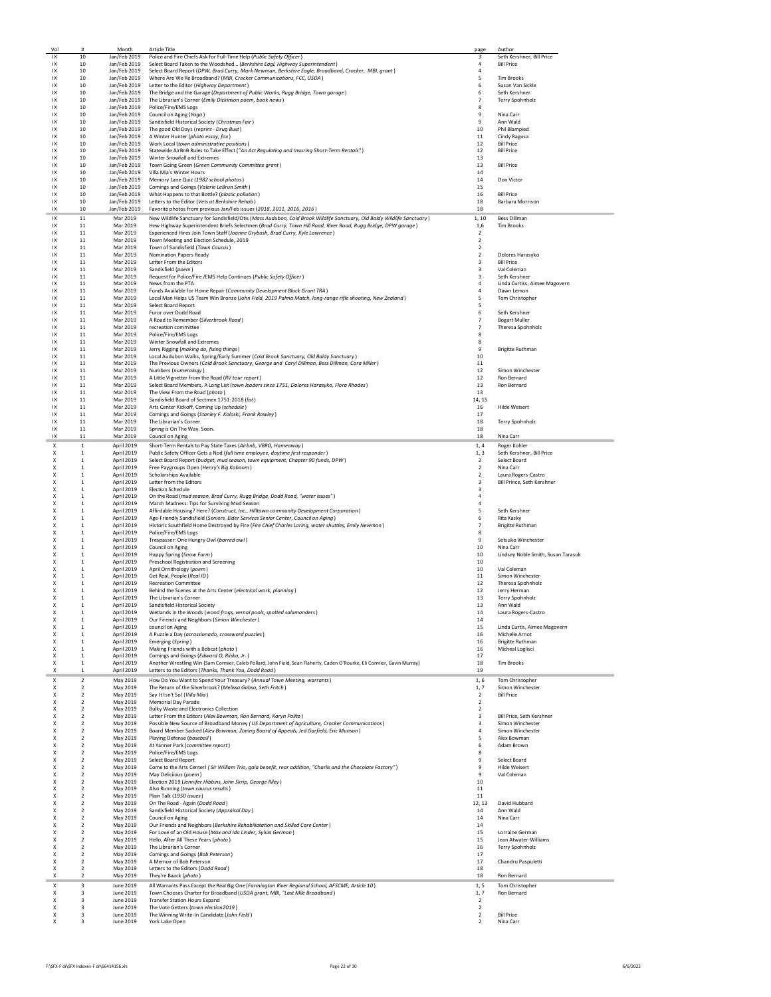| Vol      | #                                  | Month                        | <b>Article Title</b>                                                                                                                                                                       | page                             | Author                                      |
|----------|------------------------------------|------------------------------|--------------------------------------------------------------------------------------------------------------------------------------------------------------------------------------------|----------------------------------|---------------------------------------------|
| IX       | 10                                 | Jan/Feb 2019                 | Police and Fire Chiefs Ask for Full-Time Help (Public Safety Officer)                                                                                                                      | 3                                | Seth Kershner, Bill Price                   |
| IX       | 10                                 | Jan/Feb 2019                 | Select Board Taken to the Woodshed (Berkshire Eagl, Highway Superintendent)                                                                                                                | $\sqrt{4}$                       | <b>Bill Price</b>                           |
| IX<br>IX | 10<br>10                           | Jan/Feb 2019<br>Jan/Feb 2019 | Select Board Report (DPW, Brad Curry, Mark Newman, Berkshire Eagle, Broadband, Crocker, MBI, grant)<br>Where Are We Re Broadband? (MBI, Crocker Communications, FCC, USDA)                 | $\overline{4}$<br>5              | <b>Tim Brooks</b>                           |
| IX       | 10                                 | Jan/Feb 2019                 | Letter to the Editor (Highway Department)                                                                                                                                                  | 6                                | Susan Van Sickle                            |
| IX       | 10                                 | Jan/Feb 2019                 | The Bridge and the Garage (Department of Public Works, Rugg Bridge, Town garage)                                                                                                           | 6                                | Seth Kershner                               |
| IX       | 10                                 | Jan/Feb 2019                 | The Librarian's Corner (Emily Dickinson poem, book news)                                                                                                                                   | $\overline{7}$                   | Terry Spohnholz                             |
| IX       | 10                                 |                              | Jan/Feb 2019 Police/Fire/EMS Logs                                                                                                                                                          | 8                                |                                             |
| IX       | 10                                 | Jan/Feb 2019                 | Council on Aging (Yoga)                                                                                                                                                                    | 9                                | Nina Carr                                   |
| IX       | 10                                 |                              | Jan/Feb 2019 Sandisfield Historical Society (Christmas Fair)                                                                                                                               | 9                                | Ann Wald                                    |
| IX       | 10                                 |                              | Jan/Feb 2019 The good Old Days (reprint - Drug Bust)                                                                                                                                       | 10                               | Phil Blampied                               |
| IX       | 10                                 |                              | Jan/Feb 2019 A Winter Hunter (photo essay, fox)                                                                                                                                            | 11                               | Cindy Ragusa                                |
| IX       | 10                                 |                              | Jan/Feb 2019 Work Local (town administrative positions)                                                                                                                                    | 12                               | <b>Bill Price</b>                           |
| IX       | 10                                 |                              | Jan/Feb 2019 Statewide AirBnB Rules to Take Effect ("An Act Regulating and Insuring Short-Term Rentals")                                                                                   | 12                               | <b>Bill Price</b>                           |
| IX       | 10                                 | Jan/Feb 2019                 | Winter Snowfall and Extremes                                                                                                                                                               | 13                               |                                             |
| IX<br>IX | 10<br>10                           | Jan/Feb 2019<br>Jan/Feb 2019 | Town Going Green (Green Community Committee grant)<br>Villa Mia's Winter Hours                                                                                                             | 13<br>14                         | <b>Bill Price</b>                           |
| IX       | 10                                 | Jan/Feb 2019                 | Memory Lane Quiz (1982 school photos)                                                                                                                                                      | 14                               | Don Victor                                  |
| IX       | 10                                 | Jan/Feb 2019                 | Comings and Goings (Valerie LeBrun Smith)                                                                                                                                                  | 15                               |                                             |
| IX       | 10                                 | Jan/Feb 2019                 | What Happens to that Bottle? (plastic pollution)                                                                                                                                           | 16                               | <b>Bill Price</b>                           |
| IX       | 10                                 | Jan/Feb 2019                 | Letters to the Editor (Vets at Berkshire Rehab)                                                                                                                                            | 18                               | Barbara Morrison                            |
| IX       | 10                                 | Jan/Feb 2019                 | Favorite photos from previous Jan/Feb issues (2018, 2011, 2016, 2016)                                                                                                                      | 18                               |                                             |
| IX       | 11                                 | Mar 2019                     | New Wildlife Sanctuary for Sandisfield/Otis (Mass Audubon, Cold Brook Wildlife Sanctuary, Old Baldy Wildlife Sanctuary)                                                                    | 1, 10                            | Bess Dillman                                |
| IX       | 11                                 | Mar 2019                     | Hew Highway Superintendent Briefs Selectmen (Brad Curry, Town Hill Road, River Road, Rugg Bridge, DPW garage)                                                                              | 1,6                              | <b>Tim Brooks</b>                           |
| IX       | 11                                 | Mar 2019                     | Experienced Hires Join Town Staff (Joanne Grybosh, Brad Curry, Kyle Lawrence)                                                                                                              | $\overline{2}$                   |                                             |
| IX       | 11                                 | Mar 2019                     | Town Meeting and Election Schedule, 2019                                                                                                                                                   | $\overline{2}$                   |                                             |
| IX       | 11                                 | Mar 2019                     | Town of Sandisfield (Town Caucus)                                                                                                                                                          | $\overline{2}$                   |                                             |
| IX       | 11                                 | Mar 2019                     | Nomination Papers Ready                                                                                                                                                                    | $\overline{2}$                   | Dolores Harasyko                            |
| IX       | 11                                 | Mar 2019                     | Letter From the Editors                                                                                                                                                                    | $\overline{\mathbf{3}}$          | <b>Bill Price</b>                           |
| IX       | 11                                 | Mar 2019                     | Sandisfield (poem)                                                                                                                                                                         | $\overline{3}$<br>$\overline{3}$ | Val Coleman                                 |
| IX<br>IX | 11<br>11                           | Mar 2019<br>Mar 2019         | Request for Police/Fire /EMS Help Continues (Public Safety Officer)<br>News from the PTA                                                                                                   | $\overline{a}$                   | Seth Kershner                               |
| IX       | 11                                 | Mar 2019                     | Funds Available for Home Repair (Community Development Block Grant TRA)                                                                                                                    | $\overline{a}$                   | Linda Curtiss, Aimee Magovern<br>Dawn Lemon |
| IX       | 11                                 | Mar 2019                     | Local Man Helps US Team Win Bronze (John Field, 2019 Palma Match, long-range rifle shooting, New Zealand)                                                                                  | 5                                | Tom Christopher                             |
| IX       | 11                                 | Mar 2019                     | Select Board Report                                                                                                                                                                        | 5                                |                                             |
| IX       | 11                                 | Mar 2019                     | Furor over Dodd Road                                                                                                                                                                       | 6                                | Seth Kershner                               |
| IX       | 11                                 | Mar 2019                     | A Road to Remember (Silverbrook Road)                                                                                                                                                      | $\overline{7}$                   | <b>Bogart Muller</b>                        |
| IX       | 11                                 | Mar 2019                     | recreation committee                                                                                                                                                                       | $\overline{7}$                   | Theresa Spohnholz                           |
| IX       | 11                                 | Mar 2019                     | Police/Fire/EMS Logs                                                                                                                                                                       | 8                                |                                             |
| IX       | 11                                 | Mar 2019                     | Winter Snowfall and Extremes                                                                                                                                                               | 8                                |                                             |
| IX       | 11                                 | Mar 2019                     | Jerry Rigging (making do, fixing things)                                                                                                                                                   | 9                                | <b>Brigitte Ruthman</b>                     |
| IX       | 11                                 | Mar 2019                     | Local Audubon Walks, Spring/Early Summer (Cold Brook Sanctuary, Old Baldy Sanctuary)                                                                                                       | 10                               |                                             |
| IX       | 11                                 | Mar 2019                     | The Previous Owners (Cold Brook Sanctuary, George and Caryl Dillman, Bess Dillman, Cora Miller)                                                                                            | 11                               |                                             |
| IX       | 11                                 | Mar 2019                     | Numbers (numerology)                                                                                                                                                                       | 12                               | Simon Winchester                            |
| IX       | 11                                 | Mar 2019<br>Mar 2019         | A Little Vignetter from the Road (RV tour report)                                                                                                                                          | 12                               | Ron Bernard                                 |
| IX<br>IX | 11<br>11                           | Mar 2019                     | Select Board Members, A Long List (town leaders since 1751, Dolores Harasyko, Flora Rhodes)<br>The View From the Road (photo)                                                              | 13<br>13                         | Ron Bernard                                 |
| IX       | 11                                 | Mar 2019                     | Sandisfield Board of Sectmen 1751-2018 (list)                                                                                                                                              | 14, 15                           |                                             |
| IX       | 11                                 | Mar 2019                     | Arts Center Kickoff, Coming Up (schedule)                                                                                                                                                  | 16                               | <b>Hilde Weisert</b>                        |
| IX       | $11\,$                             | Mar 2019                     | Comings and Goings (Stanley F. Koloski, Frank Rowley)                                                                                                                                      | 17                               |                                             |
| IX       | 11                                 | Mar 2019                     | The Librarian's Corner                                                                                                                                                                     | 18                               | Terry Spohnholz                             |
| IX       | 11                                 | Mar 2019                     | Spring is On The Way. Soon.                                                                                                                                                                | 18                               |                                             |
| IX       | 11                                 | Mar 2019                     | Council on Aging                                                                                                                                                                           | 18                               | Nina Carr                                   |
| X        | $\mathbf{1}$                       | April 2019                   | Short-Term Rentals to Pay State Taxes (Airbnb, VBRO, Homeaway)                                                                                                                             | 1.4                              | Roger Kohler                                |
| X        | $\mathbf{1}$                       | April 2019                   | Public Safety Officer Gets a Nod (full time employee, daytime first responder)                                                                                                             | 1.3                              | Seth Kershner, Bill Price                   |
| X        | $\mathbf{1}$                       | April 2019                   | Select Board Report (budget, mud season, town equipment, Chapter 90 funds, DPW)                                                                                                            | $\overline{2}$                   | Select Board                                |
| Χ        | $\mathbf{1}$                       | April 2019                   | Free Paygroups Open (Henry's Big Kaboom)                                                                                                                                                   | $\overline{2}$                   | Nina Carr                                   |
| X        | $\mathbf{1}$                       | April 2019                   | <b>Scholarships Available</b>                                                                                                                                                              | $\overline{2}$                   | Laura Rogers-Castro                         |
| X        | 1                                  | April 2019                   | Letter from the Editors                                                                                                                                                                    | 3                                | Bill Prince, Seth Kershner                  |
| Χ        | 1                                  | April 2019                   | <b>Election Schedule</b>                                                                                                                                                                   | 3                                |                                             |
| X        | 1                                  | April 2019                   | On the Road (mud season, Brad Curry, Rugg Bridge, Dodd Road, "water issues")                                                                                                               | $\overline{4}$                   |                                             |
| X        | $\mathbf{1}$                       | April 2019                   | March Madness: Tips for Surviving Mud Season                                                                                                                                               | $\overline{4}$                   |                                             |
| X        | $\mathbf{1}$                       | April 2019                   | Affirdable Housing? Here? (Construct, Inc., Hilltown community Development Corporation)                                                                                                    | 5                                | Seth Kershner                               |
| X<br>X   | $\mathbf{1}$<br>$\mathbf{1}$       | April 2019<br>April 2019     | Age-Friendly Sandisfield (Seniors, Elder Services Senior Center, Council on Aging)<br>Historic Southfield Home Destroyed by Fire (Fire Chief Charles Loring, water shuttles, Emily Newman) | 6<br>$\overline{7}$              | Rita Kasky<br><b>Brigitte Ruthman</b>       |
| X        | 1                                  | April 2019                   | Police/Fire/EMS Logs                                                                                                                                                                       | 8                                |                                             |
| X        | $\mathbf{1}$                       | April 2019                   | Trespasser: One Hungry Owl (barred owl)                                                                                                                                                    | 9                                | Setsuko Winchester                          |
| X        | $\mathbf{1}$                       | April 2019                   | Council on Aging                                                                                                                                                                           | 10                               | Nina Carr                                   |
| X        | $\mathbf{1}$                       | April 2019                   | Happy Spring (Snow Farm)                                                                                                                                                                   | 10                               | Lindsey Noble Smith, Susan Tarasuk          |
| Χ        | $\,$ 1                             | April 2019                   | Preschool Registration and Screening                                                                                                                                                       | 10                               |                                             |
| Χ        | $\,$ 1                             | April 2019                   | April Ornithology (poem)                                                                                                                                                                   | 10                               | Val Coleman                                 |
| X        | 1                                  | April 2019                   | Get Real, People (Real ID)                                                                                                                                                                 | 11                               | Simon Winchester                            |
| X        | 1                                  | April 2019                   | <b>Recreation Committee</b>                                                                                                                                                                | 12                               | Theresa Spohnholz                           |
| X        | 1                                  | April 2019                   | Behind the Scenes at the Arts Center (electrical work, planning)                                                                                                                           | 12                               | Jerry Herman                                |
| Χ        | $\,1\,$<br>$\mathbf{1}$            | April 2019                   | The Librarian's Corner<br>Sandisfield Historical Society                                                                                                                                   | 13<br>13                         | Terry Spohnholz                             |
| Χ        |                                    | April 2019                   |                                                                                                                                                                                            |                                  | Ann Wald                                    |
|          | 1                                  | April 2019<br>April 2019     | Wetlands in the Woods (wood frogs, vernal pools, spotted salamanders)<br>Our Firends and Neighbors (Simon Winchester)                                                                      | 14<br>14                         | Laura Rogers-Castro                         |
| X        | $\mathbf{1}$                       | April 2019                   | council on Aging                                                                                                                                                                           | 15                               | Linda Curtis, Aimee Magovern                |
| X        | $\mathbf{1}$                       | April 2019                   | A Puzzle a Day (acrossionado, crossword puzzles)                                                                                                                                           | 16                               | Michelle Arnot                              |
| Χ        | $\mathbf{1}$                       | April 2019                   | Emerging (Spring)                                                                                                                                                                          | 16                               | <b>Brigitte Ruthman</b>                     |
| Χ        | $\mathbf{1}$                       | April 2019                   | Making Friends with a Bobcat (photo)                                                                                                                                                       | 16                               | Micheal Loglisci                            |
| Χ        | $\,1\,$                            | April 2019                   | Comings and Goings (Edward O, Riiska, Jr.)                                                                                                                                                 | 17                               |                                             |
| X        | 1                                  | April 2019                   | Another Wrestling Win (Sam Cormier, Caleb Pollard, John Field, Sean Flaherty, Caden O'Rourke, Eli Cormier, Gavin Murray)                                                                   | 18                               | <b>Tim Brooks</b>                           |
| Χ        | $\overline{1}$                     | April 2019                   | Letters to the Editors (Thanks, Thank You, Dodd Road)                                                                                                                                      | 19                               |                                             |
| Χ        | $\overline{2}$                     | May 2019                     | How Do You Want to Spend Your Treasury? (Annual Town Meeting, warrants)                                                                                                                    | 1,6                              | Tom Christopher                             |
| X        | $\overline{2}$                     | May 2019                     | The Return of the Silverbrook? (Melissa Gabso, Seth Fritch)                                                                                                                                | 1, 7                             | Simon Winchester                            |
| X        | $\overline{2}$                     | May 2019                     | Say It Isn't So! (Villa Mia)                                                                                                                                                               | $\overline{2}$                   | <b>Bill Price</b>                           |
| Χ<br>X   | $\boldsymbol{2}$<br>$\overline{2}$ | May 2019                     | Memorial Day Parade                                                                                                                                                                        | $\overline{2}$<br>$\overline{2}$ |                                             |
| Χ        | $\overline{2}$                     | May 2019<br>May 2019         | <b>Bulky Waste and Electronics Collection</b><br>Letter From the Editors (Alex Bowman, Ron Bernard, Karyn Polito)                                                                          | 3                                | Bill Price, Seth Kershner                   |
| X        | $\overline{2}$                     | May 2019                     | Possible New Source of Broadband Money (US Department of Agriculture, Crocker Communications)                                                                                              | 3                                | Simon Winchester                            |
| X        | $\overline{2}$                     | May 2019                     | Board Member Sacked (Alex Bowman, Zoning Board of Appeals, Jed Garfield, Eric Munson)                                                                                                      | $\overline{4}$                   | Simon Winchester                            |
| X        | $\overline{2}$                     | May 2019                     | Plaving Defense (baseball)                                                                                                                                                                 | 5                                | Alex Bowman                                 |
| X        | $\overline{2}$                     | May 2019                     | At Yanner Park (committee report)                                                                                                                                                          | 6                                | Adam Brown                                  |
| X        | $\overline{2}$                     | May 2019                     | Police/Fire/EMS Logs                                                                                                                                                                       | 8                                |                                             |
| Χ        | $\overline{2}$                     | May 2019                     | Select Board Report                                                                                                                                                                        | 9                                | Select Board                                |
| X        | $\overline{2}$                     | May 2019                     | Come to the Arts Center! (Sir William Trio, gala benefit, rear addition, "Charlis and the Chocolate Factory")                                                                              | 9                                | <b>Hilde Weisert</b>                        |
| X        | $\overline{\phantom{a}}$           | May 2019                     | May Deliciious (poem)                                                                                                                                                                      | $\overline{9}$                   | Val Coleman                                 |
| X        | $\overline{2}$                     | May 2019                     | Election 2019 (Jennifer Hibbins, John Skrip, George Riley)                                                                                                                                 | 10                               |                                             |
| X        | $\overline{2}$                     | May 2019                     | Also Running (town caucus results)                                                                                                                                                         | 11                               |                                             |
| X        | $\overline{2}$                     | May 2019                     | Plain Talk (1950 issues)                                                                                                                                                                   | 11                               |                                             |
| Χ        | $\overline{2}$                     | May 2019                     | On The Road - Again (Dodd Road)                                                                                                                                                            | 12, 13                           | David Hubbard                               |
| Χ<br>X   | $\overline{2}$<br>$\overline{2}$   | May 2019                     | Sandisfield Historical Society (Appraisal Day)                                                                                                                                             | 14<br>14                         | Ann Wald<br>Nina Carr                       |
| X        | $\overline{2}$                     | May 2019<br>May 2019         | Council on Aging<br>Our Friends and Neighbors (Berkshire Rehabiliatation and Skilled Care Center)                                                                                          | 14                               |                                             |
| X        | $\overline{2}$                     | May 2019                     | For Love of an Old House (Max and Ida Linder, Sylvia German)                                                                                                                               | 15                               | Lorraine German                             |
| X        | $\overline{2}$                     | May 2019                     | Hello, After All These Years (photo)                                                                                                                                                       | 15                               | Jean Atwater-Williams                       |
| Χ        | $\boldsymbol{2}$                   | May 2019                     | The Librarian's Corner                                                                                                                                                                     | 16                               | Terry Spohnholz                             |
| Χ        | $\overline{2}$                     | May 2019                     | Comings and Goings (Bob Peterson)                                                                                                                                                          | 17                               |                                             |
| X        | $\mathcal{P}$                      | May 2019                     | A Memoir of Bob Peterson                                                                                                                                                                   | 17                               | Chandru Paspuletti                          |
| X        | $\overline{2}$                     | May 2019                     | Letters to the Editors (Dodd Road)                                                                                                                                                         | 18                               |                                             |
| X        | $\overline{2}$                     | May 2019                     | They're Baack (photo)                                                                                                                                                                      | 18                               | Ron Bernard                                 |
|          |                                    |                              | All Warrants Pass Except the Real Big One (Farmington River Regional School, AFSCME, Article 10)                                                                                           |                                  | Tom Christopher                             |
| X        | $\overline{\mathbf{3}}$            | June 2019                    |                                                                                                                                                                                            | 1, 5                             |                                             |
| X        | $\overline{\mathbf{3}}$            | June 2019                    | Town Chooses Charter for Broadband (USDA grant, MBI, "Last Mile Broadband)                                                                                                                 | 1, 7                             | Ron Bernard                                 |
| X        | 3                                  | June 2019                    | <b>Transfer Station Hours Expand</b>                                                                                                                                                       | $\overline{2}$                   |                                             |
| Χ        | 3                                  | June 2019                    | The Vote Getters (town election2019)                                                                                                                                                       | $\overline{2}$                   |                                             |
| X<br>Χ   | 3<br>3                             | June 2019<br>June 2019       | The Winning Write-In Candidate (John Field)<br>York Lake Open                                                                                                                              | $\overline{2}$<br>$\overline{2}$ | <b>Bill Price</b><br>Nina Carr              |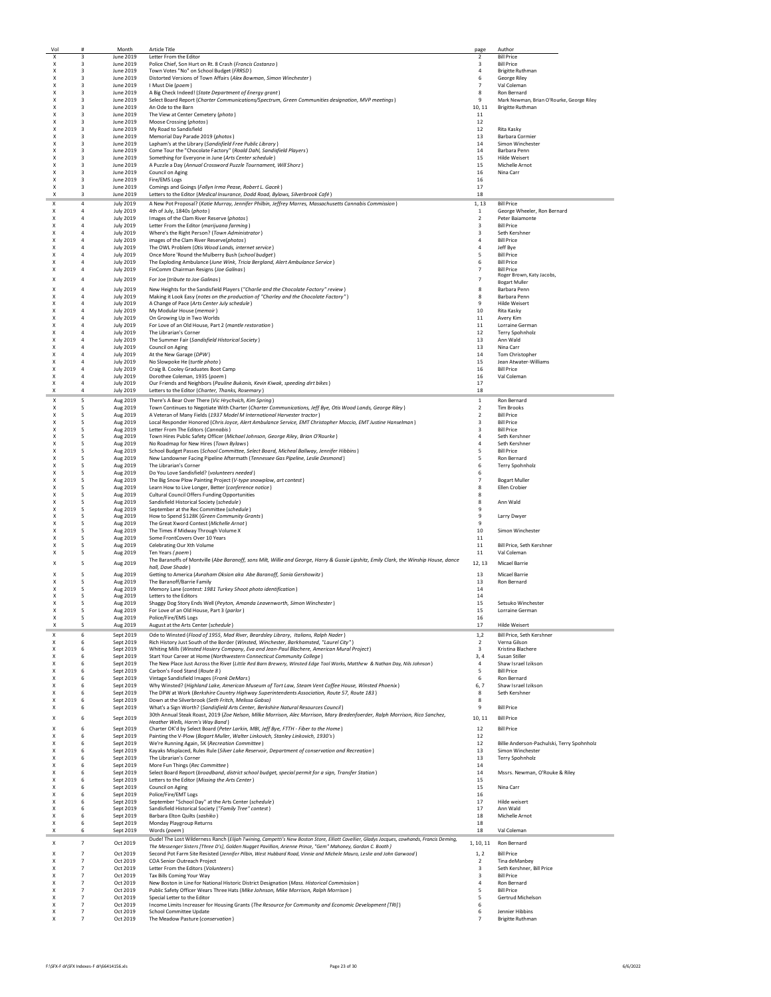|        | #                            | Month                  | <b>Article Title</b>                                                                                                                                           | page                    | Author                                         |
|--------|------------------------------|------------------------|----------------------------------------------------------------------------------------------------------------------------------------------------------------|-------------------------|------------------------------------------------|
| X      | 3                            | June 2019              | Letter From the Editor                                                                                                                                         | $\overline{2}$          | <b>Bill Price</b>                              |
| Χ      | 3                            | June 2019              | Police Chief, Son Hurt on Rt. 8 Crash (Francis Costanzo)                                                                                                       | $\overline{\mathbf{3}}$ | <b>Bill Price</b>                              |
| X      | 3                            | June 2019              | Town Votes "No" on School Budget (FRRSD)                                                                                                                       | $\overline{4}$          | <b>Brigitte Ruthman</b>                        |
| х      | 3                            | June 2019              | Distorted Versions of Town Affairs (Alex Bowman, Simon Winchester)                                                                                             | 6                       | George Riley                                   |
| Χ      | 3                            | June 2019              | I Must Die (poem)<br>A Big Check Indeed! (State Department of Energy grant)                                                                                    | $\overline{7}$          | Val Coleman<br>Ron Bernard                     |
| X<br>X | 3<br>$\overline{\mathbf{3}}$ | June 2019<br>June 2019 | Select Board Report (Charter Communications/Spectrum, Green Communities designation, MVP meetings)                                                             | 8<br>9                  | Mark Newman, Brian O'Rourke, George Riley      |
| X      | $\overline{\mathbf{3}}$      | June 2019              | An Ode to the Barn                                                                                                                                             | 10, 11                  | <b>Brigitte Ruthman</b>                        |
| X      | $\overline{\mathbf{3}}$      | June 2019              | The View at Center Cemetery (photo)                                                                                                                            | 11                      |                                                |
| X      | 3                            | June 2019              | Moose Crossing (photos)                                                                                                                                        | 12                      |                                                |
| X      | $\mathbf{a}$                 | June 2019              | My Road to Sandisfield                                                                                                                                         | 12                      | Rita Kasky                                     |
| X      | $\overline{\mathbf{3}}$      | June 2019              | Memorial Day Parade 2019 (photos)                                                                                                                              | 13                      | <b>Barbara Cormier</b>                         |
| X      | $\overline{\mathbf{3}}$      | June 2019              | Lapham's at the Library (Sandisfield Free Public Library)                                                                                                      | 14                      | Simon Winchester                               |
| X      | $\overline{\mathbf{3}}$      | June 2019              | Come Tour the "Chocolate Factory" (Roald Dahl, Sandisfield Players)                                                                                            | 14                      | Barbara Penn                                   |
| X      | 3                            | June 2019              | Something for Everyone in June (Arts Center schedule)                                                                                                          | 15                      | Hilde Weisert                                  |
| Χ      | 3                            | June 2019              | A Puzzle a Day (Annual Crossword Puzzle Tournament, Will Shorz)                                                                                                | 15                      | Michelle Arnot                                 |
| x      | 3                            | June 2019              | Council on Aging                                                                                                                                               | 16                      | Nina Carr                                      |
| X      | 3                            | June 2019              | Fire/EMS Logs                                                                                                                                                  | 16                      |                                                |
| X      | 3                            | June 2019              | Comings and Goings (Fallyn Irma Pease, Robert L. Gacek)                                                                                                        | 17                      |                                                |
| X      | 3                            | June 2019              | Letters to the Editor (Medical Insurance, Dodd Road, Bylaws, Silverbrook Café)                                                                                 | 18                      |                                                |
| X      | $\overline{4}$               | <b>July 2019</b>       | A New Pot Proposal? (Katie Murray, Jennifer Philbin, Jeffrey Marres, Massachusetts Cannabis Commission)                                                        | 1, 13                   | <b>Bill Price</b>                              |
| Χ      | $\overline{4}$               | <b>July 2019</b>       | 4th of July, 1840s (photo)                                                                                                                                     | $1\,$                   | George Wheeler, Ron Bernard                    |
| Χ      | 4                            | <b>July 2019</b>       | Images of the Clam River Reserve (photos)                                                                                                                      | $\overline{2}$          | Peter Baiamonte                                |
| Χ      | $\overline{4}$               | <b>July 2019</b>       | Letter From the Editor (marijuana farming)                                                                                                                     | 3                       | <b>Bill Price</b>                              |
| x      | $\overline{a}$               | <b>July 2019</b>       | Where's the Right Person? (Town Administrator)                                                                                                                 | $\overline{3}$          | Seth Kershner                                  |
| X      | 4                            | <b>July 2019</b>       | images of the Clam River Reserve(photos)                                                                                                                       | 4                       | <b>Bill Price</b>                              |
| X      | $\overline{4}$               | <b>July 2019</b>       | The OWL Problem (Otis Wood Lands, internet service)                                                                                                            | $\overline{a}$          | Jeff Bye                                       |
| X      | $\overline{4}$               | <b>July 2019</b>       | Once More 'Round the Mulberry Bush (school budget)                                                                                                             | 5                       | <b>Bill Price</b>                              |
| x      | $\overline{4}$               | <b>July 2019</b>       | The Exploding Ambulance (June Wink, Tricia Bergland, Alert Ambulance Service)                                                                                  | 6                       | <b>Bill Price</b>                              |
| x      | $\overline{4}$               | <b>July 2019</b>       | FinComm Chairman Resigns (Joe Galinas)                                                                                                                         | $\overline{7}$          | <b>Bill Price</b>                              |
| X      | $\overline{4}$               | <b>July 2019</b>       |                                                                                                                                                                | $\overline{7}$          | Roger Brown, Katy Jacobs,                      |
|        |                              |                        | For Joe (tribute to Joe Galinas)                                                                                                                               |                         | <b>Bogart Muller</b>                           |
| X      | $\overline{4}$               | <b>July 2019</b>       | New Heights for the Sandisfield Players ("Charlie and the Chocolate Factory" review)                                                                           | 8                       | Barbara Penn                                   |
| Χ      | $\overline{4}$               | <b>July 2019</b>       | Making it Look Easy (notes on the production of "Charley and the Chocolate Factory")                                                                           | 8                       | Barbara Penn                                   |
| Χ      | $\overline{4}$               | <b>July 2019</b>       | A Change of Pace (Arts Center July schedule)                                                                                                                   | 9                       | <b>Hilde Weisert</b>                           |
| Χ      | 4                            | <b>July 2019</b>       | My Modular House (memoir)                                                                                                                                      | 10                      | Rita Kasky                                     |
| Χ      | $\overline{a}$               | <b>July 2019</b>       | On Growing Up in Two Worlds                                                                                                                                    | 11                      | Avery Kim                                      |
| X      | $\overline{a}$               | <b>July 2019</b>       | For Love of an Old House, Part 2 (mantle restoration)                                                                                                          | 11                      | Lorraine German                                |
| X      | $\overline{4}$               | <b>July 2019</b>       | The Librarian's Corner                                                                                                                                         | 12                      | Terry Spohnholz                                |
| Χ      | $\overline{4}$               | <b>July 2019</b>       | The Summer Fair (Sandisfield Historical Society)                                                                                                               | 13                      | Ann Wald                                       |
| Χ      | $\overline{4}$               | <b>July 2019</b>       | Council on Aging                                                                                                                                               | 13                      | Nina Carr                                      |
| Χ      | 4                            | <b>July 2019</b>       | At the New Garage (DPW)                                                                                                                                        | 14                      | Tom Christopher                                |
| Χ      | 4                            | <b>July 2019</b>       | No Slowpoke He (turtle photo)                                                                                                                                  | 15                      | Jean Atwater-Williams                          |
| x      | $\overline{4}$               | <b>July 2019</b>       | Craig B. Cooley Graduates Boot Camp                                                                                                                            | 16                      | <b>Bill Price</b>                              |
| X      | $\overline{4}$               | <b>July 2019</b>       | Dorothee Coleman, 1935 (poem)                                                                                                                                  | 16                      | Val Coleman                                    |
| X      | 4                            | <b>July 2019</b>       | Our Friends and Neighbors (Pauline Bukanis, Kevin Kiwak, speeding dirt bikes)                                                                                  | 17                      |                                                |
| Χ      | 4                            | <b>July 2019</b>       | Letters to the Editor (Charter, Thanks, Rosemary)                                                                                                              | 18                      |                                                |
| Χ      | 5                            | Aug 2019               | There's A Bear Over There (Vic Hrychvich, Kim Spring)                                                                                                          | $\mathbf{1}$            | Ron Bernard                                    |
| Χ      | 5                            | Aug 2019               | Town Continues to Negotiate With Charter (Charter Communications, Jeff Bye, Otis Wood Lands, George Riley)                                                     | $\overline{2}$          | <b>Tim Brooks</b>                              |
| X      | 5                            | Aug 2019               | A Veteran of Many Fields (1937 Model M International Harvester tractor)                                                                                        | $\overline{2}$          | <b>Bill Price</b>                              |
| Χ      | 5                            | Aug 2019               | Local Responder Honored (Chris Joyce, Alert Ambulance Service, EMT Christopher Moccio, EMT Justine Hanselman)                                                  | 3                       | <b>Bill Price</b>                              |
| х      | -5                           | Aug 2019               | Letter From The Editors (Cannabis)                                                                                                                             | 3                       | <b>Bill Price</b>                              |
| X      | -5                           | Aug 2019               | Town Hires Public Safety Officer (Michael Johnson, George Riley, Brian O'Rourke)                                                                               | 4                       | Seth Kershner                                  |
| X      | -5                           | Aug 2019               | No Roadmap for New Hires (Town Bylaws)                                                                                                                         | $\overline{a}$          | Seth Kershner                                  |
| x      | 5                            | Aug 2019               | School Budget Passes (School Committee, Select Board, Micheal Ballway, Jennifer Hibbins)                                                                       | 5                       | <b>Bill Price</b>                              |
| X      | 5                            | Aug 2019               | New Landowner Facing Pipeline Aftermath (Tennessee Gas Pipeline, Leslie Desmond)                                                                               | 5                       | Ron Bernard                                    |
| X      | 5                            | Aug 2019               | The Librarian's Corner                                                                                                                                         | 6                       | Terry Spohnholz                                |
| X      | 5                            | Aug 2019               | Do You Love Sandisfield? (volunteers needed)                                                                                                                   | 6                       |                                                |
| X      | 5                            | Aug 2019               | The Big Snow Plow Painting Project (V-type snowplow, art contest)                                                                                              | $\overline{7}$          | <b>Bogart Muller</b>                           |
| X      | 5                            | Aug 2019               | Learn How to Live Longer, Better (conference notice)                                                                                                           | 8                       | Ellen Crobier                                  |
| X      | 5                            | Aug 2019               | <b>Cultural Council Offers Funding Opportunities</b>                                                                                                           | 8                       |                                                |
| Χ      | 5                            | Aug 2019               | Sandisfield Historical Society (schedule)                                                                                                                      | 8                       | Ann Wald                                       |
| X      | 5                            | Aug 2019               | September at the Rec Committee (schedule)                                                                                                                      | 9                       |                                                |
| X      | -5                           | Aug 2019               | How to Spend \$128K (Green Community Grants)                                                                                                                   | 9                       | Larry Dwyer                                    |
| X      | -5                           | Aug 2019               | The Great Xword Contest (Michelle Arnot)                                                                                                                       | $\mathbf{q}$            |                                                |
| X      | -5                           | Aug 2019               | The Times if Midway Through Volume X                                                                                                                           | 10                      | Simon Winchester                               |
| X      | 5                            | Aug 2019               | Some FrontCovers Over 10 Years                                                                                                                                 | 11                      |                                                |
| X      | 5                            | Aug 2019               | Celebrating Our Xth Volume                                                                                                                                     | 11                      | Bill Price, Seth Kershner                      |
| X      | 5                            | Aug 2019               | Ten Years (poem)                                                                                                                                               | $11\,$                  | Val Coleman                                    |
| x      | 5                            | Aug 2019               | The Baranoffs of Montville (Abe Baranoff, sons Milt, Willie and George, Harry & Gussie Lipshitz, Emily Clark, the Winship House, dance                         | 12, 13                  | Micael Barrie                                  |
|        |                              |                        | hall. Dave Shade \                                                                                                                                             |                         |                                                |
| X      | 5                            | Aug 2019               | Getting to America (Avraham Oksion aka Abe Baranoff, Sonia Gershowitz)                                                                                         | 13                      | <b>Micael Barrie</b>                           |
| X      | 5                            | Aug 2019               | The Baranoff/Barrie Family                                                                                                                                     | 13                      | Ron Bernard                                    |
| X      | 5                            | Aug 2019               | Memory Lane (contest: 1981 Turkey Shoot photo identification)                                                                                                  | 14                      |                                                |
| X      | 5                            | Aug 2019               | Letters to the Editors                                                                                                                                         | 14                      |                                                |
| Χ      | 5                            | Aug 2019               | Shaggy Dog Story Ends Well (Peyton, Amanda Leavenworth, Simon Winchester)<br>For Love of an Old House, Part 3 (parlor)                                         | 15                      | Setsuko Winchester                             |
| X      | 5                            | Aug 2019               |                                                                                                                                                                | 15                      | Lorraine Ger                                   |
|        |                              |                        |                                                                                                                                                                |                         |                                                |
| X      | 5                            | Aug 2019               | Police/Fire/EMS Logs                                                                                                                                           | 16                      |                                                |
| X      |                              | Aug 2019               | August at the Arts Center (schedule)                                                                                                                           | 17                      | Hilde Weisert                                  |
|        | 6                            | Sept 2019              | Ode to Winsted (Flood of 1955, Mad River, Beardsley Library, Italians, Ralph Nader)                                                                            | 1.2                     | Bill Price, Seth Kershner                      |
| Χ      | 6                            | Sept 2019              | Rich History Just South of the Border (Winsted, Winchester, Barkhamsted, "Laurel City")                                                                        | $\overline{2}$          | Verna Gilson                                   |
| Χ      | 6                            | Sept 2019              | Whiting Mills (Winsted Hosiery Company, Eva and Jean-Paul Blachere, American Mural Project)                                                                    | $\overline{\mathbf{3}}$ | Kristina Blachere                              |
| Χ      | 6                            | Sept 2019              | Start Your Career at Home (Northwestern Connecticut Community College)                                                                                         | 3,4                     | Susan Stiller                                  |
| Χ      | 6                            | Sept 2019              | The New Place Just Across the River (Little Red Barn Brewery, Winsted Edge Tool Works, Matthew & Nathan Day, Nils Johnson)                                     | $\it 4$                 | Shaw Israel Izikson                            |
| x<br>X | 6<br>6                       | Sept 2019              | Carbon's Food Stand (Route 8)                                                                                                                                  | -5<br>6                 | <b>Bill Price</b><br>Ron Bernard               |
| X      | 6                            | Sept 2019<br>Sept 2019 | Vintage Sandisfield Images (Frank DeMars)                                                                                                                      |                         | Shaw Israel Izikson                            |
| X      | 6                            |                        | Why Winsted? (Highland Lake, American Museum of Tort Law, Steam Vent Coffee House, Winsted Phoenix)                                                            | 6,7<br>8                |                                                |
| X      | 6                            | Sept 2019              | The DPW at Work (Berkshire Country Highway Superintendents Association, Route 57, Route 183)<br>Down at the Silverbrook (Seth Fritch, Melissa Gabso)           |                         | Seth Kershner                                  |
|        |                              | Sept 2019              |                                                                                                                                                                | 8                       |                                                |
| x      | 6                            | Sept 2019              | What's a Sign Worth? (Sandisfield Arts Center, Berkshire Natural Resources Council)                                                                            | 9                       | <b>Bill Price</b>                              |
| X      | 6                            | Sept 2019              | 30th Annual Steak Roast, 2019 (Zoe Nelson, Milke Morrison, Alec Morrison, Mary Bredenfoerder, Ralph Morrison, Rico Sanchez,<br>Heather Wells, Harm's Way Band) | 10, 11                  | <b>Bill Price</b>                              |
| X      | 6                            | Sept 2019              | Charter OK'd by Select Board (Peter Larkin, MBI, Jeff Bye, FTTH - Fiber to the Home)                                                                           | 12                      | <b>Bill Price</b>                              |
| X      | 6                            | Sept 2019              | Painting the V-Plow (Bogart Muller, Walter Linkovich, Stanley Linkovich, 1930's)                                                                               | 12                      |                                                |
| Χ      | 6                            | Sept 2019              | We're Running Again, 5K (Recreation Committee)                                                                                                                 | $12\,$                  | Billie Anderson-Pachulski, Terry Spohnholz     |
| Χ      | 6                            | Sept 2019              | Kayaks Misplaced, Rules Rule (Silver Lake Reservoir, Department of conservation and Recreation)                                                                | 13                      | Simon Winchester                               |
| x      | 6                            | Sept 2019              | The Librarian's Corner                                                                                                                                         | 13                      | Terry Spohnholz                                |
| Χ      | 6                            | Sept 2019              | More Fun Things (Rec Committee)                                                                                                                                | 14                      |                                                |
| X      | 6                            | Sept 2019              | Select Board Report (broadband, district school budget, special permit for a sign, Transfer Station)                                                           | 14                      | Mssrs. Newman, O'Rouke & Riley                 |
| Χ      | 6                            | Sept 2019              | Letters to the Editor (Missing the Arts Center)                                                                                                                | 15                      |                                                |
| Χ      | 6                            | Sept 2019              | Council on Aging                                                                                                                                               | 15                      | Nina Carr                                      |
| Χ      | 6                            | Sept 2019              | Police/Fire/EMT Logs                                                                                                                                           | 16                      |                                                |
| Χ      | 6                            | Sept 2019              | September "School Day" at the Arts Center (schedule)                                                                                                           | 17                      | Hilde weisert                                  |
| X      | 6                            | Sept 2019              |                                                                                                                                                                | 17                      | Ann Wald                                       |
| X      | 6                            | Sept 2019              | Sandisfield Historical Society ("Family Tree" contest)<br>Barbara Elton Quilts (sashiko)                                                                       | 18                      | Michelle Arnot                                 |
| Χ      | 6                            | Sept 2019              | Monday Playgroup Returns                                                                                                                                       | 18                      |                                                |
| Χ      | 6                            | Sept 2019              | Words (poem)                                                                                                                                                   | 18                      | Val Coleman                                    |
|        |                              |                        |                                                                                                                                                                |                         |                                                |
| Χ      | $\overline{7}$               | Oct 2019               | Dude! The Lost Wilderness Ranch (Elijah Twining, Campetti's New Boston Store, Elliott Cavellier, Gladys Jacques, cowhands, Francis Deming,                     | 1, 10, 11               | Ron Bernard                                    |
| X      | $\overline{7}$               |                        | The Messenger Sisters [Three D's], Golden Nugget Pavillion, Arienne Prince, "Gem" Mahoney, Gordon C. Booth)                                                    |                         | <b>Bill Price</b>                              |
| X      | $\overline{7}$               | Oct 2019               | Second Pot Farm Site Resisted (Jennifer Pilbin, West Hubbard Road, Vinnie and Michele Mauro, Leslie and John Garwood)                                          | 1, 2                    |                                                |
| X      | $\overline{7}$               | Oct 2019               | COA Senior Outreach Project                                                                                                                                    | $\overline{2}$          | Tina deManbey                                  |
| Χ      | $\overline{7}$               | Oct 2019<br>Oct 2019   | Letter From the Editors (Volunteers)                                                                                                                           | 3<br>3                  | Seth Kershner, Bill Price<br><b>Bill Price</b> |
|        | $\overline{7}$               |                        | Tax Bills Coming Your Way                                                                                                                                      |                         |                                                |
| Χ<br>X | $\overline{7}$               | Oct 2019               | New Boston in Line for National Historic District Designation (Mass. Historical Commission)                                                                    | $\it 4$<br>-5           | Ron Bernard<br><b>Bill Price</b>               |
| X      | $\overline{7}$               | Oct 2019<br>Oct 2019   | Public Safety Officer Wears Three Hats (Mike Johnson, Mike Morrison, Ralph Morrison)<br>Special Letter to the Editor                                           | 5                       | Gertrud Michelson                              |
| X      | $\overline{7}$               | Oct 2019               | Income Limits Increaser for Housing Grants (The Resource for Community and Economic Development [TRI])                                                         | 6                       |                                                |
| Χ      | $\overline{7}$               | Oct 2019               | School Committee Update                                                                                                                                        | 6                       | Jennier Hibbins                                |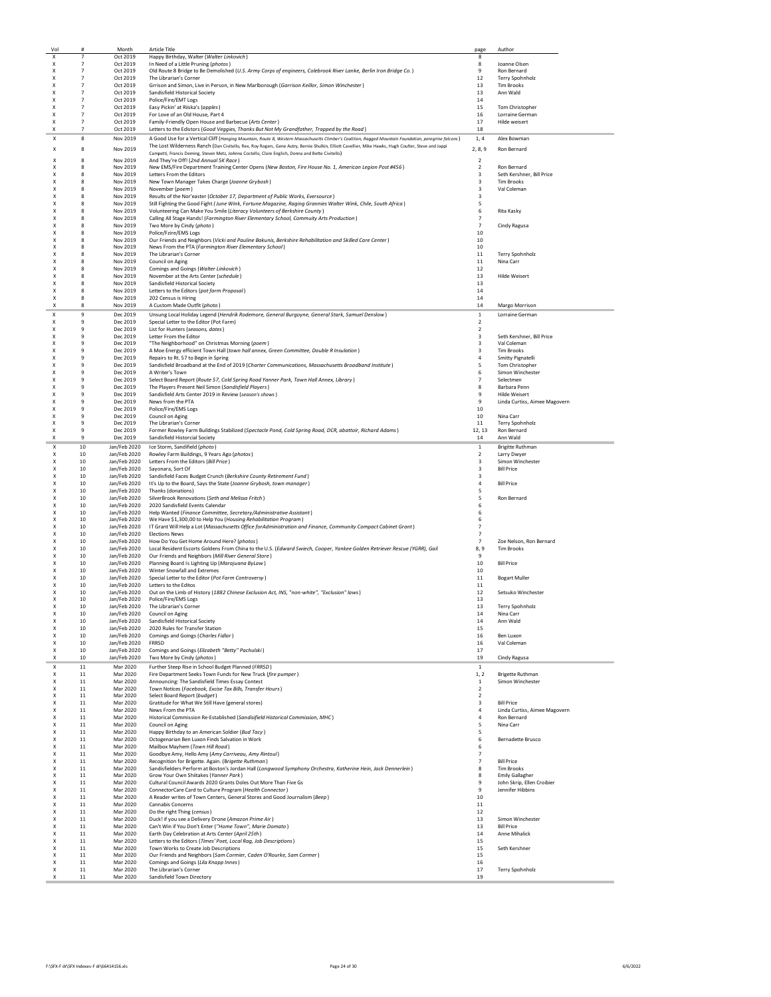| Vol                            |                                  | Month                        | Article Title                                                                                                                                                        | page                             | Author                                                |
|--------------------------------|----------------------------------|------------------------------|----------------------------------------------------------------------------------------------------------------------------------------------------------------------|----------------------------------|-------------------------------------------------------|
| X<br>X                         | $\overline{7}$<br>$\overline{7}$ | Oct 2019<br>Oct 2019         | Happy Birthday, Walter (Walter Linkovich)<br>In Need of a Little Pruning (photos)                                                                                    | 8<br>8                           | Joanne Olsen                                          |
| X                              | $\overline{7}$                   | Oct 2019                     | Old Route 8 Bridge to Be Demolished (U.S. Army Corps of engineers, Colebrook River Lanke, Berlin Iron Bridge Co.)                                                    | $\mathbf{q}$                     | Ron Bernard                                           |
| X                              | $\overline{7}$                   | Oct 2019                     | The Librarian's Corner                                                                                                                                               | 12                               | Terry Spohnholz                                       |
| X<br>Χ                         | $\overline{7}$<br>$\overline{7}$ | Oct 2019<br>Oct 2019         | Grrison and Simon, Live in Person, in New Marlborough (Garrison Keillor, Simon Winchester)<br>Sandisfield Historical Society                                         | 13<br>13                         | <b>Tim Brooks</b><br>Ann Wald                         |
| Χ                              | $\overline{7}$                   | Oct 2019                     | Police/Fire/EMT Logs                                                                                                                                                 | 14                               |                                                       |
| X                              | $\overline{7}$                   | Oct 2019                     | Easy Pickin' at Riiska's (apples)                                                                                                                                    | 15                               | Tom Christopher                                       |
| Χ<br>X                         | $\overline{7}$<br>$\overline{7}$ | Oct 2019<br>Oct 2019         | For Love of an Old House, Part 4<br>Family-Friendly Open House and Barbecue (Arts Center)                                                                            | 16<br>17                         | Lorraine German<br><b>Hilde weisert</b>               |
| X                              | $\overline{7}$                   | Oct 2019                     | Letters to the Edistors (Good Veggies, Thanks But Not My Grandfather, Trapped by the Road)                                                                           | 18                               |                                                       |
| X                              | 8                                | Nov 2019                     | A Good Use for a Vertical Cliff (Hanging Mountain, Route 8, Westem Massachusetts Climber's Coalition, Ragged Mountain Foundation, peregrine falcons)                 | 1,4                              | Alex Bowman                                           |
| X                              | 8                                | Nov 2019                     | The Lost Wilderness Ranch (Dan Civitello, Rex, Roy Rogers, Gene Autry, Bemie Shulkin, Elliott Cavellier, Mike Hawks, Hugh Coulter, Steve and Jappi                   | 2, 8, 9                          | Ron Bernard                                           |
| Χ                              | 8                                | Nov 2019                     | Campetti, Francis Deming, Steven Metz, JoAnna Costello, Clare English, Donna and Bette Civitello)<br>And They're Off! (2nd Annual 5K Race)                           | $\overline{\mathbf{2}}$          |                                                       |
| X                              | 8                                | Nov 2019                     | New EMS/Fire Department Training Center Opens (New Boston, Fire House No. 1, American Legion Post #456)                                                              | 2                                | Ron Bernard                                           |
| X                              | 8                                | Nov 2019                     | Letters From the Editors                                                                                                                                             | 3                                | Seth Kershner, Bill Price                             |
| X<br>X                         | 8<br>8                           | Nov 2019<br>Nov 2019         | New Town Manager Takes Charge (Joanne Grybosh)<br>November (poem)                                                                                                    | 3<br>3                           | <b>Tim Brooks</b><br>Val Coleman                      |
| X                              | 8                                | Nov 2019                     | Results of the Nor'easter (October 17, Department of Public Works, Eversource)                                                                                       | 3                                |                                                       |
| X                              | 8                                | Nov 2019                     | Still Fighting the Good Fight (June Wink, Fortune Magazine, Raging Grannies Walter Wink, Chile, South Africa)                                                        | 5                                |                                                       |
| X<br>X                         | 8<br>8                           | Nov 2019<br>Nov 2019         | Volunteering Can Make You Smile (Literacy Volunteers of Berkshire County)<br>Calling All Stage Hands! (Farmington River Elementary School, Commuity Arts Production) | 6<br>$\overline{7}$              | Rita Kasky                                            |
| X                              | 8                                | Nov 2019                     | Two More by Cindy (photo)                                                                                                                                            | $\overline{7}$                   | Cindy Ragusa                                          |
| X                              | 8                                | Nov 2019                     | Police/Fzire/EMS Logs                                                                                                                                                | $10\,$                           |                                                       |
| X<br>X                         | 8<br>8                           | Nov 2019<br>Nov 2019         | Our Friends and Neighbors (Vicki and Pauline Bakunis, Berkshire Rehabilitation and Skilled Care Center)<br>News From the PTA (Farmington River Elementary School)    | 10<br>10                         |                                                       |
| X                              | 8                                | Nov 2019                     | The Librarian's Corner                                                                                                                                               | 11                               | Terry Spohnholz                                       |
| X                              | 8                                | Nov 2019                     | Council on Aging                                                                                                                                                     | 11                               | Nina Carr                                             |
| X<br>X                         | 8<br>8                           | Nov 2019<br>Nov 2019         | Comings and Goings (Walter Linkovich)<br>November at the Arts Center (schedule)                                                                                      | 12<br>13                         | <b>Hilde Weisert</b>                                  |
| X                              | 8                                | Nov 2019                     | Sandisfield Historical Society                                                                                                                                       | 13                               |                                                       |
| X                              | 8                                | Nov 2019                     | Letters to the Editors (pot farm Proposal)                                                                                                                           | 14                               |                                                       |
| Χ<br>X                         | 8<br>я                           | Nov 2019<br>Nov 2019         | 202 Census is Hiring<br>A Custom Made Outfit (photo)                                                                                                                 | 14<br>14                         | Margo Morrison                                        |
| Χ                              | 9                                | Dec 2019                     | Unsung Local Holiday Legend (Hendrik Rodemore, General Burgoyne, General Stark, Samuel Denslow)                                                                      | 1                                | Lorraine German                                       |
| X                              | 9                                | Dec 2019                     | Special Letter to the Editor (Pot Farm)                                                                                                                              | $\overline{2}$                   |                                                       |
| X<br>X                         | 9<br>9                           | Dec 2019                     | List for Hunters (seasons, dates)                                                                                                                                    | $\overline{\mathbf{2}}$          |                                                       |
| X                              | 9                                | Dec 2019<br>Dec 2019         | Letter From the Editor<br>"The Neighborhood" on Christmas Morning (poem)                                                                                             | 3<br>3                           | Seth Kershner, Bill Price<br>Val Coleman              |
| X                              | 9                                | Dec 2019                     | A Moe Energy efficient Town Hall (town hall annex, Green Committee, Double R Insulation)                                                                             | 3                                | <b>Tim Brooks</b>                                     |
| X<br>X                         | 9<br>9                           | Dec 2019<br>Dec 2019         | Repairs to Rt. 57 to Begin in Spring<br>Sandisfield Broadband at the End of 2019 (Charter Communications, Massachusetts Broadband Institute)                         | 4<br>5                           | Smitty Pignatelli                                     |
| X                              | 9                                | Dec 2019                     | A Writer's Town                                                                                                                                                      | 6                                | Tom Christopher<br>Simon Winchester                   |
| X                              | 9                                | Dec 2019                     | Select Board Report (Route 57, Cold Spring Road Yanner Park, Town Hall Annex, Library)                                                                               | $\overline{7}$                   | Selectmen                                             |
| X                              | 9                                | Dec 2019                     | The Players Present Neil Simon (Sandisfield Players)                                                                                                                 | 8                                | Barbara Penn                                          |
| X<br>X                         | 9<br>$\mathbf{q}$                | Dec 2019<br>Dec 2019         | Sandisfield Arts Center 2019 in Review (season's shows)<br>News from the PTA                                                                                         | 9<br>9                           | <b>Hilde Weisert</b><br>Linda Curtiss, Aimee Magovern |
| X                              | 9                                | Dec 2019                     | Police/Fire/EMS Logs                                                                                                                                                 | 10                               |                                                       |
| X<br>X                         | $\mathbf{q}$<br>9                | Dec 2019                     | Council on Aging                                                                                                                                                     | 10                               | Nina Carr                                             |
| X                              | 9                                | Dec 2019<br>Dec 2019         | The Librarian's Corner<br>Former Rowley Farm Buildings Stabilized (Spectacle Pond, Cold Spring Road, DCR, abattoir, Richard Adams)                                   | 11<br>12, 13                     | Terry Spohnholz<br>Ron Bernard                        |
| X                              | $\mathbf{q}$                     | Dec 2019                     | Sandisfield Historcial Society                                                                                                                                       | 14                               | Ann Wald                                              |
| Χ                              | 10                               | Jan/Feb 2020                 | Ice Storm, Sandifield (photo)                                                                                                                                        | 1                                | <b>Brigitte Ruthman</b>                               |
| X<br>X                         | 10<br>10                         | Jan/Feb 2020<br>Jan/Feb 2020 | Rowley Farm Buildings, 9 Years Ago (photos)<br>Letters From the Editors (Bill Price)                                                                                 | $\overline{2}$<br>3              | Larry Dwyer<br>Simon Winchester                       |
| X                              | 10                               | Jan/Feb 2020                 | Savonara, Sort Of                                                                                                                                                    | 3                                | <b>Bill Price</b>                                     |
| X                              | 10                               |                              | Jan/Feb 2020 Sandisfield Faces Budget Crunch (Berkshire County Retirement Fund)                                                                                      | 3<br>4                           |                                                       |
| X<br>X                         | 10<br>10                         |                              | Jan/Feb 2020 It's Up to the Board, Says the State (Joanne Grybosh, town manager)<br>Jan/Feb 2020 Thanks (donations)                                                  | 5                                | <b>Bill Price</b>                                     |
| X                              | 10                               |                              | Jan/Feb 2020 SilverBrook Renovations (Seth and Melissa Fritch)                                                                                                       | 5                                | Ron Bernard                                           |
| X<br>X                         | 10<br>10                         | Jan/Feb 2020                 | Jan/Feb 2020 2020 Sandisfield Events Calendar<br>Help Wanted (Finance Committee, Secretary/Administrative Assistant)                                                 | 6<br>6                           |                                                       |
| X                              | 10                               | Jan/Feb 2020                 | We Have \$1,300,00 to Help You (Housing Rehabilitation Program)                                                                                                      | 6                                |                                                       |
| X                              | 10                               | Jan/Feb 2020                 | IT Grant Will Help a Lot (Massachusetts Office forAdministration and Finance, Community Compact Cabinet Grant)                                                       | $\overline{7}$                   |                                                       |
| X<br>X                         | 10<br>10                         | Jan/Feb 2020<br>Jan/Feb 2020 | <b>Elections News</b><br>How Do You Get Home Around Here? (photos)                                                                                                   | $\overline{7}$<br>$\overline{7}$ | Zoe Nelson, Ron Bernard                               |
| X                              | 10                               | Jan/Feb 2020                 | Local Resident Escorts Goldens From China to the U.S. (Edward Swiech, Cooper, Yankee Golden Retriever Rescue (YGRR), Gail                                            | 8,9                              | <b>Tim Brooks</b>                                     |
| X                              | 10                               | Jan/Feb 2020                 | Our Friends and Neighbors (Mill River General Store)                                                                                                                 | 9                                |                                                       |
| X<br>X                         | 10<br>10                         | Jan/Feb 2020                 | Planning Board Is Lighting Up (Marajuana ByLaw)<br>Jan/Feb 2020 Winter Snowfall and Extremes                                                                         | 10<br>10                         | <b>Bill Price</b>                                     |
| X                              | 10                               |                              | Jan/Feb 2020 Special Letter to the Editor (Pot Farm Controversy)                                                                                                     | 11                               | <b>Bogart Muller</b>                                  |
| X                              | 10                               |                              | Jan/Feb 2020 Letters to the Editos                                                                                                                                   | 11                               |                                                       |
| X<br>X                         | 10<br>10                         | Jan/Feb 2020<br>Jan/Feb 2020 | Out on the Limb of History (1882 Chinese Exclusion Act, INS, "non-white", "Exclusion" laws)<br>Police/Fire/EMS Logs                                                  | 12<br>13                         | Setsuko Winchester                                    |
| $\boldsymbol{\mathsf{x}}$      | 10                               | Jan/Feb 2020                 | The Librarian's Corner                                                                                                                                               | 13                               | Terry Spohnholz                                       |
| X                              | 10                               | Jan/Feb 2020                 | Council on Aging                                                                                                                                                     | 14                               | Nina Carr                                             |
| X<br>X                         | 10<br>10                         | Jan/Feb 2020<br>Jan/Feb 2020 | Sandisfield Historical Society<br>2020 Rules for Transfer Station                                                                                                    | 14<br>15                         | Ann Wald                                              |
| X                              | 10                               | Jan/Feb 2020                 | Comings and Goings (Charles Fidlar)                                                                                                                                  | 16                               | Ben Luxon                                             |
| X<br>X                         | 10<br>10                         | Jan/Feb 2020<br>Jan/Feb 2020 | FRRSD<br>Comings and Goings (Elizabeth "Betty" Pachulski)                                                                                                            | 16<br>17                         | Val Coleman                                           |
| X                              | 10                               | Jan/Feb 2020                 | Two More by Cindy (photos)                                                                                                                                           | 19                               | Cindy Ragusa                                          |
| Χ                              | 11                               | Mar 2020                     | Further Steep Rise in School Budget Planned (FRRSD)                                                                                                                  | $\mathbf{1}$                     |                                                       |
| X                              | $11\,$                           | Mar 2020                     | Fire Department Seeks Town Funds for New Truck (fire pumper)                                                                                                         | 1, 2                             | <b>Brigette Ruthman</b>                               |
| X<br>X                         | 11<br>11                         | Mar 2020<br>Mar 2020         | Announcing: The Sandisfield Times Essay Contest<br>Town Notices (Facebook, Excise Tax Bills, Transfer Hours)                                                         | $\,$ 1 $\,$<br>$\overline{2}$    | Simon Winchester                                      |
| X                              | 11                               | Mar 2020                     | Select Board Report (budget)                                                                                                                                         | $\mathbf 2$                      |                                                       |
| $\boldsymbol{\mathsf{x}}$<br>X | 11<br>11                         | Mar 2020<br>Mar 2020         | Gratitude for What We Still Have (general stores)<br>News From the PTA                                                                                               | $\overline{\mathbf{3}}$<br>4     | <b>Bill Price</b><br>Linda Curtiss, Aimee Magovern    |
| X                              | 11                               | Mar 2020                     | Historical Commission Re-Established (Sandisifield Historical Commission, MHC)                                                                                       | 4                                | Ron Bernard                                           |
| X                              | 11                               | Mar 2020                     | Council on Aging                                                                                                                                                     | 5                                | Nina Carr                                             |
| X<br>$\boldsymbol{\mathsf{x}}$ | 11<br>11                         | Mar 2020<br>Mar 2020         | Happy Birthday to an American Soldier (Bud Tacy)<br>Octogenarian Ben Luxon Finds Salvation in Work                                                                   | 5<br>6                           | <b>Bernadette Brusco</b>                              |
| x                              | 11                               | Mar 2020                     | Mailbox Mayhem (Town Hill Road)                                                                                                                                      | 6                                |                                                       |
| X                              | 11                               | Mar 2020                     | Goodbye Amy, Hello Amy (Amy Carriveau, Amy Rintoul)                                                                                                                  | $\overline{7}$                   |                                                       |
| X<br>X                         | 11<br>11                         | Mar 2020<br>Mar 2020         | Recognition for Brigette. Again. (Brigette Ruthman)<br>Sandisfielders Perform at Boston's Jordan Hall (Longwood Symphony Orchestra, Katherine Hein, Jack Dennerlein) | $\overline{7}$<br>8              | <b>Bill Price</b><br><b>Tim Brooks</b>                |
| X                              | 11                               | Mar 2020                     | Grow Your Own Shiitakes (Yanner Park)                                                                                                                                | 8                                | <b>Emily Gallagher</b>                                |
| X                              | 11                               | Mar 2020                     | Cultural Council Awards 2020 Grants Doles Out More Than Five Gs                                                                                                      | 9                                | John Skrip, Ellen Croibier                            |
| x<br>X                         | 11<br>11                         | Mar 2020<br>Mar 2020         | ConnectorCare Card to Culture Program (Health Connector)<br>A Reader writes of Town Centers, General Stores and Good Journalism (Beep)                               | 9<br>10                          | Jennifer Hibbins                                      |
| X                              | 11                               | Mar 2020                     | Cannabis Concerns                                                                                                                                                    | $11\,$                           |                                                       |
| X                              | 11                               | Mar 2020                     | Do the right Thing (census)                                                                                                                                          | 12                               |                                                       |
| X<br>X                         | $11\,$<br>11                     | Mar 2020<br>Mar 2020         | Duck! if you see a Delivery Drone (Amazon Prime Air)<br>Can't Win if You Don't Enter ("Home Town", Marie Domato)                                                     | 13<br>13                         | Simon Winchester<br><b>Bill Price</b>                 |
| X                              | $11\,$                           | Mar 2020                     | Earth Day Celebration at Arts Center (April 25th)                                                                                                                    | 14                               | Anne Mihalick                                         |
| X                              | $11\,$                           | Mar 2020                     | Letters to the Editors (Times' Poet, Local Rag, Job Descriptions)                                                                                                    | 15                               |                                                       |
| X<br>X                         | 11<br>$11\,$                     | Mar 2020<br>Mar 2020         | Town Works to Create Job Descriptions<br>Our Friends and Neighbors (Sam Cormier, Caden O'Rourke, Sam Cormer)                                                         | 15<br>15                         | Seth Kershner                                         |
| X                              | $11\,$                           | Mar 2020                     | Comings and Goings (Lila Knapp Innes)                                                                                                                                | 16                               |                                                       |
| X                              | 11                               | Mar 2020                     | The Librarian's Corner                                                                                                                                               | $17\,$                           | Terry Spohnholz                                       |
| X                              | 11                               | Mar 2020                     | Sandisfield Town Directory                                                                                                                                           | 19                               |                                                       |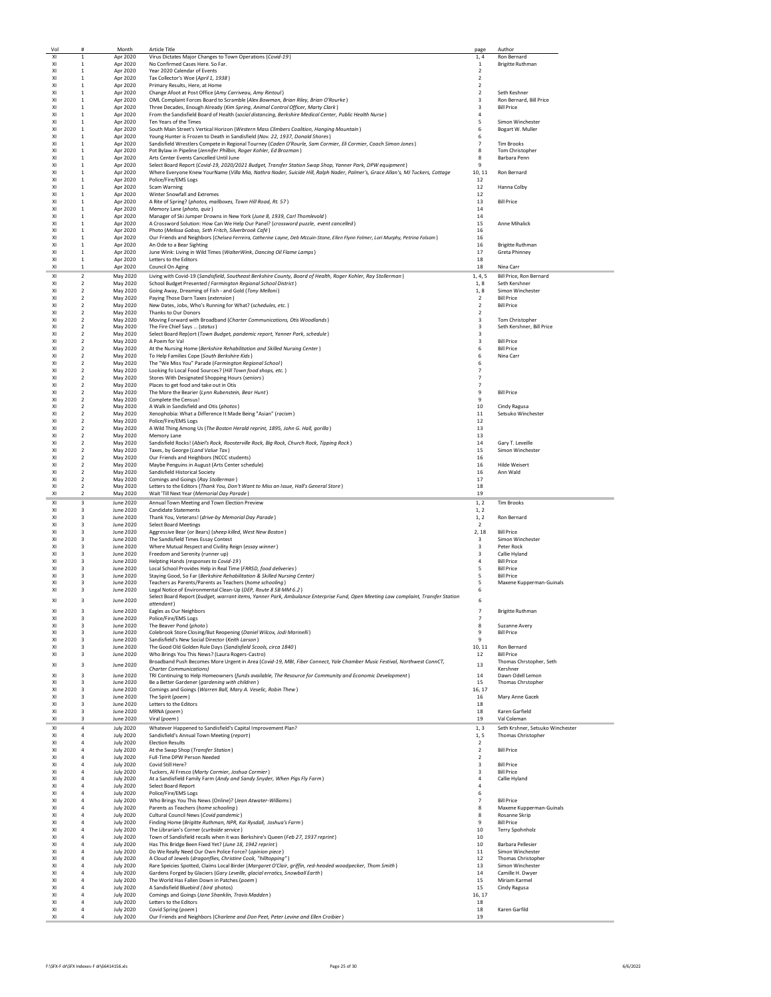| Vol            | #                       | Month                                | <b>Article Title</b>                                                                                                                                       | page                     | Author                                |
|----------------|-------------------------|--------------------------------------|------------------------------------------------------------------------------------------------------------------------------------------------------------|--------------------------|---------------------------------------|
| XI             | $\mathbf{1}$            | Apr 2020                             | Virus Dictates Major Changes to Town Operations (Covid-19)                                                                                                 | 1,4                      | Ron Bernard                           |
| XI             | $\mathbf{1}$            | Apr 2020                             | No Confirmed Cases Here. So Far.                                                                                                                           | $1\,$                    | <b>Brigitte Ruthman</b>               |
| XI             | $\mathbf{1}$            | Apr 2020                             | Year 2020 Calendar of Events                                                                                                                               | $\overline{\phantom{a}}$ |                                       |
| XI             | 1                       | Apr 2020                             | Tax Collector's Woe (April 1, 1938)                                                                                                                        | $\overline{2}$           |                                       |
| XI             | $\mathbf{1}$            | Apr 2020                             | Primary Results, Here, at Home                                                                                                                             | $\overline{2}$           |                                       |
| XI             | $\mathbf{1}$            | Apr 2020                             | Change Afoot at Post Office (Amy Carriveau, Amy Rintoul)                                                                                                   | $\overline{2}$           | Seth Keshner                          |
| XI             | 1                       | Apr 2020                             | OML Complaint Forces Board to Scramble (Alex Bowman, Brian Riley, Brian O'Rourke)                                                                          | 3                        | Ron Bernard, Bill Price               |
| XI             | 1                       | Apr 2020                             | Three Decades, Enough Already (Kim Spring, Animal Control Officer, Marty Clark)                                                                            | 3                        | <b>Bill Price</b>                     |
| XI             | $\mathbf{1}$            | Apr 2020                             | From the Sandisfield Board of Health (social distancing, Berkshire Medical Center, Public Health Nurse)                                                    | $\overline{a}$           |                                       |
| XI             | $\mathbf{1}$            | Apr 2020                             | Ten Years of the Times                                                                                                                                     | 5                        | Simon Winchester                      |
| XI             | $\mathbf{1}$            | Apr 2020                             | South Main Street's Vertical Horizon (Western Mass Climbers Coalition, Hanging Mountain)                                                                   | 6                        | Bogart W. Muller                      |
| XI             | $\mathbf{1}$            | Apr 2020                             | Young Hunter is Frozen to Death in Sandisfield (Nov. 22, 1937, Donald Shores)                                                                              | 6                        |                                       |
| XI             | 1                       | Apr 2020                             | Sandisfield Wrestlers Compete in Regional Tourney (Caden O'Rourle, Sam Cormier, Eli Cormier, Coach Simon Jones)                                            | $\overline{7}$           | <b>Tim Brooks</b>                     |
| XI             | $\mathbf{1}$            | Apr 2020                             | Pot Bylaw in Pipeline (Jennifer Philbin, Roger Kohler, Ed Brozman)                                                                                         | 8                        | Tom Christopher                       |
| XI             | $\mathbf{1}$            | Apr 2020                             | Arts Center Events Cancelled Until June                                                                                                                    | 8                        | Barbara Penn                          |
| XI             | $\mathbf{1}$            | Apr 2020                             | Select Board Report (Covid-19, 2020/2021 Budget, Transfer Station Swap Shop, Yanner Park, DPW equipment)                                                   | -9                       |                                       |
| XI             | $\mathbf{1}$            | Apr 2020                             | Where Everyone Knew YourName (Villa Mia, Nathra Nader, Suicide Hill, Ralph Nader, Palmer's, Grace Allan's, MJ Tuckers, Cottage                             | 10.11                    | Ron Bernard                           |
| XI             | $\mathbf{1}$            | Apr 2020                             | Police/Fire/EMS Logs                                                                                                                                       | 12                       |                                       |
| XI             | $\mathbf{1}$            | Apr 2020                             | Scam Warning                                                                                                                                               | 12                       | Hanna Colby                           |
| XI             | $\mathbf{1}$            | Apr 2020                             | Winter Snowfall and Extremes                                                                                                                               | 12                       |                                       |
| XI             | $\mathbf{1}$            | Apr 2020                             | A Rite of Spring? (photos, mailboxes, Town Hill Road, Rt. 57)                                                                                              | 13                       | <b>Bill Price</b>                     |
| XI             | $\mathbf{1}$            | Apr 2020                             | Memory Lane (photo, quiz)                                                                                                                                  | 14                       |                                       |
| XI             | $\mathbf{1}$            | Apr 2020                             | Manager of Ski Jumper Drowns in New York (June 8, 1939, Carl Thomlevold)                                                                                   | 14                       |                                       |
| XI             | $\mathbf{1}$            | Apr 2020                             | A Crossword Solution: How Can We Help Our Panel? (crossword puzzle, event cancelled)                                                                       | 15                       | Anne Mihalick                         |
| XI             | $\mathbf{1}$            | Apr 2020                             | Photo (Melissa Gabso, Seth Fritch, Silverbrook Café)                                                                                                       | 16                       |                                       |
| XI             | $\mathbf{1}$            | Apr 2020                             | Our Friends and Neighbors (Chelsea Ferreira, Catherine Layne, Deb Mccuin-Stone, Ellen Flynn Folmer, Lori Murphy, Petrina Folsom)                           | 16                       |                                       |
| XI             | 1                       | Apr 2020                             | An Ode to a Bear Sighting                                                                                                                                  | 16                       | <b>Brigitte Ruthman</b>               |
| XI             | $\mathbf{1}$            | Apr 2020                             | June Wink: Living in Wild Times (WalterWink, Dancing Oil Flame Lamps)                                                                                      | 17                       | <b>Greta Phinney</b>                  |
| XI             | $\mathbf{1}$            | Apr 2020                             | Letters to the Editors                                                                                                                                     | 18                       |                                       |
| XI             | 1                       | Apr 2020                             | Council On Aging                                                                                                                                           | 18                       | Nina Carr                             |
| XI             | $\overline{2}$          | May 2020                             | Living with Covid-19 (Sandisfield, Southeast Berkshire County, Board of Health, Roger Kohler, Ray Stollerman)                                              | 1, 4, 5                  | Bill Price, Ron Bernard               |
| XI             | $\overline{2}$          | May 2020                             | School Budget Presented (Farmington Regional School District)                                                                                              | 1, 8                     | Seth Kershner                         |
| XI             | $\overline{\mathbf{c}}$ | May 2020                             | Going Away, Dreaming of Fish - and Gold (Tony Melloni)                                                                                                     | 1, 8                     | Simon Winchester                      |
| XI             | $\overline{2}$          | May 2020                             | Paying Those Darn Taxes (extension)                                                                                                                        | $\overline{2}$           | <b>Bill Price</b>                     |
| XI             | $\overline{2}$          | May 2020                             | New Dates, Jobs, Who's Running for What? (schedules, etc.)                                                                                                 | $\overline{2}$           | <b>Bill Price</b>                     |
| XI             | $\overline{2}$          | May 2020                             | Thanks to Our Donors                                                                                                                                       | $\overline{2}$           |                                       |
| XI             | $\overline{2}$          | May 2020                             | Moving Forward with Broadband (Charter Communications, Otis Woodlands)                                                                                     | $\overline{\mathbf{3}}$  | Tom Christopher                       |
| XI             | $\overline{2}$          | May 2020                             | The Fire Chief Says  (status)                                                                                                                              | 3                        | Seth Kershner, Bill Price             |
| XI             | 2                       | May 2020                             | Select Board Rep)ort (Town Budget, pandemic report, Yanner Park, schedule)                                                                                 | 3                        |                                       |
| XI             | $\overline{2}$          | May 2020                             | A Poem for Val                                                                                                                                             | 3                        | <b>Bill Price</b>                     |
| XI             | $\overline{2}$          | May 2020                             | At the Nursing Home (Berkshire Rehabilitation and Skilled Nursing Center)                                                                                  | 6                        | <b>Bill Price</b>                     |
| XI             | $\overline{2}$          | May 2020                             | To Help Families Cope (South Berkshire Kids)                                                                                                               | 6                        | Nina Carr                             |
| XI             | $\overline{2}$          | May 2020                             | The "We Miss You" Parade (Farmington Regional School)                                                                                                      | 6                        |                                       |
| XI             | $\overline{2}$          | May 2020                             | Looking fo Local Food Sources? (Hill Town food shops, etc.)                                                                                                | $\overline{7}$           |                                       |
| XI             | $\overline{\mathbf{c}}$ | May 2020                             | Stores With Designated Shopping Hours (seniors)                                                                                                            | 7                        |                                       |
| XI             | $\boldsymbol{2}$        | May 2020                             | Places to get food and take out in Otis                                                                                                                    | 7                        |                                       |
| XI             | 2                       | May 2020                             | The More the Bearier (Lynn Rubenstein, Bear Hunt)                                                                                                          | 9                        | <b>Bill Price</b>                     |
| XI             | $\overline{2}$          | May 2020                             | Complete the Census!                                                                                                                                       | $\mathbf{q}$             |                                       |
| XI             | $\overline{2}$          | May 2020                             | A Walk in Sandisfield and Otis (photos)                                                                                                                    | 10                       | Cindy Ragusa                          |
| XI             | $\overline{2}$          | May 2020                             | Xenophobia: What a Difference It Made Being "Asian" (racism)                                                                                               | 11                       | Setsuko Winchester                    |
| XI             | $\overline{2}$          | May 2020                             | Police/Fire/EMS Logs                                                                                                                                       | 12                       |                                       |
| XI             | $\overline{2}$          | May 2020                             | A Wild Thing Among Us (The Boston Herald reprint, 1895, John G. Hall, gorilla)                                                                             | 13                       |                                       |
| XI             | $\overline{2}$          | May 2020                             | Memory Lane                                                                                                                                                | 13                       |                                       |
| XI             | $\mathcal{P}$           | May 2020                             | Sandisfield Rocks! (Abiel's Rock, Roosterville Rock, Big Rock, Church Rock, Tipping Rock)                                                                  | 14                       | Gary T. Leveille                      |
| XI             | $\overline{2}$          | May 2020                             | Taxes, by George (Land Value Tax)                                                                                                                          | 15                       | Simon Winchester                      |
| XI             | $\overline{2}$          | May 2020                             | Our Friends and Heighbors (NCCC students)                                                                                                                  | 16                       |                                       |
| XI             | $\overline{2}$          | May 2020                             | Maybe Penguins in August (Arts Center schedule)                                                                                                            | 16                       | <b>Hilde Weisert</b>                  |
| XI             | $\overline{\mathbf{c}}$ | May 2020                             | Sandisfield Historical Society                                                                                                                             | 16                       | Ann Wald                              |
| XI             | $\overline{2}$          | May 2020                             | Comings and Goings (Ray Stollerman)                                                                                                                        | 17                       |                                       |
|                |                         |                                      |                                                                                                                                                            |                          |                                       |
| XI             | $\overline{2}$          | May 2020                             |                                                                                                                                                            | 18                       |                                       |
| XI             | 2                       | May 2020                             | Letters to the Editors (Thank You, Don't Want to Miss an Issue, Hall's General Store)<br>Wait 'Till Next Year (Memorial Day Parade)                        | 19                       |                                       |
| XI             | 3                       |                                      |                                                                                                                                                            | 1.2                      |                                       |
| XI             | 3                       | June 2020<br>June 2020               | Annual Town Meeting and Town Election Preview<br><b>Candidate Statements</b>                                                                               | 1, 2                     | <b>Tim Brooks</b>                     |
| XI             | 3                       |                                      |                                                                                                                                                            |                          |                                       |
|                | 3                       | June 2020                            | Thank You, Veterans! (drive-by Memorial Day Parade)                                                                                                        | 1, 2<br>$\overline{2}$   | Ron Bernard                           |
| XI             | 3                       | June 2020                            | <b>Select Board Meetings</b>                                                                                                                               |                          |                                       |
| XI<br>XI       | з                       | June 2020<br>June 2020               | Aggressive Bear (or Bears) (sheep killed, West New Boston)<br>The Sandisfield Times Essay Contest                                                          | 2,18<br>3                | <b>Bill Price</b><br>Simon Winchester |
| XI             | 3                       | June 2020                            | Where Mutual Respect and Civility Reign (essay winner)                                                                                                     | $\overline{\mathbf{3}}$  | Peter Rock                            |
| XI             | 3                       | June 2020                            | Freedom and Serenity (runner up)                                                                                                                           | $\overline{\mathbf{3}}$  | Callie Hyland                         |
| XI             | 3                       | June 2020                            | Helpting Hands (responses to Covid-19)                                                                                                                     | $\overline{4}$           | <b>Bill Price</b>                     |
| XI             | 3                       | June 2020                            | Local School Provides Help in Real Time (FRRSD, food deliveries)                                                                                           | 5                        | <b>Bill Price</b>                     |
| XI             | 3                       | June 2020                            | Staying Good, So Far (Berkshire Rehabilitation & Skilled Nursing Center)                                                                                   | 5                        | <b>Bill Price</b>                     |
| XI             | 3                       | June 2020                            | Teachers as Parents/Parents as Teachers (home schooling)                                                                                                   | 5                        | Maxene Kupperman-Guinals              |
| XI             | 3                       | June 2020                            | Legal Notice of Environmental Clean-Up (DEP, Route 8 SB MM 6.2)                                                                                            | 6                        |                                       |
|                |                         |                                      | Select Board Report (budget, warrant items, Yanner Park, Ambulance Enterprise Fund, Open Meeting Law complaint, Transfer Station                           |                          |                                       |
| XI             | 3                       | June 2020                            | attendant)                                                                                                                                                 | 6                        |                                       |
|                |                         | June 2020                            | Eagles as Our Neighbors                                                                                                                                    |                          | <b>Brigitte Ruthman</b>               |
| XI             | 3                       | June 2020                            | Police/Fire/EMS Logs                                                                                                                                       | $\overline{7}$           |                                       |
| XI             | 3                       | <b>June 2020</b>                     | The Beaver Pond (photo)                                                                                                                                    | 8                        | Suzanne Avery                         |
| XI             | 3                       | June 2020                            | Colebrook Store Closing/But Reopening (Daniel Wilcox, Jodi Marinelli)                                                                                      | 9                        | <b>Bill Price</b>                     |
| XI             | $\overline{a}$          | June 2020                            | Sandisfield's New Social Director (Keith Larson)                                                                                                           | $\mathbf{q}$             |                                       |
| XI             | $\mathbf{a}$            | <b>June 2020</b>                     | The Good Old Golden Rule Days (Sandisfield Scools, circa 1840)                                                                                             | 10, 11                   | Ron Bernard                           |
| x <sub>1</sub> | $\overline{\mathbf{3}}$ | June 2020                            | Who Brings You This News? (Laura Rogers-Castro)                                                                                                            | 12                       | <b>Bill Price</b>                     |
| XI             | 3                       | June 2020                            | Broadband Push Becomes More Urgent in Area (Covid-19, MBI, Fiber Connect, Yale Chamber Music Festival, Northwest ConnCT,<br><b>Charter Communications)</b> | 13                       | Thomas Chrstopher, Seth               |
| x <sub>1</sub> | $\overline{\mathbf{3}}$ |                                      |                                                                                                                                                            |                          | Kershner                              |
| XI             | 3                       | June 2020<br>June 2020               | TRI Continuing to Help Homeowners (funds available, The Resource for Community and Economic Development)                                                   | 14<br>15                 | Dawn Odell Lemon                      |
| XI             | 3                       |                                      | Be a Better Gardener (gardening with children)                                                                                                             |                          | Thomas Chrstopher                     |
| XI             | 3                       | <b>June 2020</b>                     | Comings and Goings (Warren Ball, Mary A. Veselic, Robin Thew)                                                                                              | 16, 17                   |                                       |
| XI             | 3                       | June 2020                            | The Spirit (poem)                                                                                                                                          | 16                       | Mary Anne Gacek                       |
| XI             | 3                       | June 2020                            | Letters to the Editors                                                                                                                                     | 18                       |                                       |
| XI             | 3                       | <b>June 2020</b><br><b>June 2020</b> | MRNA (poem)                                                                                                                                                | 18<br>19                 | Karen Garfield<br>Val Coleman         |
|                |                         |                                      | Viral (poem)                                                                                                                                               |                          |                                       |
| XI             | 4                       | <b>July 2020</b>                     | Whatever Happened to Sandisfield's Capital Improvement Plan?                                                                                               | 1, 3                     | Seth Krshner, Setsuko Winchester      |
| XI             | 4                       | <b>July 2020</b>                     | Sandisfield's Annual Town Meeting (report)                                                                                                                 | 1, 5                     | Thomas Christopher                    |
| XI             | 4                       | <b>July 2020</b>                     | <b>Election Results</b>                                                                                                                                    | $\overline{2}$           |                                       |
| XI             |                         | <b>July 2020</b>                     | At the Swap Shop (Transfer Station)                                                                                                                        | $\overline{2}$           | <b>Bill Price</b>                     |
| XI             | 4                       | <b>July 2020</b>                     | Full-Time DPW Person Needed                                                                                                                                | $\overline{2}$           |                                       |
| XI             | $\overline{a}$          | <b>July 2020</b>                     | Covid Still Here?                                                                                                                                          | 3                        | <b>Bill Price</b>                     |
| x <sub>1</sub> | 4                       | <b>July 2020</b>                     | Tuckers, Al Fresco (Marty Cormier, Joshua Cormier)                                                                                                         | $\overline{\mathbf{3}}$  | <b>Bill Price</b>                     |
| XI             | $\overline{a}$          | <b>July 2020</b>                     | At a Sandisfield Family Farm (Andy and Sandy Snyder, When Pigs Fly Farm)                                                                                   | $\overline{4}$           | Callie Hyland                         |
| XI             | $\overline{a}$          | <b>July 2020</b>                     | Select Board Report                                                                                                                                        | $\overline{4}$           |                                       |
| XI             | $\overline{4}$          | <b>July 2020</b>                     | Police/Fire/EMS Logs                                                                                                                                       | 6                        |                                       |
| XI             | 4                       | <b>July 2020</b>                     | Who Brings You This News (Online)? (Jean Atwater-Williams)                                                                                                 | $\overline{7}$           | <b>Bill Price</b>                     |
| XI             | 4                       | <b>July 2020</b>                     | Parents as Teachers (home schooling)                                                                                                                       | 8                        | Maxene Kupperman-Guinals              |
| XI             | 4                       | <b>July 2020</b>                     | Cultural Council News (Covid pandemic)                                                                                                                     | 8                        | Rosanne Skrip                         |
| XI             | 4                       | <b>July 2020</b>                     | Finding Home (Brigitte Ruthman, NPR, Kai Rysdall, Joshua's Farm)                                                                                           | -9                       | <b>Bill Price</b>                     |
| XI             | 4                       | <b>July 2020</b>                     | The Librarian's Corner (curbside service)                                                                                                                  | 10                       | Terry Spohnholz                       |
| XI             | $\overline{4}$          | <b>July 2020</b>                     | Town of Sandisfield recalls when it was Berkshire's Queen (Feb 27, 1937 reprint)                                                                           | 10                       |                                       |
| XI             | $\overline{4}$          | <b>July 2020</b>                     | Has This Bridge Been Fixed Yet? (June 18, 1942 reprint)                                                                                                    | 10                       | Barbara Pellesier                     |
| XI             | 4                       | <b>July 2020</b>                     | Do We Really Need Our Own Police Force? (opinion piece)                                                                                                    | 11                       | Simon Winchester                      |
| XI             | 4                       | <b>July 2020</b>                     | A Cloud of Jewels (dragonflies, Christine Cook, "hilltopping")                                                                                             | 12                       | Thomas Christopher                    |
| XI             | 4                       | <b>July 2020</b>                     | Rare Speicies Spotted, Claims Local Birder (Margaret O'Clair, griffin, red-headed woodpecker, Thom Smith)                                                  | 13                       | Simon Winchester                      |
| XI             | $\overline{a}$          | <b>July 2020</b>                     | Gardens Forged by Glaciers (Gary Leveille, glacial erratics, Snowball Earth)                                                                               | 14                       | Camille H. Dwyer                      |
| XI             | $\overline{4}$          | <b>July 2020</b>                     | The World Has Fallen Down in Patches (poem)                                                                                                                | 15                       | Miriam Karmel                         |
| XI             | $\overline{4}$          | <b>July 2020</b>                     | A Sandisfield Bluebird (bird photos)                                                                                                                       | 15                       | Cindy Ragusa                          |
| XI             | 4                       | <b>July 2020</b>                     | Comings and Goings (Jane Shanklin, Travis Madden)                                                                                                          | 16, 17                   |                                       |
| XI             | 4                       | <b>July 2020</b>                     | Letters to the Editors                                                                                                                                     | 18                       |                                       |
| XI<br>XI       | 4<br>4                  | <b>July 2020</b><br><b>July 2020</b> | Covid Spring (poem)<br>Our Friends and Neighbors (Charlene and Don Peet, Peter Levine and Ellen Croibier)                                                  | 18<br>19                 | Karen Garfild                         |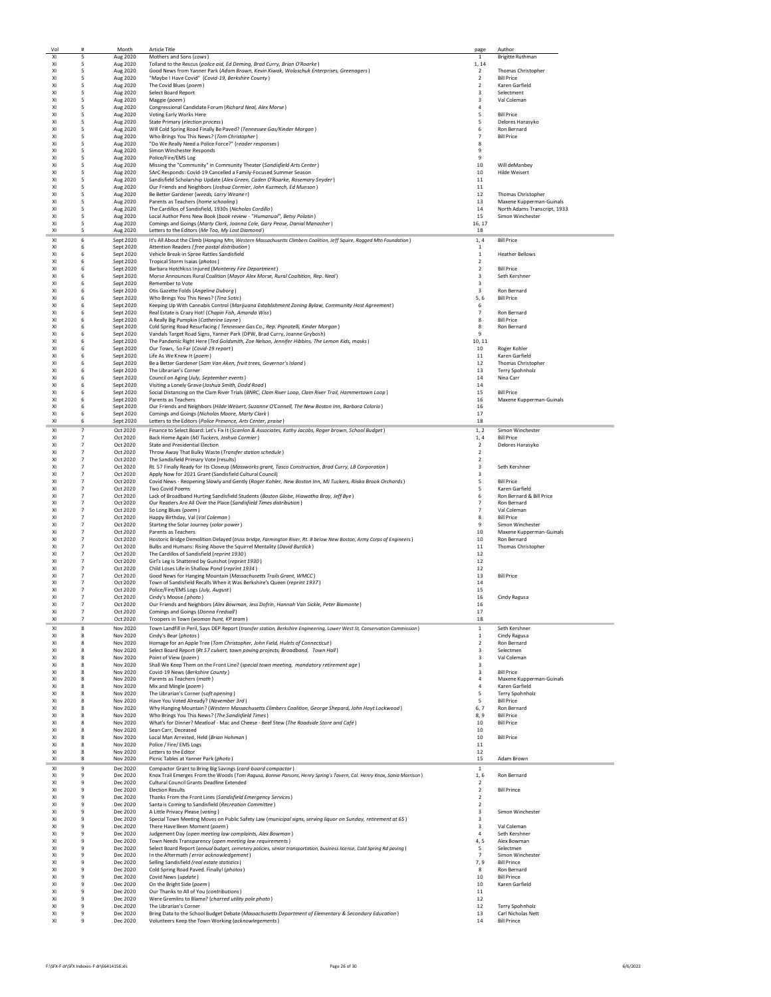| Vol      | #                                | Month                  | <b>Article Title</b>                                                                                                                                      | page                             | Author                                |
|----------|----------------------------------|------------------------|-----------------------------------------------------------------------------------------------------------------------------------------------------------|----------------------------------|---------------------------------------|
| XI       | 5                                | Aug 2020               | Mothers and Sons (cows)                                                                                                                                   | $\mathbf 1$                      | <b>Brigitte Ruthman</b>               |
| XI       | 5                                | Aug 2020               | Tolland to the Rescus (police aid, Ed Deming, Brad Curry, Brian O'Roarke)                                                                                 | 1, 14                            |                                       |
| XI       | 5                                | Aug 2020               | Good News from Yanner Park (Adam Brown, Kevin Kiwak, Woloschuk Enterprises, Greenagers)                                                                   | $\overline{2}$                   | Thomas Christopher                    |
| XI       | 5                                | Aug 2020               | "Maybe I Have Covid" (Covid-19, Berkshire County)                                                                                                         | $\overline{2}$                   | <b>Bill Price</b>                     |
| XI       | -5                               | Aug 2020               | The Covid Blues (poem)                                                                                                                                    | $\overline{2}$                   | Karen Garfield                        |
| XI       | 5                                | Aug 2020               | Select Board Report                                                                                                                                       | $\overline{3}$                   | Selectment                            |
| XI       | 5                                | Aug 2020               | Maggie (poem)                                                                                                                                             | $\overline{\mathbf{3}}$          | Val Coleman                           |
| XI       | 5                                | Aug 2020               | Congressional Candidate Forum (Richard Neal, Alex Morse)                                                                                                  | $\overline{4}$                   |                                       |
| XI       | 5                                | Aug 2020               | Voting Early Works Here                                                                                                                                   | 5                                | <b>Bill Price</b>                     |
| x1       | 5                                | Aug 2020               | State Primary (election process)                                                                                                                          | 5                                | Delores Harasyko                      |
| x1       | 5                                | Aug 2020               | Will Cold Spring Road Finally Be Paved? (Tennessee Gas/Kinder Morgan)                                                                                     | 6                                | Ron Bernard                           |
| XI       | 5                                | Aug 2020               | Who Brings You This News? (Tom Christopher)                                                                                                               | $\overline{7}$                   | <b>Bill Price</b>                     |
| XI<br>XI | 5                                | Aug 2020               | "Do We Really Need a Police Force?" (reader responses)                                                                                                    | 8<br>9                           |                                       |
| XI       | 5<br>5                           | Aug 2020               | Simon Winchester Responds<br>Police/Fire/EMS Log                                                                                                          | 9                                |                                       |
|          |                                  | Aug 2020               | Missing the "Community" in Community Theater (Sandisfield Arts Center)                                                                                    |                                  |                                       |
| XI<br>XI | 5<br>-5                          | Aug 2020<br>Aug 2020   | SArC Responds: Covid-19 Cancelled a Family-Focused Summer Season                                                                                          | 10<br>10                         | Will deManbey<br><b>Hilde Weisert</b> |
| XI       | -5                               | Aug 2020               | Sandisfield Scholarship Update (Alex Green, Caden O'Roarke, Rosemary Snyder)                                                                              | 11                               |                                       |
| XI       | -5                               | Aug 2020               | Our Friends and Neighbors (Joshua Cormier, John Kuzmech, Ed Munson)                                                                                       | 11                               |                                       |
| XI       | 5                                | Aug 2020               | Be Better Gardener (weeds, Larry Weaner)                                                                                                                  | 12                               | Thomas Christopher                    |
| XI       | 5                                | Aug 2020               | Parents as Teachers (home schooling)                                                                                                                      | 13                               | Maxene Kupperman-Guinals              |
| XI       | 5                                | Aug 2020               | The Cardillos of Sandisfield, 1930s (Nicholas Cordillo)                                                                                                   | 14                               | North Adams Transcript, 1933          |
| XI       | 5                                | Aug 2020               | Local Author Pens New Book (book review - "Humanual", Betsy Polatin)                                                                                      | 15                               | Simon Winchester                      |
| XI       | 5                                | Aug 2020               | Comings and Goings (Marty Clark, Joanna Cole, Gary Pease, Danial Manacher)                                                                                | 16, 17                           |                                       |
| XI       | 5                                | Aug 2020               | Letters to the Editors (Me Too, My Lost Diamond)                                                                                                          | 18                               |                                       |
| XI       | 6                                | Sept 2020              | It's All About the Climb (Hanging Mtn, Western Massachusetts Climbers Coalition, Jeff Squire, Ragged Mtn Foundation)                                      | 1,4                              | <b>Bill Price</b>                     |
| XI       | 6                                | Sept 2020              | Attention Readers (free postal distribution)                                                                                                              | 1                                |                                       |
| XI<br>XI | 6<br>6                           | Sept 2020<br>Sept 2020 | Vehicle Break-in Spree Rattles Sandisfield<br>Tropical Storm Isaias (photos)                                                                              | $\,$ 1<br>$\overline{2}$         | <b>Heather Bellows</b>                |
| XI       | 6                                | Sept 2020              | Barbara Hotchkiss Injured (Monterey Fire Department)                                                                                                      | $\overline{2}$                   | <b>Bill Price</b>                     |
| XI       | 6                                | Sept 2020              | Morse Announces Rural Coalition (Mayor Alex Morse, Rural Coaltition, Rep. Neal)                                                                           | $\overline{\mathbf{3}}$          | Seth Kershner                         |
| XI       | 6                                | Sept 2020              | Remember to Vote                                                                                                                                          | $\overline{\mathbf{3}}$          |                                       |
| XI       | 6                                | Sept 2020              | Otis Gazette Folds (Angelina Duborg)                                                                                                                      | $\overline{\mathbf{3}}$          | Ron Bernard                           |
| XI       | 6                                | Sept 2020              | Who Brings You This News? (Tina Sotis)                                                                                                                    | 5, 6                             | <b>Bill Price</b>                     |
| XI       | 6                                | Sept 2020              | Keeping Up With Cannabis Control (Marijuana Establishment Zoning Bylaw, Community Host Agreement)                                                         | 6                                |                                       |
| XI       | 6                                | Sept 2020              | Real Estate is Crazy Hot! (Chapin Fish, Amanda Wiss)                                                                                                      | $\overline{7}$                   | Ron Bernard                           |
| XI       | 6                                | Sept 2020              | A Really Big Pumpkin (Catherine Layne)                                                                                                                    | 8                                | <b>Bill Price</b>                     |
| XI       | 6                                | Sept 2020              | Cold Spring Road Resurfacing (Tennessee Gas Co., Rep. Pignatelli, Kinder Morgan)                                                                          | 8                                | Ron Bernard                           |
| XI       | 6                                | Sept 2020              | Vandals Target Road Signs, Yanner Park (DPW, Brad Curry, Joanne Grybosh)                                                                                  | 9                                |                                       |
| XI       | 6                                | Sept 2020              | The Pandemic Right Here (Ted Goldsmith, Zoe Nelson, Jennifer Hibbins, The Lemon Kids, masks)                                                              | 10, 11                           |                                       |
| XI       | 6                                | Sept 2020<br>Sept 2020 | Our Town, So Far (Covid-19 report)                                                                                                                        | 10                               | Roger Kohler                          |
| XI<br>x1 | 6<br>6                           | Sept 2020              | Life As We Knew It (poem)                                                                                                                                 | 11<br>12                         | Karen Garfield                        |
| XI       | 6                                | Sept 2020              | Be a Better Gardener (Sam Van Aken, fruit trees, Governor's Island)<br>The Librarian's Corner                                                             | 13                               | Thomas Christopher<br>Terry Spohnholz |
| XI       | 6                                | Sept 2020              | Council on Aging (July, September events)                                                                                                                 | 14                               | Nina Carr                             |
| XI       | 6                                | Sept 2020              | Visiting a Lonely Grave (Joshua Smith, Dodd Road)                                                                                                         | 14                               |                                       |
| XI       | 6                                | Sept 2020              | Social Distancing on the Clam River Trials (BNRC, Clam River Loop, Clam River Trail, Hammertown Loop)                                                     | 15                               | <b>Bill Price</b>                     |
| XI       | 6                                | Sept 2020              | Parents as Teachers                                                                                                                                       | 16                               | Maxene Kupperman-Guinals              |
| XI       | 6                                | Sept 2020              | Our Friends and Neighbors (Hilde Weisert, Suzanne O'Connell, The New Boston Inn, Barbara Colorio)                                                         | 16                               |                                       |
| XI       | 6                                | Sept 2020              | Comings and Goings (Nicholas Moore, Marty Clark)                                                                                                          | 17                               |                                       |
| XI       | 6                                | Sept 2020              | Letters to the Editors (Police Presence, Arts Center, praise)                                                                                             | 18                               |                                       |
| XI       | $\overline{7}$                   | Oct 2020               | Finance to Select Board: Let's Fix It (Scanlon & Associates, Kathy Jacobs, Roger brown, School Budget)                                                    | 1, 2                             | Simon Winchester                      |
| XI       | $\overline{7}$                   | Oct 2020               | Back Home Again (MJ Tuckers, Joshua Cormier)                                                                                                              | 1,4                              | <b>Bill Price</b>                     |
| XI       | $\overline{7}$                   | Oct 2020               | State and Presidential Election                                                                                                                           | $\overline{2}$                   | Delores Harasyko                      |
| XI       | $\overline{7}$                   | Oct 2020               | Throw Away That Bulky Waste (Transfer station schedule)                                                                                                   | $\overline{2}$                   |                                       |
| XI       | $\overline{7}$                   | Oct 2020               | The Sandisfield Primary Vote (results)                                                                                                                    | $\overline{2}$                   |                                       |
| XI       | $\overline{7}$                   | Oct 2020               | Rt. 57 Finally Ready for Its Closeup (Massworks grant, Tasco Construction, Brad Curry, LB Corporation)                                                    | $\overline{3}$                   | Seth Kershner                         |
| XI       | $\overline{7}$                   | Oct 2020               | Apply Now for 2021 Grant (Sandisfield Cultural Council)                                                                                                   | $\overline{3}$                   |                                       |
| XI       | $\overline{7}$                   | Oct 2020               | Covid News - Reopening Slowly and Gently (Roger Kohler, New Boston Inn, MJ Tuckers, Riiska Brook Orchards)                                                | 5                                | <b>Bill Price</b>                     |
| XI       | $\overline{7}$                   | Oct 2020               | <b>Two Covid Poems</b>                                                                                                                                    | 5                                | Karen Garfield                        |
| XI       | $\overline{7}$                   | Oct 2020               | Lack of Broadband Hurting Sandisfield Students (Boston Globe, Hiawatha Bray, Jeff Bye)                                                                    | 6                                | Ron Bernard & Bill Price              |
| XI<br>XI | $\overline{7}$<br>$\overline{7}$ | Oct 2020<br>Oct 2020   | Our Readers Are All Over the Place (Sandisfield Times distribution)                                                                                       | $\overline{7}$<br>$\overline{7}$ | Ron Bernard<br>Val Coleman            |
| XI       | $\overline{7}$                   | Oct 2020               | So Long Blues (poem)<br>Happy Birthday, Val (Val Coleman)                                                                                                 | 8                                | <b>Bill Price</b>                     |
| XI       | $\overline{7}$                   | Oct 2020               | Starting the Solar Journey (solar power)                                                                                                                  | 9                                | Simon Winchester                      |
| XI       | $\overline{7}$                   | Oct 2020               | Parents as Teachers                                                                                                                                       | 10                               | Maxene Kupperman-Guinals              |
| XI       | $\overline{7}$                   | Oct 2020               | Hostoric Bridge Demolition Delayed (truss bridge, Farmington River, Rt. 8 below New Boston, Army Corps of Engineers)                                      | 10                               | Ron Bernard                           |
| XI       | $\overline{7}$                   | Oct 2020               | Bulbs and Humans: Rising Above the Squirrel Mentality (David Burdick)                                                                                     | 11                               | Thomas Christopher                    |
| XI       | $\overline{7}$                   | Oct 2020               | The Cardillos of Sandisfield (reprint 1930)                                                                                                               | 12                               |                                       |
| XI       | $\overline{7}$                   | Oct 2020               | Girl's Leg is Shattered by Gunshot (reprint 1930)                                                                                                         | 12                               |                                       |
| XI       | $\overline{7}$                   | Oct 2020               | Child Loses Life in Shallow Pond (reprint 1934)                                                                                                           | 12                               |                                       |
| XI       | $\overline{7}$                   | Oct 2020               | Good News for Hanging Mountain (Massachusetts Trails Grant, WMCC)                                                                                         | 13                               | <b>Bill Price</b>                     |
| XI       | $\overline{7}$                   | Oct 2020               | Town of Sandisfield Recalls When it Was Berkshire's Queen (reprint 1937)                                                                                  | 14                               |                                       |
| XI       | $\overline{7}$                   | Oct 2020               | Police/Fire/EMS Logs (July, August)                                                                                                                       | 15                               |                                       |
| XI       | $\overline{7}$                   | Oct 2020               | Cindy's Moose (photo)<br>Our Friends and Neighbors (Alex Bowman, Jess Dofrin, Hannah Van Sickle, Peter Biamonte)                                          | 16                               | Cindy Ragusa                          |
| XI       | $\overline{7}$                   | Oct 2020               |                                                                                                                                                           | 16                               |                                       |
| XI       | $\overline{7}$                   | Oct 2020<br>Oct 2020   | Comings and Goings (Donna Fredsall)<br>Troopers in Town (woman hunt, KP team)                                                                             | 17<br>18                         |                                       |
|          |                                  |                        |                                                                                                                                                           |                                  |                                       |
| XI<br>XI | 8<br>8                           | Nov 2020<br>Nov 2020   | Town Landfill in Peril, Says DEP Report (transfer station, Berkshire Engineering, Lower West St, Conservation Commission)<br>Cindy's Bear (photos)        | $\,$ 1<br>1                      | Seth Kershnei<br>Cindy Ragusa         |
| XI       | 8                                | Nov 2020               | Homage for an Apple Tree (Tom Christopher, John Field, Hulets of Connecticut)                                                                             | $\overline{2}$                   | Ron Bernard                           |
| x1       | 8                                | Nov 2020               | Select Board Report (Rt 57 culvert, town paving projects, Broadband, Town Hall)                                                                           | $\overline{3}$                   | Selectmen                             |
| XI       | 8                                | Nov 2020               | Point of View (poem)                                                                                                                                      | $\overline{\mathbf{3}}$          | Val Coleman                           |
| XI       | 8                                | Nov 2020               | Shall We Keep Them on the Front Line? (special town meeting, mandatory retirement age)                                                                    | $\overline{\mathbf{3}}$          |                                       |
| XI       | 8                                | Nov 2020               | Covid-19 News (Berkshire County)                                                                                                                          | $\overline{\mathbf{3}}$          | <b>Bill Price</b>                     |
| XI       | 8                                | Nov 2020               | Parents as Teachers (math)                                                                                                                                | $\overline{4}$                   | Maxene Kupperman-Guinals              |
| XI       | 8                                | Nov 2020               | Mix and Mingle (poem)                                                                                                                                     | $\overline{4}$                   | Karen Garfield                        |
| XI       | 8                                | Nov 2020               | The Librarian's Corner (soft opening)                                                                                                                     | 5                                | Terry Spohnholz                       |
| XI<br>XI | 8<br>8                           | Nov 2020<br>Nov 2020   | Have You Voted Already? (November 3rd)                                                                                                                    | 5<br>6.7                         | <b>Bill Price</b><br>Ron Bernard      |
| XI       | 8                                | Nov 2020               | Why Hanging Mountain? (Western Massachusetts Climbers Coalition, George Shepard, John Hoyt Lockwood)<br>Who Brings You This News? (The Sandisfield Times) | 8,9                              | <b>Bill Price</b>                     |
| XI       | 8                                | Nov 2020               | What's for Dinner? Meatloaf - Mac and Cheese - Beef Stew (The Roadside Store and Café)                                                                    | 10                               | <b>Bill Price</b>                     |
| XI       | 8                                | Nov 2020               | Sean Carr, Deceased                                                                                                                                       | 10                               |                                       |
| x1       | $\mathbf{R}$                     | Nov 2020               | Local Man Arrested, Held (Brian Hohman)                                                                                                                   | 10                               | <b>Bill Price</b>                     |
| XI       | 8                                | Nov 2020               | Police / Fire/ EMS Logs                                                                                                                                   | 11                               |                                       |
| XI       | 8                                | Nov 2020               | Letters to the Editor                                                                                                                                     | 12                               |                                       |
| XI       | 8                                | Nov 2020               | Picnic Tables at Yanner Park (photo)                                                                                                                      | 15                               | Adam Brown                            |
| XI       | 9                                | Dec 2020               | Compactor Grant to Bring Big Savings (card-board compactor)                                                                                               | $1\,$                            |                                       |
| XI       | 9                                | Dec 2020               | Knox Trail Emerges From the Woods (Tom Ragusa, Bonnie Parsons, Henry Spring's Tavern, Col. Henry Knox, Sonia Morrison)                                    | 1,6                              | Ron Bernard                           |
| XI       | 9                                | Dec 2020               | Cultural Council Grants Deadline Extended                                                                                                                 | $\overline{2}$                   |                                       |
| XI       | $\ddot{q}$                       | Dec 2020               | <b>Election Results</b>                                                                                                                                   | $\overline{2}$                   | <b>Bill Prince</b>                    |
| XI       | 9                                | Dec 2020               | Thanks From the Front Lines (Sandisfield Emergency Services)                                                                                              | $\overline{2}$                   |                                       |
| XI       | 9                                | Dec 2020               | Santa is Coming to Sandisfield (Recreation Committee)                                                                                                     | $\overline{2}$                   |                                       |
| XI       | 9                                | Dec 2020               | A Little Privacy Please (voting)                                                                                                                          | $\overline{\mathbf{3}}$          | Simon Winchester                      |
| XI       | 9                                | Dec 2020               | Special Town Meeting Moves on Public Safety Law (municipal signs, serving liquor on Sunday, retirement at 65)                                             | $\overline{3}$                   |                                       |
| XI<br>XI | 9                                | Dec 2020               | There Have Been Moment (poem)                                                                                                                             | 3<br>4                           | Val Coleman                           |
| XI       | 9<br>9                           | Dec 2020<br>Dec 2020   | Judgement Day (open meeting law complaints, Alex Bowman)<br>Town Needs Transparency (open meeting law requirements)                                       |                                  | Seth Kershner<br>Alex Bowman          |
| XI       | 9                                | Dec 2020               | Select Board Report (annual budget, cemetery policies, senior transportation, business license, Cold Spring Rd paving)                                    | 4, 5<br>5                        | Selectmen                             |
| XI       | 9                                | Dec 2020               | In the Aftermath (error acknowledgement)                                                                                                                  | $\overline{7}$                   | Simon Winchester                      |
| XI       | 9                                | Dec 2020               | Selling Sandisfield (real estate statistics)                                                                                                              | 7.9                              | <b>Bill Prince</b>                    |
| XI       | 9                                | Dec 2020               | Cold Spring Road Paved. Finally! (photos)                                                                                                                 | 8                                | Ron Bernard                           |
| x1       | $\,9$                            | Dec 2020               | Covid News (update)                                                                                                                                       | 10                               | <b>Bill Prince</b>                    |
| x1       | $\ddot{q}$                       | Dec 2020               | On the Bright Side (poem)                                                                                                                                 | 10                               | Karen Garfield                        |
| XI       | 9                                | Dec 2020               | Our Thanks to All of You (contributions)                                                                                                                  | 11                               |                                       |
| XI       | 9                                | Dec 2020               | Were Gremlins to Blame? (charred utility pole photo)                                                                                                      | 12                               |                                       |
| XI<br>XI | 9                                | Dec 2020               | The Librarian's Corner                                                                                                                                    | 12                               | Terry Spohnholz                       |
|          | 9                                | Dec 2020               | Bring Data to the School Budget Debate (Massachusetts Department of Elementary & Secondary Education)                                                     | 13                               | Carl Nicholas Nett                    |
| XI       | 9                                | Dec 2020               | Volunteers Keep the Town Working (acknowlegements)                                                                                                        | 14                               | <b>Bill Prince</b>                    |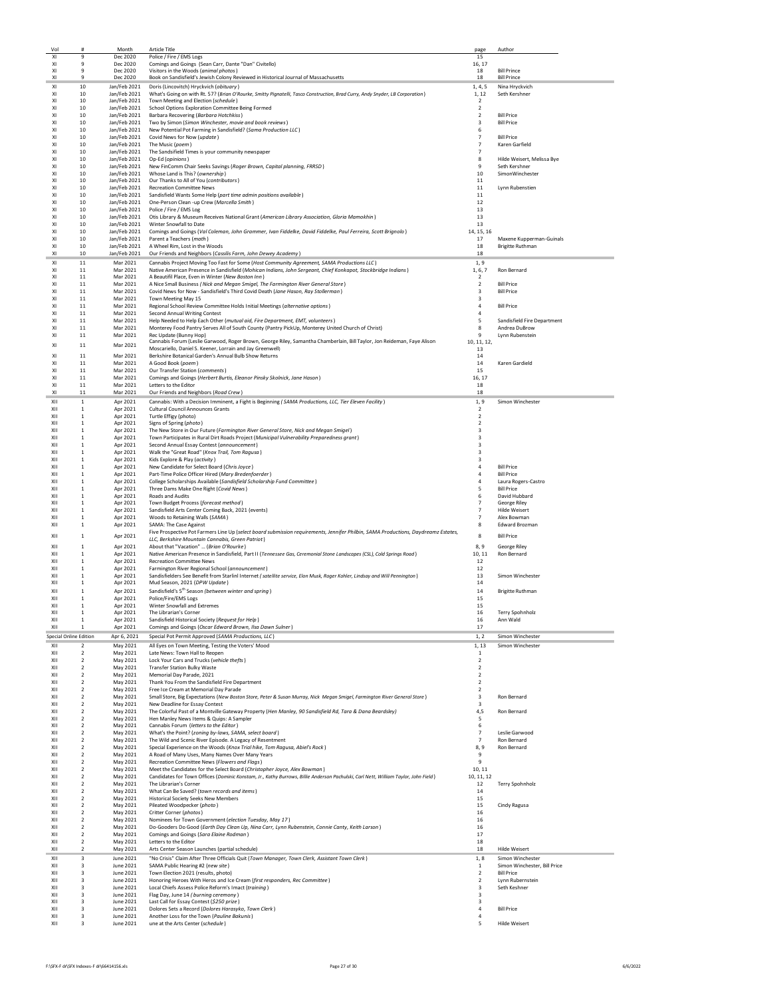| Vol        |                                           | Month                        | <b>Article Title</b>                                                                                                                                                                                             | page                             | Author                                            |
|------------|-------------------------------------------|------------------------------|------------------------------------------------------------------------------------------------------------------------------------------------------------------------------------------------------------------|----------------------------------|---------------------------------------------------|
| XI<br>XI   | 9<br>9                                    | Dec 2020<br>Dec 2020         | Police / Fire / EMS Logs<br>Comings and Goings (Sean Carr, Dante "Dan" Civitello)                                                                                                                                | 15<br>16, 17                     |                                                   |
| XI         | 9                                         | Dec 2020                     | Visitors in the Woods (animal photos)                                                                                                                                                                            | 18                               | <b>Bill Prince</b>                                |
| XI         | 9                                         | Dec 2020                     | Book on Sandisfield's Jewish Colony Reviewed in Historical Journal of Massachusetts                                                                                                                              | 18                               | <b>Bill Prince</b>                                |
| XI         | 10                                        | Jan/Feb 2021                 | Doris (Lincovitch) Hryckvich (obituary)                                                                                                                                                                          | 1, 4, 5                          | Nina Hryckvich                                    |
| XI<br>XI   | 10<br>10                                  | Jan/Feb 2021<br>Jan/Feb 2021 | What's Going on with Rt. 57? (Brian O'Rourke, Smitty Pignatelli, Tasco Construction, Brad Curry, Andy Snyder, LB Corporation)<br>Town Meeting and Election (schedule)                                            | 1, 12<br>$\overline{2}$          | Seth Kershner                                     |
| XI         | 10                                        | Jan/Feb 2021                 | School Options Exploration Committee Being Formed                                                                                                                                                                | $\overline{2}$                   |                                                   |
| XI         | 10                                        | Jan/Feb 2021                 | Barbara Recovering (Barbara Hotchkiss)                                                                                                                                                                           | $\overline{2}$                   | <b>Bill Price</b>                                 |
| XI<br>XI   | 10<br>10                                  | Jan/Feb 2021<br>Jan/Feb 2021 | Two by Simon (Simon Winchester, movie and book reviews)<br>New Potential Pot Farming in Sandisfield? (Sama Production LLC)                                                                                       | 3<br>6                           | <b>Bill Price</b>                                 |
| XI         | 10                                        | Jan/Feb 2021                 | Covid News for Now (update)                                                                                                                                                                                      | $\overline{7}$                   | <b>Bill Price</b>                                 |
| XI         | 10                                        | Jan/Feb 2021                 | The Music (poem)                                                                                                                                                                                                 | $\overline{7}$                   | Karen Garfield                                    |
| XI<br>XI   | 10<br>10                                  | Jan/Feb 2021                 | The Sandsifield Times is your community newspaper<br>Jan/Feb 2021 Op-Ed (opinions)                                                                                                                               | $\overline{7}$<br>8              | Hilde Weisert, Melissa Bye                        |
| XI         | 10                                        | Jan/Feb 2021                 | New FinComm Chair Seeks Savings (Roger Brown, Capital planning, FRRSD)                                                                                                                                           | 9                                | Seth Kershner                                     |
| XI         | 10                                        |                              | Jan/Feb 2021 Whose Land is This? (ownership)                                                                                                                                                                     | 10                               | SimonWinchester                                   |
| x1         | 10                                        |                              | Jan/Feb 2021 Our Thanks to All of You (contributors)                                                                                                                                                             | 11                               |                                                   |
| XI<br>XI   | 10<br>10                                  | Jan/Feb 2021<br>Jan/Feb 2021 | <b>Recreation Committee News</b><br>Sandisfield Wants Some Help (part time admin positions available)                                                                                                            | 11<br>$11\,$                     | Lynn Rubenstien                                   |
| XI         | 10                                        | Jan/Feb 2021                 | One-Person Clean -up Crew (Marcella Smith)                                                                                                                                                                       | 12                               |                                                   |
| XI         | 10                                        | Jan/Feb 2021                 | Police / Fire / EMS Log                                                                                                                                                                                          | 13                               |                                                   |
| XI<br>XI   | 10<br>10                                  | Jan/Feb 2021<br>Jan/Feb 2021 | Otis Library & Museum Receives National Grant (American Library Association, Gloria Mamokhin)<br>Winter Snowfall to Date                                                                                         | 13<br>13                         |                                                   |
| XI         | 10                                        | Jan/Feb 2021                 | Comings and Goings (Val Coleman, John Grammer, Ivan Fiddelke, David Fiddelke, Paul Ferreira, Scott Brignolo)                                                                                                     | 14, 15, 16                       |                                                   |
| XI         | 10                                        | Jan/Feb 2021                 | Parent a Teachers (math)                                                                                                                                                                                         | 17                               | Maxene Kupperman-Guinals                          |
| XI<br>XI   | 10<br>10                                  | Jan/Feb 2021<br>Jan/Feb 2021 | A Wheel Rim, Lost in the Woods<br>Our Friends and Neighbors (Cassilis Farm, John Dewey Academy)                                                                                                                  | 18<br>18                         | <b>Brigitte Ruthman</b>                           |
| XI         | 11                                        | Mar 2021                     | Cannabis Project Moving Too Fast for Some (Host Community Agreement, SAMA Productions LLC)                                                                                                                       | 1.9                              |                                                   |
| XI         | 11                                        | Mar 2021                     | Native American Presence in Sandisfield (Mohican Indians, John Sergeant, Chief Konkapot, Stockbridge Indians)                                                                                                    | 1, 6, 7                          | Ron Bernard                                       |
| XI         | 11                                        | Mar 2021                     | A Beautifil Place, Even in Winter (New Boston Inn)                                                                                                                                                               | $\overline{2}$                   |                                                   |
| XI<br>XI   | 11<br>11                                  | Mar 2021<br>Mar 2021         | A Nice Small Business ( Nick and Megan Smigel, The Farmington River General Store )<br>Covid News for Now - Sandisfield's Third Covid Death (Jane Hason, Ray Stollerman)                                         | $\overline{2}$<br>$\overline{3}$ | <b>Bill Price</b><br><b>Bill Price</b>            |
| XI         | 11                                        | Mar 2021                     | Town Meeting May 15                                                                                                                                                                                              | 3                                |                                                   |
| XI         | 11                                        | Mar 2021                     | Regional School Review Committee Holds Initial Meetings (alternative options)                                                                                                                                    | $\overline{4}$                   | <b>Bill Price</b>                                 |
| XI         | 11                                        | Mar 2021                     | Second Annual Writing Contest                                                                                                                                                                                    | $\overline{4}$                   |                                                   |
| XI<br>XI   | 11<br>11                                  | Mar 2021<br>Mar 2021         | Help Needed to Help Each Other (mutual aid, Fire Department, EMT, volunteers)<br>Monterey Food Pantry Serves All of South County (Pantry PickUp, Monterey United Church of Christ)                               | 5<br>8                           | Sandisfield Fire Department<br>Andrea DuBrow      |
| XI         | 11                                        | Mar 2021                     | Rec Undate (Bunny Hon)                                                                                                                                                                                           | 9                                | Lynn Rubenstein                                   |
| XI         | 11                                        | Mar 2021                     | Cannabis Forum (Leslie Garwood, Roger Brown, George Riley, Samantha Chamberlain, Bill Taylor, Jon Reideman, Faye Alison                                                                                          | 10, 11, 12,                      |                                                   |
| XI         | $11\,$                                    | Mar 2021                     | Moscariello, Daniel S. Keener, Lorrain and Jay Greenwell)<br>Berkshire Botanical Garden's Annual Bulb Show Returns                                                                                               | 13<br>14                         |                                                   |
| XI         | 11                                        | Mar 2021                     | A Good Book (noem)                                                                                                                                                                                               | 14                               | Karen Gardield                                    |
| XI         | 11                                        | Mar 2021                     | Our Transfer Station (comments)                                                                                                                                                                                  | 15                               |                                                   |
| XI<br>XI   | 11<br>11                                  | Mar 2021<br>Mar 2021         | Comings and Goings (Herbert Burtis, Eleanor Pinsky Skolnick, Jane Hason)<br>Letters to the Editor                                                                                                                | 16, 17<br>18                     |                                                   |
| XI         | 11                                        | Mar 2021                     | Our Friends and Neighbors (Road Crew)                                                                                                                                                                            | 18                               |                                                   |
| XII        | 1                                         | Apr 2021                     | Cannabis: With a Decision Imminent, a Fight is Beginning (SAMA Productions, LLC, Tier Eleven Facility)                                                                                                           | 1,9                              | Simon Winchester                                  |
| XII<br>XII | 1<br>1                                    | Apr 2021<br>Apr 2021         | Cultural Council Announces Grants<br>Turtle Effigy (photo)                                                                                                                                                       | $\overline{2}$<br>$\overline{2}$ |                                                   |
| XII        | 1                                         | Apr 2021                     | Signs of Spring (photo)                                                                                                                                                                                          | $\overline{2}$                   |                                                   |
| XII        | 1                                         | Apr 2021                     | The New Store in Our Future (Farmington River General Store, Nick and Megan Smigel)                                                                                                                              | $\overline{3}$                   |                                                   |
| XII<br>XII | 1<br>$\mathbf{1}$                         | Apr 2021<br>Apr 2021         | Town Participates in Rural Dirt Roads Project (Municipal Vulnerability Preparedness grant)                                                                                                                       | $\overline{3}$<br>$\mathbf{a}$   |                                                   |
| XII        | $\mathbf{1}$                              | Apr 2021                     | Second Annual Essay Contest (announcement)<br>Walk the "Great Road" (Knox Trail, Tom Ragusa)                                                                                                                     | $\overline{3}$                   |                                                   |
| XII        | 1                                         | Apr 2021                     | Kids Explore & Play (activity)                                                                                                                                                                                   | $\overline{3}$                   |                                                   |
| XII        | $\mathbf{1}$                              | Apr 2021                     | New Candidate for Select Board (Chris Joyce)                                                                                                                                                                     | $\overline{4}$                   | <b>Bill Price</b>                                 |
| XII<br>XII | $\mathbf{1}$<br>$\mathbf{1}$              | Apr 2021<br>Apr 2021         | Part-Time Police Officer Hired (Mary Bredenfoerder)<br>College Scholarships Available (Sandisfield Scholarship Fund Committee)                                                                                   | $\overline{4}$<br>4              | <b>Bill Price</b><br>Laura Rogers-Castro          |
| XII        | 1                                         | Apr 2021                     | Three Dams Make One Right (Covid News)                                                                                                                                                                           | 5                                | <b>Bill Price</b>                                 |
| XII        | 1                                         | Apr 2021                     | Roads and Audits                                                                                                                                                                                                 | 6                                | David Hubbard                                     |
| XII<br>XII | 1<br>1                                    | Apr 2021<br>Apr 2021         | Town Budget Process (forecast method)<br>Sandisfield Arts Center Coming Back, 2021 (events)                                                                                                                      | $\overline{7}$<br>$\overline{7}$ | George Riley<br>Hilde Weisert                     |
| XII        | $\mathbf{1}$                              | Apr 2021                     | Woods to Retaining Walls (SAMA)                                                                                                                                                                                  | $\overline{7}$                   | Alex Bowman                                       |
| XII        | 1                                         | Apr 2021                     | SAMA: The Case Against                                                                                                                                                                                           | 8                                | Edward Brozman                                    |
| XII        | $\mathbf{1}$                              | Apr 2021                     | Five Prospective Pot Farmers Line Up (select board submission requirements, Jennifer Philbin, SAMA Productions, Daydreamz Estates,<br>LLC. Berkshire Mountain Cannabis. Green Patriot)                           | 8                                | <b>Bill Price</b>                                 |
| XII        | 1                                         | Apr 2021                     | About that "Vacation"  (Brian O'Rourke)                                                                                                                                                                          | 8,9                              | <b>George Riley</b>                               |
| XII        | 1                                         | Apr 2021                     | Native American Presence in Sandisfield, Part II (Tennessee Gas, Ceremonial Stone Landscapes (CSL), Cold Springs Road)                                                                                           | 10, 11                           | Ron Bernard                                       |
| XII<br>XII | 1<br>1                                    | Apr 2021<br>Apr 2021         | <b>Recreation Committee News</b><br>Farmington River Regional School (announcement)                                                                                                                              | 12<br>12                         |                                                   |
| XII        | 1                                         | Apr 2021                     | Sandisfielders See Benefit from Starlinl Internet (satellite service, Elon Musk, Roger Kohler, Lindsay and Will Pennington)                                                                                      |                                  |                                                   |
| XII        | 1                                         |                              |                                                                                                                                                                                                                  | 13                               | Simon Winchester                                  |
| XII<br>XII | 1<br>1                                    | Apr 2021                     | Mud Season, 2021 (DPW Update)                                                                                                                                                                                    | 14                               |                                                   |
| XII        |                                           | Apr 2021                     | Sandisfield's 5 <sup>th</sup> Season (between winter and spring)                                                                                                                                                 | 14                               | <b>Brigitte Ruthman</b>                           |
|            | $\mathbf{1}$                              | Apr 2021<br>Apr 2021         | Police/Fire/EMS Logs<br>Winter Snowfall and Extremes                                                                                                                                                             | 15<br>15                         |                                                   |
| XII        | 1                                         | Apr 2021                     | The Librarian's Corner                                                                                                                                                                                           | 16                               | Terry Spohnholz                                   |
| XII        | 1                                         | Apr 2021                     | Sandisfield Historical Society (Request for Help)                                                                                                                                                                | 16                               | Ann Wald                                          |
| XII        | $\mathbf{1}$                              | Apr 2021                     | Comings and Goings (Oscar Edward Brown, Ilsa Dawn Sulner)                                                                                                                                                        | 17                               |                                                   |
| XII        | Special Online Edition<br>$\overline{2}$  | Apr 6, 2021                  | Special Pot Permit Approved (SAMA Productions, LLC)                                                                                                                                                              | 1, 2                             | Simon Winchester                                  |
| XII        | 2                                         | May 2021<br>May 2021         | All Eyes on Town Meeting, Testing the Voters' Mood<br>Late News: Town Hall to Reopen                                                                                                                             | 1, 13<br>$\mathbf{1}$            | Simon Winchester                                  |
| XII        | $\overline{2}$                            | May 2021                     | Lock Your Cars and Trucks (vehicle thefts)                                                                                                                                                                       | $\overline{2}$                   |                                                   |
| XII<br>XII | $\overline{2}$<br>$\overline{2}$          | May 2021                     | <b>Transfer Station Bulky Waste</b>                                                                                                                                                                              | $\mathcal{P}$                    |                                                   |
| XII        | $\overline{2}$                            | May 2021<br>May 2021         | Memorial Day Parade, 2021<br>Thank You From the Sandisfield Fire Department                                                                                                                                      | $\overline{2}$<br>$\overline{2}$ |                                                   |
| XII        | $\overline{2}$                            | May 2021                     | Free Ice Cream at Memorial Day Parade                                                                                                                                                                            | $\overline{2}$                   |                                                   |
| XII        | $\overline{\mathbf{2}}$                   | May 2021                     | Small Store, Big Expectations (New Boston Store, Peter & Susan Murray, Nick Megan Smigel, Farmington River General Store)                                                                                        | 3                                | Ron Bernard                                       |
| XII<br>XII | $\overline{2}$<br>$\overline{2}$          | May 2021<br>May 2021         | New Deadline for Essay Contest                                                                                                                                                                                   | 3                                | Ron Bernard                                       |
| XII        | $\overline{2}$                            | May 2021                     | The Colorful Past of a Montville Gateway Property (Hen Manley, 90 Sandisfield Rd, Tara & Dana Beardsley)<br>Hen Manley News Items & Quips: A Sampler                                                             | 4,5<br>5                         |                                                   |
| XII        | $\overline{2}$                            | May 2021                     | Cannabis Forum (letters to the Editor)                                                                                                                                                                           | 6                                |                                                   |
| XII        | $\overline{\mathbf{2}}$                   | May 2021                     | What's the Point? (zoning by-laws, SAMA, select board)                                                                                                                                                           | $\overline{7}$                   | Leslie Garwood                                    |
| XII<br>XII | $\overline{\mathbf{2}}$<br>$\overline{2}$ | May 2021<br>May 2021         | The Wild and Scenic River Episode. A Legacy of Resentment<br>Special Experience on the Woods (Knox Trial hike, Tom Ragusa, Abiel's Rock)                                                                         | $\overline{7}$<br>8,9            | Ron Bernard<br>Ron Bernard                        |
| XII        | $\overline{2}$                            | May 2021                     | A Road of Many Uses, Many Names Over Many Years                                                                                                                                                                  | 9                                |                                                   |
| XII        | $\overline{\phantom{a}}$                  | May 2021                     | Recreation Committee News (Flowers and Flags)                                                                                                                                                                    | 9                                |                                                   |
| XII<br>XII | $\overline{2}$<br>$\overline{\mathbf{2}}$ | May 2021<br>May 2021         | Meet the Candidates for the Select Board (Christopher Joyce, Alex Bowman)<br>Candidates for Town Offices (Dominic Konstam, Jr., Kathy Burrows, Billie Anderson Pachulski, Carl Nett, William Taylor, John Field) | 10, 11<br>10, 11, 12             |                                                   |
| XII        | $\overline{2}$                            | May 2021                     | The Librarian's Corner                                                                                                                                                                                           | $12\,$                           | Terry Spohnholz                                   |
| XII        | 2                                         | May 2021                     | What Can Be Saved? (town records and items)                                                                                                                                                                      | 14                               |                                                   |
| XII<br>XII | $\overline{2}$<br>$\overline{2}$          | May 2021<br>May 2021         | Historical Society Seeks New Members<br>Pileated Woodpecker (photo)                                                                                                                                              | 15<br>15                         | Cindy Ragusa                                      |
| XII        | $\overline{2}$                            | May 2021                     | Critter Corner (photos)                                                                                                                                                                                          | 16                               |                                                   |
| XII        | $\overline{2}$                            | May 2021                     | Nominees for Town Government (election Tuesday, May 17)                                                                                                                                                          | 16                               |                                                   |
| XII<br>XII | $\overline{2}$<br>$\overline{\mathbf{2}}$ | May 2021                     | Do-Gooders Do Good (Earth Day Clean Up, Nina Carr, Lynn Rubenstein, Connie Canty, Keith Larson)                                                                                                                  | 16<br>17                         |                                                   |
| XII        | $\overline{2}$                            | May 2021<br>May 2021         | Comings and Goings (Sara Elaine Rodman)<br>Letters to the Editor                                                                                                                                                 | 18                               |                                                   |
| XII        | $\mathcal{P}$                             | May 2021                     | Arts Center Season Launches (partial schedule)                                                                                                                                                                   | 18                               | Hilde Weisert                                     |
| XII        | 3                                         | June 2021                    | "No Crisis" Claim After Three Officials Quit (Town Manager, Town Clerk, Assistant Town Clerk)                                                                                                                    | 1,8                              | Simon Winchester                                  |
| XII<br>XII | 3<br>3                                    | June 2021<br>June 2021       | SAMA Public Hearing #2 (new site)<br>Town Election 2021 (results, photo)                                                                                                                                         | 1<br>$\overline{2}$              | Simon Winchester, Bill Price<br><b>Bill Price</b> |
| XII        | 3                                         | June 2021                    | Honoring Heroes With Heros and Ice Cream (first responders, Rec Committee)                                                                                                                                       | $\overline{2}$                   | Lynn Rubernstein                                  |
| XII        | 3<br>3                                    | June 2021                    | Local Chiefs Assess Police Reform's Imact (training)                                                                                                                                                             | 3                                | Seth Keshner                                      |
| XII<br>XII | 3                                         | June 2021<br>June 2021       | Flag Day, June 14 (burning ceremony)<br>Last Call for Essay Contest (\$250 prize)                                                                                                                                | 3<br>$\overline{\mathbf{3}}$     |                                                   |
| XII        | 3                                         | June 2021                    | Dolores Sets a Record (Dolores Harasyko, Town Clerk)                                                                                                                                                             | $\sqrt{4}$                       | <b>Bill Price</b>                                 |
| XII<br>XII | 3<br>3                                    | June 2021<br>June 2021       | Another Loss for the Town (Pauline Bakunis)<br>une at the Arts Center (schedule)                                                                                                                                 | $\overline{4}$<br>5              | Hilde Weisert                                     |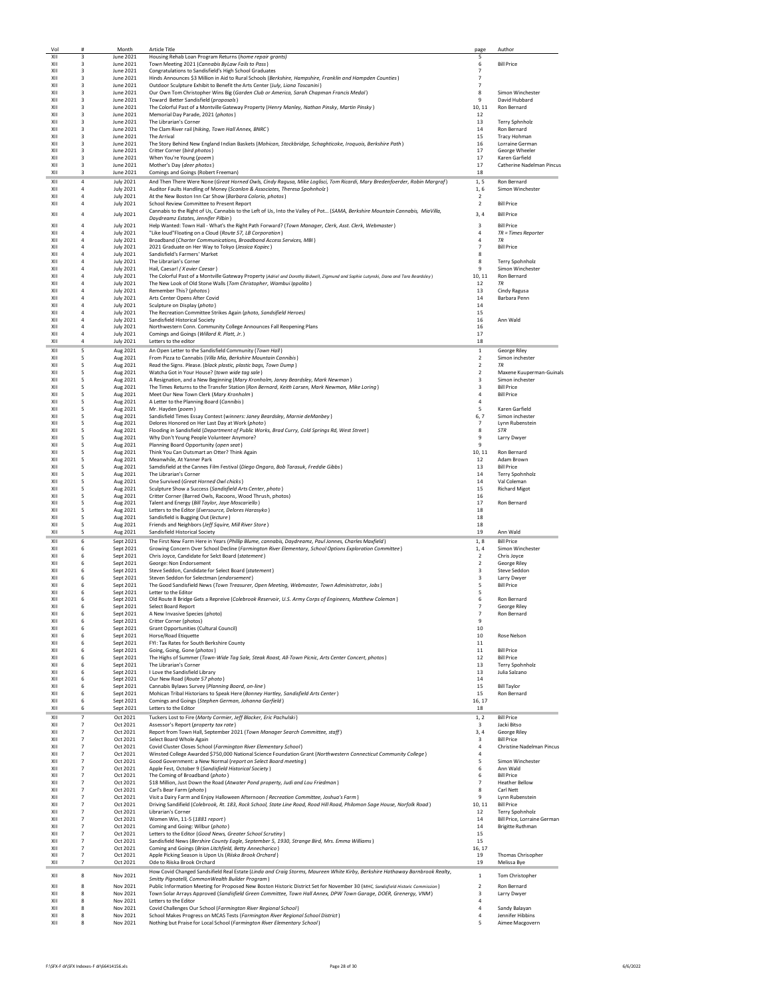| Vol        | #                                | Month                                | <b>Article Title</b>                                                                                                                                                                                                                               | page                             | Author                                |
|------------|----------------------------------|--------------------------------------|----------------------------------------------------------------------------------------------------------------------------------------------------------------------------------------------------------------------------------------------------|----------------------------------|---------------------------------------|
| XII<br>XII | 3<br>3                           | June 2021<br>June 2021               | Housing Rehab Loan Program Returns (home repair grants)<br>Town Meeting 2021 (Cannabis ByLaw Fails to Pass)                                                                                                                                        | 5<br>6                           | <b>Bill Price</b>                     |
| XII        | 3                                | June 2021                            | Congratulations to Sandisfield's High School Graduates                                                                                                                                                                                             | $\overline{7}$                   |                                       |
| XII        | 3                                | June 2021                            | Hinds Announces \$3 Million in Aid to Rural Schools (Berkshire, Hampshire, Franklin and Hampden Counties)                                                                                                                                          | 7                                |                                       |
| XII        | 3                                | June 2021                            | Outdoor Sculpture Exhibit to Benefit the Arts Center (July, Liana Toscanini)                                                                                                                                                                       | $\overline{\phantom{a}}$         |                                       |
| XII        | 3                                | June 2021                            | Our Own Tom Christopher Wins Big (Garden Club or America, Sarah Chapman Francis Medal)                                                                                                                                                             | 8                                | Simon Winchester                      |
| XII        | 3                                | June 2021                            | Toward Better Sandisfield (proposals)                                                                                                                                                                                                              | 9                                | David Hubbard                         |
| XII<br>XII | 3<br>3                           | June 2021<br>June 2021               | The Colorful Past of a Montville Gateway Property (Henry Manley, Nathan Pinsky, Martin Pinsky)<br>Memorial Day Parade, 2021 (photos)                                                                                                               | 10, 11<br>12                     | Ron Bernard                           |
| XII        | 3                                | June 2021                            | The Librarian's Corner                                                                                                                                                                                                                             | 13                               | Terry Sphnholz                        |
| XII        | 3                                | June 2021                            | The Clam River rail (hiking, Town Hall Annex, BNRC)                                                                                                                                                                                                | 14                               | Ron Bernard                           |
| X11        | 3                                | June 2021                            | <b>The Arrival</b>                                                                                                                                                                                                                                 | 15                               | <b>Tracy Hohman</b>                   |
| XII        | 3                                | June 2021                            | The Story Behind New England Indian Baskets (Mohican, Stockbridge, Schaghticoke, Iroquois, Berkshire Path)                                                                                                                                         | 16                               | Lorraine German                       |
| XII<br>XII | 3<br>3                           | June 2021<br>June 2021               | Critter Corner (bird photos)<br>When You're Young (poem)                                                                                                                                                                                           | 17<br>17                         | George Wheeler<br>Karen Garfield      |
| XII        | 3                                | June 2021                            | Mother's Day (deer photos)                                                                                                                                                                                                                         | 17                               | Catherine Nadelman Pincus             |
| XII        | 3                                | June 2021                            | Comings and Goings (Robert Freeman)                                                                                                                                                                                                                | 18                               |                                       |
| XII        | $\overline{4}$                   | <b>July 2021</b>                     | And Then There Were None (Great Horned Owls, Cindy Ragusa, Mike Loglisci, Tom Ricardi, Mary Bredenfoerder, Robin Margraf)                                                                                                                          | 1, 5                             | Ron Bernard                           |
| XII        | 4                                | <b>July 2021</b>                     | Auditor Faults Handling of Money (Scanlon & Associates, Theresa Spohnholz)                                                                                                                                                                         | 1,6                              | Simon Winchester                      |
| XII        | $\overline{4}$                   | <b>July 2021</b>                     | At the New Boston Inn Car Show (Barbara Colorio, photos)                                                                                                                                                                                           | $\overline{2}$                   |                                       |
| XII        | $\overline{4}$                   | <b>July 2021</b>                     | School Review Committee to Present Report                                                                                                                                                                                                          | $\overline{2}$                   | <b>Bill Price</b>                     |
| XII        | $\overline{4}$                   | <b>July 2021</b>                     | Cannabis to the Right of Us, Cannabis to the Left of Us, Into the Valley of Pot (SAMA, Berkshire Mountain Cannabis, MiaVilla,<br>Daydreamz Estates, Jennifer Pilbin)                                                                               | 3.4                              | <b>Bill Price</b>                     |
| XII        | $\overline{a}$                   | <b>July 2021</b>                     | Help Wanted: Town Hall - What's the Right Path Forward? (Town Manager, Clerk, Asst. Clerk, Webmaster)                                                                                                                                              | 3                                | <b>Bill Price</b>                     |
| XII        | 4                                | <b>July 2021</b>                     | "Like loud"Floating on a Cloud (Route 57, LB Corporation)                                                                                                                                                                                          | 4                                | TR = Times Reporter                   |
| XII        | 4                                | <b>July 2021</b>                     | Broadband (Charter Communications, Broadband Access Services, MBI)                                                                                                                                                                                 | $\overline{4}$                   | <b>TR</b>                             |
| XII<br>XII | $\overline{4}$<br>$\overline{4}$ | <b>July 2021</b>                     | 2021 Graduate on Her Way to Tokyo (Jessica Kopiec)                                                                                                                                                                                                 | $\overline{7}$<br>8              | <b>Bill Price</b>                     |
| XII        | $\overline{4}$                   | <b>July 2021</b><br><b>July 2021</b> | Sandisfield's Farmers' Market<br>The Librarian's Corner                                                                                                                                                                                            | 8                                | Terry Spohnholz                       |
| XII        | $\overline{4}$                   | <b>July 2021</b>                     | Hail, Caesar! (X avier Caesar)                                                                                                                                                                                                                     | 9                                | Simon Winchester                      |
| XII        | $\overline{4}$                   | <b>July 2021</b>                     | The Colorful Past of a Montville Gateway Property (Adriel and Dorothy Bidwell, Zigmund and Sophie Lutynski, Dana and Tara Beardsley)                                                                                                               | 10, 11                           | Ron Bernard                           |
| X11        | $\overline{4}$                   | <b>July 2021</b>                     | The New Look of Old Stone Walls (Tom Christopher, Wambui Ippolito)                                                                                                                                                                                 | 12                               | TR                                    |
| XII        | $\overline{4}$                   | <b>July 2021</b>                     | Remember This? (photos)                                                                                                                                                                                                                            | 13                               | Cindy Ragusa                          |
| XII<br>XII | $\sqrt{4}$<br>$\overline{4}$     | <b>July 2021</b><br><b>July 2021</b> | Arts Center Opens After Covid<br>Sculpture on Display (photo)                                                                                                                                                                                      | $14\,$<br>14                     | Barbara Penn                          |
| XII        | $\overline{a}$                   | <b>July 2021</b>                     | The Recreation Committee Strikes Again (photo, Sandsifield Heroes)                                                                                                                                                                                 | 15                               |                                       |
| XII        | $\overline{a}$                   | <b>July 2021</b>                     | Sandisfield Historical Society                                                                                                                                                                                                                     | 16                               | Ann Wald                              |
| XII        | 4                                | <b>July 2021</b>                     | Northwestern Conn. Community College Announces Fall Reopening Plans                                                                                                                                                                                | 16                               |                                       |
| XII        | $\overline{4}$                   | <b>July 2021</b>                     | Comings and Goings (Willard R. Platt, Jr.)                                                                                                                                                                                                         | 17                               |                                       |
| XII        | $\overline{4}$                   | <b>July 2021</b>                     | Letters to the editor                                                                                                                                                                                                                              | 18                               |                                       |
| XII        | 5                                | Aug 2021                             | An Open Letter to the Sandisfield Community (Town Hall)<br>From Pizza to Cannabis (Villa Mia, Berkshire Mountain Cannibis)                                                                                                                         | $1\,$                            | George Riley                          |
| XII<br>XII | 5<br>5                           | Aug 2021<br>Aug 2021                 | Read the Signs. Please. (black plastic, plastic bags, Town Dump)                                                                                                                                                                                   | $\overline{2}$<br>$\overline{2}$ | Simon inchester<br><b>TR</b>          |
| XII        | 5                                | Aug 2021                             | Watcha Got in Your House? (town wide tag sale)                                                                                                                                                                                                     | 2                                | Maxene Kuuperman-Guinals              |
| XII        | 5                                | Aug 2021                             | A Resignation, and a New Beginning (Mary Kronholm, Janey Beardsley, Mark Newman)                                                                                                                                                                   | 3                                | Simon inchester                       |
| XII        | 5                                | Aug 2021                             | The Times Returns to the Transfer Station (Ron Bernard, Keith Larsen, Mark Newman, Mike Loring)                                                                                                                                                    | 3                                | <b>Bill Price</b>                     |
| XII<br>XII | 5                                | Aug 2021                             | Meet Our New Town Clerk (Mary Kronholm)                                                                                                                                                                                                            | $\overline{4}$<br>$\overline{4}$ | <b>Bill Price</b>                     |
| XII        | 5<br>5                           | Aug 2021<br>Aug 2021                 | A Letter to the Planning Board (Cannibis)<br>Mr. Hayden (poem)                                                                                                                                                                                     | 5                                | Karen Garfield                        |
| XII        | 5                                | Aug 2021                             | Sandisfield Times Essay Contest (winners: Janey Beardsley, Marnie deManbey)                                                                                                                                                                        | 6, 7                             | Simon inchester                       |
| XII        | 5                                | Aug 2021                             | Delores Honored on Her Last Day at Work (photo)                                                                                                                                                                                                    | $\overline{7}$                   | Lynn Rubenstein                       |
| XII        | 5                                | Aug 2021                             | Flooding in Sandisfield (Department of Public Works, Brad Curry, Cold Springs Rd, West Street)                                                                                                                                                     | 8                                | <b>STR</b>                            |
| XII<br>XII | 5                                | Aug 2021                             | Why Don't Young People Volunteer Anymore?                                                                                                                                                                                                          | 9<br>9                           | Larry Dwyer                           |
| XII        | 5<br>5                           | Aug 2021<br>Aug 2021                 | Planning Board Opportunity (open seat)<br>Think You Can Outsmart an Otter? Think Again                                                                                                                                                             | 10, 11                           | Ron Bernard                           |
| XII        | 5                                | Aug 2021                             | Meanwhile, At Yanner Park                                                                                                                                                                                                                          | 12                               | Adam Brown                            |
| XII        | 5                                | Aug 2021                             | Samdisfield at the Cannes Film Festival (Diego Ongaro, Bob Tarasuk, Freddie Gibbs)                                                                                                                                                                 | 13                               | <b>Bill Price</b>                     |
| XII        | 5                                | Aug 2021                             | The Librarian's Corner                                                                                                                                                                                                                             | 14                               | Terry Spohnholz                       |
| XII<br>XII | 5                                | Aug 2021                             | One Survived (Great Horned Owl chicks)                                                                                                                                                                                                             | 14                               | Val Coleman                           |
| XII        | 5<br>5                           | Aug 2021<br>Aug 2021                 | Sculpture Show a Success (Sandisfield Arts Center, photo)<br>Critter Corner (Barred Owls, Racoons, Wood Thrush, photos)                                                                                                                            | 15<br>16                         | <b>Richard Migot</b>                  |
| XII        | 5                                | Aug 2021                             | Talent and Energy (Bill Taylor, Jaye Moscariello)                                                                                                                                                                                                  | 17                               | Ron Bernard                           |
| XII        | 5                                | Aug 2021                             | Letters to the Editor (Eversource, Delores Harasyko)                                                                                                                                                                                               | 18                               |                                       |
| XII        | 5                                | Aug 2021                             | Sandisfield is Bugging Out (lecture)                                                                                                                                                                                                               | 18                               |                                       |
| XII        | 5                                | Aug 2021                             | Friends and Neighbors (Jeff Squire, Mill River Store)                                                                                                                                                                                              | 18                               |                                       |
| XII        | 5                                | Aug 2021                             | Sandisfield Historical Society                                                                                                                                                                                                                     | 19                               | Ann Wald                              |
| XII<br>XII | 6<br>6                           | Sept 2021<br>Sept 2021               | The First New Farm Here in Years (Phillip Blume, cannabis, Daydreamz, Paul Jonnes, Charles Maxfield)<br>Growing Concern Over School Decline (Farmington River Elementary, School Options Exploration Committee)                                    | 1, 8<br>1, 4                     | <b>Bill Price</b><br>Simon Winchester |
| XII        | 6                                | Sept 2021                            | Chris Joyce, Candidate for Selct Board (statement)                                                                                                                                                                                                 | $\overline{2}$                   | Chris Joyce                           |
| XII        | 6                                | Sept 2021                            | George: Non Endorsement                                                                                                                                                                                                                            | $\overline{2}$                   | George Riley                          |
| X11        | 6                                | Sept 2021                            | Steve Seddon, Candidate for Select Board (statement)                                                                                                                                                                                               | $\overline{\mathbf{3}}$          | Steve Seddon                          |
| XII        | 6                                | Sept 2021                            | Steven Seddon for Selectman (endorsement)                                                                                                                                                                                                          | 3                                | Larry Dwyer                           |
| XII<br>XII | 6<br>6                           | Sept 2021<br>Sept 2021               | The Good Sandisfield News (Town Treasurer, Open Meeting, Webmaster, Town Administrator, Jobs)<br>Letter to the Editor                                                                                                                              | 5                                | <b>Bill Price</b>                     |
| XII        | 6                                | Sept 2021                            |                                                                                                                                                                                                                                                    |                                  |                                       |
| XII        | 6                                |                                      |                                                                                                                                                                                                                                                    | 5                                |                                       |
| XII        |                                  | Sept 2021                            | Old Route 8 Bridge Gets a Repreive (Colebrook Reservoir, U.S. Army Corps of Engineers, Matthew Coleman)<br><b>Select Board Report</b>                                                                                                              | 6<br>$\overline{7}$              | Ron Bernard<br>George Riley           |
| XII        | 6                                | Sept 2021                            | A New Invasive Species (photo)                                                                                                                                                                                                                     | $\overline{7}$                   | Ron Bernard                           |
|            | 6                                | Sept 2021                            | Critter Corner (photos)                                                                                                                                                                                                                            | 9                                |                                       |
| XII<br>XII | 6                                | Sept 2021                            | Grant Opportunities (Cultural Council)                                                                                                                                                                                                             | 10<br>10                         |                                       |
| XII        | 6<br>6                           | Sept 2021<br>Sept 2021               | <b>Horse/Road Etiquette</b><br>FYI: Tax Rates for South Berkshire County                                                                                                                                                                           | $11\,$                           | Rose Nelson                           |
| XII        | 6                                | Sept 2021                            | Going, Going, Gone (photos)                                                                                                                                                                                                                        | $11\,$                           | <b>Bill Price</b>                     |
| XII        | 6                                | Sept 2021                            | The Highs of Summer (Town-Wide Tag Sale, Steak Roast, All-Town Picnic, Arts Center Concert, photos)                                                                                                                                                | 12                               | <b>Bill Price</b>                     |
| XII        | 6                                | Sept 2021                            | The Librarian's Corner                                                                                                                                                                                                                             | 13                               | Terry Spohnholz                       |
| XII<br>XII | 6                                | Sept 2021                            | LLove the Sandisfield Library<br>Our New Road (Route 57 photo)                                                                                                                                                                                     | 13<br>14                         | Julia Salzano                         |
| XII        | 6<br>6                           | Sept 2021<br>Sept 2021               | Cannabis Bylaws Survey (Planning Board, on-line)                                                                                                                                                                                                   | 15                               | <b>Bill Taylor</b>                    |
| XII        | 6                                | Sept 2021                            | Mohican Tribal Historians to Speak Here (Bonney Hartley, Sandisfield Arts Center)                                                                                                                                                                  | 15                               | Ron Bernard                           |
| XII        | 6                                | Sept 2021                            | Comings and Goings (Stephen German, Johanna Garfield)                                                                                                                                                                                              | 16, 17                           |                                       |
| XII        | 6                                | Sept 2021                            | Letters to the Editor                                                                                                                                                                                                                              | 18                               |                                       |
| XII        | $\overline{7}$                   | Oct 2021                             | Tuckers Lost to Fire (Marty Cormier, Jeff Blacker, Eric Pachulski)                                                                                                                                                                                 | 1.2                              | <b>Bill Price</b>                     |
| XII        | $\overline{7}$                   | Oct 2021                             | Assessor's Report (property tax rate)                                                                                                                                                                                                              | 3                                | Jacki Bitso                           |
| XII<br>XII | $\overline{7}$<br>$\overline{7}$ | Oct 2021                             | Report from Town Hall, September 2021 (Town Manager Search Committee, staff)                                                                                                                                                                       | 3, 4<br>3                        | George Riley<br><b>Bill Price</b>     |
| XII        | 7                                | Oct 2021<br>Oct 2021                 | Select Board Whole Again<br>Covid Cluster Closes School (Farmington River Elementary School)                                                                                                                                                       | 4                                | Christine Nadelman Pincus             |
| XII        | $\overline{7}$                   | Oct 2021                             | Winsted College Awarded \$750,000 National Science Foundation Grant (Northwestern Connecticut Community College)                                                                                                                                   | 4                                |                                       |
| XII        | $\overline{7}$                   | Oct 2021                             | Good Government: a New Normal (report on Select Board meeting)                                                                                                                                                                                     | 5                                | Simon Winchester                      |
| XII        | $\overline{7}$                   | Oct 2021                             | Apple Fest, October 9 (Sandisfield Historical Society)                                                                                                                                                                                             | 6                                | Ann Wald                              |
| XII<br>XII | $\overline{7}$<br>$\overline{7}$ | Oct 2021                             | The Coming of Broadband (photo)                                                                                                                                                                                                                    | 6<br>$\overline{7}$              | <b>Bill Price</b>                     |
| XII        | $\overline{7}$                   | Oct 2021<br>Oct 2021                 | \$18 Million, Just Down the Road (Atwater Pond property, Judi and Lou Friedman)<br>Carl's Bear Farm (photo)                                                                                                                                        | 8                                | <b>Heather Bellow</b><br>Carl Nett    |
| XII        | $\overline{7}$                   | Oct 2021                             | Visit a Dairy Farm and Enjoy Halloween Afternoon (Recreation Committee, Joshua's Farm)                                                                                                                                                             | 9                                | Lynn Rubenstein                       |
| XII        | $\overline{7}$                   | Oct 2021                             | Driving Sandifield (Colebrook, Rt. 183, Rock School, State Line Road, Rood Hill Road, Philomon Sage House, Norfolk Road)                                                                                                                           | 10, 11                           | <b>Bill Price</b>                     |
| XII        | $\overline{7}$                   | Oct 2021                             | <b>Librarian's Corner</b>                                                                                                                                                                                                                          | 12                               | Terry Spohnholz                       |
| XII        | $\overline{7}$                   | Oct 2021                             | Women Win, 11-5 (1881 report)                                                                                                                                                                                                                      | $14\,$                           | Bill Price, Lorraine German           |
| XII<br>XII | $\overline{7}$<br>7              | Oct 2021<br>Oct 2021                 | Coming and Going: Wilbur (photo)<br>Letters to the Editor (Good News, Greater School Scrutiny)                                                                                                                                                     | 14<br>15                         | <b>Brigitte Ruthman</b>               |
| XII        | 7                                | Oct 2021                             | Sandisfield News (Bershire County Eagle, September 5, 1930, Strange Bird, Mrs. Emma Williams)                                                                                                                                                      | 15                               |                                       |
| XII        | $\overline{7}$                   | Oct 2021                             | Coming and Goings (Brian Litchfield, Betty Annecharico)                                                                                                                                                                                            | 16, 17                           |                                       |
| XII        | $\overline{7}$                   | Oct 2021                             | Apple Picking Season is Upon Us (Riiska Brook Orchard)                                                                                                                                                                                             | 19                               | Thomas Chrisopher                     |
| XII        | $\overline{7}$                   | Oct 2021                             | Ode to Riiska Brook Orchard                                                                                                                                                                                                                        | 19                               | Melissa Bye                           |
| XII        | 8                                | Nov 2021                             | How Covid Changed Sandsifield Real Estate (Linda and Craig Storms, Maureen White Kirby, Berkshire Hathaway Barnbrook Realty,                                                                                                                       | $\mathbf{1}$                     | Tom Christopher                       |
|            |                                  |                                      | Smitty Pignatelli, CommonWealth Builder Program)                                                                                                                                                                                                   |                                  |                                       |
| XII<br>XII | 8<br>8                           | Nov 2021<br>Nov 2021                 | Public Information Meeting for Proposed New Boston Historic District Set for November 30 (MHC, Sandisfield Historic Commission)<br>Town Solar Arrays Approved (Sandisfield Green Committee, Town Hall Annex, DPW Town Garage, DOER, Grenergy, VNM) | $\mathbf 2$<br>3                 | Ron Bernard<br>Larry Dwyer            |
| XII        | 8                                | Nov 2021                             | Letters to the Editor                                                                                                                                                                                                                              | 4                                |                                       |
| XII        | 8                                | Nov 2021                             | Covid Challenges Our School (Farmington River Regional School)                                                                                                                                                                                     | $\overline{4}$                   | Sandy Balayan                         |
| XII<br>XII | 8<br>8                           | Nov 2021<br>Nov 2021                 | School Makes Progress on MCAS Tests (Farmington River Regional School District)<br>Nothing but Praise for Local School (Farmington River Elementary School)                                                                                        | $\overline{4}$<br>5              | Jennifer Hibbins<br>Aimee Macgovern   |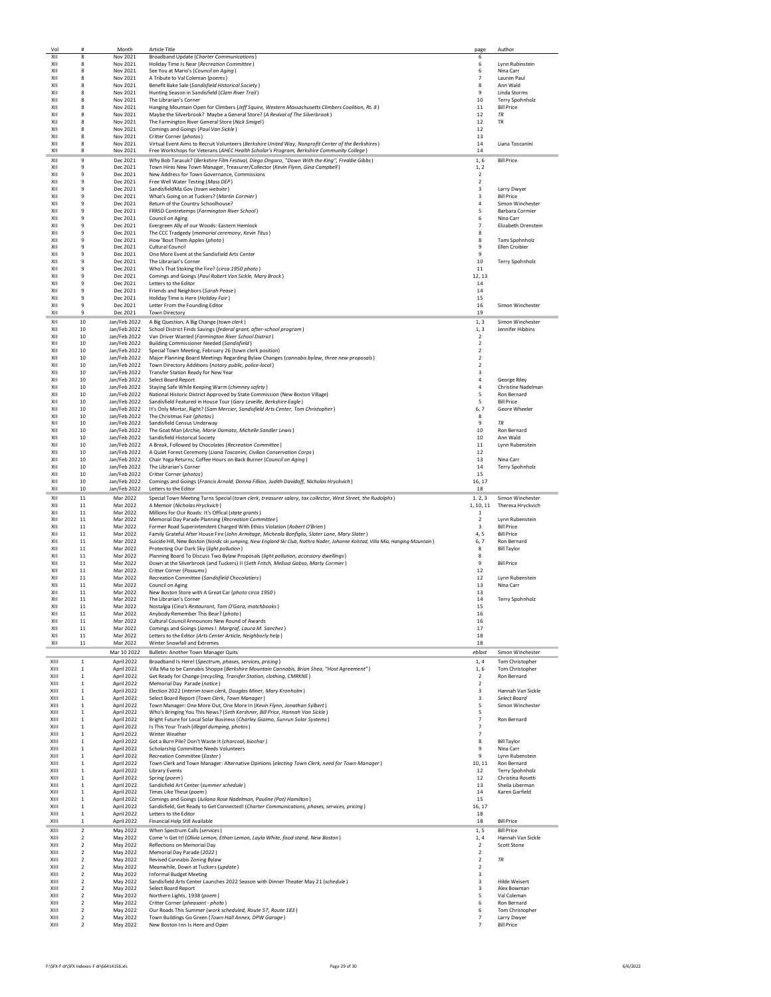| Vol          | #                                    | Month                        | <b>Article Title</b>                                                                                                             | page                             | Author                               |
|--------------|--------------------------------------|------------------------------|----------------------------------------------------------------------------------------------------------------------------------|----------------------------------|--------------------------------------|
| XII          | 8                                    | Nov 2021                     | Broadband Update (Charter Communications)                                                                                        | 6                                |                                      |
| XII          | 8                                    | Nov 2021                     | Holiday Time Is Near (Recreation Committee)                                                                                      | 6                                | Lynn Rubinstein                      |
| XII<br>XII   | 8<br>8                               | Nov 2021<br>Nov 2021         | See You at Mario's (Council on Aging)<br>A Tribute to Val Coleman (poems)                                                        | 6<br>$\overline{7}$              | Nina Carr<br>Lauren Paul             |
| XII          | 8                                    | Nov 2021                     | Benefit Bake Sale (Sandisfield Historical Society)                                                                               | 8                                | Ann Wald                             |
| XII          | 8                                    | Nov 2021                     | Hunting Season in Sandisfield (Clam River Trail)                                                                                 | 9                                | Linda Storms                         |
| XII          | 8                                    | Nov 2021                     | The Librarian's Corner                                                                                                           | 10                               | Terry Spohnholz                      |
| XII          | 8                                    | Nov 2021                     | Hanging Mountain Open for Climbers (Jeff Squire, Western Massachusetts Climbers Coalition, Rt. 8)                                | 11                               | <b>Bill Price</b>                    |
| XII          | 8                                    | Nov 2021                     | Maybe the Silverbrook? Maybe a General Store? (A Revival of The Silverbrook)                                                     | 12                               | <b>TR</b>                            |
| XII          | 8                                    | Nov 2021                     | The Farmington River General Store (Nick Smigel)                                                                                 | 12                               | <b>TR</b>                            |
| XII<br>X11   | 8<br>8                               | Nov 2021<br>Nov 2021         | Comings and Goings (Paul Van Sickle)<br>Critter Corner (photos)                                                                  | 12<br>13                         |                                      |
| XII          | 8                                    | Nov 2021                     | Virtual Event Aims to Recruit Volunteers (Berkshire United Way, Nonprofit Center of the Berkshires)                              | 14                               | Liana Toscanini                      |
| XII          | 8                                    | Nov 2021                     | Free Workshops for Veterans (AHEC Health Scholar's Program, Berkshire Community College)                                         | 14                               |                                      |
| XII          | 9                                    | Dec 2021                     | Why Bob Tarasuk? (Berkshire Film Festival, Diego Ongaro, "Down With the King", Freddie Gibbs)                                    | 1.6                              | <b>Bill Price</b>                    |
| XII          | 9                                    | Dec 2021                     | Town Hires New Town Manager, Treasurer/Collector (Kevin Flynn, Gina Campbell)                                                    | 1, 2                             |                                      |
| XII          | 9                                    | Dec 2021                     | New Address for Town Governance, Commissions                                                                                     | $\overline{2}$                   |                                      |
| XII          | 9                                    | Dec 2021                     | Free Well Water Testing (Mass DEP)                                                                                               | $\overline{2}$                   |                                      |
| X11          | 9                                    | Dec 2021                     | SandisfieldMa.Gov (town website)                                                                                                 | 3                                | Larry Dwyer                          |
| XII          | 9                                    | Dec 2021                     | What's Going on at Tuckers? (Martin Cormier)                                                                                     | 3                                | <b>Bill Price</b>                    |
| XII<br>XII   | 9<br>9                               | Dec 2021<br>Dec 2021         | Return of the Country Schoolhouse?<br>FRRSD Contretemps (Farmington River School)                                                | 4<br>5                           | Simon Winchester<br>Barbara Cormier  |
| XII          | 9                                    | Dec 2021                     | Council on Aging                                                                                                                 | 6                                | Nina Carr                            |
| XII          | 9                                    | Dec 2021                     | Evergreen Ally of our Woods: Eastern Hemlock                                                                                     | $\overline{7}$                   | Elizabeth Orenstein                  |
| XII          | 9                                    | Dec 2021                     | The CCC Tradgedy (memorial ceremony, Kevin Titus)                                                                                | 8                                |                                      |
| X11          | 9                                    | Dec 2021                     | How 'Bout Them Apples (photo)                                                                                                    | 8                                | Tami Spohnholz                       |
| XII          | 9                                    | Dec 2021                     | Cultural Council                                                                                                                 | 9                                | Ellen Croibier                       |
| XII          | 9                                    | Dec 2021                     | One More Event at the Sandisfield Arts Center                                                                                    | 9                                |                                      |
| XII<br>XII   | 9<br>9                               | Dec 2021<br>Dec 2021         | The Librarian's Corner<br>Who's That Stoking the Fire? (circa 1950 photo)                                                        | 10<br>11                         | Terry Spohnholz                      |
| XII          | $\mathbf{q}$                         | Dec 2021                     | Comings and Goings (Paul Robert Van Sickle, Mary Brock)                                                                          | 12, 13                           |                                      |
| X11          | $\mathbf{q}$                         | Dec 2021                     | Letters to the Editor                                                                                                            | 14                               |                                      |
| XII          | 9                                    | Dec 2021                     | Friends and Neighbors (Sarah Pease)                                                                                              | $14\,$                           |                                      |
| XII          | 9                                    | Dec 2021                     | Holiday Time is Here (Holiday Fair)                                                                                              | 15                               |                                      |
| XII          | 9                                    | Dec 2021                     | Letter From the Founding Editor                                                                                                  | 16                               | Simon Winchester                     |
| XII          | 9                                    | Dec 2021                     | <b>Town Directory</b>                                                                                                            | 19                               |                                      |
| XII          | 10                                   | Jan/Feb 2022                 | A Big Question, A Big Change (town clerk)                                                                                        | 1, 3                             | Simon Winchester                     |
| XII<br>X11   | 10<br>10                             | Jan/Feb 2022<br>Jan/Feb 2022 | School District Finds Savings (federal grant, after-school program)                                                              | 1, 3<br>$\overline{2}$           | Jennifer Hibbins                     |
| XII          | 10                                   | Jan/Feb 2022                 | Van Driver Wanted (Farmington River School District)<br>Building Commissioner Needed (Sandisfield)                               | $\overline{2}$                   |                                      |
| XII          | 10                                   | Jan/Feb 2022                 | Special Town Meeting, February 26 (town clerk position)                                                                          | $\overline{\mathbf{c}}$          |                                      |
| XII          | 10                                   | Jan/Feb 2022                 | Major Planning Board Meetings Regarding Bylaw Changes (cannabis bylaw, three new proposals)                                      | $\overline{2}$                   |                                      |
| XII          | 10                                   | Jan/Feb 2022                 | Town Directory Additions (notary public, police-local)                                                                           | 2                                |                                      |
| XII          | 10                                   | Jan/Feb 2022                 | Transfer Station Ready for New Year                                                                                              | 3                                |                                      |
| X11<br>XII   | 10<br>10                             | Jan/Feb 2022<br>Jan/Feb 2022 | Select Board Report                                                                                                              | 4<br>$\overline{4}$              | George Riley<br>Christine Nadelman   |
| XII          | 10                                   | Jan/Feb 2022                 | Staying Safe While Keeping Warm (chimney safety)<br>National Historic District Approved by State Commission (New Boston Village) | 5                                | Ron Bernard                          |
| XII          | 10                                   | Jan/Feb 2022                 | Sandisfield Featured in House Tour (Gary Leveille, Berkshire Eagle)                                                              | 5                                | <b>Bill Price</b>                    |
| XII          | 10                                   | Jan/Feb 2022                 | It's Only Mortar, Right? (Sam Mercier, Sandisfield Arts Center, Tom Christopher)                                                 | 6, 7                             | Geore Wheeler                        |
| XII          | 10                                   | Jan/Feb 2022                 | The Christmas Fair (photos)                                                                                                      | 8                                |                                      |
| X11          | 10                                   | Jan/Feb 2022                 | Sandisfield Census Underway                                                                                                      | 9                                | <b>TR</b>                            |
| XII<br>XII   | 10<br>10                             | Jan/Feb 2022<br>Jan/Feb 2022 | The Goat Man (Archie, Marie Damato, Michelle Sandler Lewis)<br>Sandisfield Historical Society                                    | 10<br>10                         | Ron Bernard<br>Ann Wald              |
| XII          | 10                                   | Jan/Feb 2022                 | A Break, Followed by Chocolates (Recreation Committee)                                                                           | 11                               | Lynn Rubenstein                      |
| XII          | 10                                   | Jan/Feb 2022                 | A Quiet Forest Ceremony (Liana Toscanini, Civilian Conservation Corps)                                                           | 12                               |                                      |
| XII          | 10                                   | Jan/Feb 2022                 | Chair Yoga Returns; Coffee Hours on Back Burner (Council on Aging)                                                               | 13                               | Nina Carr                            |
| XII          | 10                                   | Jan/Feb 2022                 | The Librarian's Corner                                                                                                           | 14                               | Terry Spohnholz                      |
| XII          | 10                                   | Jan/Feb 2022                 | Critter Corner (photos)                                                                                                          | 15                               |                                      |
| XII          | 10                                   | Jan/Feb 2022                 | Comings and Goings (Francis Arnold, Donna Fillion, Judith Davidoff, Nicholas Hryckvich)                                          | 16.17                            |                                      |
|              |                                      |                              |                                                                                                                                  |                                  |                                      |
| XII          | 10                                   | Jan/Feb 2022                 | Letters to the Editor                                                                                                            | 18                               |                                      |
| XII          | 11                                   | Mar 2022                     | Special Town Meeting Turns Special (town clerk, treasurer salary, tax collector, West Street, the Rudolphs)                      | 1, 2, 3                          | Simon Winchester                     |
| XII          | $11\,$                               | Mar 2022                     | A Memoir (Nicholas Hryckvich)                                                                                                    | 1, 10, 11                        | Theresa Hryckvich                    |
| XII<br>XII   | 11<br>11                             | Mar 2022<br>Mar 2022         | Millions for Our Roads: It's Offical (state grants)                                                                              | $\mathbf{1}$<br>2                |                                      |
| XII          | 11                                   | Mar 2022                     | Memorial Day Parade Planning (Recreation Committee)<br>Former Road Superintendent Charged With Ethics Violation (Robert O'Brien) | 3                                | Lynn Rubenstein<br><b>Bill Price</b> |
| XII          | 11                                   | Mar 2022                     | Family Grateful After House Fire (John Armitage, Micheala Bonfiglio, Slater Lane, Mary Slater)                                   | 4, 5                             | <b>Bill Price</b>                    |
| XII          | 11                                   | Mar 2022                     | Suicide Hill, New Boston (Nordic ski jumping, New England Ski Club, Nathra Nader, Johanne Kolstad, Villa Mia, Hanging Mountain)  | 6,7                              | Ron Bernard                          |
| XII          | 11                                   | Mar 2022                     | Protecting Our Dark Sky (light pollution)                                                                                        | 8                                | <b>Bill Taylor</b>                   |
| XII          | $11\,$                               | Mar 2022                     | Planning Board To Discuss Two Bylaw Proposals (light pollution, accessory dwellings)                                             | 8                                |                                      |
| XII<br>X11   | 11<br>11                             | Mar 2022<br>Mar 2022         | Down at the Silverbrook (and Tuckers) II (Seth Fritch, Melissa Gabso, Marty Cormier)<br>Critter Corner (Possums)                 | 9<br>12                          | <b>Bill Price</b>                    |
| XII          | 11                                   | Mar 2022                     | Recreation Committee (Sandisfield Chocolatiers)                                                                                  | 12                               | Lynn Rubenstein                      |
| XII          | 11                                   | Mar 2022                     | Council on Aging                                                                                                                 | 13                               | Nina Carr                            |
| XII          | $11\,$                               | Mar 2022                     | New Boston Store with A Great Car (photo circa 1950)                                                                             | 13                               |                                      |
| XII          | 11                                   | Mar 2022                     | The Librarian's Corner                                                                                                           | 14                               | Terry Spohnholz                      |
| XII<br>XII   | 11<br>11                             | Mar 2022<br>Mar 2022         | Nostalgia (Cina's Restaurant, Tom O'Gara, matchbooks)                                                                            | 15                               |                                      |
| XII          | 11                                   | Mar 2022                     | Anybody Remember This Bear? (photo)<br>Cultural Council Announces New Round of Awards                                            | 16<br>16                         |                                      |
| XII          | 11                                   | Mar 2022                     | Comings and Goings (James I. Margraf, Laura M. Sanchez)                                                                          | 17                               |                                      |
| XII          | $11\,$                               | Mar 2022                     | Letters to the Editor (Arts Center Article, Neighborly help)                                                                     | 18                               |                                      |
| XII          | 11                                   | Mar 2022                     | Winter Snowfall and Extremes                                                                                                     | 18                               |                                      |
|              |                                      | Mar 10 2022                  | Bulletin: Another Town Manager Quits                                                                                             | eblast                           | Simon Winchester                     |
| XIII         | 1                                    | April 2022                   | Broadband Is Here! (Spectrum, phases, services, pricing)                                                                         | 1,4                              | Tom Christopher                      |
| XIII         | 1                                    | April 2022                   | Villa Mia to be Cannabis Shoppe (Berkshire Mountain Cannabis, Brian Shea, "Host Agreement")                                      | 1,6                              | Tom Christopher                      |
| XIII<br>XIII | 1<br>1                               | April 2022                   | Get Ready for Change (recycling, Transfer Station, clothing, CMRKNE)<br>Memorial Day Parade (notice)                             | $\overline{2}$<br>$\overline{2}$ | Ron Bernard                          |
| XIII         | 1                                    | April 2022<br>April 2022     | Election 2022 (interim town clerk, Douglas Miner, Mary Kronholm)                                                                 | 3                                | Hannah Van Sickle                    |
| XIII         | $\mathbf{1}$                         | April 2022                   | Select Board Report (Town Clerk, Town Manager)                                                                                   | 3                                | <b>Select Board</b>                  |
| XIII         | $\mathbf{1}$                         | April 2022                   | Town Manager: One More Out, One More In (Kevin Flynn, Jonathan Sylbert)                                                          | 5                                | Simon Winchester                     |
| XIII         | $\,$ 1                               | April 2022                   | Who's Bringing You This News? (Seth Kershner, Bill Price, Hannah Van Sickle)                                                     | 5                                |                                      |
| XIII         | $\mathbf{1}$                         | April 2022                   | Bright Future for Local Solar Business (Charley Giaimo, Sunrun Solar Systems)                                                    | $\overline{7}$                   | Ron Bernard                          |
| XIII<br>XIII | 1<br>$\mathbf{1}$                    | April 2022                   | Is This Your Trash (illegal dumping, photos)<br>Winter Weather                                                                   | $\overline{7}$<br>$\overline{7}$ |                                      |
| XIII         | $\mathbf{1}$                         | April 2022<br>April 2022     | Got a Burn Pile? Don't Waste It (charcoal, biochar)                                                                              | 8                                | <b>Bill Taylor</b>                   |
| XIII         | $\mathbf{1}$                         | April 2022                   | Scholarship Committee Needs Volunteers                                                                                           | 9                                | Nina Carr                            |
| XIII         | $\,$ 1                               | April 2022                   | Recreation Committee (Easter)                                                                                                    | 9                                | Lynn Rubenstein                      |
| XIII         | $\mathbf{1}$                         | April 2022                   | Town Clerk and Town Manager: Alternative Opinions (electing Town Clerk, need for Town Manager)                                   | 10.11                            | Ron Bernard                          |
| XIII<br>XIII | 1<br>1                               | April 2022                   | <b>Library Events</b>                                                                                                            | 12<br>12                         | Terry Spohnholz<br>Christina Rosetti |
| XIII         | $\,1\,$                              | April 2022<br>April 2022     | Spring (poem)<br>Sandisfield Art Center (summer schedule)                                                                        | 13                               | Sheila Liberman                      |
| XIII         | $\,$ 1                               | April 2022                   | Times Like These (poem)                                                                                                          | 14                               | Karen Garfield                       |
| XIII         | $\mathbf{1}$                         | April 2022                   | Comings and Goings (Juliana Rose Nadelman, Pauline (Pat) Hamilton)                                                               | 15                               |                                      |
| XIII         | $\mathbf{1}$                         | April 2022                   | Sandisfield, Get Ready to Get Connected! (Charter Communications, phases, services, pricing)                                     | 16, 17                           |                                      |
| XIII         | 1                                    | April 2022                   | Letters to the Editor                                                                                                            | 18                               |                                      |
| XIII         | 1                                    | April 2022                   | Financial Help Still Available                                                                                                   | 18                               | <b>Bill Price</b>                    |
| XIII         | $\overline{2}$                       | May 2022                     | When Spectrum Calls (services)                                                                                                   | 1.5                              | <b>Bill Price</b>                    |
| XIII         | $\boldsymbol{2}$                     | May 2022                     | Come 'n Get It! (Olivia Lemon, Ethan Lemon, Layla White, food stand, New Boston)                                                 | 1, 4                             | Hannah Van Sickle                    |
| XIII<br>XIII | $\boldsymbol{2}$<br>$\boldsymbol{2}$ | May 2022<br>May 2022         | Reflections on Memorial Day<br>Memorial Day Parade (2022)                                                                        | $\overline{2}$<br>$\overline{2}$ | Scott Stone                          |
| XIII         | 2                                    | May 2022                     | Revised Cannabis Zoning Bylaw                                                                                                    | $\overline{2}$                   | <b>TR</b>                            |
| XIII         | $\overline{2}$                       | May 2022                     | Meanwhile, Down at Tuckers (update)                                                                                              | $\overline{2}$                   |                                      |
| XIII         | $\overline{2}$                       | May 2022                     | <b>Informal Budget Meeting</b>                                                                                                   | 3                                |                                      |
| XIII         | $\boldsymbol{2}$                     | May 2022                     | Sandisfield Arts Center Launches 2022 Season with Dinner Theater May 21 (schedule)                                               | 3                                | <b>Hilde Weisert</b>                 |
| XIII         | $\overline{2}$<br>$\overline{2}$     | May 2022                     | Select Board Report                                                                                                              | 3                                | Alex Bowman                          |
| XIII<br>XIII | $\overline{2}$                       | May 2022<br>May 2022         | Northern Lights, 1938 (poem)<br>Critter Corner (pheasant - photo)                                                                | 5<br>6                           | Val Coleman<br>Ron Bernard           |
| XIII         | $\overline{2}$                       | May 2022                     | Our Roads This Summer (work scheduled, Route 57, Route 183)                                                                      | 6                                | Tom Christopher                      |
| XIII<br>XIII | $\overline{2}$<br>$\overline{2}$     | May 2022<br>May 2022         | Town Buildings Go Green (Town Hall Annex, DPW Garage)<br>New Boston Inn Is Here and Open                                         | $\overline{7}$<br>$\overline{7}$ | Larry Dwyer<br><b>Bill Price</b>     |